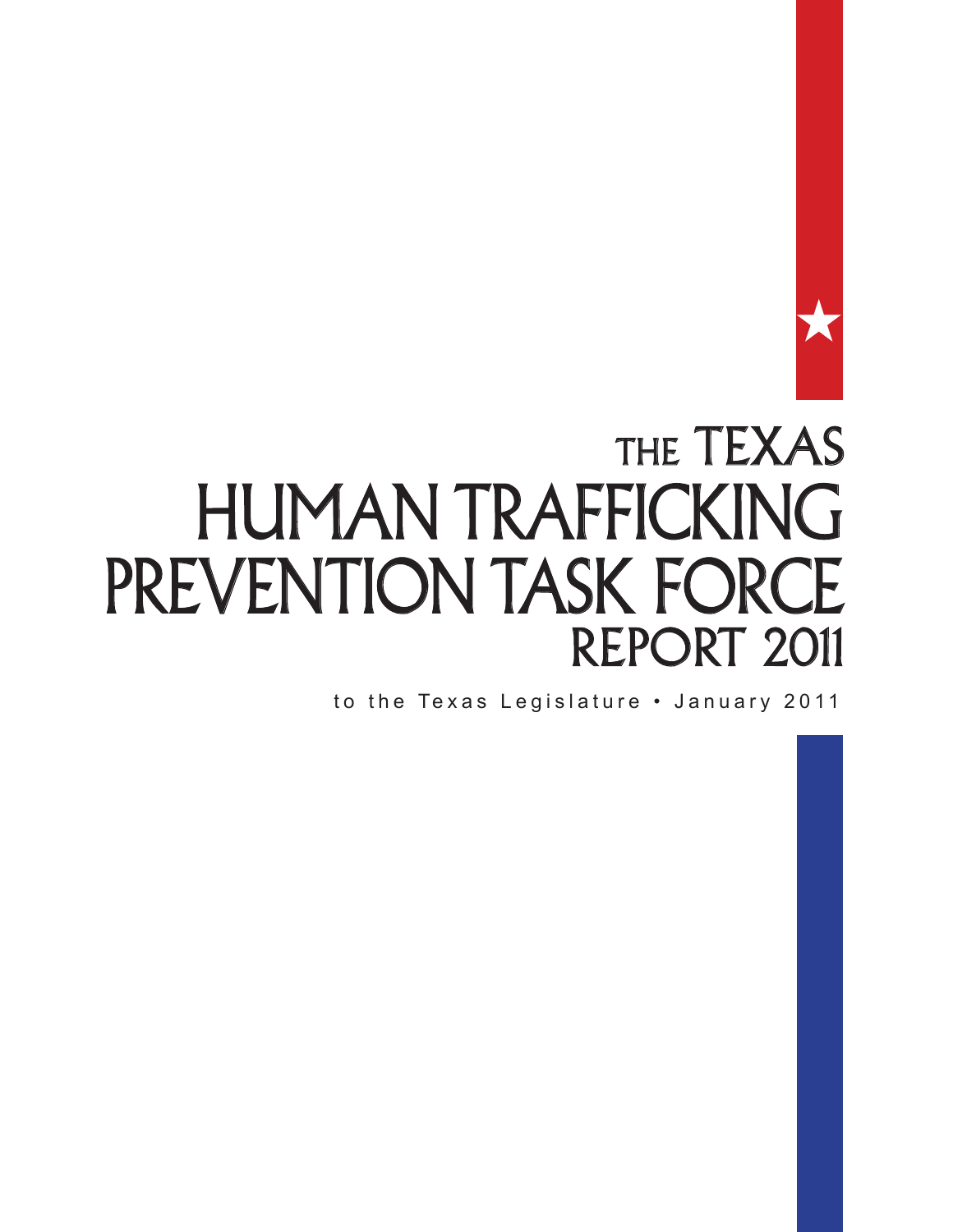

# THE TEXAS Human Trafficking PREVENTION TASK FORCE REPORT 2011

to the Texas Legislature • January 2011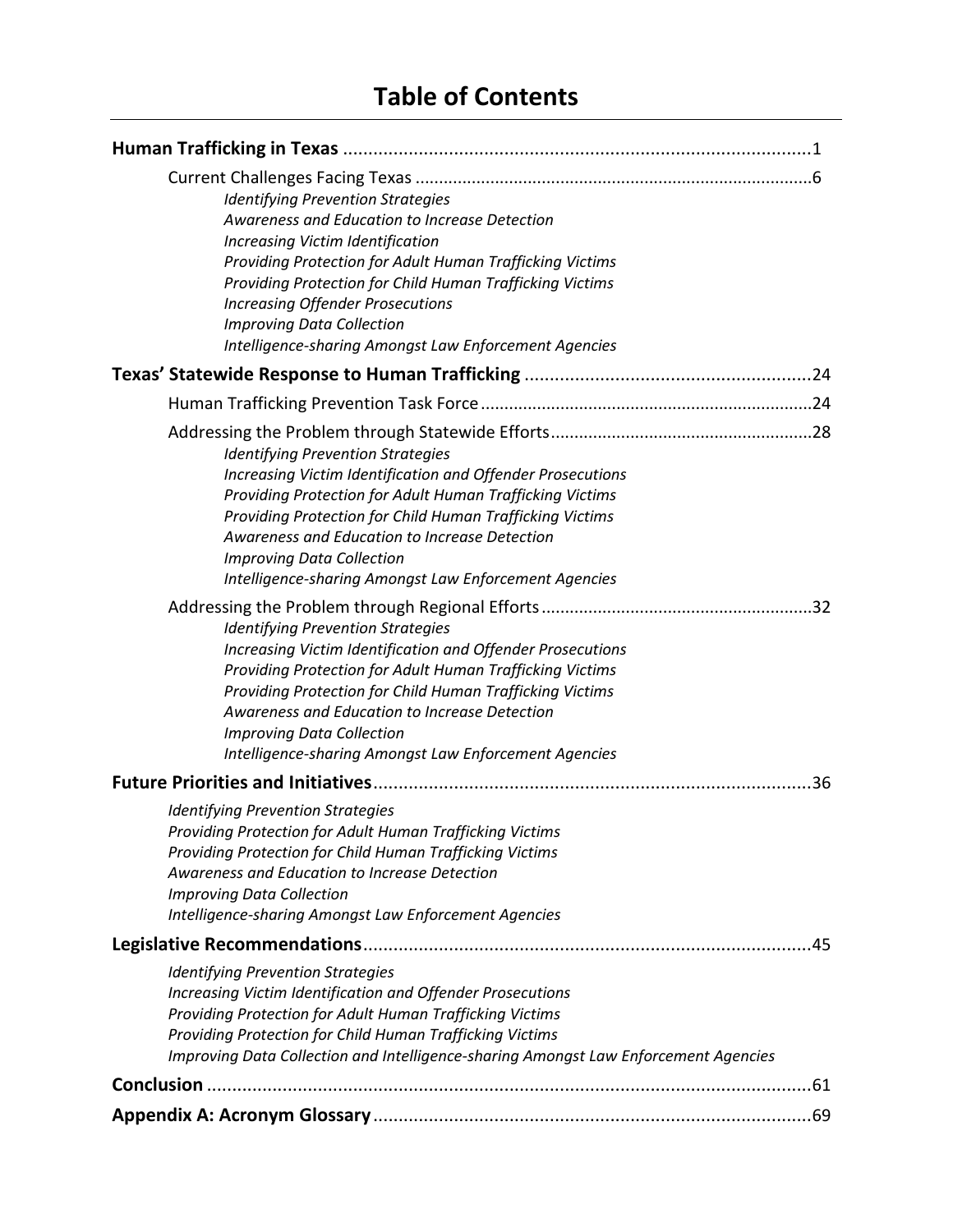# **Table of Contents**

| <b>Identifying Prevention Strategies</b><br>Awareness and Education to Increase Detection<br>Increasing Victim Identification<br>Providing Protection for Adult Human Trafficking Victims<br>Providing Protection for Child Human Trafficking Victims<br><b>Increasing Offender Prosecutions</b><br><b>Improving Data Collection</b><br>Intelligence-sharing Amongst Law Enforcement Agencies |
|-----------------------------------------------------------------------------------------------------------------------------------------------------------------------------------------------------------------------------------------------------------------------------------------------------------------------------------------------------------------------------------------------|
|                                                                                                                                                                                                                                                                                                                                                                                               |
|                                                                                                                                                                                                                                                                                                                                                                                               |
| <b>Identifying Prevention Strategies</b><br>Increasing Victim Identification and Offender Prosecutions<br>Providing Protection for Adult Human Trafficking Victims<br>Providing Protection for Child Human Trafficking Victims<br>Awareness and Education to Increase Detection<br><b>Improving Data Collection</b><br>Intelligence-sharing Amongst Law Enforcement Agencies                  |
| <b>Identifying Prevention Strategies</b><br>Increasing Victim Identification and Offender Prosecutions<br>Providing Protection for Adult Human Trafficking Victims<br>Providing Protection for Child Human Trafficking Victims<br>Awareness and Education to Increase Detection<br><b>Improving Data Collection</b><br>Intelligence-sharing Amongst Law Enforcement Agencies                  |
|                                                                                                                                                                                                                                                                                                                                                                                               |
| <b>Identifying Prevention Strategies</b><br>Providing Protection for Adult Human Trafficking Victims<br>Providing Protection for Child Human Trafficking Victims<br>Awareness and Education to Increase Detection<br><b>Improving Data Collection</b><br>Intelligence-sharing Amongst Law Enforcement Agencies                                                                                |
|                                                                                                                                                                                                                                                                                                                                                                                               |
| <b>Identifying Prevention Strategies</b><br>Increasing Victim Identification and Offender Prosecutions<br>Providing Protection for Adult Human Trafficking Victims<br>Providing Protection for Child Human Trafficking Victims<br>Improving Data Collection and Intelligence-sharing Amongst Law Enforcement Agencies                                                                         |
|                                                                                                                                                                                                                                                                                                                                                                                               |
|                                                                                                                                                                                                                                                                                                                                                                                               |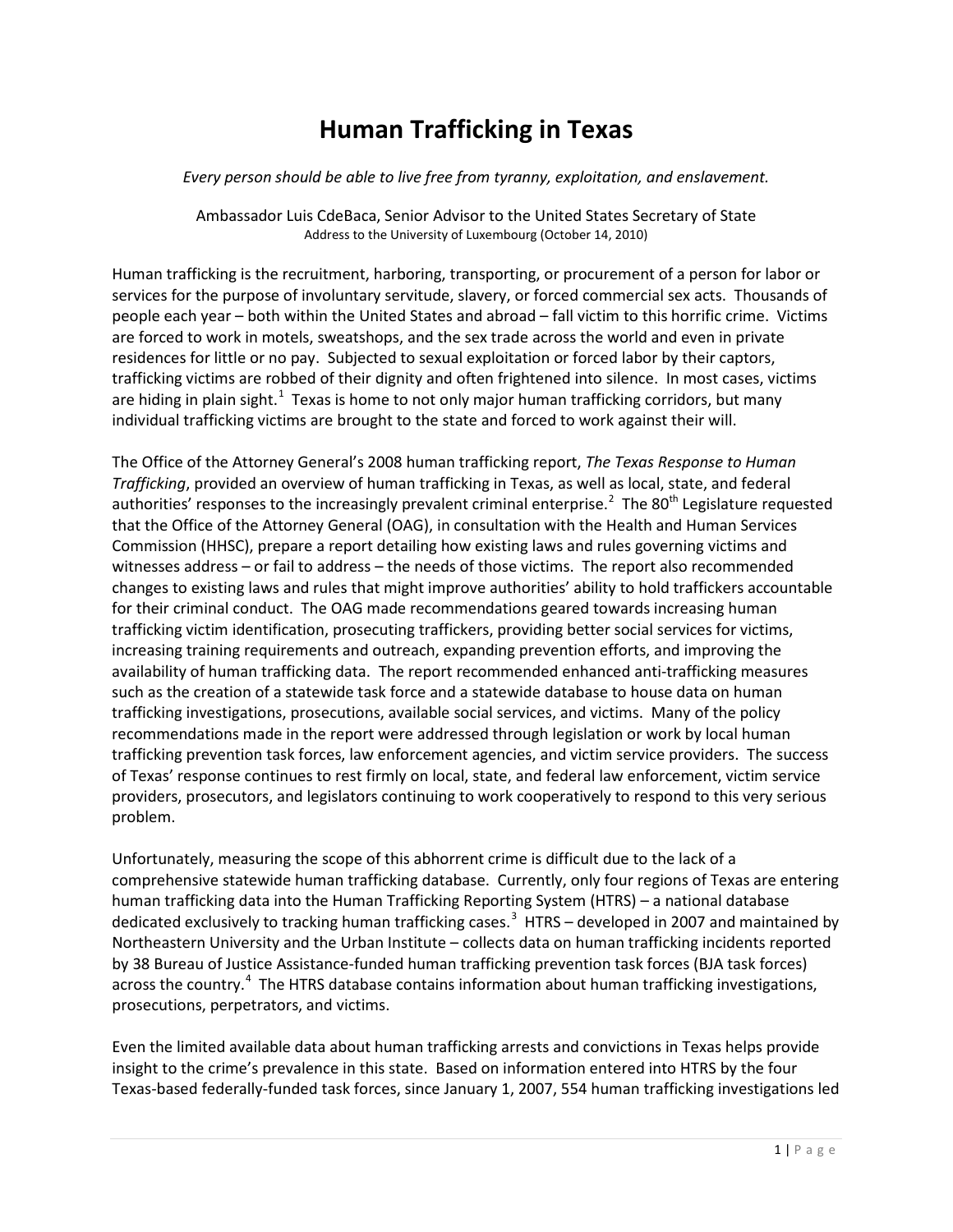# **Human Trafficking in Texas**

#### *Every person should be able to live free from tyranny, exploitation, and enslavement.*

Ambassador Luis CdeBaca, Senior Advisor to the United States Secretary of State Address to the University of Luxembourg (October 14, 2010)

Human trafficking is the recruitment, harboring, transporting, or procurement of a person for labor or services for the purpose of involuntary servitude, slavery, or forced commercial sex acts. Thousands of people each year – both within the United States and abroad – fall victim to this horrific crime. Victims are forced to work in motels, sweatshops, and the sex trade across the world and even in private residences for little or no pay. Subjected to sexual exploitation or forced labor by their captors, trafficking victims are robbed of their dignity and often frightened into silence. In most cases, victims are hiding in plain sight. $1$  Texas is home to not only major human trafficking corridors, but many individual trafficking victims are brought to the state and forced to work against their will.

The Office of the Attorney General's 2008 human trafficking report, *The Texas Response to Human Trafficking*, provided an overview of human trafficking in Texas, as well as local, state, and federal authorities' responses to the increasingly prevalent criminal enterprise.<sup>[2](#page-63-1)</sup> The 80<sup>th</sup> Legislature requested that the Office of the Attorney General (OAG), in consultation with the Health and Human Services Commission (HHSC), prepare a report detailing how existing laws and rules governing victims and witnesses address – or fail to address – the needs of those victims. The report also recommended changes to existing laws and rules that might improve authorities' ability to hold traffickers accountable for their criminal conduct. The OAG made recommendations geared towards increasing human trafficking victim identification, prosecuting traffickers, providing better social services for victims, increasing training requirements and outreach, expanding prevention efforts, and improving the availability of human trafficking data. The report recommended enhanced anti-trafficking measures such as the creation of a statewide task force and a statewide database to house data on human trafficking investigations, prosecutions, available social services, and victims. Many of the policy recommendations made in the report were addressed through legislation or work by local human trafficking prevention task forces, law enforcement agencies, and victim service providers. The success of Texas' response continues to rest firmly on local, state, and federal law enforcement, victim service providers, prosecutors, and legislators continuing to work cooperatively to respond to this very serious problem.

Unfortunately, measuring the scope of this abhorrent crime is difficult due to the lack of a comprehensive statewide human trafficking database. Currently, only four regions of Texas are entering human trafficking data into the Human Trafficking Reporting System (HTRS) – a national database dedicated exclusively to tracking human trafficking cases.<sup>[3](#page-63-2)</sup> HTRS – developed in 2007 and maintained by Northeastern University and the Urban Institute – collects data on human trafficking incidents reported by 38 Bureau of Justice Assistance-funded human trafficking prevention task forces (BJA task forces) across the country.<sup>[4](#page-63-3)</sup> The HTRS database contains information about human trafficking investigations, prosecutions, perpetrators, and victims.

Even the limited available data about human trafficking arrests and convictions in Texas helps provide insight to the crime's prevalence in this state. Based on information entered into HTRS by the four Texas-based federally-funded task forces, since January 1, 2007, 554 human trafficking investigations led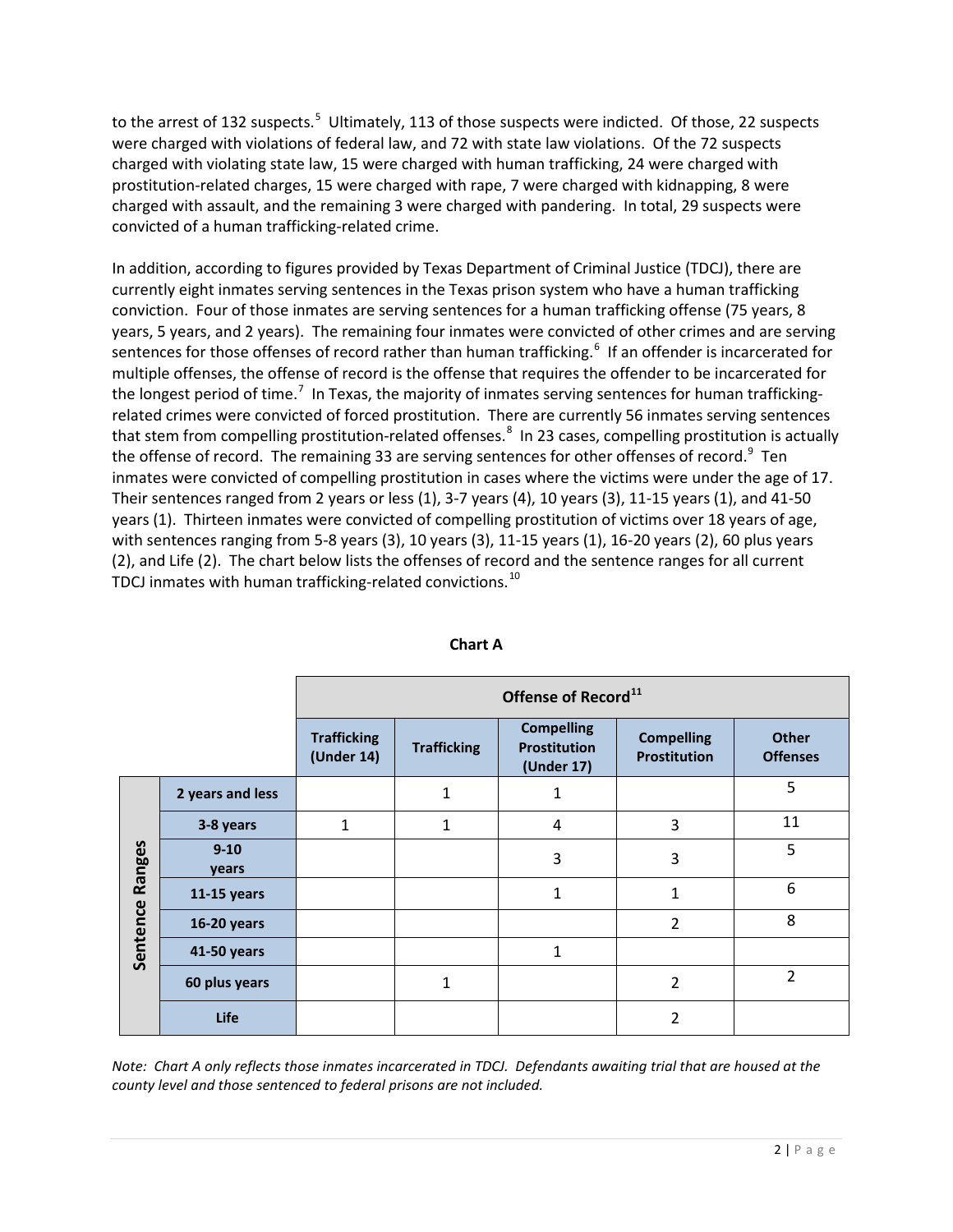to the arrest of 132 suspects.<sup>[5](#page-63-4)</sup> Ultimately, 113 of those suspects were indicted. Of those, 22 suspects were charged with violations of federal law, and 72 with state law violations. Of the 72 suspects charged with violating state law, 15 were charged with human trafficking, 24 were charged with prostitution-related charges, 15 were charged with rape, 7 were charged with kidnapping, 8 were charged with assault, and the remaining 3 were charged with pandering. In total, 29 suspects were convicted of a human trafficking-related crime.

In addition, according to figures provided by Texas Department of Criminal Justice (TDCJ), there are currently eight inmates serving sentences in the Texas prison system who have a human trafficking conviction. Four of those inmates are serving sentences for a human trafficking offense (75 years, 8 years, 5 years, and 2 years). The remaining four inmates were convicted of other crimes and are serving sentences for those offenses of record rather than human trafficking.<sup>[6](#page-63-5)</sup> If an offender is incarcerated for multiple offenses, the offense of record is the offense that requires the offender to be incarcerated for the longest period of time.<sup>[7](#page-64-0)</sup> In Texas, the majority of inmates serving sentences for human traffickingrelated crimes were convicted of forced prostitution. There are currently 56 inmates serving sentences that stem from compelling prostitution-related offenses.<sup>[8](#page-64-1)</sup> In 23 cases, compelling prostitution is actually the offense of record. The remaining 33 are serving sentences for other offenses of record.<sup>[9](#page-64-2)</sup> Ten inmates were convicted of compelling prostitution in cases where the victims were under the age of 17. Their sentences ranged from 2 years or less (1), 3-7 years (4), 10 years (3), 11-15 years (1), and 41-50 years (1). Thirteen inmates were convicted of compelling prostitution of victims over 18 years of age, with sentences ranging from 5-8 years (3), 10 years (3), 11-15 years (1), 16-20 years (2), 60 plus years (2), and Life (2). The chart below lists the offenses of record and the sentence ranges for all current TDCJ inmates with human trafficking-related convictions.<sup>[10](#page-64-3)</sup>

|                    |                    | Offense of Record <sup>11</sup>  |                    |                                                        |                                          |                                 |
|--------------------|--------------------|----------------------------------|--------------------|--------------------------------------------------------|------------------------------------------|---------------------------------|
|                    |                    | <b>Trafficking</b><br>(Under 14) | <b>Trafficking</b> | <b>Compelling</b><br><b>Prostitution</b><br>(Under 17) | <b>Compelling</b><br><b>Prostitution</b> | <b>Other</b><br><b>Offenses</b> |
| Ranges<br>Sentence | 2 years and less   |                                  | 1                  | 1                                                      |                                          | 5                               |
|                    | 3-8 years          | $\mathbf{1}$                     | 1                  | 4                                                      | 3                                        | 11                              |
|                    | $9 - 10$<br>years  |                                  |                    | 3                                                      | 3                                        | 5                               |
|                    | $11-15$ years      |                                  |                    | 1                                                      | 1                                        | 6                               |
|                    | <b>16-20 years</b> |                                  |                    |                                                        | $\overline{2}$                           | 8                               |
|                    | 41-50 years        |                                  |                    | 1                                                      |                                          |                                 |
|                    | 60 plus years      |                                  | 1                  |                                                        | $\overline{2}$                           | $\overline{2}$                  |
|                    | Life               |                                  |                    |                                                        | $\overline{2}$                           |                                 |

#### **Chart A**

*Note: Chart A only reflects those inmates incarcerated in TDCJ. Defendants awaiting trial that are housed at the county level and those sentenced to federal prisons are not included.*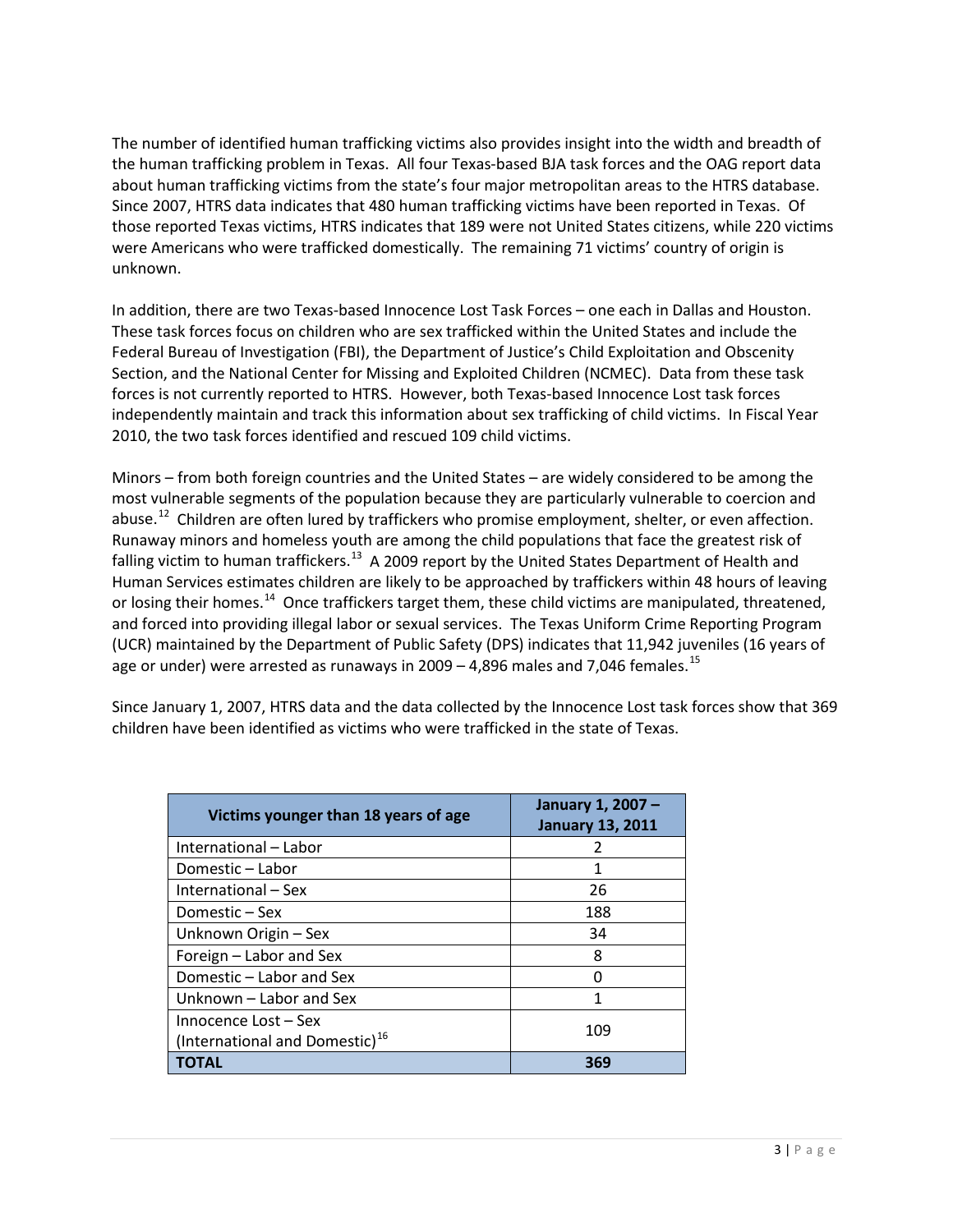The number of identified human trafficking victims also provides insight into the width and breadth of the human trafficking problem in Texas. All four Texas-based BJA task forces and the OAG report data about human trafficking victims from the state's four major metropolitan areas to the HTRS database. Since 2007, HTRS data indicates that 480 human trafficking victims have been reported in Texas. Of those reported Texas victims, HTRS indicates that 189 were not United States citizens, while 220 victims were Americans who were trafficked domestically. The remaining 71 victims' country of origin is unknown.

In addition, there are two Texas-based Innocence Lost Task Forces – one each in Dallas and Houston. These task forces focus on children who are sex trafficked within the United States and include the Federal Bureau of Investigation (FBI), the Department of Justice's Child Exploitation and Obscenity Section, and the National Center for Missing and Exploited Children (NCMEC). Data from these task forces is not currently reported to HTRS. However, both Texas-based Innocence Lost task forces independently maintain and track this information about sex trafficking of child victims. In Fiscal Year 2010, the two task forces identified and rescued 109 child victims.

Minors – from both foreign countries and the United States – are widely considered to be among the most vulnerable segments of the population because they are particularly vulnerable to coercion and abuse.<sup>[12](#page-64-5)</sup> Children are often lured by traffickers who promise employment, shelter, or even affection. Runaway minors and homeless youth are among the child populations that face the greatest risk of falling victim to human traffickers.<sup>[13](#page-64-6)</sup> A 2009 report by the United States Department of Health and Human Services estimates children are likely to be approached by traffickers within 48 hours of leaving or losing their homes.<sup>14</sup> Once traffickers target them, these child victims are manipulated, threatened, and forced into providing illegal labor or sexual services. The Texas Uniform Crime Reporting Program (UCR) maintained by the Department of Public Safety (DPS) indicates that 11,942 juveniles (16 years of age or under) were arrested as runaways in  $2009 - 4,896$  males and 7,046 females.<sup>[15](#page-64-8)</sup>

Since January 1, 2007, HTRS data and the data collected by the Innocence Lost task forces show that 369 children have been identified as victims who were trafficked in the state of Texas.

| Victims younger than 18 years of age       | January 1, 2007 -<br><b>January 13, 2011</b> |  |
|--------------------------------------------|----------------------------------------------|--|
| International – Labor                      | 2                                            |  |
| Domestic - Labor                           | 1                                            |  |
| International - Sex                        | 26                                           |  |
| Domestic – Sex                             | 188                                          |  |
| Unknown Origin - Sex                       | 34                                           |  |
| Foreign - Labor and Sex                    | 8                                            |  |
| Domestic – Labor and Sex                   |                                              |  |
| Unknown – Labor and Sex                    |                                              |  |
| Innocence Lost - Sex                       | 109                                          |  |
| (International and Domestic) <sup>16</sup> |                                              |  |
| ΤΟΤΑL                                      | 369                                          |  |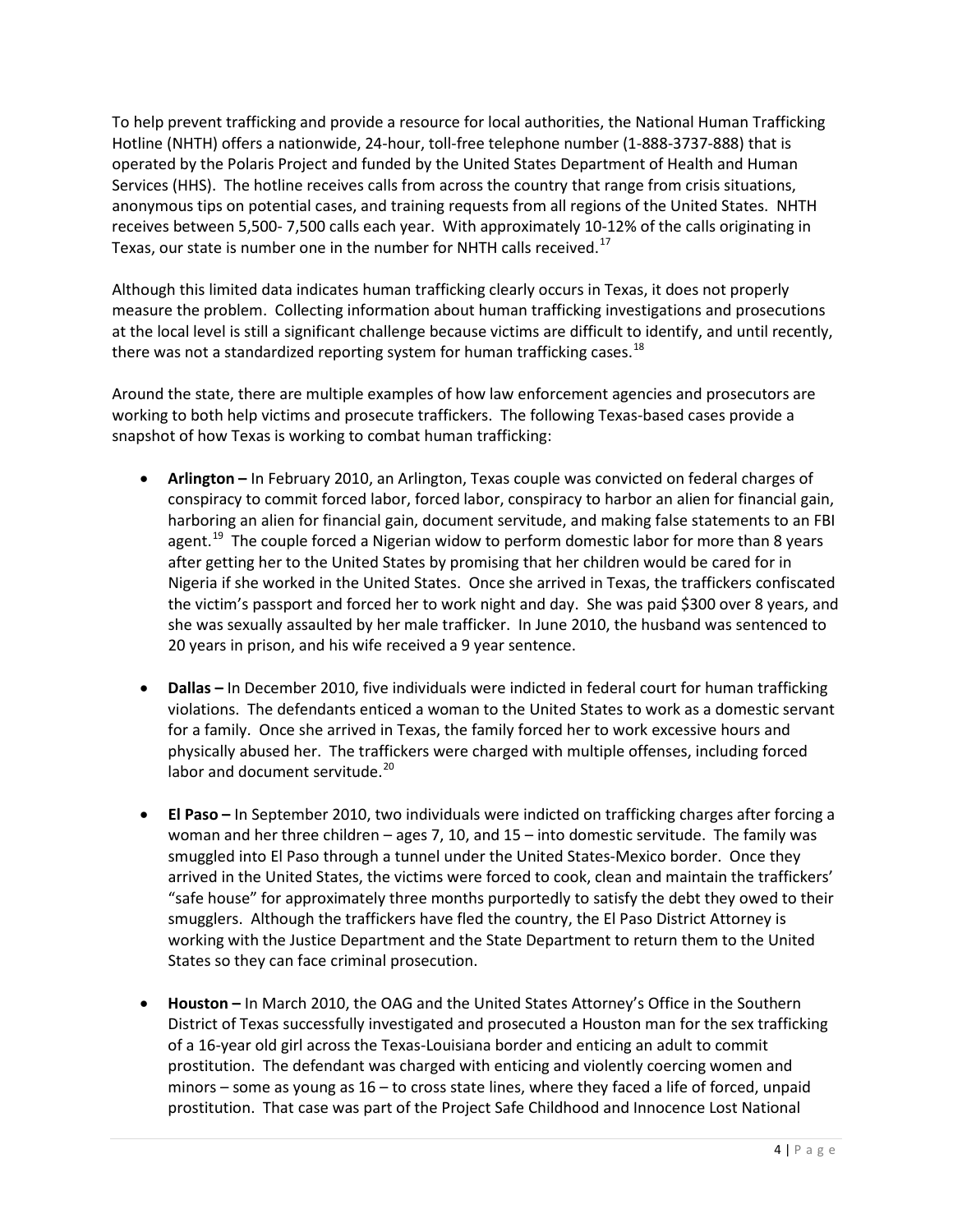To help prevent trafficking and provide a resource for local authorities, the National Human Trafficking Hotline (NHTH) offers a nationwide, 24-hour, toll-free telephone number (1-888-3737-888) that is operated by the Polaris Project and funded by the United States Department of Health and Human Services (HHS). The hotline receives calls from across the country that range from crisis situations, anonymous tips on potential cases, and training requests from all regions of the United States. NHTH receives between 5,500- 7,500 calls each year. With approximately 10-12% of the calls originating in Texas, our state is number one in the number for NHTH calls received.<sup>17</sup>

Although this limited data indicates human trafficking clearly occurs in Texas, it does not properly measure the problem. Collecting information about human trafficking investigations and prosecutions at the local level is still a significant challenge because victims are difficult to identify, and until recently, there was not a standardized reporting system for human trafficking cases.<sup>[18](#page-64-11)</sup>

Around the state, there are multiple examples of how law enforcement agencies and prosecutors are working to both help victims and prosecute traffickers. The following Texas-based cases provide a snapshot of how Texas is working to combat human trafficking:

- **Arlington –** In February 2010, an Arlington, Texas couple was convicted on federal charges of conspiracy to commit forced labor, forced labor, conspiracy to harbor an alien for financial gain, harboring an alien for financial gain, document servitude, and making false statements to an FBI agent.<sup>19</sup> The couple forced a Nigerian widow to perform domestic labor for more than 8 years after getting her to the United States by promising that her children would be cared for in Nigeria if she worked in the United States. Once she arrived in Texas, the traffickers confiscated the victim's passport and forced her to work night and day. She was paid \$300 over 8 years, and she was sexually assaulted by her male trafficker. In June 2010, the husband was sentenced to 20 years in prison, and his wife received a 9 year sentence.
- **Dallas –** In December 2010, five individuals were indicted in federal court for human trafficking violations. The defendants enticed a woman to the United States to work as a domestic servant for a family. Once she arrived in Texas, the family forced her to work excessive hours and physically abused her. The traffickers were charged with multiple offenses, including forced labor and document servitude.<sup>[20](#page-64-13)</sup>
- **El Paso –** In September 2010, two individuals were indicted on trafficking charges after forcing a woman and her three children – ages 7, 10, and 15 – into domestic servitude. The family was smuggled into El Paso through a tunnel under the United States-Mexico border. Once they arrived in the United States, the victims were forced to cook, clean and maintain the traffickers' "safe house" for approximately three months purportedly to satisfy the debt they owed to their smugglers. Although the traffickers have fled the country, the El Paso District Attorney is working with the Justice Department and the State Department to return them to the United States so they can face criminal prosecution.
- **Houston –** In March 2010, the OAG and the United States Attorney's Office in the Southern District of Texas successfully investigated and prosecuted a Houston man for the sex trafficking of a 16-year old girl across the Texas-Louisiana border and enticing an adult to commit prostitution. The defendant was charged with enticing and violently coercing women and minors – some as young as 16 – to cross state lines, where they faced a life of forced, unpaid prostitution. That case was part of the Project Safe Childhood and Innocence Lost National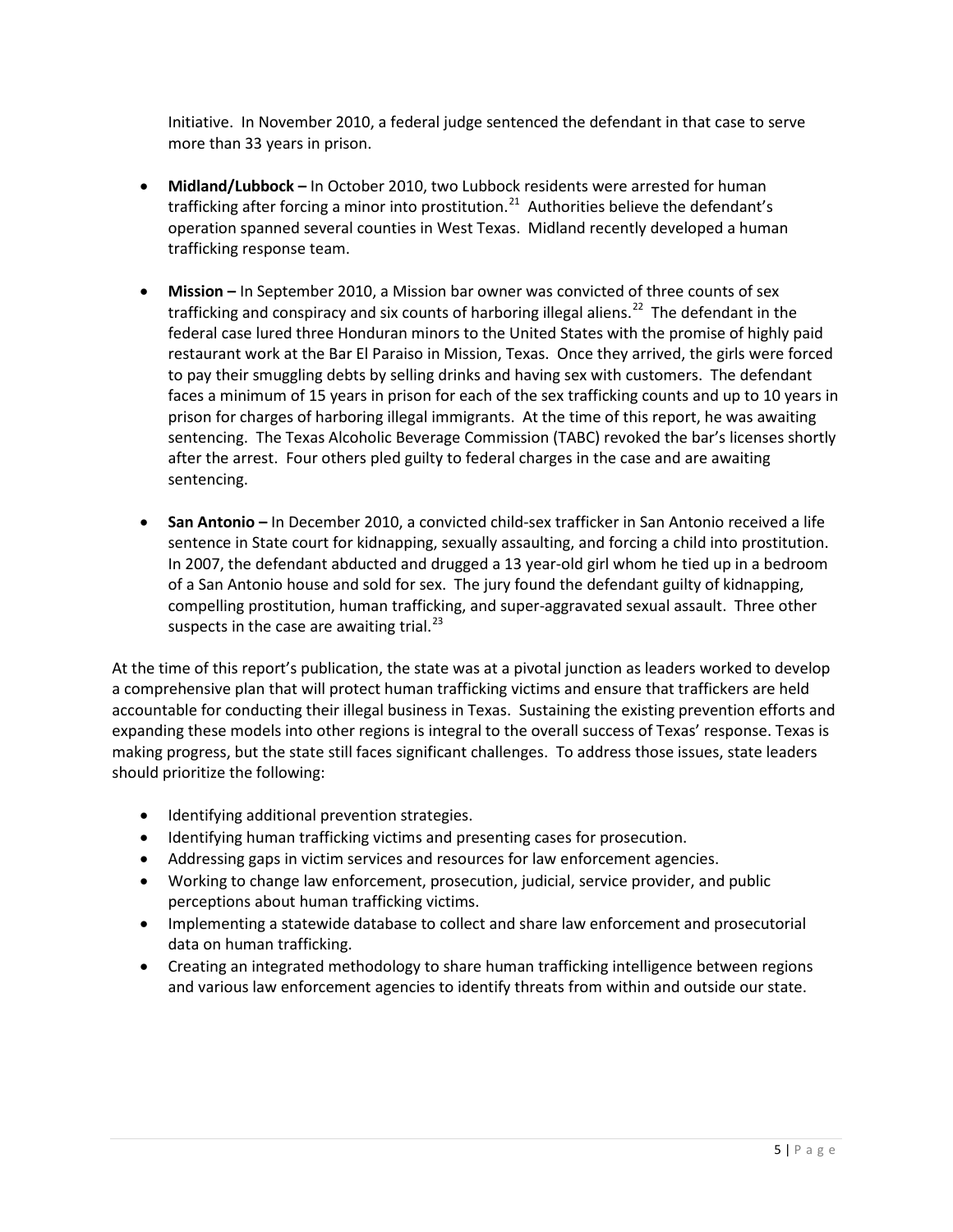Initiative. In November 2010, a federal judge sentenced the defendant in that case to serve more than 33 years in prison.

- **Midland/Lubbock –** In October 2010, two Lubbock residents were arrested for human trafficking after forcing a minor into prostitution. $^{21}$  $^{21}$  $^{21}$  Authorities believe the defendant's operation spanned several counties in West Texas. Midland recently developed a human trafficking response team.
- **Mission –** In September 2010, a Mission bar owner was convicted of three counts of sex trafficking and conspiracy and six counts of harboring illegal aliens.<sup>22</sup> The defendant in the federal case lured three Honduran minors to the United States with the promise of highly paid restaurant work at the Bar El Paraiso in Mission, Texas. Once they arrived, the girls were forced to pay their smuggling debts by selling drinks and having sex with customers. The defendant faces a minimum of 15 years in prison for each of the sex trafficking counts and up to 10 years in prison for charges of harboring illegal immigrants. At the time of this report, he was awaiting sentencing. The Texas Alcoholic Beverage Commission (TABC) revoked the bar's licenses shortly after the arrest. Four others pled guilty to federal charges in the case and are awaiting sentencing.
- **San Antonio –** In December 2010, a convicted child-sex trafficker in San Antonio received a life sentence in State court for kidnapping, sexually assaulting, and forcing a child into prostitution. In 2007, the defendant abducted and drugged a 13 year-old girl whom he tied up in a bedroom of a San Antonio house and sold for sex. The jury found the defendant guilty of kidnapping, compelling prostitution, human trafficking, and super-aggravated sexual assault. Three other suspects in the case are awaiting trial. $^{23}$  $^{23}$  $^{23}$

At the time of this report's publication, the state was at a pivotal junction as leaders worked to develop a comprehensive plan that will protect human trafficking victims and ensure that traffickers are held accountable for conducting their illegal business in Texas. Sustaining the existing prevention efforts and expanding these models into other regions is integral to the overall success of Texas' response. Texas is making progress, but the state still faces significant challenges. To address those issues, state leaders should prioritize the following:

- Identifying additional prevention strategies.
- Identifying human trafficking victims and presenting cases for prosecution.
- Addressing gaps in victim services and resources for law enforcement agencies.
- Working to change law enforcement, prosecution, judicial, service provider, and public perceptions about human trafficking victims.
- Implementing a statewide database to collect and share law enforcement and prosecutorial data on human trafficking.
- Creating an integrated methodology to share human trafficking intelligence between regions and various law enforcement agencies to identify threats from within and outside our state.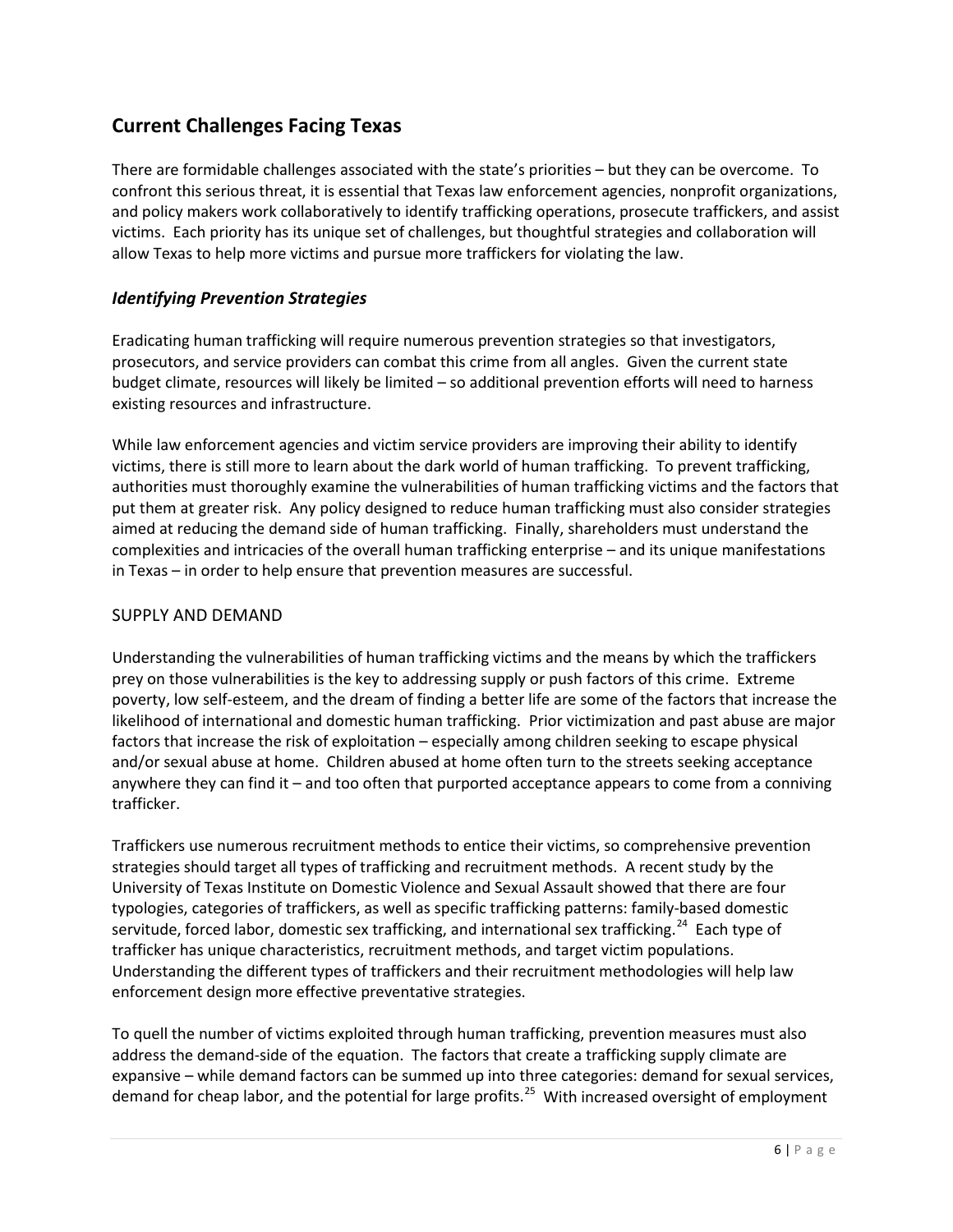# **Current Challenges Facing Texas**

There are formidable challenges associated with the state's priorities – but they can be overcome. To confront this serious threat, it is essential that Texas law enforcement agencies, nonprofit organizations, and policy makers work collaboratively to identify trafficking operations, prosecute traffickers, and assist victims. Each priority has its unique set of challenges, but thoughtful strategies and collaboration will allow Texas to help more victims and pursue more traffickers for violating the law.

# *Identifying Prevention Strategies*

Eradicating human trafficking will require numerous prevention strategies so that investigators, prosecutors, and service providers can combat this crime from all angles. Given the current state budget climate, resources will likely be limited – so additional prevention efforts will need to harness existing resources and infrastructure.

While law enforcement agencies and victim service providers are improving their ability to identify victims, there is still more to learn about the dark world of human trafficking. To prevent trafficking, authorities must thoroughly examine the vulnerabilities of human trafficking victims and the factors that put them at greater risk. Any policy designed to reduce human trafficking must also consider strategies aimed at reducing the demand side of human trafficking. Finally, shareholders must understand the complexities and intricacies of the overall human trafficking enterprise – and its unique manifestations in Texas – in order to help ensure that prevention measures are successful.

#### SUPPLY AND DEMAND

Understanding the vulnerabilities of human trafficking victims and the means by which the traffickers prey on those vulnerabilities is the key to addressing supply or push factors of this crime. Extreme poverty, low self-esteem, and the dream of finding a better life are some of the factors that increase the likelihood of international and domestic human trafficking. Prior victimization and past abuse are major factors that increase the risk of exploitation – especially among children seeking to escape physical and/or sexual abuse at home. Children abused at home often turn to the streets seeking acceptance anywhere they can find it – and too often that purported acceptance appears to come from a conniving trafficker.

Traffickers use numerous recruitment methods to entice their victims, so comprehensive prevention strategies should target all types of trafficking and recruitment methods. A recent study by the University of Texas Institute on Domestic Violence and Sexual Assault showed that there are four typologies, categories of traffickers, as well as specific trafficking patterns: family-based domestic servitude, forced labor, domestic sex trafficking, and international sex trafficking.<sup>24</sup> Each type of trafficker has unique characteristics, recruitment methods, and target victim populations. Understanding the different types of traffickers and their recruitment methodologies will help law enforcement design more effective preventative strategies.

To quell the number of victims exploited through human trafficking, prevention measures must also address the demand-side of the equation. The factors that create a trafficking supply climate are expansive – while demand factors can be summed up into three categories: demand for sexual services, demand for cheap labor, and the potential for large profits.<sup>[25](#page-65-0)</sup> With increased oversight of employment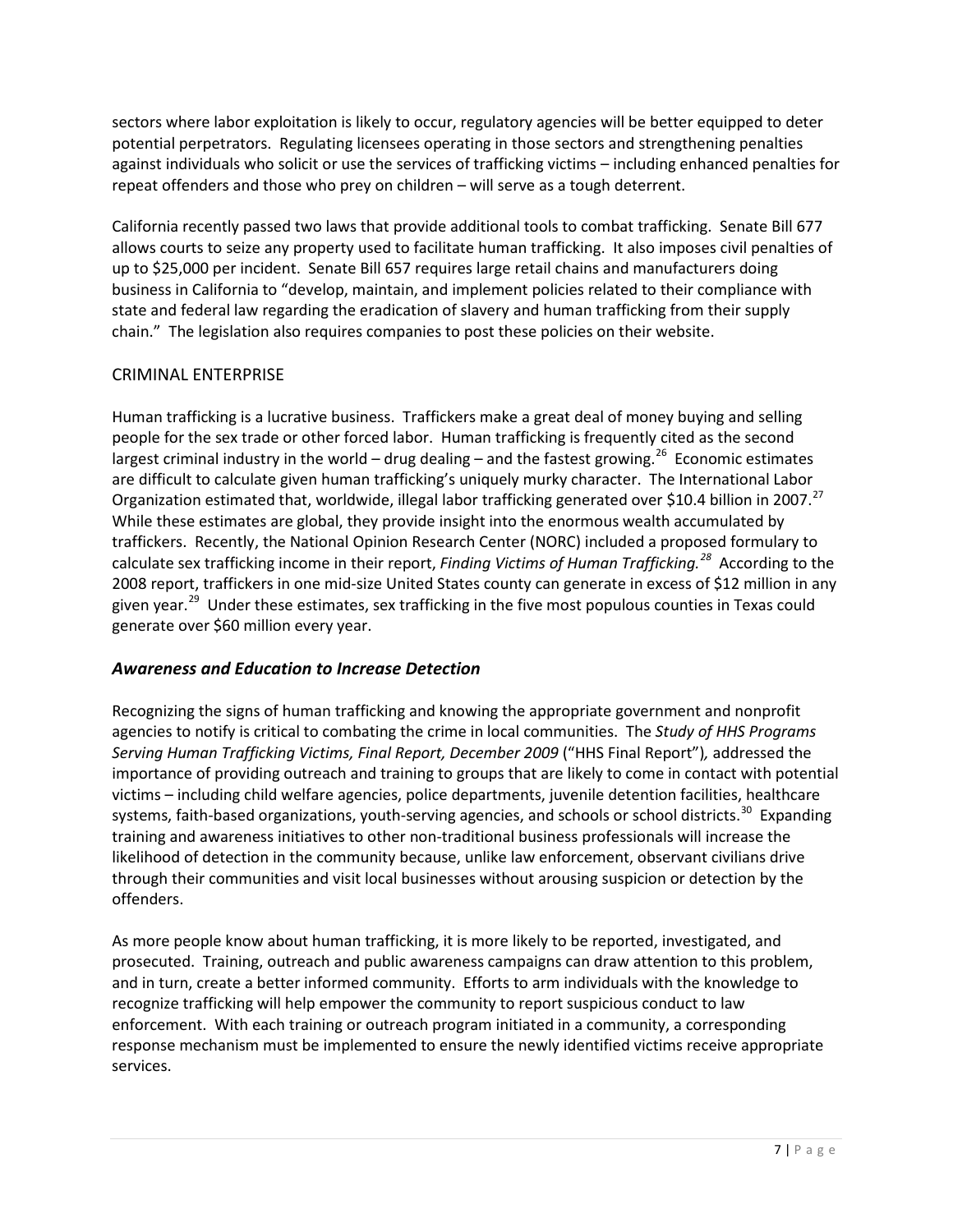sectors where labor exploitation is likely to occur, regulatory agencies will be better equipped to deter potential perpetrators. Regulating licensees operating in those sectors and strengthening penalties against individuals who solicit or use the services of trafficking victims – including enhanced penalties for repeat offenders and those who prey on children – will serve as a tough deterrent.

California recently passed two laws that provide additional tools to combat trafficking. Senate Bill 677 allows courts to seize any property used to facilitate human trafficking. It also imposes civil penalties of up to \$25,000 per incident. Senate Bill 657 requires large retail chains and manufacturers doing business in California to "develop, maintain, and implement policies related to their compliance with state and federal law regarding the eradication of slavery and human trafficking from their supply chain." The legislation also requires companies to post these policies on their website.

# CRIMINAL ENTERPRISE

Human trafficking is a lucrative business. Traffickers make a great deal of money buying and selling people for the sex trade or other forced labor. Human trafficking is frequently cited as the second largest criminal industry in the world – drug dealing – and the fastest growing.<sup>26</sup> Economic estimates are difficult to calculate given human trafficking's uniquely murky character. The International Labor Organization estimated that, worldwide, illegal labor trafficking generated over \$10.4 billion in 2007.<sup>[27](#page-65-2)</sup> While these estimates are global, they provide insight into the enormous wealth accumulated by traffickers. Recently, the National Opinion Research Center (NORC) included a proposed formulary to calculate sex trafficking income in their report, *Finding Victims of Human Trafficking. [28](#page-65-3)* According to the 2008 report, traffickers in one mid-size United States county can generate in excess of \$12 million in any given year.<sup>[29](#page-65-4)</sup> Under these estimates, sex trafficking in the five most populous counties in Texas could generate over \$60 million every year.

# *Awareness and Education to Increase Detection*

Recognizing the signs of human trafficking and knowing the appropriate government and nonprofit agencies to notify is critical to combating the crime in local communities. The *Study of HHS Programs Serving Human Trafficking Victims, Final Report, December 2009* ("HHS Final Report")*,* addressed the importance of providing outreach and training to groups that are likely to come in contact with potential victims – including child welfare agencies, police departments, juvenile detention facilities, healthcare systems, faith-based organizations, youth-serving agencies, and schools or school districts.<sup>[30](#page-65-5)</sup> Expanding training and awareness initiatives to other non-traditional business professionals will increase the likelihood of detection in the community because, unlike law enforcement, observant civilians drive through their communities and visit local businesses without arousing suspicion or detection by the offenders.

As more people know about human trafficking, it is more likely to be reported, investigated, and prosecuted. Training, outreach and public awareness campaigns can draw attention to this problem, and in turn, create a better informed community. Efforts to arm individuals with the knowledge to recognize trafficking will help empower the community to report suspicious conduct to law enforcement. With each training or outreach program initiated in a community, a corresponding response mechanism must be implemented to ensure the newly identified victims receive appropriate services.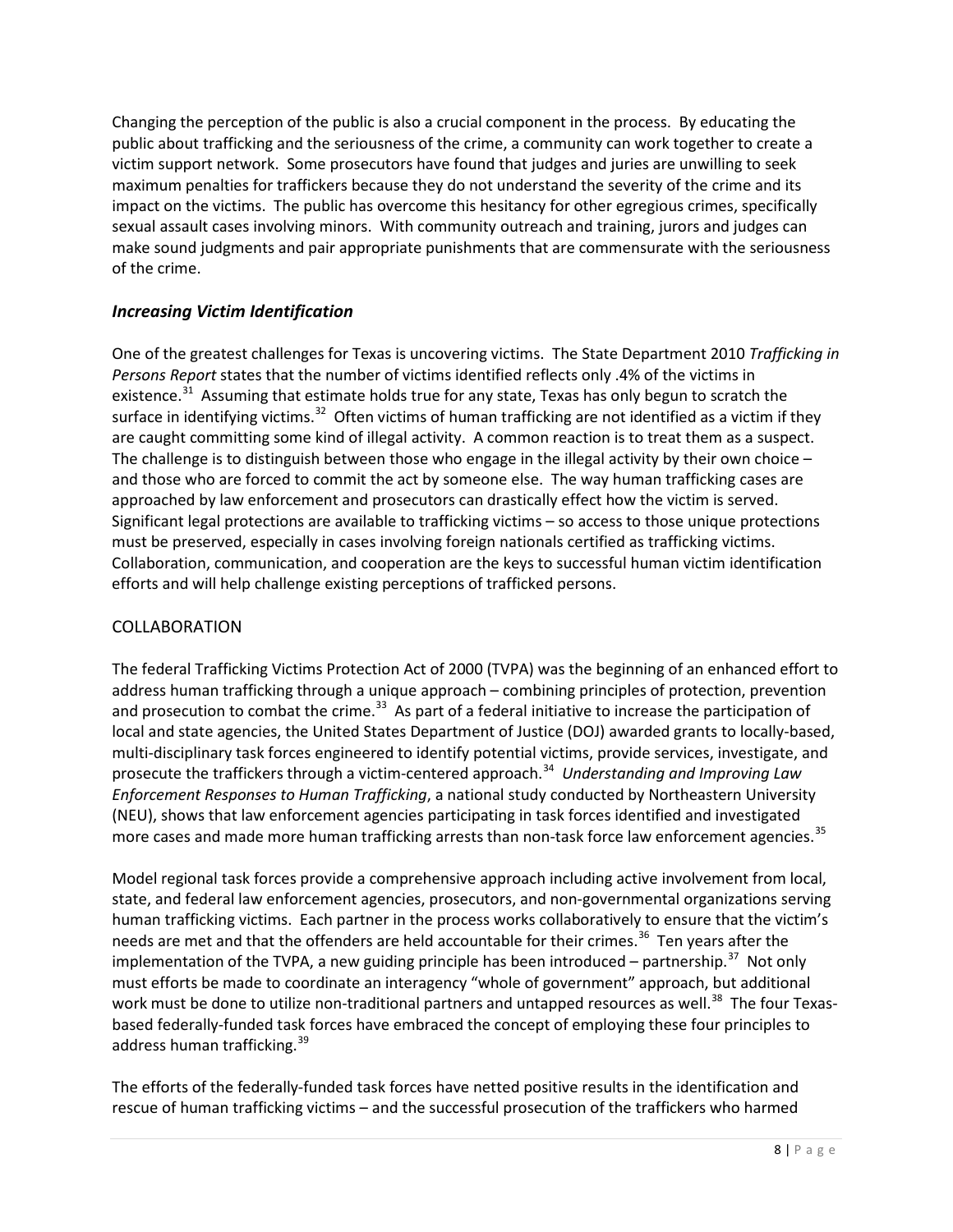Changing the perception of the public is also a crucial component in the process. By educating the public about trafficking and the seriousness of the crime, a community can work together to create a victim support network. Some prosecutors have found that judges and juries are unwilling to seek maximum penalties for traffickers because they do not understand the severity of the crime and its impact on the victims. The public has overcome this hesitancy for other egregious crimes, specifically sexual assault cases involving minors. With community outreach and training, jurors and judges can make sound judgments and pair appropriate punishments that are commensurate with the seriousness of the crime.

# *Increasing Victim Identification*

One of the greatest challenges for Texas is uncovering victims. The State Department 2010 *Trafficking in Persons Report* states that the number of victims identified reflects only .4% of the victims in existence.<sup>[31](#page-65-6)</sup> Assuming that estimate holds true for any state, Texas has only begun to scratch the surface in identifying victims.<sup>[32](#page-65-7)</sup> Often victims of human trafficking are not identified as a victim if they are caught committing some kind of illegal activity. A common reaction is to treat them as a suspect. The challenge is to distinguish between those who engage in the illegal activity by their own choice  $$ and those who are forced to commit the act by someone else. The way human trafficking cases are approached by law enforcement and prosecutors can drastically effect how the victim is served. Significant legal protections are available to trafficking victims – so access to those unique protections must be preserved, especially in cases involving foreign nationals certified as trafficking victims. Collaboration, communication, and cooperation are the keys to successful human victim identification efforts and will help challenge existing perceptions of trafficked persons.

# COLLABORATION

The federal Trafficking Victims Protection Act of 2000 (TVPA) was the beginning of an enhanced effort to address human trafficking through a unique approach – combining principles of protection, prevention and prosecution to combat the crime.<sup>[33](#page-65-8)</sup> As part of a federal initiative to increase the participation of local and state agencies, the United States Department of Justice (DOJ) awarded grants to locally-based, multi-disciplinary task forces engineered to identify potential victims, provide services, investigate, and prosecute the traffickers through a victim-centered approach. [34](#page-65-9) *Understanding and Improving Law Enforcement Responses to Human Trafficking*, a national study conducted by Northeastern University (NEU), shows that law enforcement agencies participating in task forces identified and investigated more cases and made more human trafficking arrests than non-task force law enforcement agencies.<sup>35</sup>

Model regional task forces provide a comprehensive approach including active involvement from local, state, and federal law enforcement agencies, prosecutors, and non-governmental organizations serving human trafficking victims. Each partner in the process works collaboratively to ensure that the victim's needs are met and that the offenders are held accountable for their crimes.<sup>[36](#page-65-11)</sup> Ten years after the implementation of the TVPA, a new guiding principle has been introduced – partnership.<sup>37</sup> Not only must efforts be made to coordinate an interagency "whole of government" approach, but additional work must be done to utilize non-traditional partners and untapped resources as well.<sup>[38](#page-65-13)</sup> The four Texasbased federally-funded task forces have embraced the concept of employing these four principles to address human trafficking.<sup>[39](#page-65-14)</sup>

The efforts of the federally-funded task forces have netted positive results in the identification and rescue of human trafficking victims – and the successful prosecution of the traffickers who harmed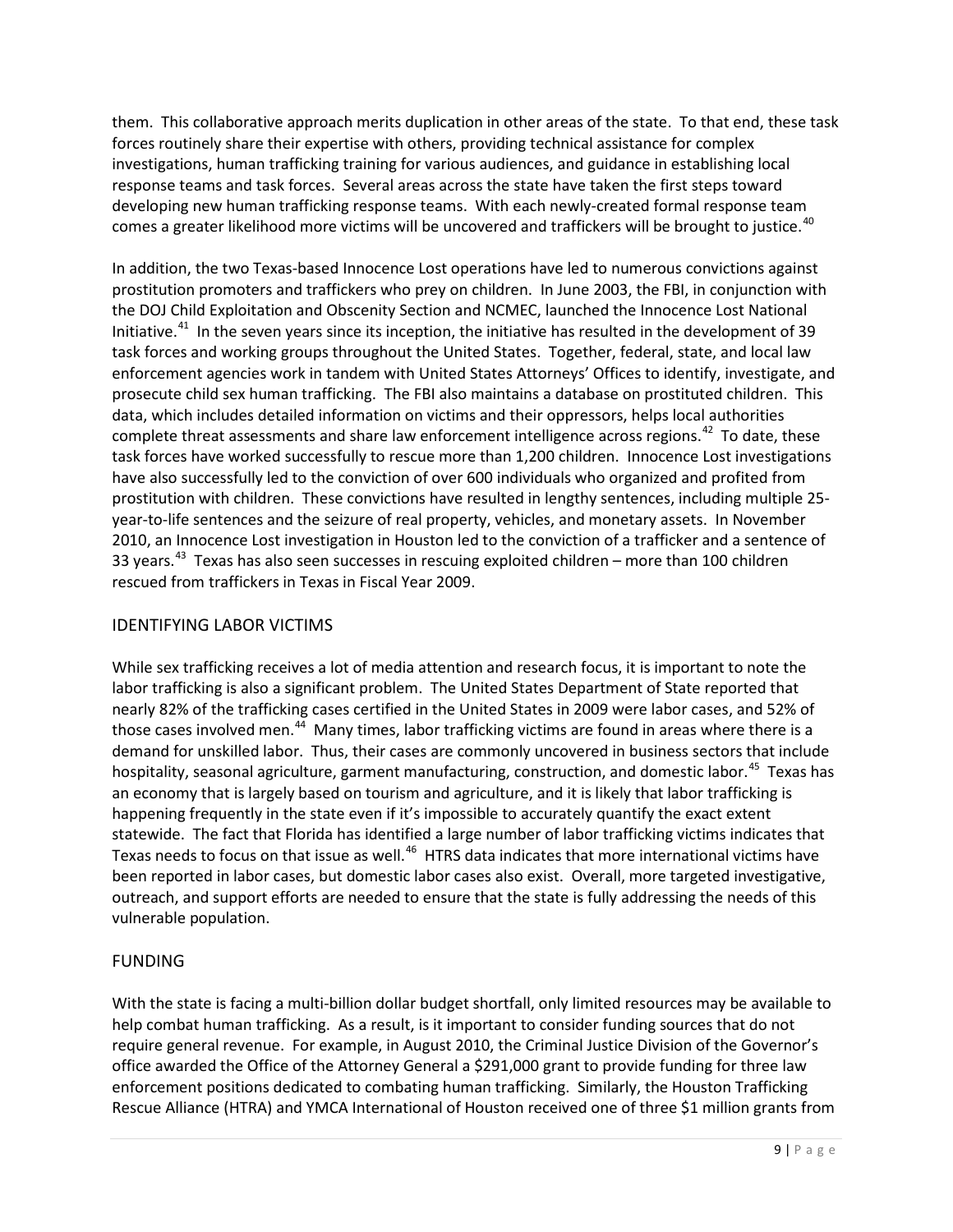them. This collaborative approach merits duplication in other areas of the state. To that end, these task forces routinely share their expertise with others, providing technical assistance for complex investigations, human trafficking training for various audiences, and guidance in establishing local response teams and task forces. Several areas across the state have taken the first steps toward developing new human trafficking response teams. With each newly-created formal response team comes a greater likelihood more victims will be uncovered and traffickers will be brought to justice.<sup>[40](#page-65-15)</sup>

In addition, the two Texas-based Innocence Lost operations have led to numerous convictions against prostitution promoters and traffickers who prey on children. In June 2003, the FBI, in conjunction with the DOJ Child Exploitation and Obscenity Section and NCMEC, launched the Innocence Lost National Initiative.<sup>[41](#page-65-16)</sup> In the seven years since its inception, the initiative has resulted in the development of 39 task forces and working groups throughout the United States. Together, federal, state, and local law enforcement agencies work in tandem with United States Attorneys' Offices to identify, investigate, and prosecute child sex human trafficking. The FBI also maintains a database on prostituted children. This data, which includes detailed information on victims and their oppressors, helps local authorities complete threat assessments and share law enforcement intelligence across regions.<sup>[42](#page-65-17)</sup> To date, these task forces have worked successfully to rescue more than 1,200 children. Innocence Lost investigations have also successfully led to the conviction of over 600 individuals who organized and profited from prostitution with children. These convictions have resulted in lengthy sentences, including multiple 25 year-to-life sentences and the seizure of real property, vehicles, and monetary assets. In November 2010, an Innocence Lost investigation in Houston led to the conviction of a trafficker and a sentence of 33 years.<sup>43</sup> Texas has also seen successes in rescuing exploited children – more than 100 children rescued from traffickers in Texas in Fiscal Year 2009.

# IDENTIFYING LABOR VICTIMS

While sex trafficking receives a lot of media attention and research focus, it is important to note the labor trafficking is also a significant problem. The United States Department of State reported that nearly 82% of the trafficking cases certified in the United States in 2009 were labor cases, and 52% of those cases involved men.<sup>44</sup> Many times, labor trafficking victims are found in areas where there is a demand for unskilled labor. Thus, their cases are commonly uncovered in business sectors that include hospitality, seasonal agriculture, garment manufacturing, construction, and domestic labor.<sup>[45](#page-66-0)</sup> Texas has an economy that is largely based on tourism and agriculture, and it is likely that labor trafficking is happening frequently in the state even if it's impossible to accurately quantify the exact extent statewide. The fact that Florida has identified a large number of labor trafficking victims indicates that Texas needs to focus on that issue as well.<sup>[46](#page-66-1)</sup> HTRS data indicates that more international victims have been reported in labor cases, but domestic labor cases also exist. Overall, more targeted investigative, outreach, and support efforts are needed to ensure that the state is fully addressing the needs of this vulnerable population.

# FUNDING

With the state is facing a multi-billion dollar budget shortfall, only limited resources may be available to help combat human trafficking. As a result, is it important to consider funding sources that do not require general revenue. For example, in August 2010, the Criminal Justice Division of the Governor's office awarded the Office of the Attorney General a \$291,000 grant to provide funding for three law enforcement positions dedicated to combating human trafficking. Similarly, the Houston Trafficking Rescue Alliance (HTRA) and YMCA International of Houston received one of three \$1 million grants from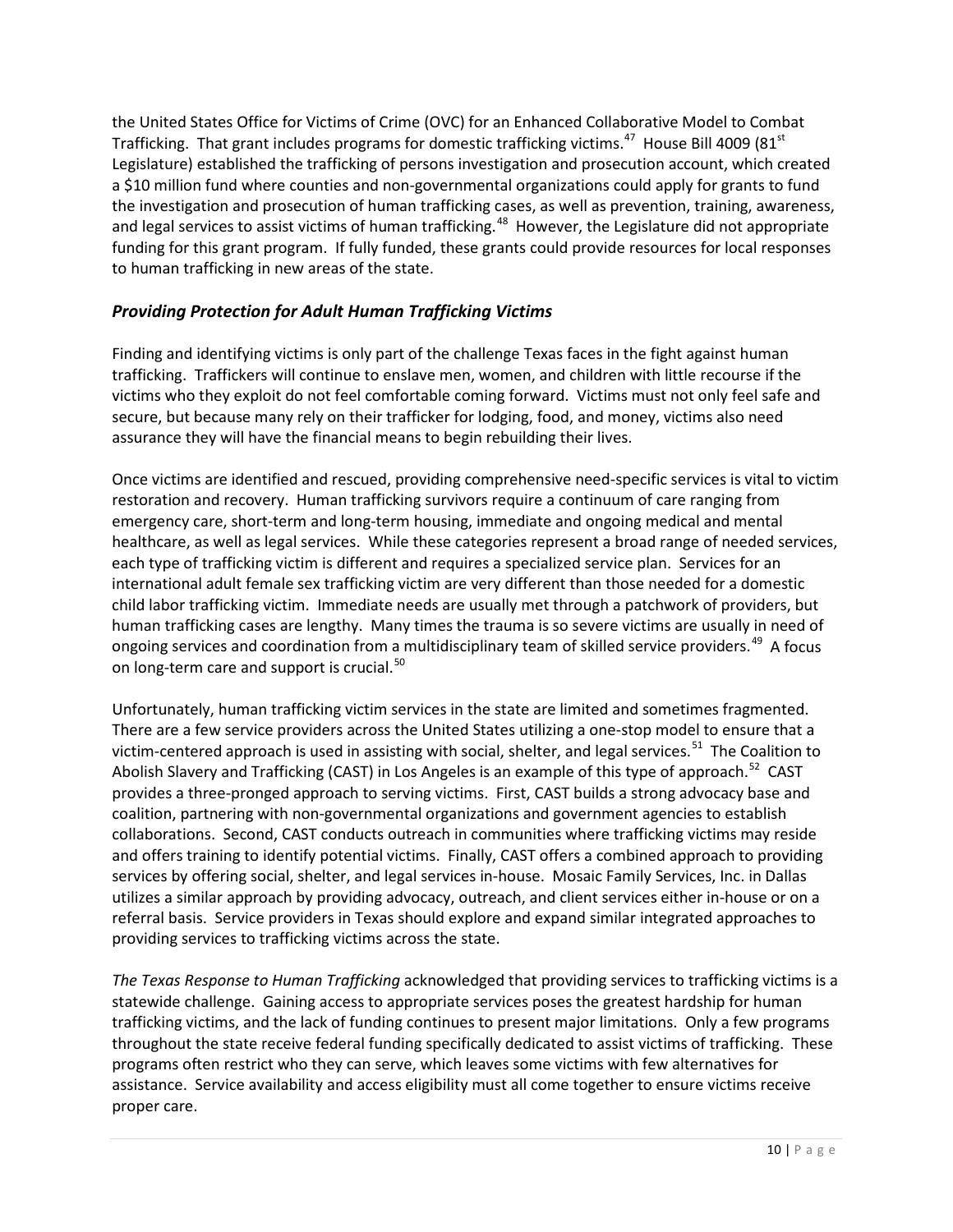the United States Office for Victims of Crime (OVC) for an Enhanced Collaborative Model to Combat Trafficking. That grant includes programs for domestic trafficking victims.<sup>[47](#page-66-2)</sup> House Bill 4009 (81<sup>st</sup>) Legislature) established the trafficking of persons investigation and prosecution account, which created a \$10 million fund where counties and non-governmental organizations could apply for grants to fund the investigation and prosecution of human trafficking cases, as well as prevention, training, awareness, and legal services to assist victims of human trafficking.<sup>[48](#page-66-3)</sup> However, the Legislature did not appropriate funding for this grant program. If fully funded, these grants could provide resources for local responses to human trafficking in new areas of the state.

# *Providing Protection for Adult Human Trafficking Victims*

Finding and identifying victims is only part of the challenge Texas faces in the fight against human trafficking. Traffickers will continue to enslave men, women, and children with little recourse if the victims who they exploit do not feel comfortable coming forward. Victims must not only feel safe and secure, but because many rely on their trafficker for lodging, food, and money, victims also need assurance they will have the financial means to begin rebuilding their lives.

Once victims are identified and rescued, providing comprehensive need-specific services is vital to victim restoration and recovery. Human trafficking survivors require a continuum of care ranging from emergency care, short-term and long-term housing, immediate and ongoing medical and mental healthcare, as well as legal services. While these categories represent a broad range of needed services, each type of trafficking victim is different and requires a specialized service plan. Services for an international adult female sex trafficking victim are very different than those needed for a domestic child labor trafficking victim. Immediate needs are usually met through a patchwork of providers, but human trafficking cases are lengthy. Many times the trauma is so severe victims are usually in need of ongoing services and coordination from a multidisciplinary team of skilled service providers.<sup>[49](#page-66-4)</sup> A focus on long-term care and support is crucial.<sup>[50](#page-66-5)</sup>

Unfortunately, human trafficking victim services in the state are limited and sometimes fragmented. There are a few service providers across the United States utilizing a one-stop model to ensure that a victim-centered approach is used in assisting with social, shelter, and legal services.<sup>[51](#page-66-6)</sup> The Coalition to Abolish Slavery and Trafficking (CAST) in Los Angeles is an example of this type of approach.<sup>[52](#page-66-7)</sup> CAST provides a three-pronged approach to serving victims. First, CAST builds a strong advocacy base and coalition, partnering with non-governmental organizations and government agencies to establish collaborations. Second, CAST conducts outreach in communities where trafficking victims may reside and offers training to identify potential victims. Finally, CAST offers a combined approach to providing services by offering social, shelter, and legal services in-house. Mosaic Family Services, Inc. in Dallas utilizes a similar approach by providing advocacy, outreach, and client services either in-house or on a referral basis. Service providers in Texas should explore and expand similar integrated approaches to providing services to trafficking victims across the state.

*The Texas Response to Human Trafficking* acknowledged that providing services to trafficking victims is a statewide challenge. Gaining access to appropriate services poses the greatest hardship for human trafficking victims, and the lack of funding continues to present major limitations. Only a few programs throughout the state receive federal funding specifically dedicated to assist victims of trafficking. These programs often restrict who they can serve, which leaves some victims with few alternatives for assistance. Service availability and access eligibility must all come together to ensure victims receive proper care.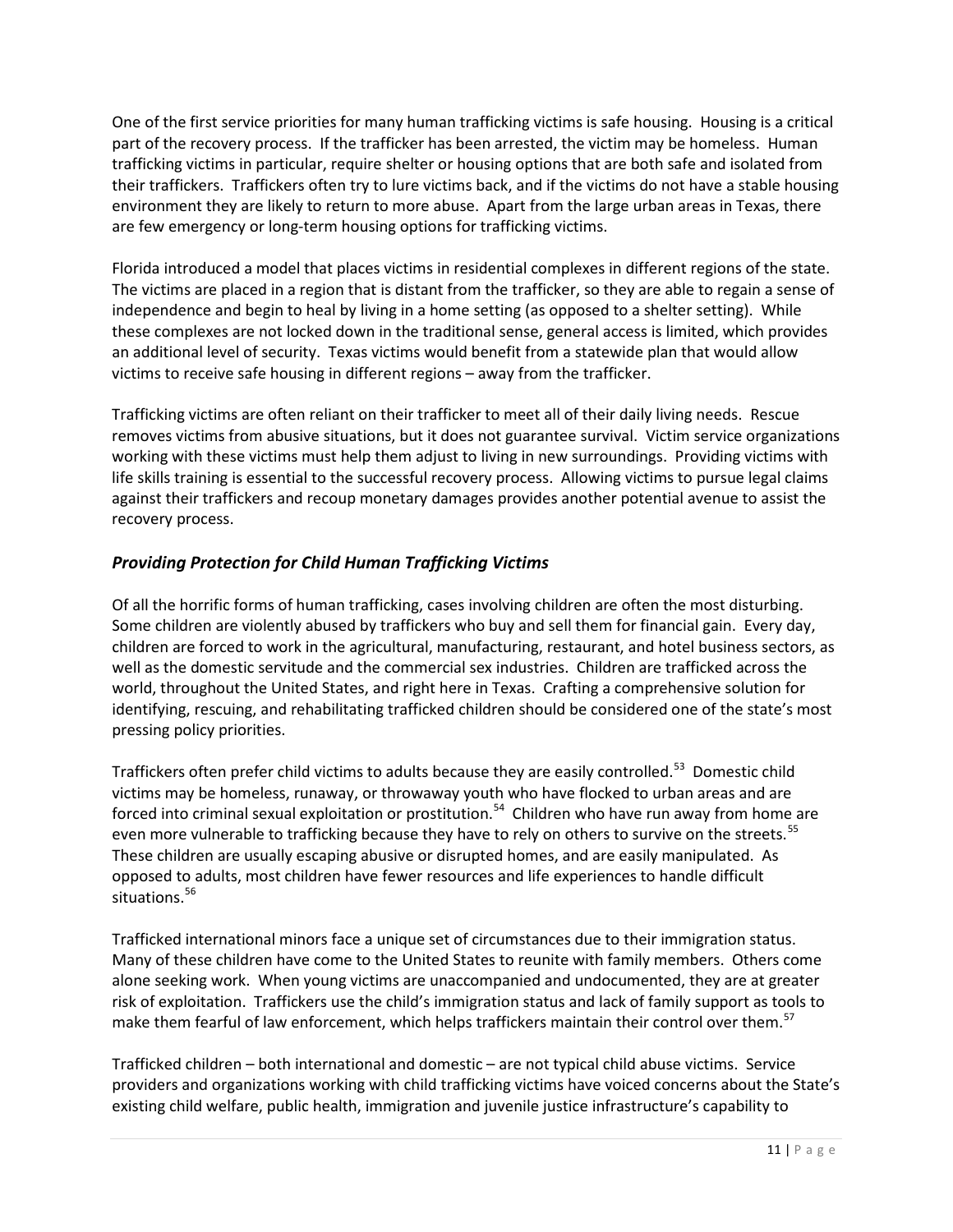One of the first service priorities for many human trafficking victims is safe housing. Housing is a critical part of the recovery process. If the trafficker has been arrested, the victim may be homeless. Human trafficking victims in particular, require shelter or housing options that are both safe and isolated from their traffickers. Traffickers often try to lure victims back, and if the victims do not have a stable housing environment they are likely to return to more abuse. Apart from the large urban areas in Texas, there are few emergency or long-term housing options for trafficking victims.

Florida introduced a model that places victims in residential complexes in different regions of the state. The victims are placed in a region that is distant from the trafficker, so they are able to regain a sense of independence and begin to heal by living in a home setting (as opposed to a shelter setting). While these complexes are not locked down in the traditional sense, general access is limited, which provides an additional level of security. Texas victims would benefit from a statewide plan that would allow victims to receive safe housing in different regions – away from the trafficker.

Trafficking victims are often reliant on their trafficker to meet all of their daily living needs. Rescue removes victims from abusive situations, but it does not guarantee survival. Victim service organizations working with these victims must help them adjust to living in new surroundings. Providing victims with life skills training is essential to the successful recovery process. Allowing victims to pursue legal claims against their traffickers and recoup monetary damages provides another potential avenue to assist the recovery process.

# *Providing Protection for Child Human Trafficking Victims*

Of all the horrific forms of human trafficking, cases involving children are often the most disturbing. Some children are violently abused by traffickers who buy and sell them for financial gain. Every day, children are forced to work in the agricultural, manufacturing, restaurant, and hotel business sectors, as well as the domestic servitude and the commercial sex industries. Children are trafficked across the world, throughout the United States, and right here in Texas. Crafting a comprehensive solution for identifying, rescuing, and rehabilitating trafficked children should be considered one of the state's most pressing policy priorities.

Traffickers often prefer child victims to adults because they are easily controlled.<sup>[53](#page-66-8)</sup> Domestic child victims may be homeless, runaway, or throwaway youth who have flocked to urban areas and are forced into criminal sexual exploitation or prostitution.<sup>[54](#page-66-9)</sup> Children who have run away from home are even more vulnerable to trafficking because they have to rely on others to survive on the streets.<sup>[55](#page-66-10)</sup> These children are usually escaping abusive or disrupted homes, and are easily manipulated. As opposed to adults, most children have fewer resources and life experiences to handle difficult situations.<sup>56</sup>

Trafficked international minors face a unique set of circumstances due to their immigration status. Many of these children have come to the United States to reunite with family members. Others come alone seeking work. When young victims are unaccompanied and undocumented, they are at greater risk of exploitation. Traffickers use the child's immigration status and lack of family support as tools to make them fearful of law enforcement, which helps traffickers maintain their control over them.<sup>[57](#page-66-12)</sup>

Trafficked children – both international and domestic – are not typical child abuse victims. Service providers and organizations working with child trafficking victims have voiced concerns about the State's existing child welfare, public health, immigration and juvenile justice infrastructure's capability to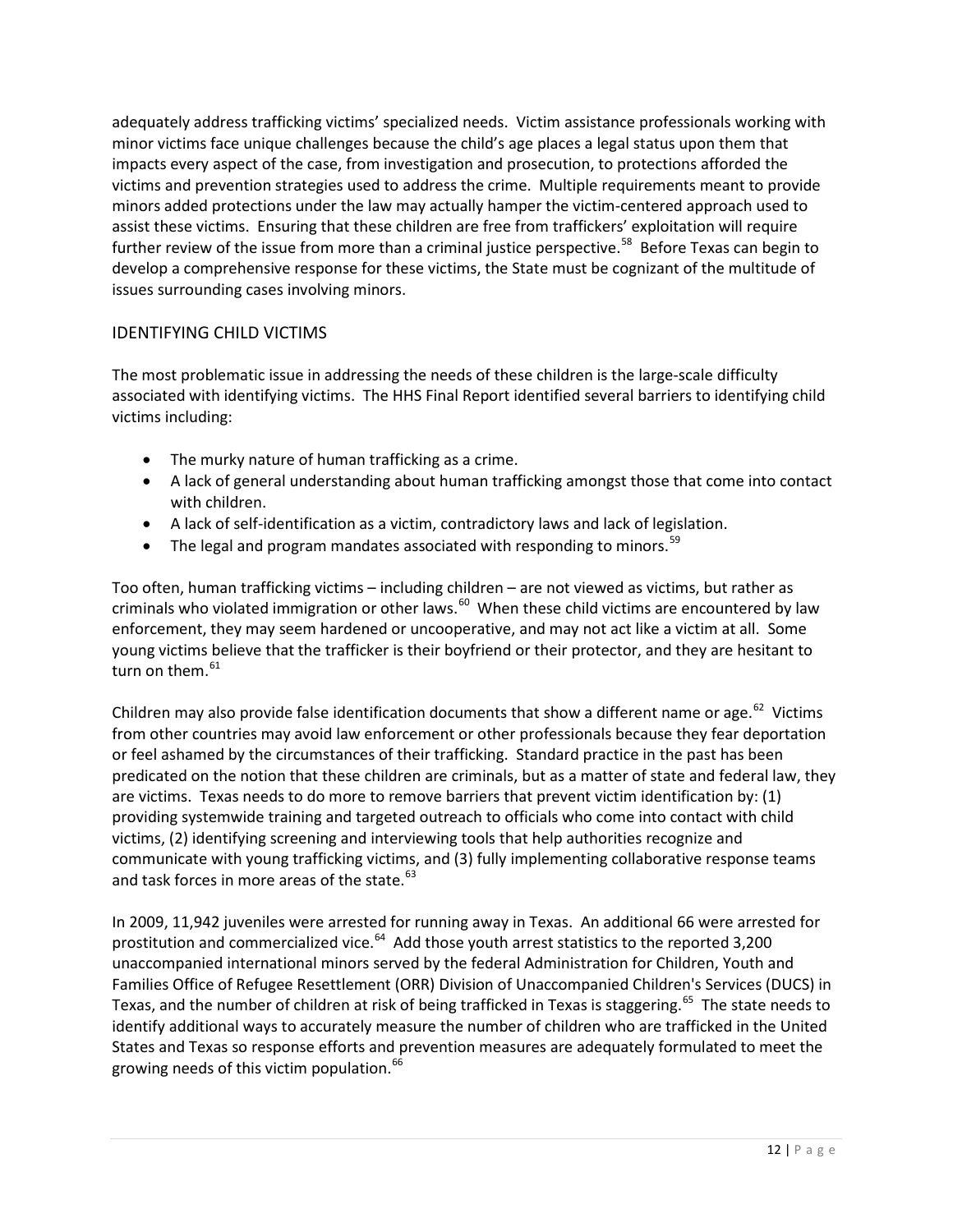adequately address trafficking victims' specialized needs. Victim assistance professionals working with minor victims face unique challenges because the child's age places a legal status upon them that impacts every aspect of the case, from investigation and prosecution, to protections afforded the victims and prevention strategies used to address the crime. Multiple requirements meant to provide minors added protections under the law may actually hamper the victim-centered approach used to assist these victims. Ensuring that these children are free from traffickers' exploitation will require further review of the issue from more than a criminal justice perspective.<sup>[58](#page-66-13)</sup> Before Texas can begin to develop a comprehensive response for these victims, the State must be cognizant of the multitude of issues surrounding cases involving minors.

# IDENTIFYING CHILD VICTIMS

The most problematic issue in addressing the needs of these children is the large-scale difficulty associated with identifying victims. The HHS Final Report identified several barriers to identifying child victims including:

- The murky nature of human trafficking as a crime.
- A lack of general understanding about human trafficking amongst those that come into contact with children.
- A lack of self-identification as a victim, contradictory laws and lack of legislation.
- The legal and program mandates associated with responding to minors.<sup>[59](#page-66-14)</sup>

Too often, human trafficking victims – including children – are not viewed as victims, but rather as criminals who violated immigration or other laws.<sup>[60](#page-66-15)</sup> When these child victims are encountered by law enforcement, they may seem hardened or uncooperative, and may not act like a victim at all. Some young victims believe that the trafficker is their boyfriend or their protector, and they are hesitant to turn on them.<sup>61</sup>

Children may also provide false identification documents that show a different name or age.<sup>[62](#page-66-17)</sup> Victims from other countries may avoid law enforcement or other professionals because they fear deportation or feel ashamed by the circumstances of their trafficking. Standard practice in the past has been predicated on the notion that these children are criminals, but as a matter of state and federal law, they are victims. Texas needs to do more to remove barriers that prevent victim identification by: (1) providing systemwide training and targeted outreach to officials who come into contact with child victims, (2) identifying screening and interviewing tools that help authorities recognize and communicate with young trafficking victims, and (3) fully implementing collaborative response teams and task forces in more areas of the state.<sup>[63](#page-66-18)</sup>

In 2009, 11,942 juveniles were arrested for running away in Texas. An additional 66 were arrested for prostitution and commercialized vice.<sup>64</sup> Add those youth arrest statistics to the reported 3,200 unaccompanied international minors served by the federal Administration for Children, Youth and Families Office of Refugee Resettlement (ORR) Division of Unaccompanied Children's Services (DUCS) in Texas, and the number of children at risk of being trafficked in Texas is staggering.<sup>65</sup> The state needs to identify additional ways to accurately measure the number of children who are trafficked in the United States and Texas so response efforts and prevention measures are adequately formulated to meet the growing needs of this victim population.<sup>[66](#page-66-21)</sup>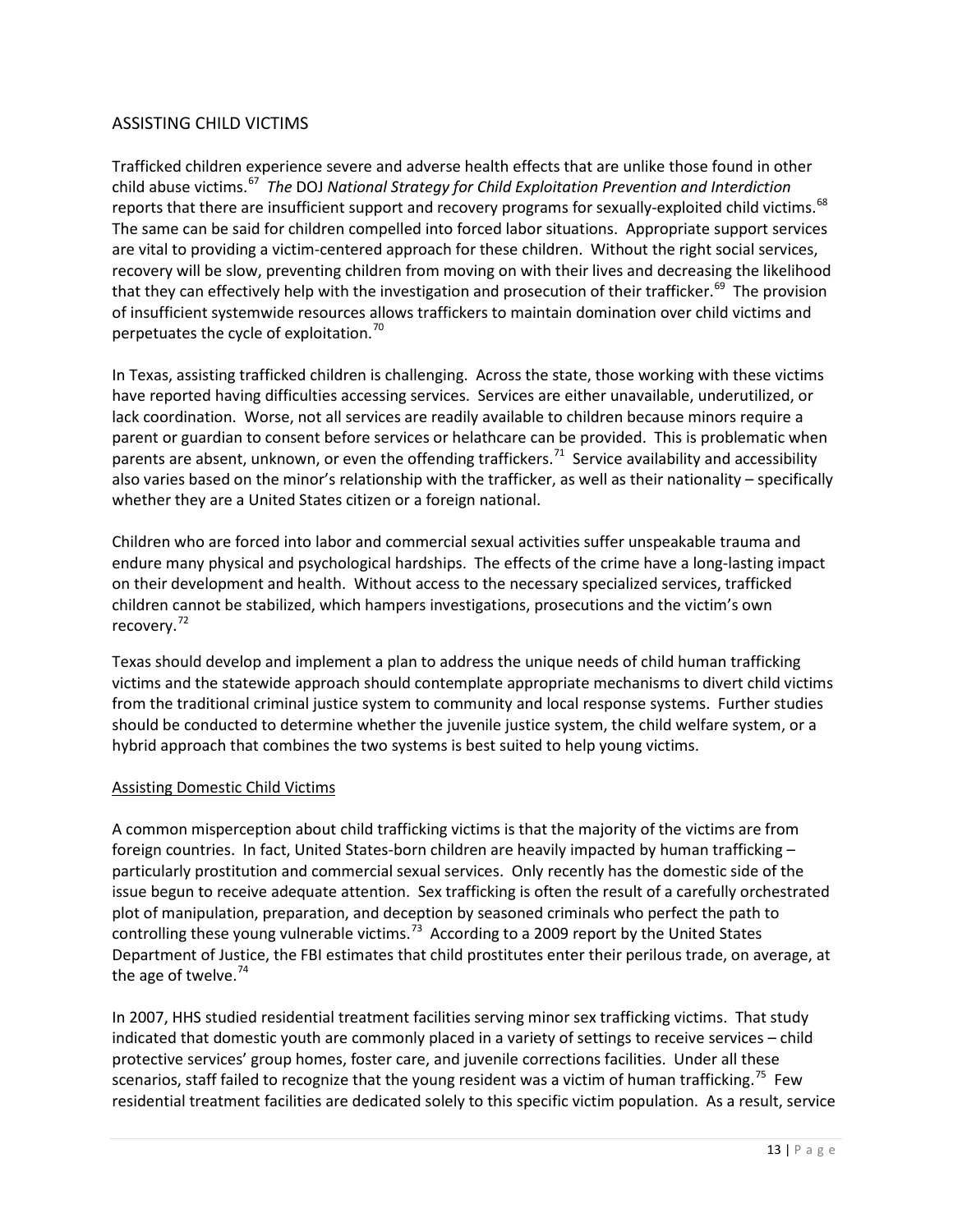# ASSISTING CHILD VICTIMS

Trafficked children experience severe and adverse health effects that are unlike those found in other child abuse victims.[67](#page-66-22) *The* DOJ *National Strategy for Child Exploitation Prevention and Interdiction* reports that there are insufficient support and recovery programs for sexually-exploited child victims.<sup>[68](#page-66-23)</sup> The same can be said for children compelled into forced labor situations. Appropriate support services are vital to providing a victim-centered approach for these children. Without the right social services, recovery will be slow, preventing children from moving on with their lives and decreasing the likelihood that they can effectively help with the investigation and prosecution of their trafficker.<sup>[69](#page-66-24)</sup> The provision of insufficient systemwide resources allows traffickers to maintain domination over child victims and perpetuates the cycle of exploitation. $70$ 

In Texas, assisting trafficked children is challenging. Across the state, those working with these victims have reported having difficulties accessing services. Services are either unavailable, underutilized, or lack coordination. Worse, not all services are readily available to children because minors require a parent or guardian to consent before services or helathcare can be provided. This is problematic when parents are absent, unknown, or even the offending traffickers.<sup>[71](#page-66-26)</sup> Service availability and accessibility also varies based on the minor's relationship with the trafficker, as well as their nationality – specifically whether they are a United States citizen or a foreign national.

Children who are forced into labor and commercial sexual activities suffer unspeakable trauma and endure many physical and psychological hardships. The effects of the crime have a long-lasting impact on their development and health. Without access to the necessary specialized services, trafficked children cannot be stabilized, which hampers investigations, prosecutions and the victim's own recovery.<sup>[72](#page-66-27)</sup>

Texas should develop and implement a plan to address the unique needs of child human trafficking victims and the statewide approach should contemplate appropriate mechanisms to divert child victims from the traditional criminal justice system to community and local response systems. Further studies should be conducted to determine whether the juvenile justice system, the child welfare system, or a hybrid approach that combines the two systems is best suited to help young victims.

#### Assisting Domestic Child Victims

A common misperception about child trafficking victims is that the majority of the victims are from foreign countries. In fact, United States-born children are heavily impacted by human trafficking – particularly prostitution and commercial sexual services. Only recently has the domestic side of the issue begun to receive adequate attention. Sex trafficking is often the result of a carefully orchestrated plot of manipulation, preparation, and deception by seasoned criminals who perfect the path to controlling these young vulnerable victims.<sup>[73](#page-66-28)</sup> According to a 2009 report by the United States Department of Justice, the FBI estimates that child prostitutes enter their perilous trade, on average, at the age of twelve.<sup>74</sup>

In 2007, HHS studied residential treatment facilities serving minor sex trafficking victims. That study indicated that domestic youth are commonly placed in a variety of settings to receive services – child protective services' group homes, foster care, and juvenile corrections facilities. Under all these scenarios, staff failed to recognize that the young resident was a victim of human trafficking.<sup>[75](#page-67-1)</sup> Few residential treatment facilities are dedicated solely to this specific victim population. As a result, service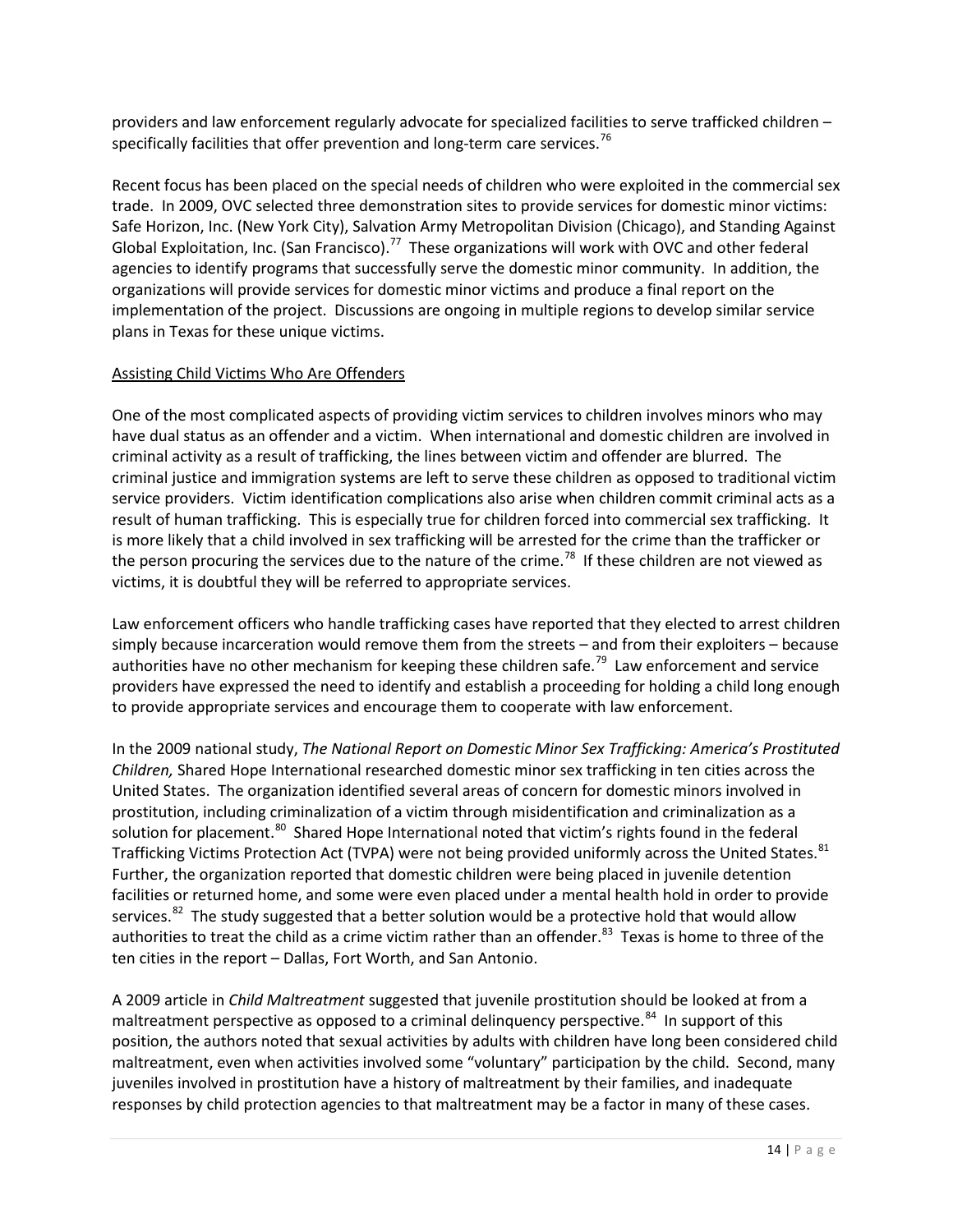providers and law enforcement regularly advocate for specialized facilities to serve trafficked children – specifically facilities that offer prevention and long-term care services.<sup>[76](#page-67-2)</sup>

Recent focus has been placed on the special needs of children who were exploited in the commercial sex trade. In 2009, OVC selected three demonstration sites to provide services for domestic minor victims: Safe Horizon, Inc. (New York City), Salvation Army Metropolitan Division (Chicago), and Standing Against Global Exploitation, Inc. (San Francisco).<sup>77</sup> These organizations will work with OVC and other federal agencies to identify programs that successfully serve the domestic minor community. In addition, the organizations will provide services for domestic minor victims and produce a final report on the implementation of the project. Discussions are ongoing in multiple regions to develop similar service plans in Texas for these unique victims.

#### Assisting Child Victims Who Are Offenders

One of the most complicated aspects of providing victim services to children involves minors who may have dual status as an offender and a victim. When international and domestic children are involved in criminal activity as a result of trafficking, the lines between victim and offender are blurred. The criminal justice and immigration systems are left to serve these children as opposed to traditional victim service providers. Victim identification complications also arise when children commit criminal acts as a result of human trafficking. This is especially true for children forced into commercial sex trafficking. It is more likely that a child involved in sex trafficking will be arrested for the crime than the trafficker or the person procuring the services due to the nature of the crime.<sup>[78](#page-67-4)</sup> If these children are not viewed as victims, it is doubtful they will be referred to appropriate services.

Law enforcement officers who handle trafficking cases have reported that they elected to arrest children simply because incarceration would remove them from the streets – and from their exploiters – because authorities have no other mechanism for keeping these children safe.<sup>[79](#page-67-5)</sup> Law enforcement and service providers have expressed the need to identify and establish a proceeding for holding a child long enough to provide appropriate services and encourage them to cooperate with law enforcement.

In the 2009 national study, *The National Report on Domestic Minor Sex Trafficking: America's Prostituted Children,* Shared Hope International researched domestic minor sex trafficking in ten cities across the United States. The organization identified several areas of concern for domestic minors involved in prostitution, including criminalization of a victim through misidentification and criminalization as a solution for placement.<sup>80</sup> Shared Hope International noted that victim's rights found in the federal Trafficking Victims Protection Act (TVPA) were not being provided uniformly across the United States. <sup>[81](#page-67-7)</sup> Further, the organization reported that domestic children were being placed in juvenile detention facilities or returned home, and some were even placed under a mental health hold in order to provide services.<sup>[82](#page-67-8)</sup> The study suggested that a better solution would be a protective hold that would allow authorities to treat the child as a crime victim rather than an offender.<sup>[83](#page-67-9)</sup> Texas is home to three of the ten cities in the report – Dallas, Fort Worth, and San Antonio.

A 2009 article in *Child Maltreatment* suggested that juvenile prostitution should be looked at from a maltreatment perspective as opposed to a criminal delinquency perspective.<sup>84</sup> In support of this position, the authors noted that sexual activities by adults with children have long been considered child maltreatment, even when activities involved some "voluntary" participation by the child. Second, many juveniles involved in prostitution have a history of maltreatment by their families, and inadequate responses by child protection agencies to that maltreatment may be a factor in many of these cases.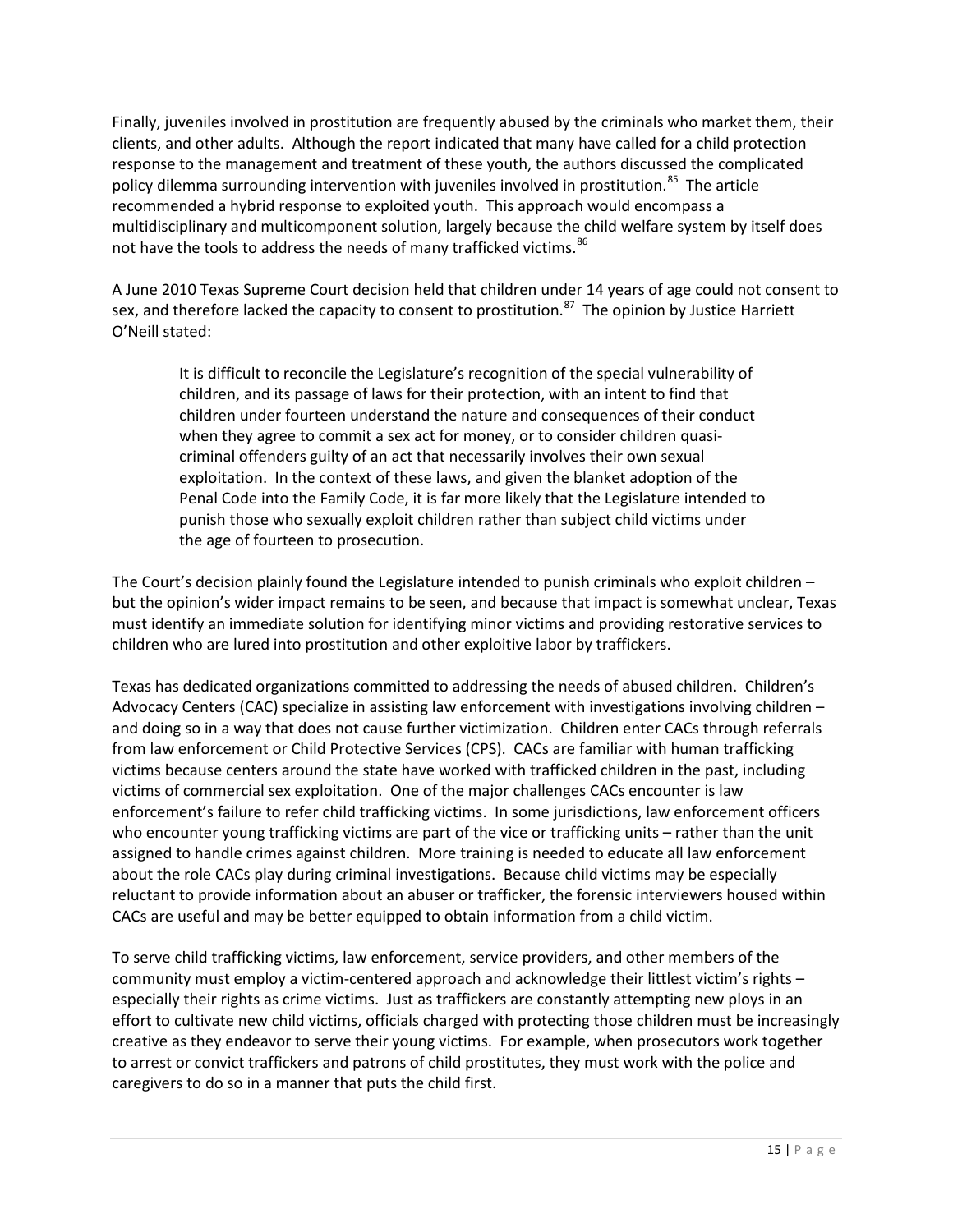Finally, juveniles involved in prostitution are frequently abused by the criminals who market them, their clients, and other adults. Although the report indicated that many have called for a child protection response to the management and treatment of these youth, the authors discussed the complicated policy dilemma surrounding intervention with juveniles involved in prostitution.<sup>[85](#page-67-11)</sup> The article recommended a hybrid response to exploited youth. This approach would encompass a multidisciplinary and multicomponent solution, largely because the child welfare system by itself does not have the tools to address the needs of many trafficked victims.<sup>86</sup>

A June 2010 Texas Supreme Court decision held that children under 14 years of age could not consent to sex, and therefore lacked the capacity to consent to prostitution.<sup>[87](#page-67-13)</sup> The opinion by Justice Harriett O'Neill stated:

It is difficult to reconcile the Legislature's recognition of the special vulnerability of children, and its passage of laws for their protection, with an intent to find that children under fourteen understand the nature and consequences of their conduct when they agree to commit a sex act for money, or to consider children quasicriminal offenders guilty of an act that necessarily involves their own sexual exploitation. In the context of these laws, and given the blanket adoption of the Penal Code into the Family Code, it is far more likely that the Legislature intended to punish those who sexually exploit children rather than subject child victims under the age of fourteen to prosecution.

The Court's decision plainly found the Legislature intended to punish criminals who exploit children – but the opinion's wider impact remains to be seen, and because that impact is somewhat unclear, Texas must identify an immediate solution for identifying minor victims and providing restorative services to children who are lured into prostitution and other exploitive labor by traffickers.

Texas has dedicated organizations committed to addressing the needs of abused children. Children's Advocacy Centers (CAC) specialize in assisting law enforcement with investigations involving children – and doing so in a way that does not cause further victimization. Children enter CACs through referrals from law enforcement or Child Protective Services (CPS). CACs are familiar with human trafficking victims because centers around the state have worked with trafficked children in the past, including victims of commercial sex exploitation. One of the major challenges CACs encounter is law enforcement's failure to refer child trafficking victims. In some jurisdictions, law enforcement officers who encounter young trafficking victims are part of the vice or trafficking units – rather than the unit assigned to handle crimes against children. More training is needed to educate all law enforcement about the role CACs play during criminal investigations. Because child victims may be especially reluctant to provide information about an abuser or trafficker, the forensic interviewers housed within CACs are useful and may be better equipped to obtain information from a child victim.

To serve child trafficking victims, law enforcement, service providers, and other members of the community must employ a victim-centered approach and acknowledge their littlest victim's rights – especially their rights as crime victims. Just as traffickers are constantly attempting new ploys in an effort to cultivate new child victims, officials charged with protecting those children must be increasingly creative as they endeavor to serve their young victims. For example, when prosecutors work together to arrest or convict traffickers and patrons of child prostitutes, they must work with the police and caregivers to do so in a manner that puts the child first.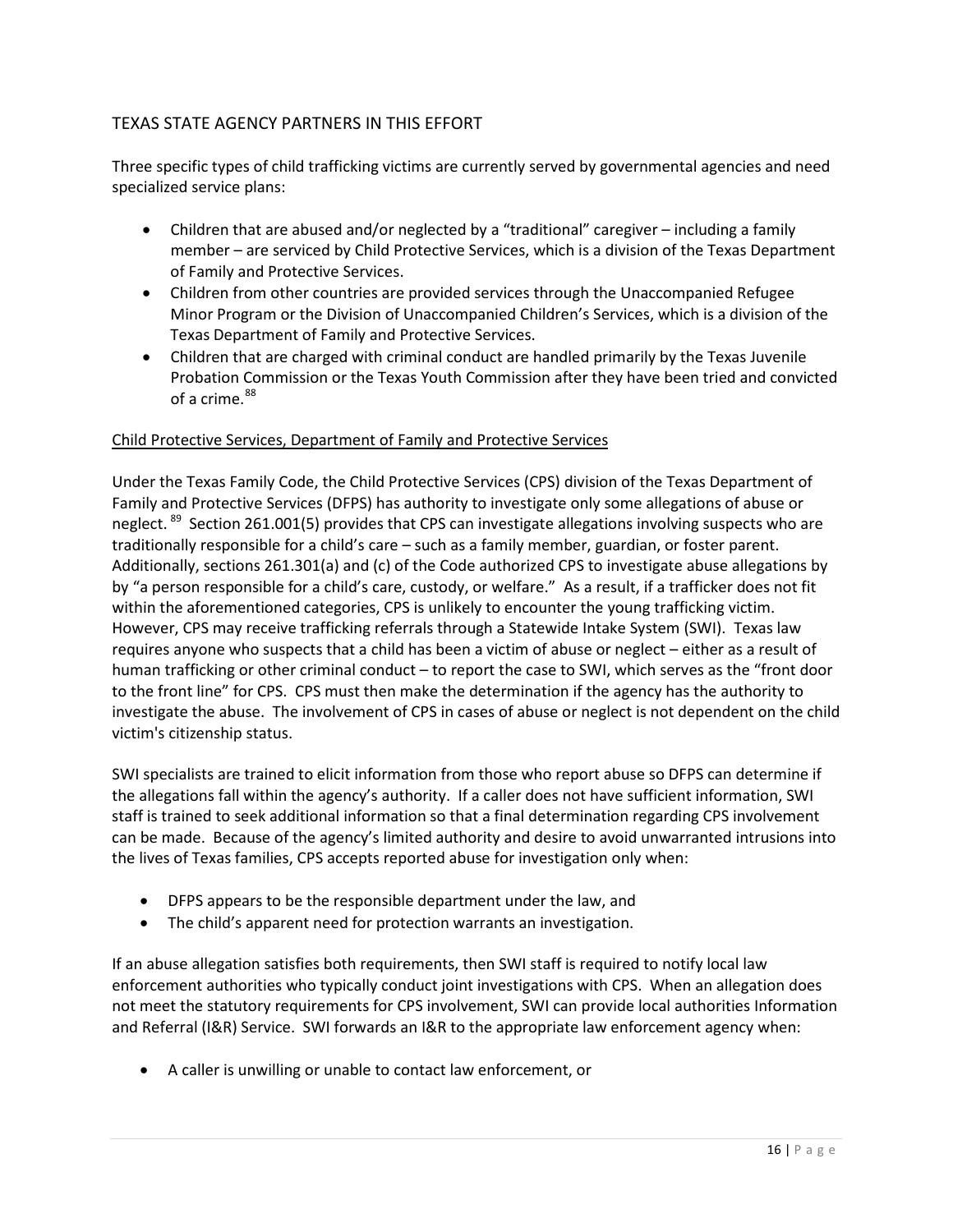# TEXAS STATE AGENCY PARTNERS IN THIS EFFORT

Three specific types of child trafficking victims are currently served by governmental agencies and need specialized service plans:

- Children that are abused and/or neglected by a "traditional" caregiver including a family member – are serviced by Child Protective Services, which is a division of the Texas Department of Family and Protective Services.
- Children from other countries are provided services through the Unaccompanied Refugee Minor Program or the Division of Unaccompanied Children's Services, which is a division of the Texas Department of Family and Protective Services.
- Children that are charged with criminal conduct are handled primarily by the Texas Juvenile Probation Commission or the Texas Youth Commission after they have been tried and convicted of a crime. $88$

#### Child Protective Services, Department of Family and Protective Services

Under the Texas Family Code, the Child Protective Services (CPS) division of the Texas Department of Family and Protective Services (DFPS) has authority to investigate only some allegations of abuse or neglect. <sup>89</sup> Section 261.001(5) provides that CPS can investigate allegations involving suspects who are traditionally responsible for a child's care – such as a family member, guardian, or foster parent. Additionally, sections 261.301(a) and (c) of the Code authorized CPS to investigate abuse allegations by by "a person responsible for a child's care, custody, or welfare." As a result, if a trafficker does not fit within the aforementioned categories, CPS is unlikely to encounter the young trafficking victim. However, CPS may receive trafficking referrals through a Statewide Intake System (SWI). Texas law requires anyone who suspects that a child has been a victim of abuse or neglect – either as a result of human trafficking or other criminal conduct – to report the case to SWI, which serves as the "front door to the front line" for CPS. CPS must then make the determination if the agency has the authority to investigate the abuse. The involvement of CPS in cases of abuse or neglect is not dependent on the child victim's citizenship status.

SWI specialists are trained to elicit information from those who report abuse so DFPS can determine if the allegations fall within the agency's authority. If a caller does not have sufficient information, SWI staff is trained to seek additional information so that a final determination regarding CPS involvement can be made. Because of the agency's limited authority and desire to avoid unwarranted intrusions into the lives of Texas families, CPS accepts reported abuse for investigation only when:

- DFPS appears to be the responsible department under the law, and
- The child's apparent need for protection warrants an investigation.

If an abuse allegation satisfies both requirements, then SWI staff is required to notify local law enforcement authorities who typically conduct joint investigations with CPS. When an allegation does not meet the statutory requirements for CPS involvement, SWI can provide local authorities Information and Referral (I&R) Service. SWI forwards an I&R to the appropriate law enforcement agency when:

• A caller is unwilling or unable to contact law enforcement, or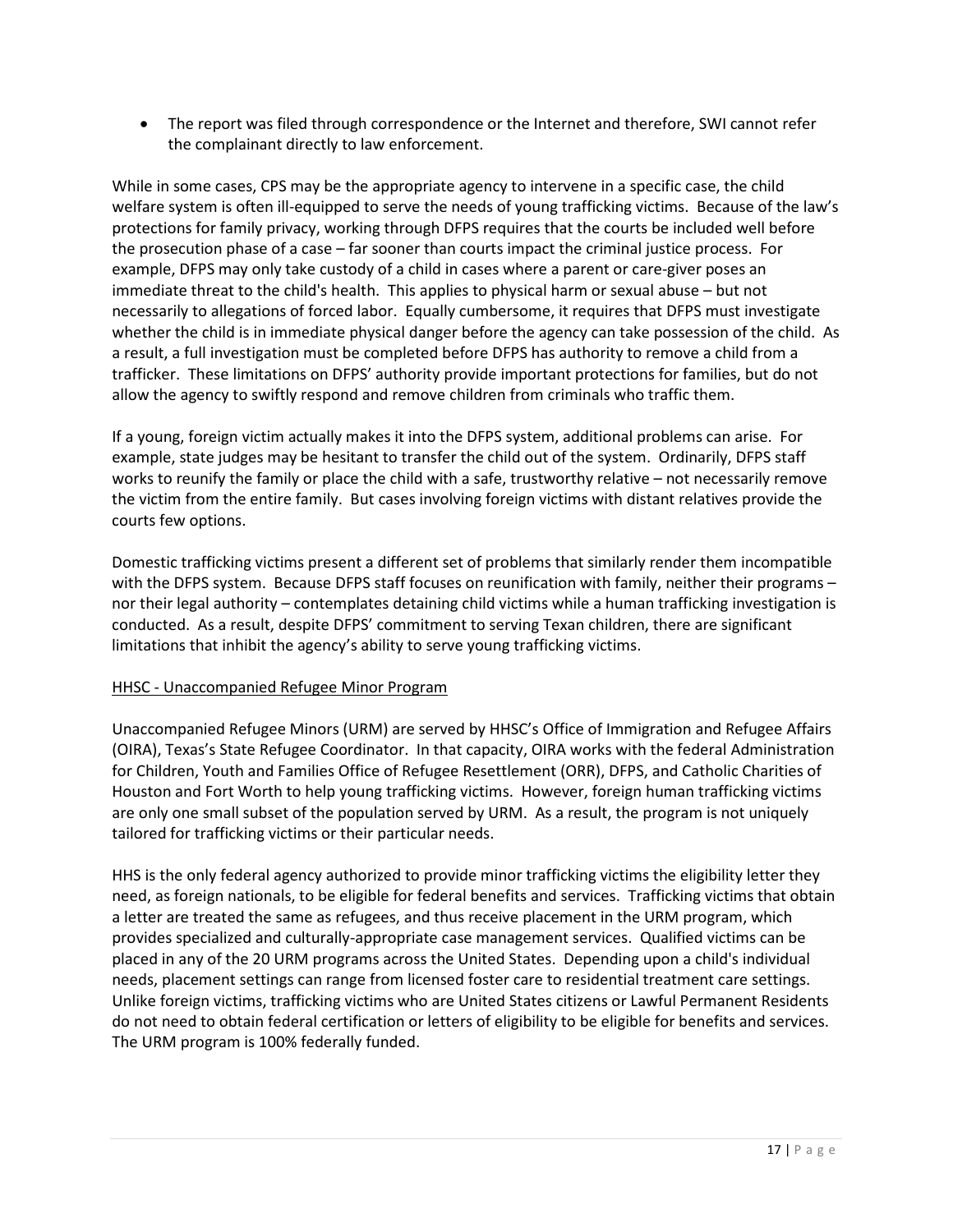• The report was filed through correspondence or the Internet and therefore, SWI cannot refer the complainant directly to law enforcement.

While in some cases, CPS may be the appropriate agency to intervene in a specific case, the child welfare system is often ill-equipped to serve the needs of young trafficking victims. Because of the law's protections for family privacy, working through DFPS requires that the courts be included well before the prosecution phase of a case – far sooner than courts impact the criminal justice process. For example, DFPS may only take custody of a child in cases where a parent or care-giver poses an immediate threat to the child's health. This applies to physical harm or sexual abuse – but not necessarily to allegations of forced labor. Equally cumbersome, it requires that DFPS must investigate whether the child is in immediate physical danger before the agency can take possession of the child. As a result, a full investigation must be completed before DFPS has authority to remove a child from a trafficker. These limitations on DFPS' authority provide important protections for families, but do not allow the agency to swiftly respond and remove children from criminals who traffic them.

If a young, foreign victim actually makes it into the DFPS system, additional problems can arise. For example, state judges may be hesitant to transfer the child out of the system. Ordinarily, DFPS staff works to reunify the family or place the child with a safe, trustworthy relative – not necessarily remove the victim from the entire family. But cases involving foreign victims with distant relatives provide the courts few options.

Domestic trafficking victims present a different set of problems that similarly render them incompatible with the DFPS system. Because DFPS staff focuses on reunification with family, neither their programs nor their legal authority – contemplates detaining child victims while a human trafficking investigation is conducted. As a result, despite DFPS' commitment to serving Texan children, there are significant limitations that inhibit the agency's ability to serve young trafficking victims.

# HHSC - Unaccompanied Refugee Minor Program

Unaccompanied Refugee Minors (URM) are served by HHSC's Office of Immigration and Refugee Affairs (OIRA), Texas's State Refugee Coordinator. In that capacity, OIRA works with the federal Administration for Children, Youth and Families Office of Refugee Resettlement (ORR), DFPS, and Catholic Charities of Houston and Fort Worth to help young trafficking victims. However, foreign human trafficking victims are only one small subset of the population served by URM. As a result, the program is not uniquely tailored for trafficking victims or their particular needs.

HHS is the only federal agency authorized to provide minor trafficking victims the eligibility letter they need, as foreign nationals, to be eligible for federal benefits and services. Trafficking victims that obtain a letter are treated the same as refugees, and thus receive placement in the URM program, which provides specialized and culturally-appropriate case management services. Qualified victims can be placed in any of the 20 URM programs across the United States. Depending upon a child's individual needs, placement settings can range from licensed foster care to residential treatment care settings. Unlike foreign victims, trafficking victims who are United States citizens or Lawful Permanent Residents do not need to obtain federal certification or letters of eligibility to be eligible for benefits and services. The URM program is 100% federally funded.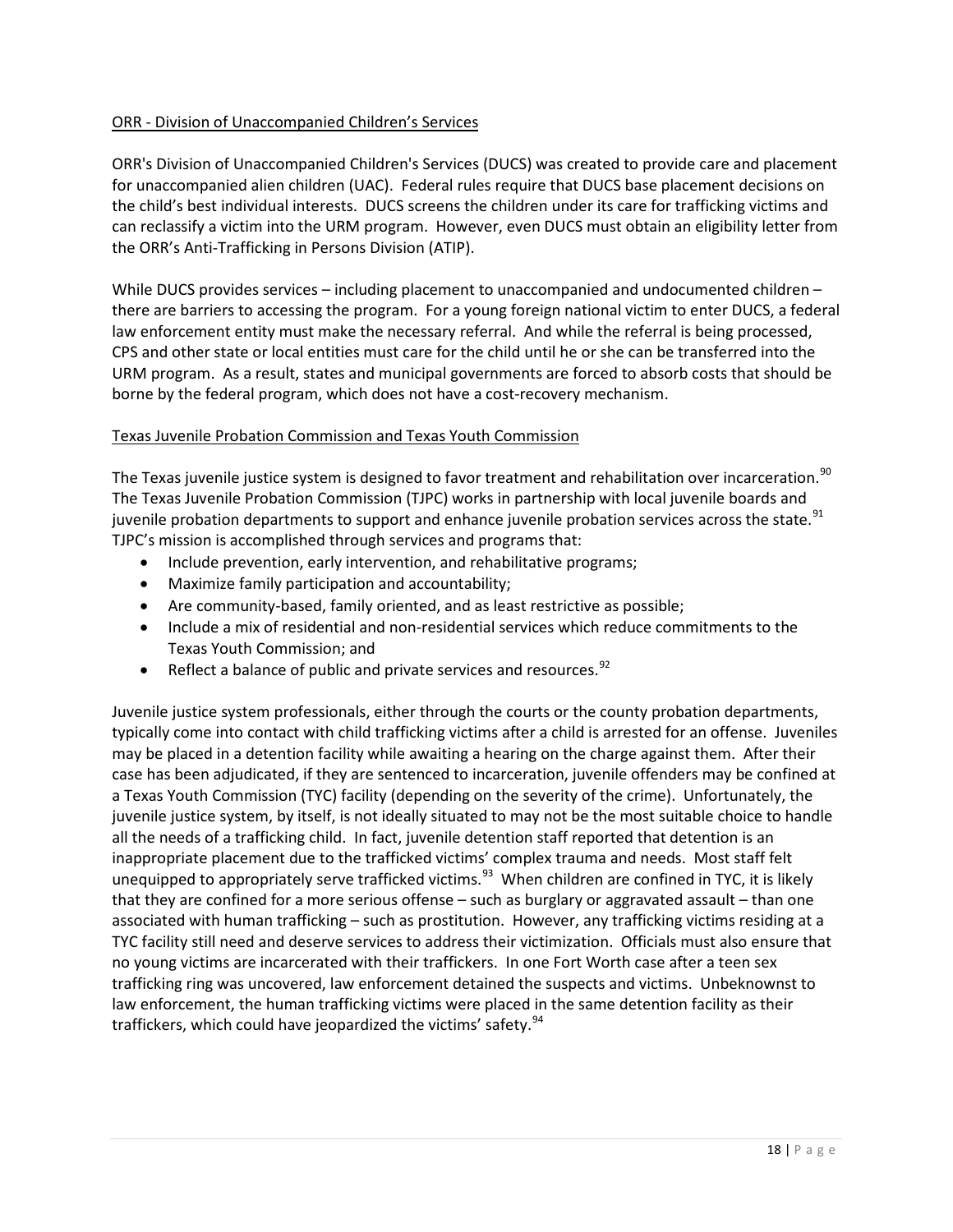#### ORR - Division of Unaccompanied Children's Services

ORR's Division of Unaccompanied Children's Services (DUCS) was created to provide care and placement for unaccompanied alien children (UAC). Federal rules require that DUCS base placement decisions on the child's best individual interests. DUCS screens the children under its care for trafficking victims and can reclassify a victim into the URM program. However, even DUCS must obtain an eligibility letter from the ORR's Anti-Trafficking in Persons Division (ATIP).

While DUCS provides services – including placement to unaccompanied and undocumented children – there are barriers to accessing the program. For a young foreign national victim to enter DUCS, a federal law enforcement entity must make the necessary referral. And while the referral is being processed, CPS and other state or local entities must care for the child until he or she can be transferred into the URM program. As a result, states and municipal governments are forced to absorb costs that should be borne by the federal program, which does not have a cost-recovery mechanism.

#### Texas Juvenile Probation Commission and Texas Youth Commission

The Texas juvenile justice system is designed to favor treatment and rehabilitation over incarceration.<sup>[90](#page-67-16)</sup> The Texas Juvenile Probation Commission (TJPC) works in partnership with local juvenile boards and juvenile probation departments to support and enhance juvenile probation services across the state.<sup>[91](#page-67-17)</sup> TJPC's mission is accomplished through services and programs that:

- Include prevention, early intervention, and rehabilitative programs;
- Maximize family participation and accountability;
- Are community-based, family oriented, and as least restrictive as possible;
- Include a mix of residential and non-residential services which reduce commitments to the Texas Youth Commission; and
- Reflect a balance of public and private services and resources.  $92$

Juvenile justice system professionals, either through the courts or the county probation departments, typically come into contact with child trafficking victims after a child is arrested for an offense. Juveniles may be placed in a detention facility while awaiting a hearing on the charge against them. After their case has been adjudicated, if they are sentenced to incarceration, juvenile offenders may be confined at a Texas Youth Commission (TYC) facility (depending on the severity of the crime). Unfortunately, the juvenile justice system, by itself, is not ideally situated to may not be the most suitable choice to handle all the needs of a trafficking child. In fact, juvenile detention staff reported that detention is an inappropriate placement due to the trafficked victims' complex trauma and needs. Most staff felt unequipped to appropriately serve trafficked victims.<sup>[93](#page-67-19)</sup> When children are confined in TYC, it is likely that they are confined for a more serious offense – such as burglary or aggravated assault – than one associated with human trafficking – such as prostitution. However, any trafficking victims residing at a TYC facility still need and deserve services to address their victimization. Officials must also ensure that no young victims are incarcerated with their traffickers. In one Fort Worth case after a teen sex trafficking ring was uncovered, law enforcement detained the suspects and victims. Unbeknownst to law enforcement, the human trafficking victims were placed in the same detention facility as their traffickers, which could have jeopardized the victims' safety.<sup>[94](#page-67-20)</sup>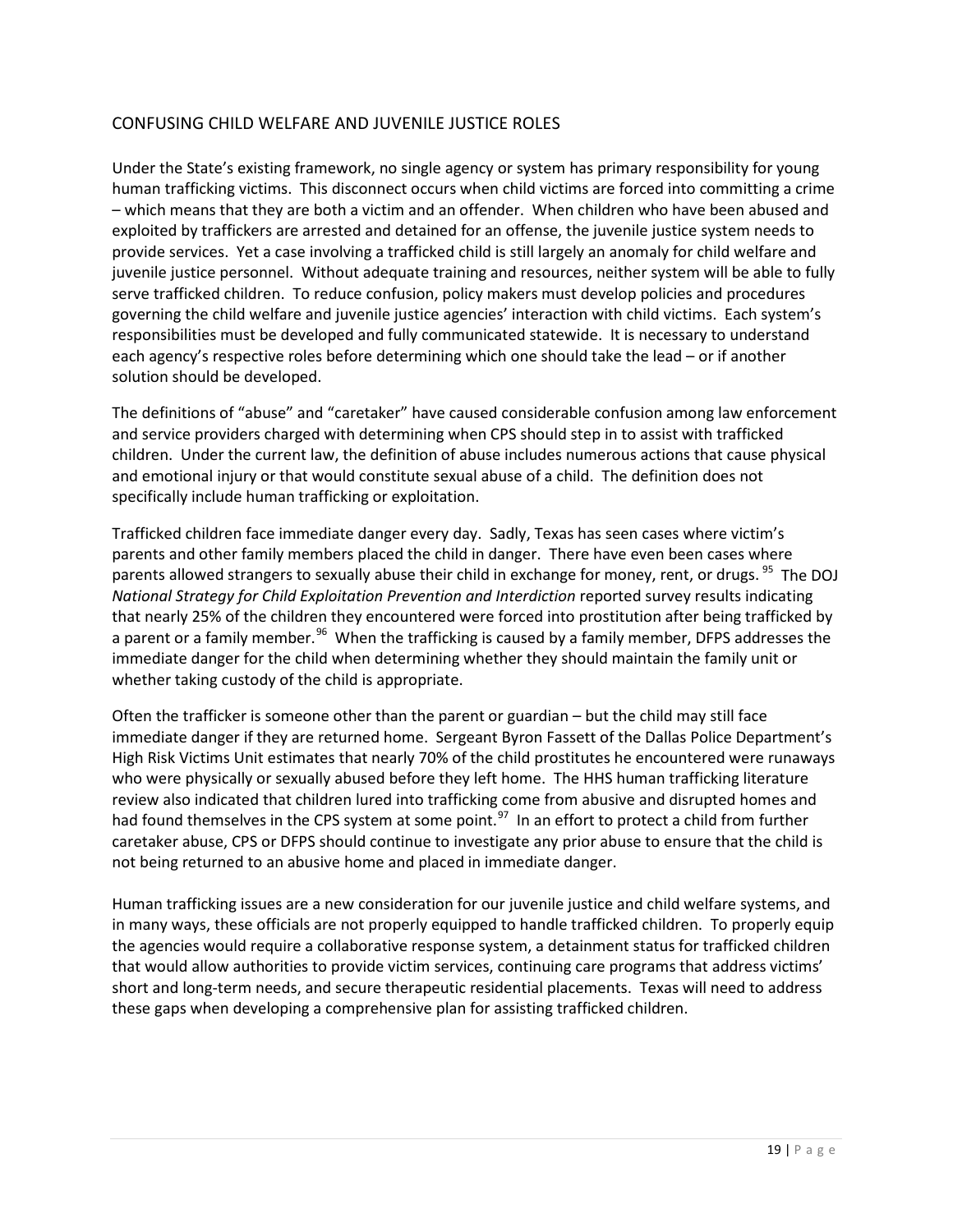# CONFUSING CHILD WELFARE AND JUVENILE JUSTICE ROLES

Under the State's existing framework, no single agency or system has primary responsibility for young human trafficking victims. This disconnect occurs when child victims are forced into committing a crime – which means that they are both a victim and an offender. When children who have been abused and exploited by traffickers are arrested and detained for an offense, the juvenile justice system needs to provide services. Yet a case involving a trafficked child is still largely an anomaly for child welfare and juvenile justice personnel. Without adequate training and resources, neither system will be able to fully serve trafficked children. To reduce confusion, policy makers must develop policies and procedures governing the child welfare and juvenile justice agencies' interaction with child victims. Each system's responsibilities must be developed and fully communicated statewide. It is necessary to understand each agency's respective roles before determining which one should take the lead – or if another solution should be developed.

The definitions of "abuse" and "caretaker" have caused considerable confusion among law enforcement and service providers charged with determining when CPS should step in to assist with trafficked children. Under the current law, the definition of abuse includes numerous actions that cause physical and emotional injury or that would constitute sexual abuse of a child. The definition does not specifically include human trafficking or exploitation.

Trafficked children face immediate danger every day. Sadly, Texas has seen cases where victim's parents and other family members placed the child in danger. There have even been cases where parents allowed strangers to sexually abuse their child in exchange for money, rent, or drugs. <sup>[95](#page-67-21)</sup> The DOJ *National Strategy for Child Exploitation Prevention and Interdiction* reported survey results indicating that nearly 25% of the children they encountered were forced into prostitution after being trafficked by a parent or a family member.<sup>[96](#page-67-22)</sup> When the trafficking is caused by a family member, DFPS addresses the immediate danger for the child when determining whether they should maintain the family unit or whether taking custody of the child is appropriate.

Often the trafficker is someone other than the parent or guardian – but the child may still face immediate danger if they are returned home. Sergeant Byron Fassett of the Dallas Police Department's High Risk Victims Unit estimates that nearly 70% of the child prostitutes he encountered were runaways who were physically or sexually abused before they left home. The HHS human trafficking literature review also indicated that children lured into trafficking come from abusive and disrupted homes and had found themselves in the CPS system at some point.<sup>[97](#page-67-23)</sup> In an effort to protect a child from further caretaker abuse, CPS or DFPS should continue to investigate any prior abuse to ensure that the child is not being returned to an abusive home and placed in immediate danger.

Human trafficking issues are a new consideration for our juvenile justice and child welfare systems, and in many ways, these officials are not properly equipped to handle trafficked children. To properly equip the agencies would require a collaborative response system, a detainment status for trafficked children that would allow authorities to provide victim services, continuing care programs that address victims' short and long-term needs, and secure therapeutic residential placements. Texas will need to address these gaps when developing a comprehensive plan for assisting trafficked children.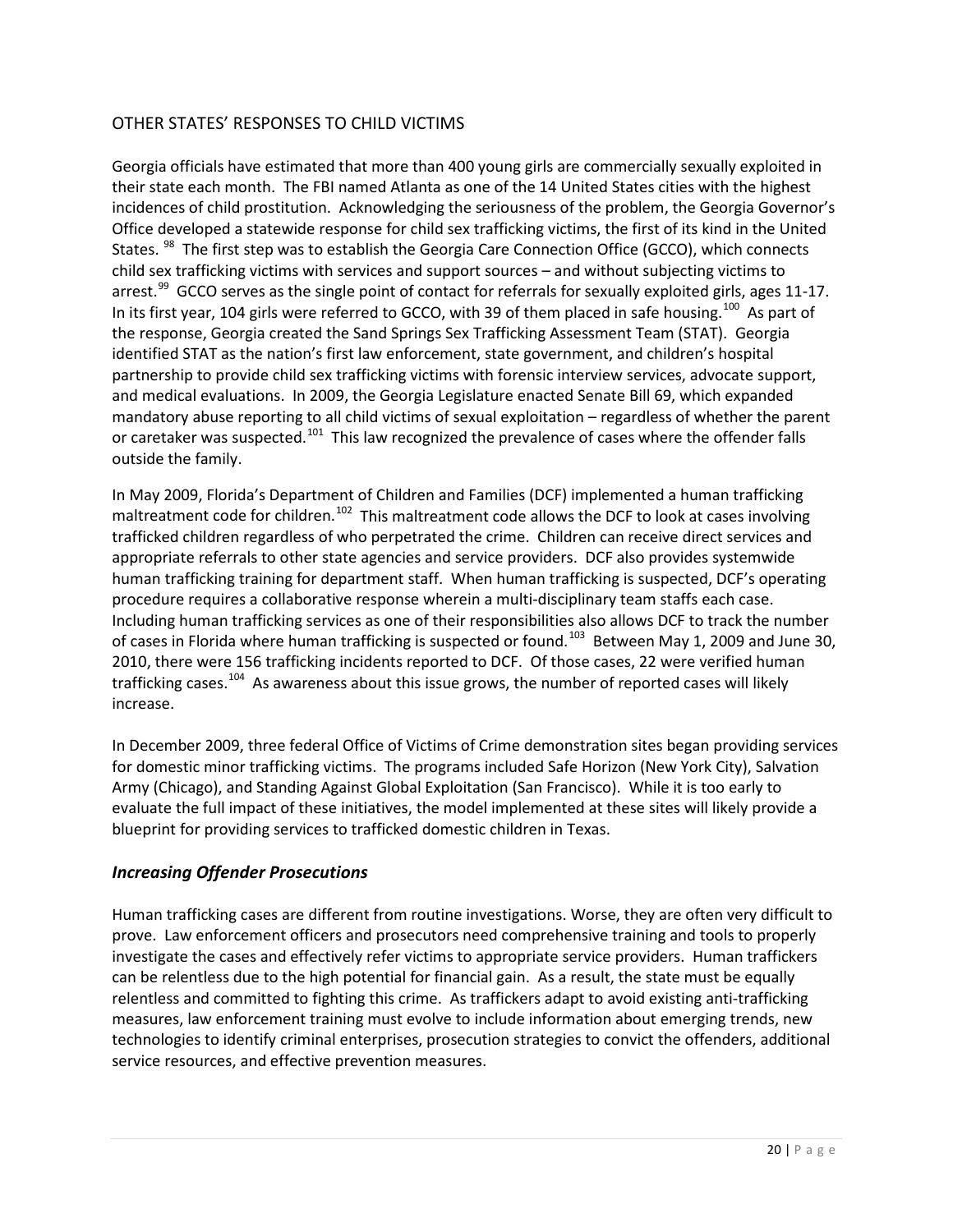# OTHER STATES' RESPONSES TO CHILD VICTIMS

Georgia officials have estimated that more than 400 young girls are commercially sexually exploited in their state each month. The FBI named Atlanta as one of the 14 United States cities with the highest incidences of child prostitution. Acknowledging the seriousness of the problem, the Georgia Governor's Office developed a statewide response for child sex trafficking victims, the first of its kind in the United States. <sup>[98](#page-67-24)</sup> The first step was to establish the Georgia Care Connection Office (GCCO), which connects child sex trafficking victims with services and support sources – and without subjecting victims to arrest. $99$  GCCO serves as the single point of contact for referrals for sexually exploited girls, ages 11-17. In its first year, 104 girls were referred to GCCO, with 39 of them placed in safe housing.<sup>[100](#page-67-26)</sup> As part of the response, Georgia created the Sand Springs Sex Trafficking Assessment Team (STAT). Georgia identified STAT as the nation's first law enforcement, state government, and children's hospital partnership to provide child sex trafficking victims with forensic interview services, advocate support, and medical evaluations. In 2009, the Georgia Legislature enacted Senate Bill 69, which expanded mandatory abuse reporting to all child victims of sexual exploitation – regardless of whether the parent or caretaker was suspected.<sup>[101](#page-68-0)</sup> This law recognized the prevalence of cases where the offender falls outside the family.

In May 2009, Florida's Department of Children and Families (DCF) implemented a human trafficking maltreatment code for children.<sup>[102](#page-68-1)</sup> This maltreatment code allows the DCF to look at cases involving trafficked children regardless of who perpetrated the crime. Children can receive direct services and appropriate referrals to other state agencies and service providers. DCF also provides systemwide human trafficking training for department staff. When human trafficking is suspected, DCF's operating procedure requires a collaborative response wherein a multi-disciplinary team staffs each case. Including human trafficking services as one of their responsibilities also allows DCF to track the number of cases in Florida where human trafficking is suspected or found.<sup>[103](#page-68-2)</sup> Between May 1, 2009 and June 30, 2010, there were 156 trafficking incidents reported to DCF. Of those cases, 22 were verified human trafficking cases.<sup>[104](#page-68-3)</sup> As awareness about this issue grows, the number of reported cases will likely increase.

In December 2009, three federal Office of Victims of Crime demonstration sites began providing services for domestic minor trafficking victims. The programs included Safe Horizon (New York City), Salvation Army (Chicago), and Standing Against Global Exploitation (San Francisco). While it is too early to evaluate the full impact of these initiatives, the model implemented at these sites will likely provide a blueprint for providing services to trafficked domestic children in Texas.

# *Increasing Offender Prosecutions*

Human trafficking cases are different from routine investigations. Worse, they are often very difficult to prove. Law enforcement officers and prosecutors need comprehensive training and tools to properly investigate the cases and effectively refer victims to appropriate service providers. Human traffickers can be relentless due to the high potential for financial gain. As a result, the state must be equally relentless and committed to fighting this crime. As traffickers adapt to avoid existing anti-trafficking measures, law enforcement training must evolve to include information about emerging trends, new technologies to identify criminal enterprises, prosecution strategies to convict the offenders, additional service resources, and effective prevention measures.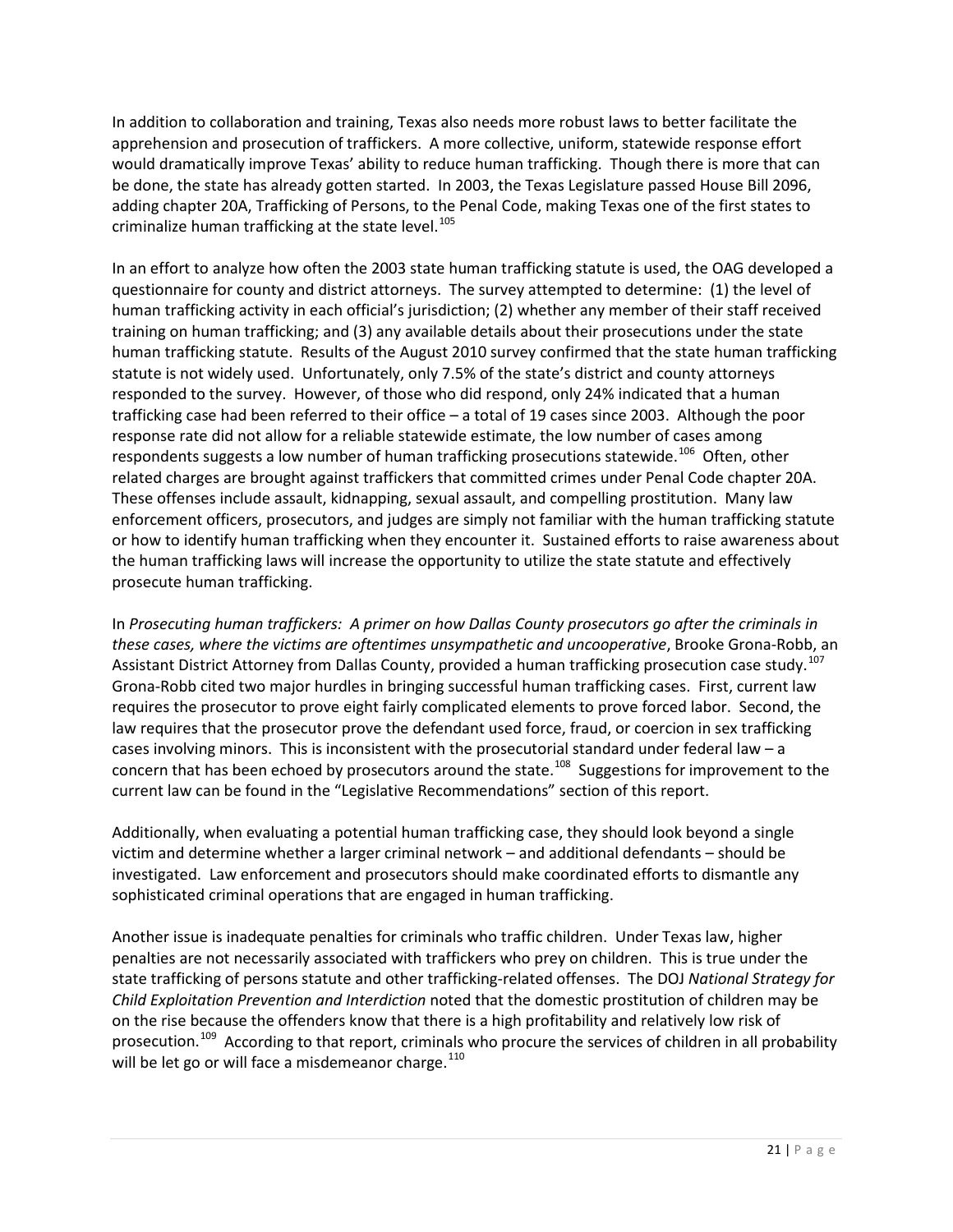In addition to collaboration and training, Texas also needs more robust laws to better facilitate the apprehension and prosecution of traffickers. A more collective, uniform, statewide response effort would dramatically improve Texas' ability to reduce human trafficking. Though there is more that can be done, the state has already gotten started. In 2003, the Texas Legislature passed House Bill 2096, adding chapter 20A, Trafficking of Persons, to the Penal Code, making Texas one of the first states to criminalize human trafficking at the state level. [105](#page-68-4)

In an effort to analyze how often the 2003 state human trafficking statute is used, the OAG developed a questionnaire for county and district attorneys. The survey attempted to determine: (1) the level of human trafficking activity in each official's jurisdiction; (2) whether any member of their staff received training on human trafficking; and (3) any available details about their prosecutions under the state human trafficking statute. Results of the August 2010 survey confirmed that the state human trafficking statute is not widely used. Unfortunately, only 7.5% of the state's district and county attorneys responded to the survey. However, of those who did respond, only 24% indicated that a human trafficking case had been referred to their office – a total of 19 cases since 2003. Although the poor response rate did not allow for a reliable statewide estimate, the low number of cases among respondents suggests a low number of human trafficking prosecutions statewide.<sup>[106](#page-68-5)</sup> Often, other related charges are brought against traffickers that committed crimes under Penal Code chapter 20A. These offenses include assault, kidnapping, sexual assault, and compelling prostitution. Many law enforcement officers, prosecutors, and judges are simply not familiar with the human trafficking statute or how to identify human trafficking when they encounter it. Sustained efforts to raise awareness about the human trafficking laws will increase the opportunity to utilize the state statute and effectively prosecute human trafficking.

In *Prosecuting human traffickers: A primer on how Dallas County prosecutors go after the criminals in these cases, where the victims are oftentimes unsympathetic and uncooperative*, Brooke Grona-Robb, an Assistant District Attorney from Dallas County, provided a human trafficking prosecution case study.<sup>107</sup> Grona-Robb cited two major hurdles in bringing successful human trafficking cases. First, current law requires the prosecutor to prove eight fairly complicated elements to prove forced labor. Second, the law requires that the prosecutor prove the defendant used force, fraud, or coercion in sex trafficking cases involving minors. This is inconsistent with the prosecutorial standard under federal law – a concern that has been echoed by prosecutors around the state.<sup>108</sup> Suggestions for improvement to the current law can be found in the "Legislative Recommendations" section of this report.

Additionally, when evaluating a potential human trafficking case, they should look beyond a single victim and determine whether a larger criminal network – and additional defendants – should be investigated. Law enforcement and prosecutors should make coordinated efforts to dismantle any sophisticated criminal operations that are engaged in human trafficking.

Another issue is inadequate penalties for criminals who traffic children. Under Texas law, higher penalties are not necessarily associated with traffickers who prey on children. This is true under the state trafficking of persons statute and other trafficking-related offenses. The DOJ *National Strategy for Child Exploitation Prevention and Interdiction* noted that the domestic prostitution of children may be on the rise because the offenders know that there is a high profitability and relatively low risk of prosecution.<sup>[109](#page-68-8)</sup> According to that report, criminals who procure the services of children in all probability will be let go or will face a misdemeanor charge. $110$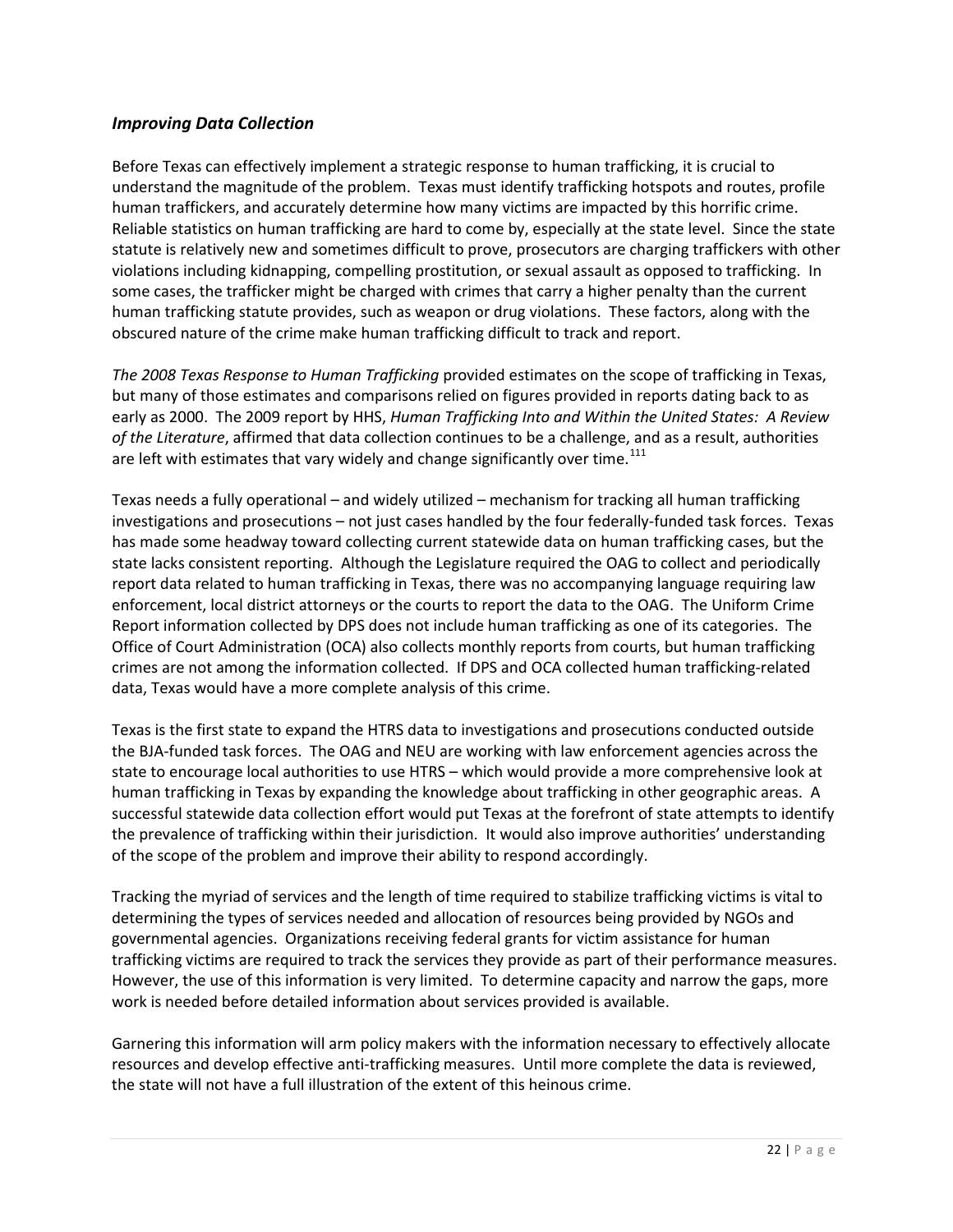# *Improving Data Collection*

Before Texas can effectively implement a strategic response to human trafficking, it is crucial to understand the magnitude of the problem. Texas must identify trafficking hotspots and routes, profile human traffickers, and accurately determine how many victims are impacted by this horrific crime. Reliable statistics on human trafficking are hard to come by, especially at the state level. Since the state statute is relatively new and sometimes difficult to prove, prosecutors are charging traffickers with other violations including kidnapping, compelling prostitution, or sexual assault as opposed to trafficking. In some cases, the trafficker might be charged with crimes that carry a higher penalty than the current human trafficking statute provides, such as weapon or drug violations. These factors, along with the obscured nature of the crime make human trafficking difficult to track and report.

*The 2008 Texas Response to Human Trafficking* provided estimates on the scope of trafficking in Texas, but many of those estimates and comparisons relied on figures provided in reports dating back to as early as 2000. The 2009 report by HHS, *Human Trafficking Into and Within the United States: A Review of the Literature*, affirmed that data collection continues to be a challenge, and as a result, authorities are left with estimates that vary widely and change significantly over time.<sup>[111](#page-68-10)</sup>

Texas needs a fully operational – and widely utilized – mechanism for tracking all human trafficking investigations and prosecutions – not just cases handled by the four federally-funded task forces. Texas has made some headway toward collecting current statewide data on human trafficking cases, but the state lacks consistent reporting. Although the Legislature required the OAG to collect and periodically report data related to human trafficking in Texas, there was no accompanying language requiring law enforcement, local district attorneys or the courts to report the data to the OAG. The Uniform Crime Report information collected by DPS does not include human trafficking as one of its categories. The Office of Court Administration (OCA) also collects monthly reports from courts, but human trafficking crimes are not among the information collected. If DPS and OCA collected human trafficking-related data, Texas would have a more complete analysis of this crime.

Texas is the first state to expand the HTRS data to investigations and prosecutions conducted outside the BJA-funded task forces. The OAG and NEU are working with law enforcement agencies across the state to encourage local authorities to use HTRS – which would provide a more comprehensive look at human trafficking in Texas by expanding the knowledge about trafficking in other geographic areas. A successful statewide data collection effort would put Texas at the forefront of state attempts to identify the prevalence of trafficking within their jurisdiction. It would also improve authorities' understanding of the scope of the problem and improve their ability to respond accordingly.

Tracking the myriad of services and the length of time required to stabilize trafficking victims is vital to determining the types of services needed and allocation of resources being provided by NGOs and governmental agencies. Organizations receiving federal grants for victim assistance for human trafficking victims are required to track the services they provide as part of their performance measures. However, the use of this information is very limited. To determine capacity and narrow the gaps, more work is needed before detailed information about services provided is available.

Garnering this information will arm policy makers with the information necessary to effectively allocate resources and develop effective anti-trafficking measures. Until more complete the data is reviewed, the state will not have a full illustration of the extent of this heinous crime.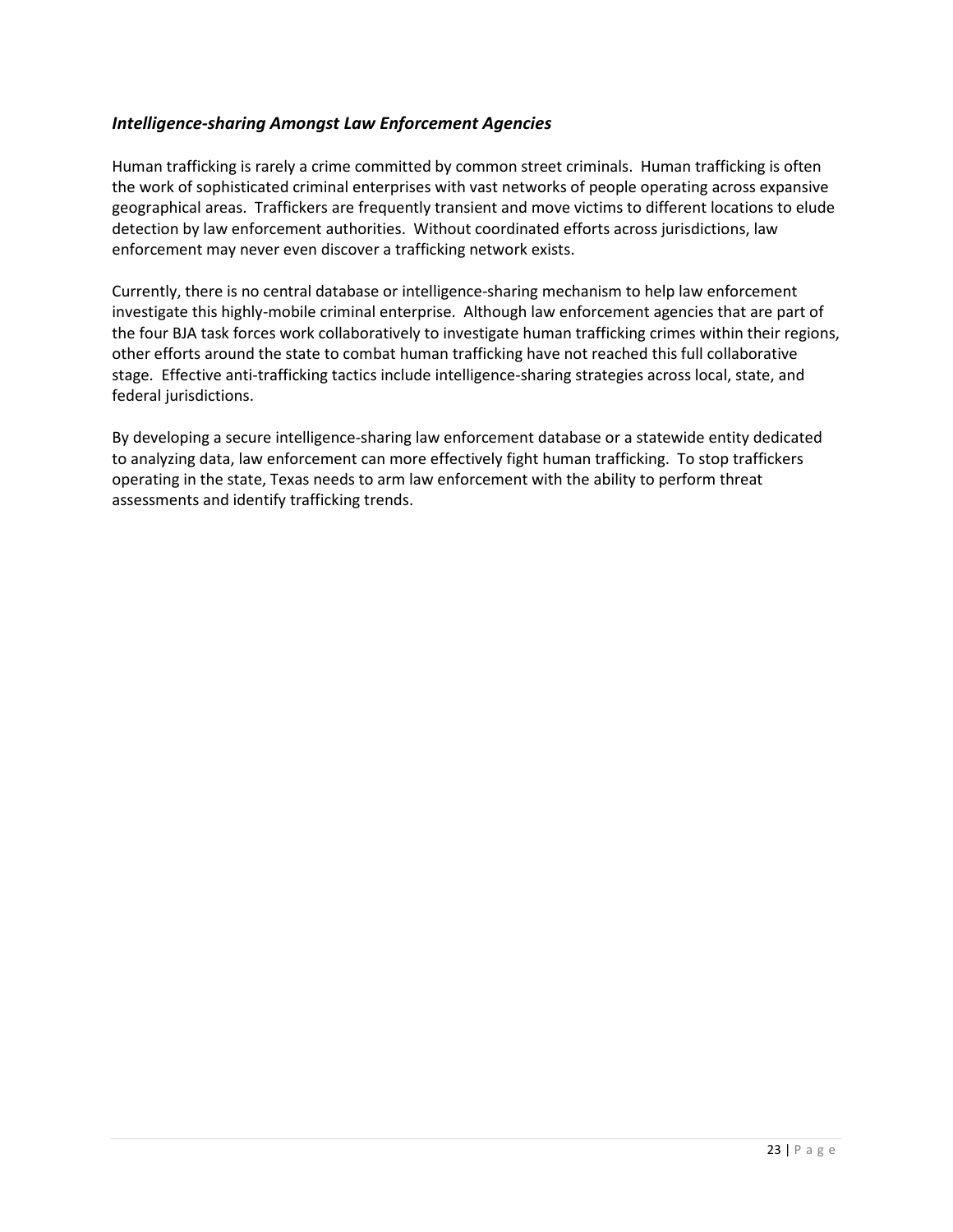# *Intelligence-sharing Amongst Law Enforcement Agencies*

Human trafficking is rarely a crime committed by common street criminals. Human trafficking is often the work of sophisticated criminal enterprises with vast networks of people operating across expansive geographical areas. Traffickers are frequently transient and move victims to different locations to elude detection by law enforcement authorities. Without coordinated efforts across jurisdictions, law enforcement may never even discover a trafficking network exists.

Currently, there is no central database or intelligence-sharing mechanism to help law enforcement investigate this highly-mobile criminal enterprise. Although law enforcement agencies that are part of the four BJA task forces work collaboratively to investigate human trafficking crimes within their regions, other efforts around the state to combat human trafficking have not reached this full collaborative stage. Effective anti-trafficking tactics include intelligence-sharing strategies across local, state, and federal jurisdictions.

By developing a secure intelligence-sharing law enforcement database or a statewide entity dedicated to analyzing data, law enforcement can more effectively fight human trafficking. To stop traffickers operating in the state, Texas needs to arm law enforcement with the ability to perform threat assessments and identify trafficking trends.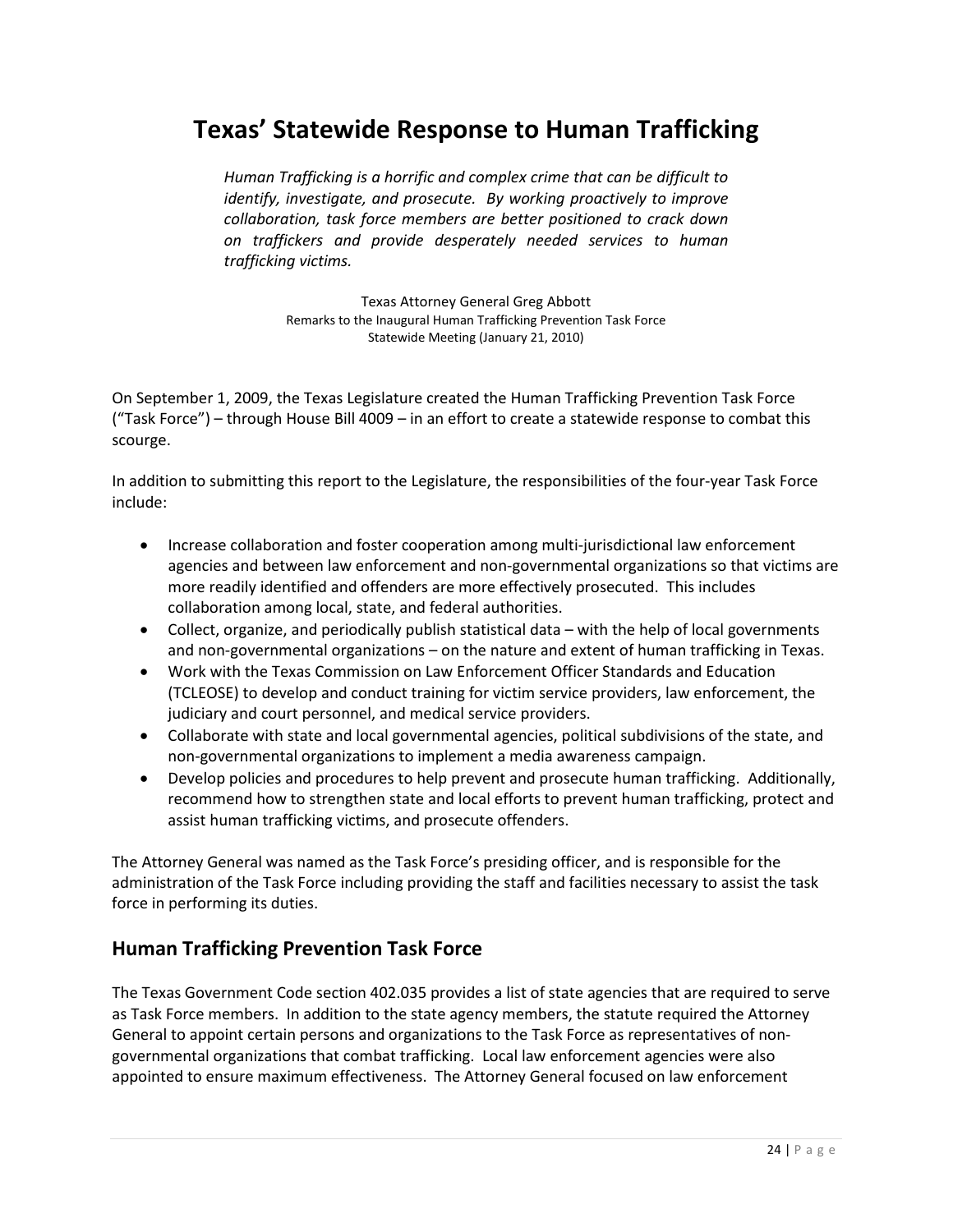# **Texas' Statewide Response to Human Trafficking**

*Human Trafficking is a horrific and complex crime that can be difficult to identify, investigate, and prosecute. By working proactively to improve collaboration, task force members are better positioned to crack down on traffickers and provide desperately needed services to human trafficking victims.*

> Texas Attorney General Greg Abbott Remarks to the Inaugural Human Trafficking Prevention Task Force Statewide Meeting (January 21, 2010)

On September 1, 2009, the Texas Legislature created the Human Trafficking Prevention Task Force ("Task Force") – through House Bill 4009 – in an effort to create a statewide response to combat this scourge.

In addition to submitting this report to the Legislature, the responsibilities of the four-year Task Force include:

- Increase collaboration and foster cooperation among multi-jurisdictional law enforcement agencies and between law enforcement and non-governmental organizations so that victims are more readily identified and offenders are more effectively prosecuted. This includes collaboration among local, state, and federal authorities.
- Collect, organize, and periodically publish statistical data with the help of local governments and non-governmental organizations – on the nature and extent of human trafficking in Texas.
- Work with the Texas Commission on Law Enforcement Officer Standards and Education (TCLEOSE) to develop and conduct training for victim service providers, law enforcement, the judiciary and court personnel, and medical service providers.
- Collaborate with state and local governmental agencies, political subdivisions of the state, and non-governmental organizations to implement a media awareness campaign.
- Develop policies and procedures to help prevent and prosecute human trafficking. Additionally, recommend how to strengthen state and local efforts to prevent human trafficking, protect and assist human trafficking victims, and prosecute offenders.

The Attorney General was named as the Task Force's presiding officer, and is responsible for the administration of the Task Force including providing the staff and facilities necessary to assist the task force in performing its duties.

# **Human Trafficking Prevention Task Force**

The Texas Government Code section 402.035 provides a list of state agencies that are required to serve as Task Force members. In addition to the state agency members, the statute required the Attorney General to appoint certain persons and organizations to the Task Force as representatives of nongovernmental organizations that combat trafficking. Local law enforcement agencies were also appointed to ensure maximum effectiveness. The Attorney General focused on law enforcement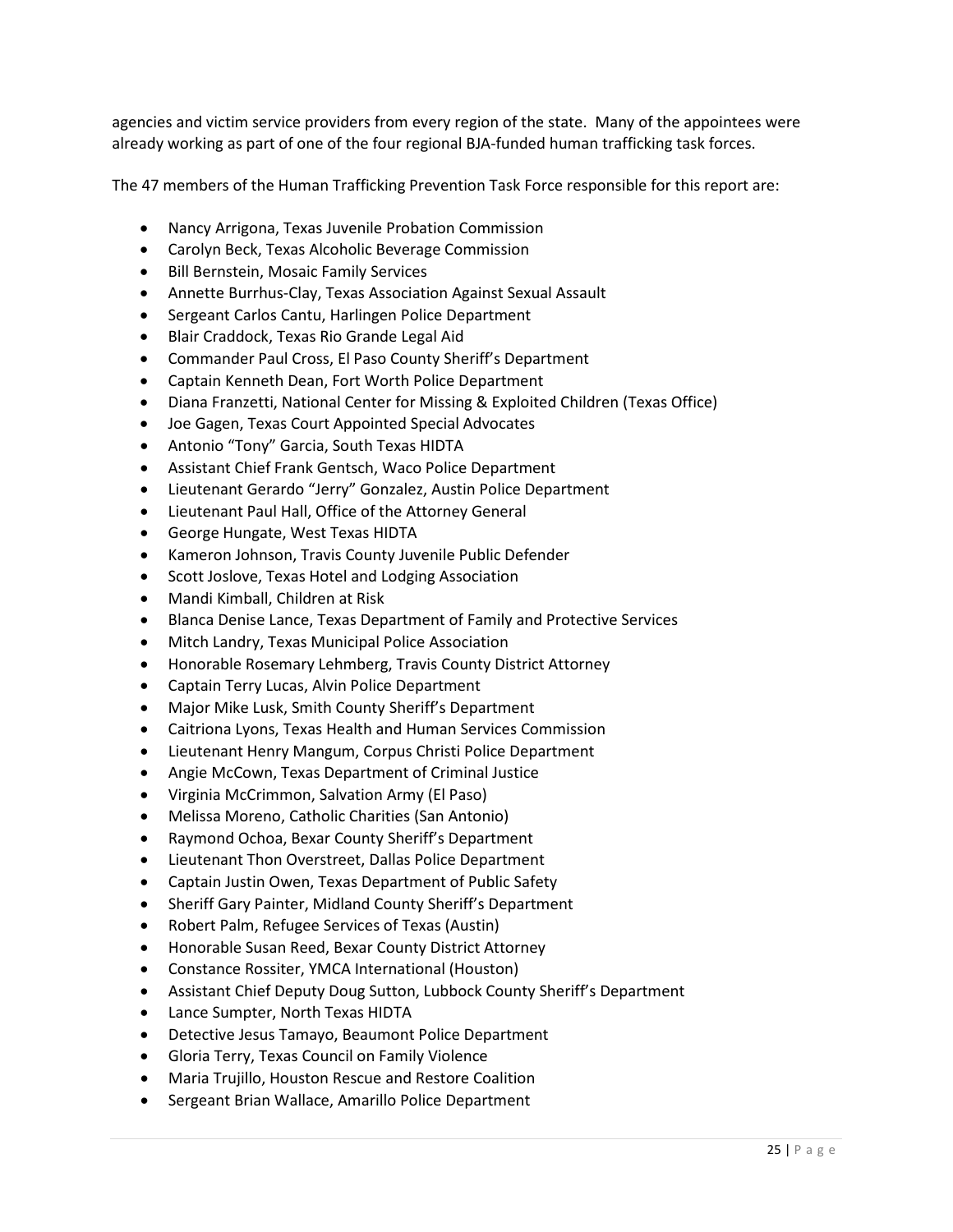agencies and victim service providers from every region of the state. Many of the appointees were already working as part of one of the four regional BJA-funded human trafficking task forces.

The 47 members of the Human Trafficking Prevention Task Force responsible for this report are:

- Nancy Arrigona, Texas Juvenile Probation Commission
- Carolyn Beck, Texas Alcoholic Beverage Commission
- Bill Bernstein, Mosaic Family Services
- Annette Burrhus-Clay, Texas Association Against Sexual Assault
- Sergeant Carlos Cantu, Harlingen Police Department
- Blair Craddock, Texas Rio Grande Legal Aid
- Commander Paul Cross, El Paso County Sheriff's Department
- Captain Kenneth Dean, Fort Worth Police Department
- Diana Franzetti, National Center for Missing & Exploited Children (Texas Office)
- Joe Gagen, Texas Court Appointed Special Advocates
- Antonio "Tony" Garcia, South Texas HIDTA
- Assistant Chief Frank Gentsch, Waco Police Department
- Lieutenant Gerardo "Jerry" Gonzalez, Austin Police Department
- Lieutenant Paul Hall, Office of the Attorney General
- George Hungate, West Texas HIDTA
- Kameron Johnson, Travis County Juvenile Public Defender
- Scott Joslove, Texas Hotel and Lodging Association
- Mandi Kimball, Children at Risk
- Blanca Denise Lance, Texas Department of Family and Protective Services
- Mitch Landry, Texas Municipal Police Association
- Honorable Rosemary Lehmberg, Travis County District Attorney
- Captain Terry Lucas, Alvin Police Department
- Major Mike Lusk, Smith County Sheriff's Department
- Caitriona Lyons, Texas Health and Human Services Commission
- Lieutenant Henry Mangum, Corpus Christi Police Department
- Angie McCown, Texas Department of Criminal Justice
- Virginia McCrimmon, Salvation Army (El Paso)
- Melissa Moreno, Catholic Charities (San Antonio)
- Raymond Ochoa, Bexar County Sheriff's Department
- Lieutenant Thon Overstreet, Dallas Police Department
- Captain Justin Owen, Texas Department of Public Safety
- Sheriff Gary Painter, Midland County Sheriff's Department
- Robert Palm, Refugee Services of Texas (Austin)
- Honorable Susan Reed, Bexar County District Attorney
- Constance Rossiter, YMCA International (Houston)
- Assistant Chief Deputy Doug Sutton, Lubbock County Sheriff's Department
- Lance Sumpter, North Texas HIDTA
- Detective Jesus Tamayo, Beaumont Police Department
- Gloria Terry, Texas Council on Family Violence
- Maria Trujillo, Houston Rescue and Restore Coalition
- Sergeant Brian Wallace, Amarillo Police Department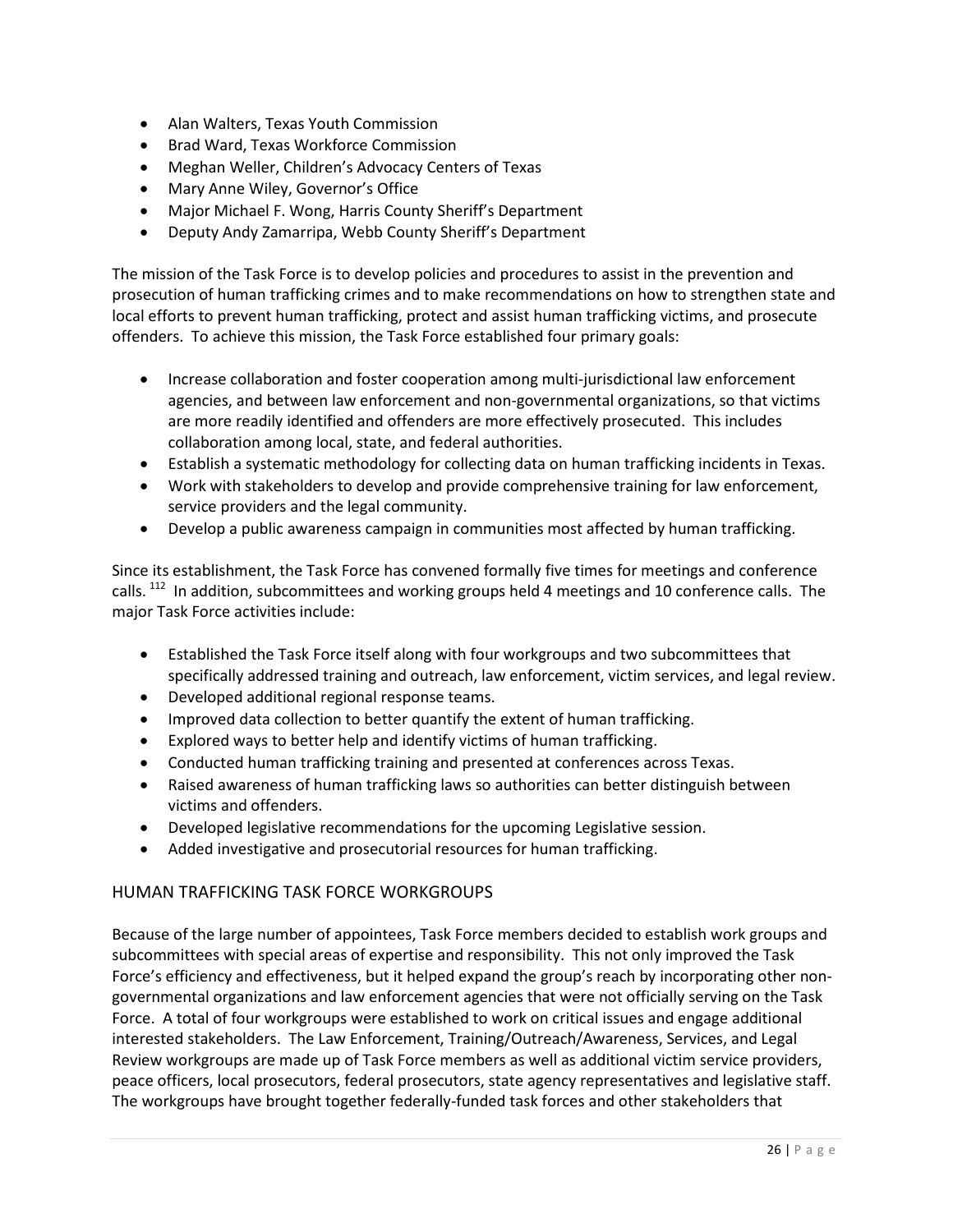- Alan Walters, Texas Youth Commission
- Brad Ward, Texas Workforce Commission
- Meghan Weller, Children's Advocacy Centers of Texas
- Mary Anne Wiley, Governor's Office
- Major Michael F. Wong, Harris County Sheriff's Department
- Deputy Andy Zamarripa, Webb County Sheriff's Department

The mission of the Task Force is to develop policies and procedures to assist in the prevention and prosecution of human trafficking crimes and to make recommendations on how to strengthen state and local efforts to prevent human trafficking, protect and assist human trafficking victims, and prosecute offenders. To achieve this mission, the Task Force established four primary goals:

- Increase collaboration and foster cooperation among multi-jurisdictional law enforcement agencies, and between law enforcement and non-governmental organizations, so that victims are more readily identified and offenders are more effectively prosecuted. This includes collaboration among local, state, and federal authorities.
- Establish a systematic methodology for collecting data on human trafficking incidents in Texas.
- Work with stakeholders to develop and provide comprehensive training for law enforcement, service providers and the legal community.
- Develop a public awareness campaign in communities most affected by human trafficking.

Since its establishment, the Task Force has convened formally five times for meetings and conference calls. <sup>[112](#page-68-11)</sup> In addition, subcommittees and working groups held 4 meetings and 10 conference calls. The major Task Force activities include:

- Established the Task Force itself along with four workgroups and two subcommittees that specifically addressed training and outreach, law enforcement, victim services, and legal review.
- Developed additional regional response teams.
- Improved data collection to better quantify the extent of human trafficking.
- Explored ways to better help and identify victims of human trafficking.
- Conducted human trafficking training and presented at conferences across Texas.
- Raised awareness of human trafficking laws so authorities can better distinguish between victims and offenders.
- Developed legislative recommendations for the upcoming Legislative session.
- Added investigative and prosecutorial resources for human trafficking.

# HUMAN TRAFFICKING TASK FORCE WORKGROUPS

Because of the large number of appointees, Task Force members decided to establish work groups and subcommittees with special areas of expertise and responsibility. This not only improved the Task Force's efficiency and effectiveness, but it helped expand the group's reach by incorporating other nongovernmental organizations and law enforcement agencies that were not officially serving on the Task Force. A total of four workgroups were established to work on critical issues and engage additional interested stakeholders. The Law Enforcement, Training/Outreach/Awareness, Services, and Legal Review workgroups are made up of Task Force members as well as additional victim service providers, peace officers, local prosecutors, federal prosecutors, state agency representatives and legislative staff. The workgroups have brought together federally-funded task forces and other stakeholders that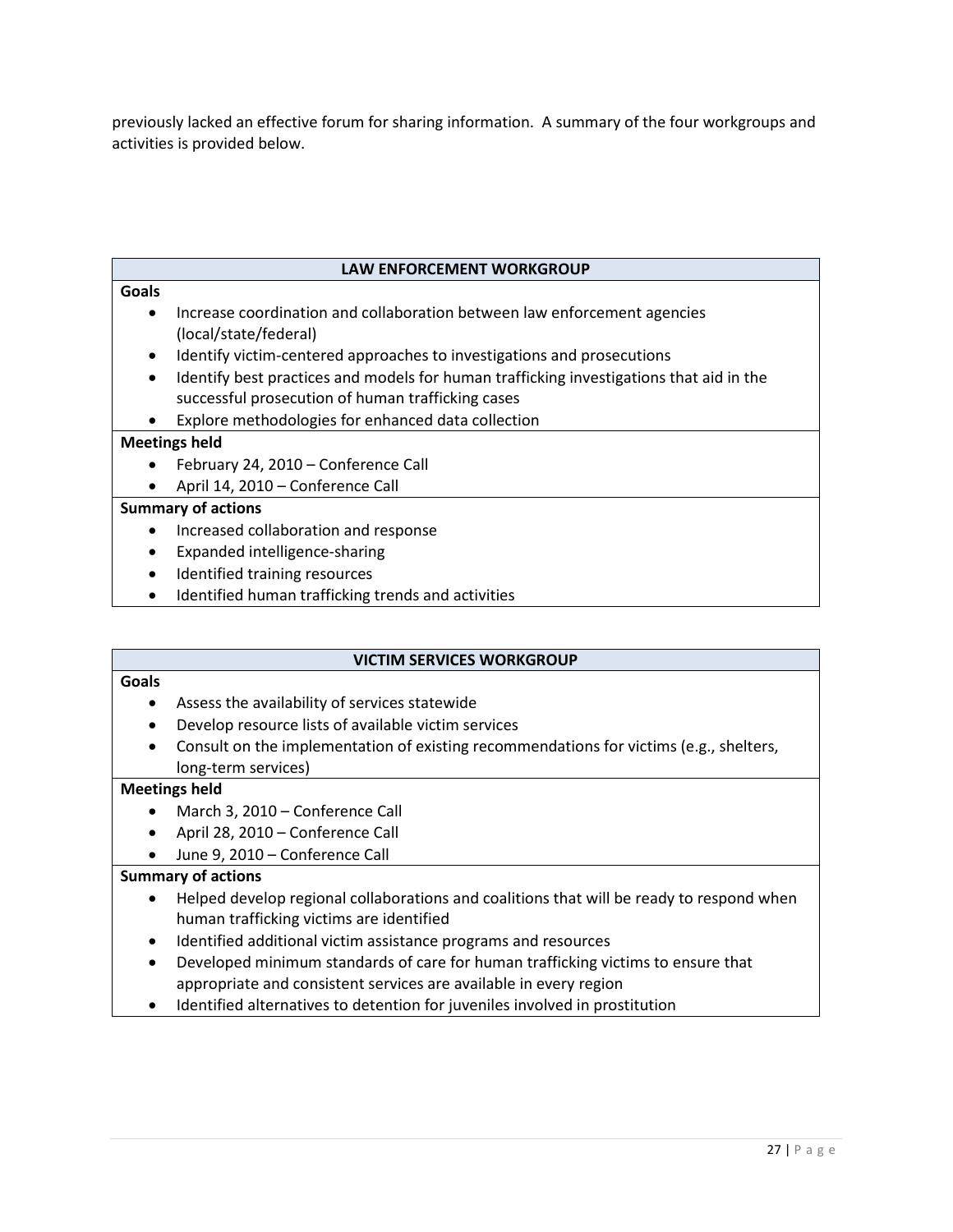previously lacked an effective forum for sharing information. A summary of the four workgroups and activities is provided below.

#### **LAW ENFORCEMENT WORKGROUP**

#### **Goals**

- Increase coordination and collaboration between law enforcement agencies (local/state/federal)
- Identify victim-centered approaches to investigations and prosecutions
- Identify best practices and models for human trafficking investigations that aid in the successful prosecution of human trafficking cases
- Explore methodologies for enhanced data collection

#### **Meetings held**

- February 24, 2010 Conference Call
- April 14, 2010 Conference Call

#### **Summary of actions**

- Increased collaboration and response
- Expanded intelligence-sharing
- Identified training resources
- Identified human trafficking trends and activities

#### **VICTIM SERVICES WORKGROUP**

#### **Goals**

- Assess the availability of services statewide
- Develop resource lists of available victim services
- Consult on the implementation of existing recommendations for victims (e.g., shelters, long-term services)

#### **Meetings held**

- March 3, 2010 Conference Call
- April 28, 2010 Conference Call
- June 9, 2010 Conference Call

#### **Summary of actions**

- Helped develop regional collaborations and coalitions that will be ready to respond when human trafficking victims are identified
- Identified additional victim assistance programs and resources
- Developed minimum standards of care for human trafficking victims to ensure that appropriate and consistent services are available in every region
- Identified alternatives to detention for juveniles involved in prostitution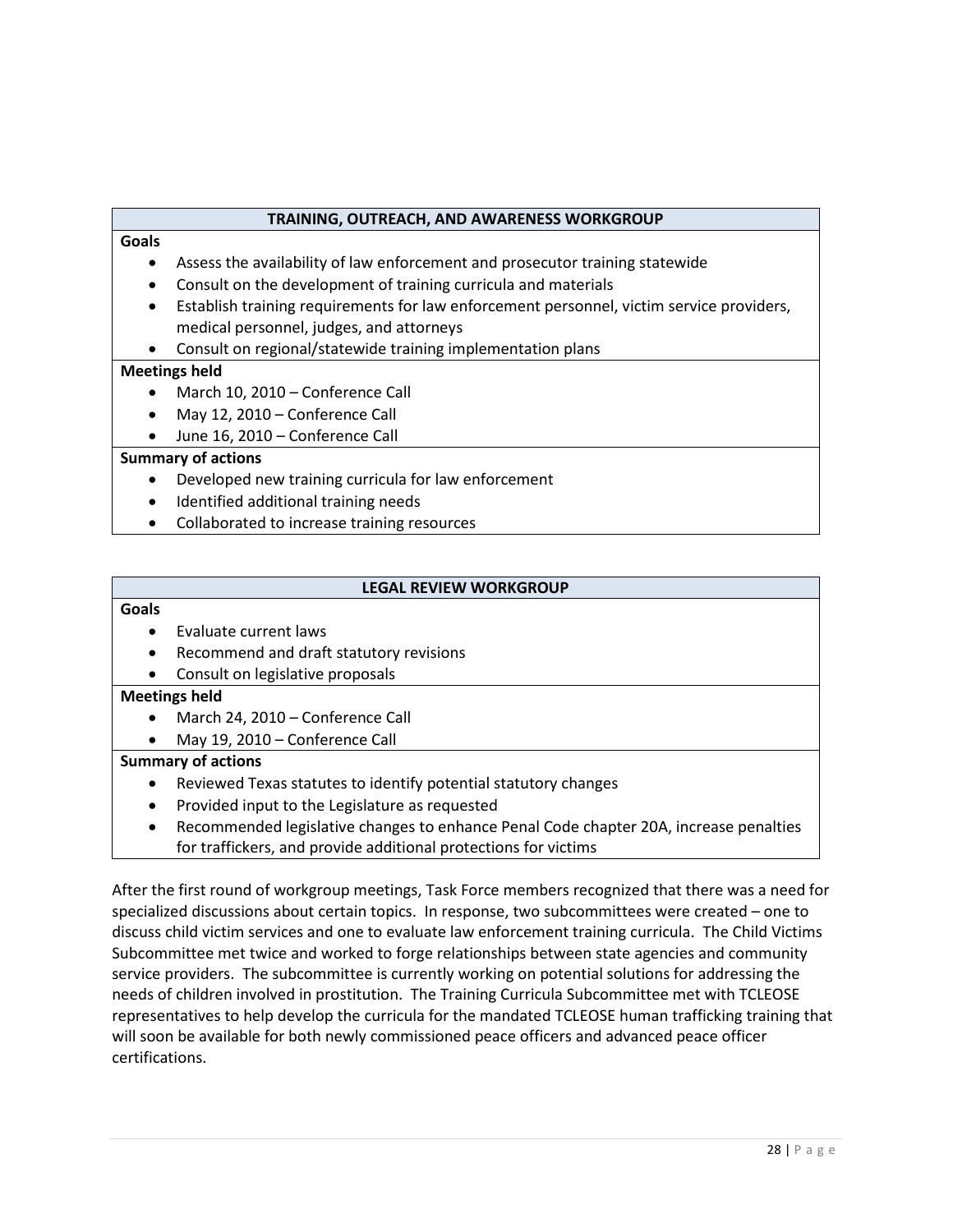#### **TRAINING, OUTREACH, AND AWARENESS WORKGROUP**

#### **Goals**

- Assess the availability of law enforcement and prosecutor training statewide
- Consult on the development of training curricula and materials
- Establish training requirements for law enforcement personnel, victim service providers, medical personnel, judges, and attorneys
- Consult on regional/statewide training implementation plans

#### **Meetings held**

- March 10, 2010 Conference Call
- May 12, 2010 Conference Call
- June 16, 2010 Conference Call

#### **Summary of actions**

- Developed new training curricula for law enforcement
- Identified additional training needs
- Collaborated to increase training resources

#### **LEGAL REVIEW WORKGROUP**

#### **Goals**

- Evaluate current laws
- Recommend and draft statutory revisions
- Consult on legislative proposals

#### **Meetings held**

- March 24, 2010 Conference Call
- May 19, 2010 Conference Call

#### **Summary of actions**

- Reviewed Texas statutes to identify potential statutory changes
- Provided input to the Legislature as requested
- Recommended legislative changes to enhance Penal Code chapter 20A, increase penalties for traffickers, and provide additional protections for victims

After the first round of workgroup meetings, Task Force members recognized that there was a need for specialized discussions about certain topics. In response, two subcommittees were created – one to discuss child victim services and one to evaluate law enforcement training curricula. The Child Victims Subcommittee met twice and worked to forge relationships between state agencies and community service providers. The subcommittee is currently working on potential solutions for addressing the needs of children involved in prostitution. The Training Curricula Subcommittee met with TCLEOSE representatives to help develop the curricula for the mandated TCLEOSE human trafficking training that will soon be available for both newly commissioned peace officers and advanced peace officer certifications.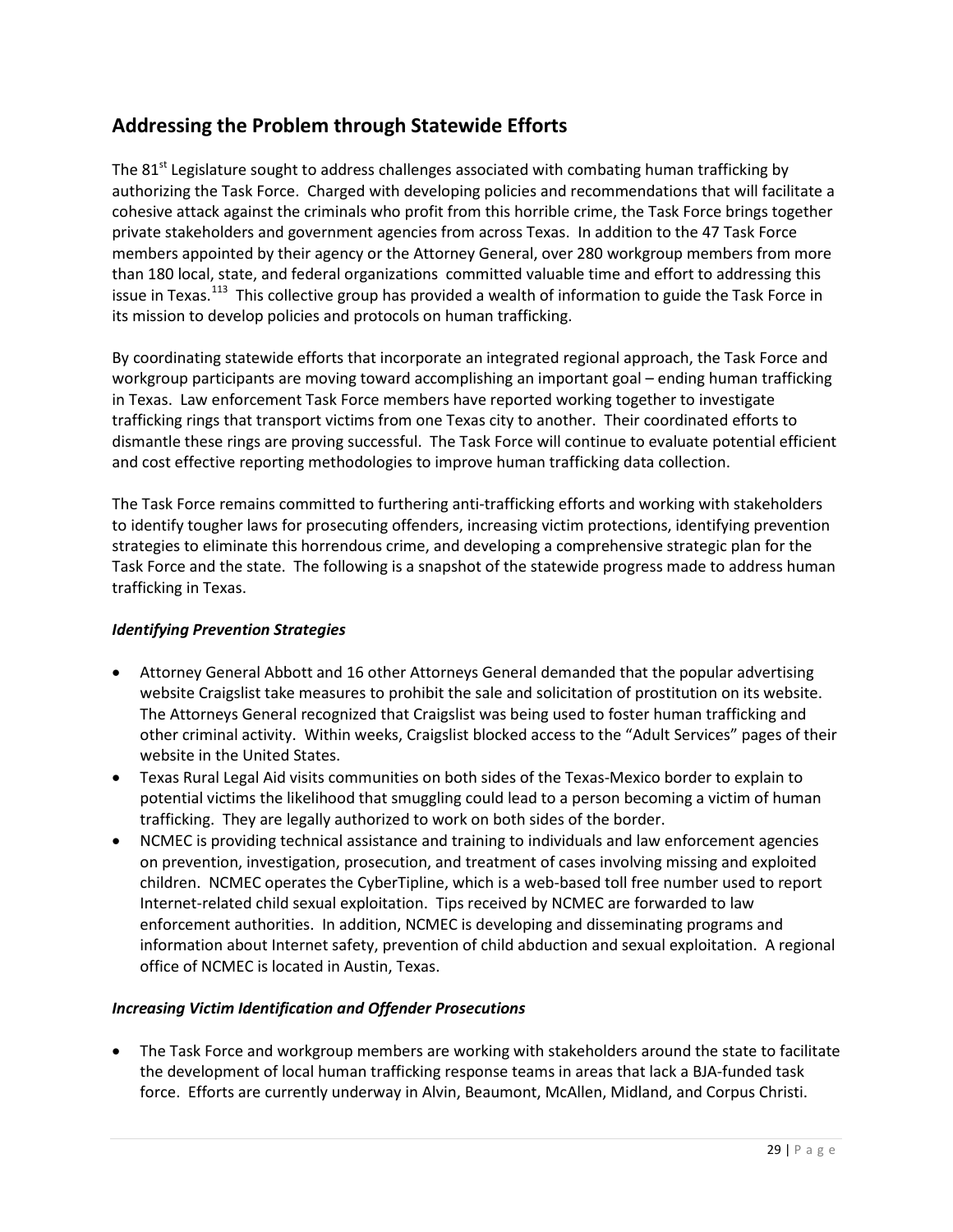# **Addressing the Problem through Statewide Efforts**

The  $81<sup>st</sup>$  Legislature sought to address challenges associated with combating human trafficking by authorizing the Task Force. Charged with developing policies and recommendations that will facilitate a cohesive attack against the criminals who profit from this horrible crime, the Task Force brings together private stakeholders and government agencies from across Texas. In addition to the 47 Task Force members appointed by their agency or the Attorney General, over 280 workgroup members from more than 180 local, state, and federal organizations committed valuable time and effort to addressing this issue in Texas.<sup>113</sup> This collective group has provided a wealth of information to guide the Task Force in its mission to develop policies and protocols on human trafficking.

By coordinating statewide efforts that incorporate an integrated regional approach, the Task Force and workgroup participants are moving toward accomplishing an important goal – ending human trafficking in Texas. Law enforcement Task Force members have reported working together to investigate trafficking rings that transport victims from one Texas city to another. Their coordinated efforts to dismantle these rings are proving successful. The Task Force will continue to evaluate potential efficient and cost effective reporting methodologies to improve human trafficking data collection.

The Task Force remains committed to furthering anti-trafficking efforts and working with stakeholders to identify tougher laws for prosecuting offenders, increasing victim protections, identifying prevention strategies to eliminate this horrendous crime, and developing a comprehensive strategic plan for the Task Force and the state. The following is a snapshot of the statewide progress made to address human trafficking in Texas.

# *Identifying Prevention Strategies*

- Attorney General Abbott and 16 other Attorneys General demanded that the popular advertising website Craigslist take measures to prohibit the sale and solicitation of prostitution on its website. The Attorneys General recognized that Craigslist was being used to foster human trafficking and other criminal activity. Within weeks, Craigslist blocked access to the "Adult Services" pages of their website in the United States.
- Texas Rural Legal Aid visits communities on both sides of the Texas-Mexico border to explain to potential victims the likelihood that smuggling could lead to a person becoming a victim of human trafficking. They are legally authorized to work on both sides of the border.
- NCMEC is providing technical assistance and training to individuals and law enforcement agencies on prevention, investigation, prosecution, and treatment of cases involving missing and exploited children. NCMEC operates the CyberTipline, which is a web-based toll free number used to report Internet-related child sexual exploitation. Tips received by NCMEC are forwarded to law enforcement authorities. In addition, NCMEC is developing and disseminating programs and information about Internet safety, prevention of child abduction and sexual exploitation. A regional office of NCMEC is located in Austin, Texas.

# *Increasing Victim Identification and Offender Prosecutions*

• The Task Force and workgroup members are working with stakeholders around the state to facilitate the development of local human trafficking response teams in areas that lack a BJA-funded task force. Efforts are currently underway in Alvin, Beaumont, McAllen, Midland, and Corpus Christi.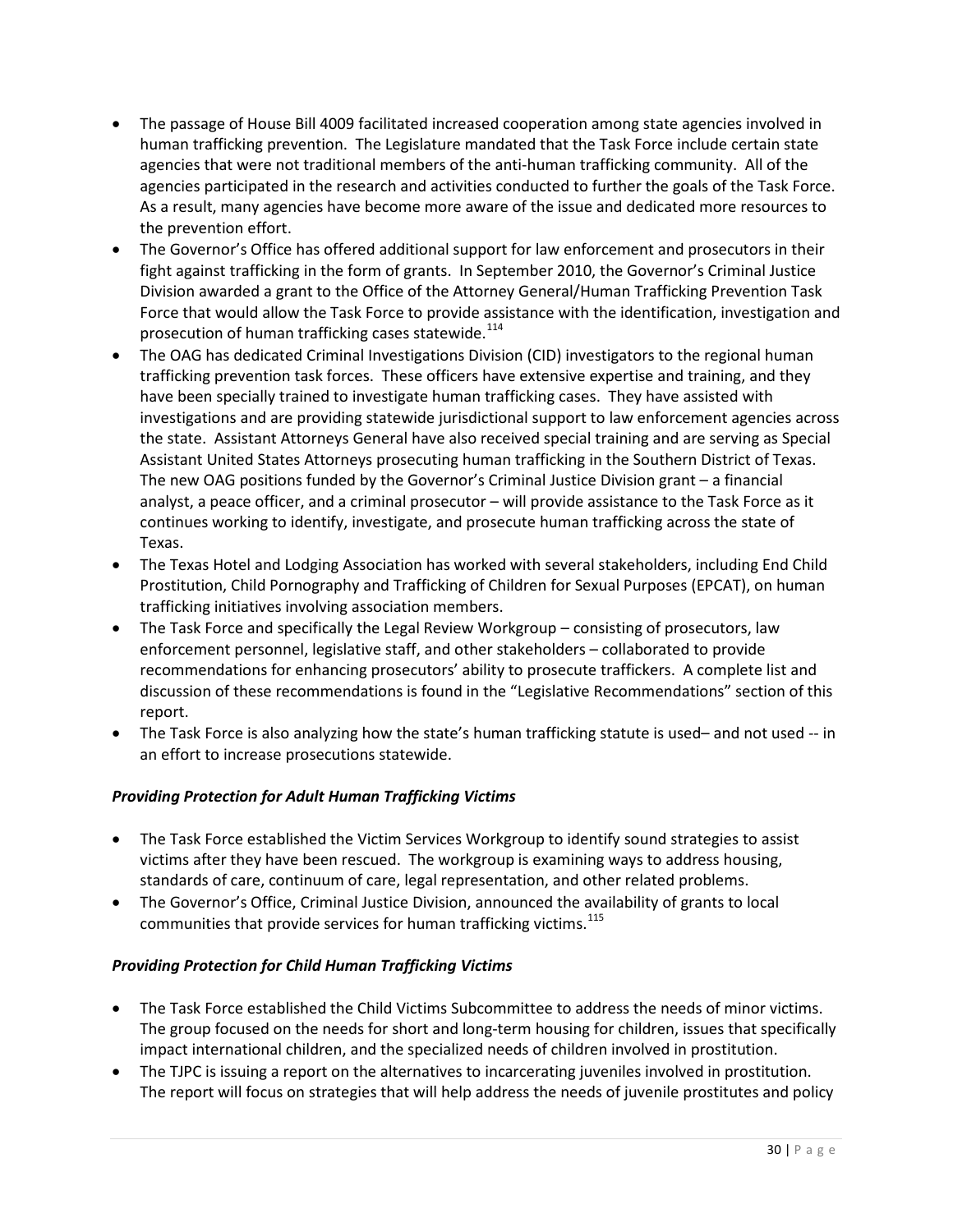- The passage of House Bill 4009 facilitated increased cooperation among state agencies involved in human trafficking prevention. The Legislature mandated that the Task Force include certain state agencies that were not traditional members of the anti-human trafficking community. All of the agencies participated in the research and activities conducted to further the goals of the Task Force. As a result, many agencies have become more aware of the issue and dedicated more resources to the prevention effort.
- The Governor's Office has offered additional support for law enforcement and prosecutors in their fight against trafficking in the form of grants. In September 2010, the Governor's Criminal Justice Division awarded a grant to the Office of the Attorney General/Human Trafficking Prevention Task Force that would allow the Task Force to provide assistance with the identification, investigation and prosecution of human trafficking cases statewide.<sup>[114](#page-68-13)</sup>
- The OAG has dedicated Criminal Investigations Division (CID) investigators to the regional human trafficking prevention task forces. These officers have extensive expertise and training, and they have been specially trained to investigate human trafficking cases. They have assisted with investigations and are providing statewide jurisdictional support to law enforcement agencies across the state. Assistant Attorneys General have also received special training and are serving as Special Assistant United States Attorneys prosecuting human trafficking in the Southern District of Texas. The new OAG positions funded by the Governor's Criminal Justice Division grant – a financial analyst, a peace officer, and a criminal prosecutor – will provide assistance to the Task Force as it continues working to identify, investigate, and prosecute human trafficking across the state of Texas.
- The Texas Hotel and Lodging Association has worked with several stakeholders, including End Child Prostitution, Child Pornography and Trafficking of Children for Sexual Purposes (EPCAT), on human trafficking initiatives involving association members.
- The Task Force and specifically the Legal Review Workgroup consisting of prosecutors, law enforcement personnel, legislative staff, and other stakeholders – collaborated to provide recommendations for enhancing prosecutors' ability to prosecute traffickers. A complete list and discussion of these recommendations is found in the "Legislative Recommendations" section of this report.
- The Task Force is also analyzing how the state's human trafficking statute is used– and not used -- in an effort to increase prosecutions statewide.

# *Providing Protection for Adult Human Trafficking Victims*

- The Task Force established the Victim Services Workgroup to identify sound strategies to assist victims after they have been rescued. The workgroup is examining ways to address housing, standards of care, continuum of care, legal representation, and other related problems.
- The Governor's Office, Criminal Justice Division, announced the availability of grants to local communities that provide services for human trafficking victims.<sup>[115](#page-68-14)</sup>

# *Providing Protection for Child Human Trafficking Victims*

- The Task Force established the Child Victims Subcommittee to address the needs of minor victims. The group focused on the needs for short and long-term housing for children, issues that specifically impact international children, and the specialized needs of children involved in prostitution.
- The TJPC is issuing a report on the alternatives to incarcerating juveniles involved in prostitution. The report will focus on strategies that will help address the needs of juvenile prostitutes and policy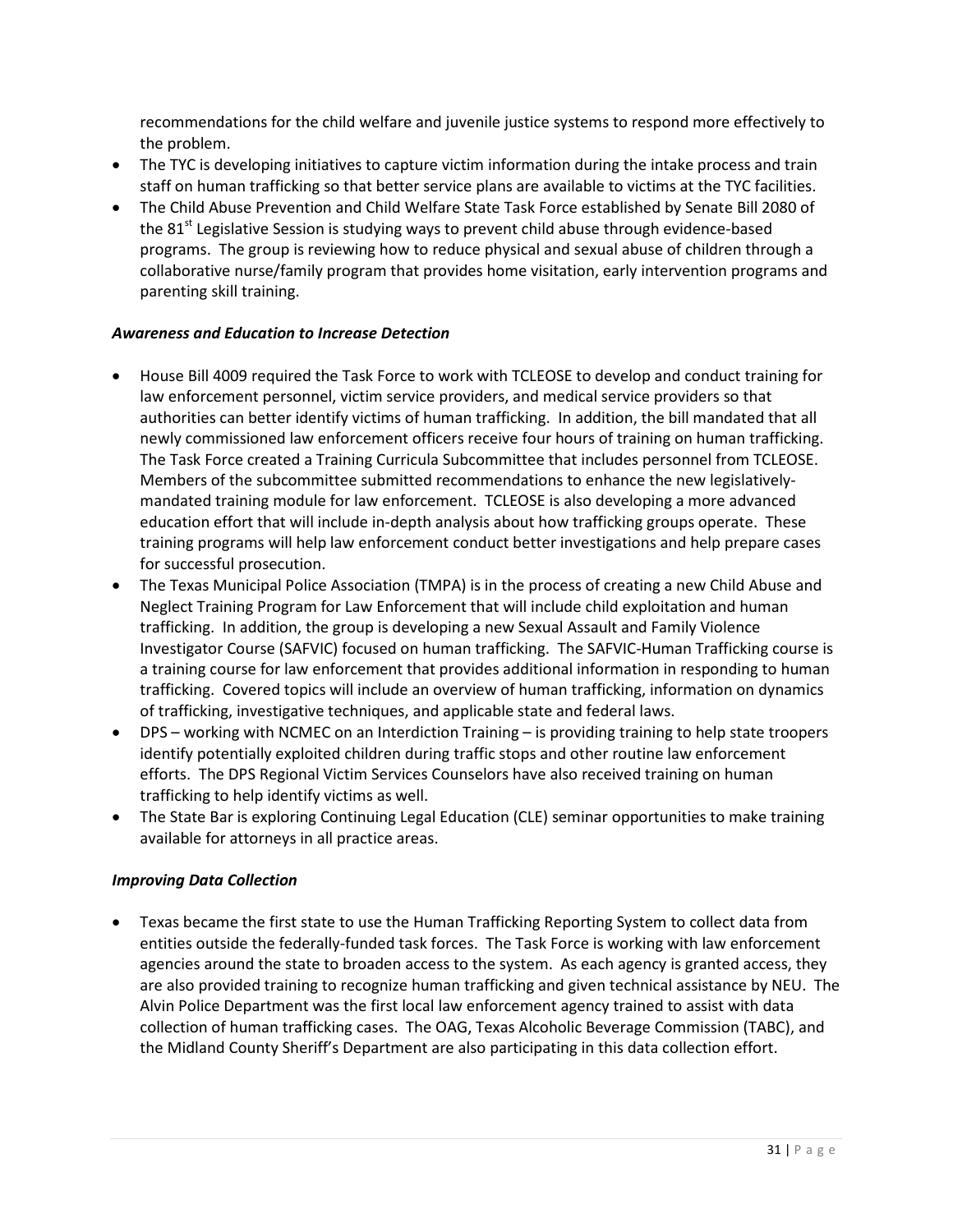recommendations for the child welfare and juvenile justice systems to respond more effectively to the problem.

- The TYC is developing initiatives to capture victim information during the intake process and train staff on human trafficking so that better service plans are available to victims at the TYC facilities.
- The Child Abuse Prevention and Child Welfare State Task Force established by Senate Bill 2080 of the  $81<sup>st</sup>$  Legislative Session is studying ways to prevent child abuse through evidence-based programs. The group is reviewing how to reduce physical and sexual abuse of children through a collaborative nurse/family program that provides home visitation, early intervention programs and parenting skill training.

#### *Awareness and Education to Increase Detection*

- House Bill 4009 required the Task Force to work with TCLEOSE to develop and conduct training for law enforcement personnel, victim service providers, and medical service providers so that authorities can better identify victims of human trafficking. In addition, the bill mandated that all newly commissioned law enforcement officers receive four hours of training on human trafficking. The Task Force created a Training Curricula Subcommittee that includes personnel from TCLEOSE. Members of the subcommittee submitted recommendations to enhance the new legislativelymandated training module for law enforcement. TCLEOSE is also developing a more advanced education effort that will include in-depth analysis about how trafficking groups operate. These training programs will help law enforcement conduct better investigations and help prepare cases for successful prosecution.
- The Texas Municipal Police Association (TMPA) is in the process of creating a new Child Abuse and Neglect Training Program for Law Enforcement that will include child exploitation and human trafficking. In addition, the group is developing a new Sexual Assault and Family Violence Investigator Course (SAFVIC) focused on human trafficking. The SAFVIC-Human Trafficking course is a training course for law enforcement that provides additional information in responding to human trafficking. Covered topics will include an overview of human trafficking, information on dynamics of trafficking, investigative techniques, and applicable state and federal laws.
- DPS working with NCMEC on an Interdiction Training is providing training to help state troopers identify potentially exploited children during traffic stops and other routine law enforcement efforts. The DPS Regional Victim Services Counselors have also received training on human trafficking to help identify victims as well.
- The State Bar is exploring Continuing Legal Education (CLE) seminar opportunities to make training available for attorneys in all practice areas.

# *Improving Data Collection*

• Texas became the first state to use the Human Trafficking Reporting System to collect data from entities outside the federally-funded task forces. The Task Force is working with law enforcement agencies around the state to broaden access to the system. As each agency is granted access, they are also provided training to recognize human trafficking and given technical assistance by NEU. The Alvin Police Department was the first local law enforcement agency trained to assist with data collection of human trafficking cases. The OAG, Texas Alcoholic Beverage Commission (TABC), and the Midland County Sheriff's Department are also participating in this data collection effort.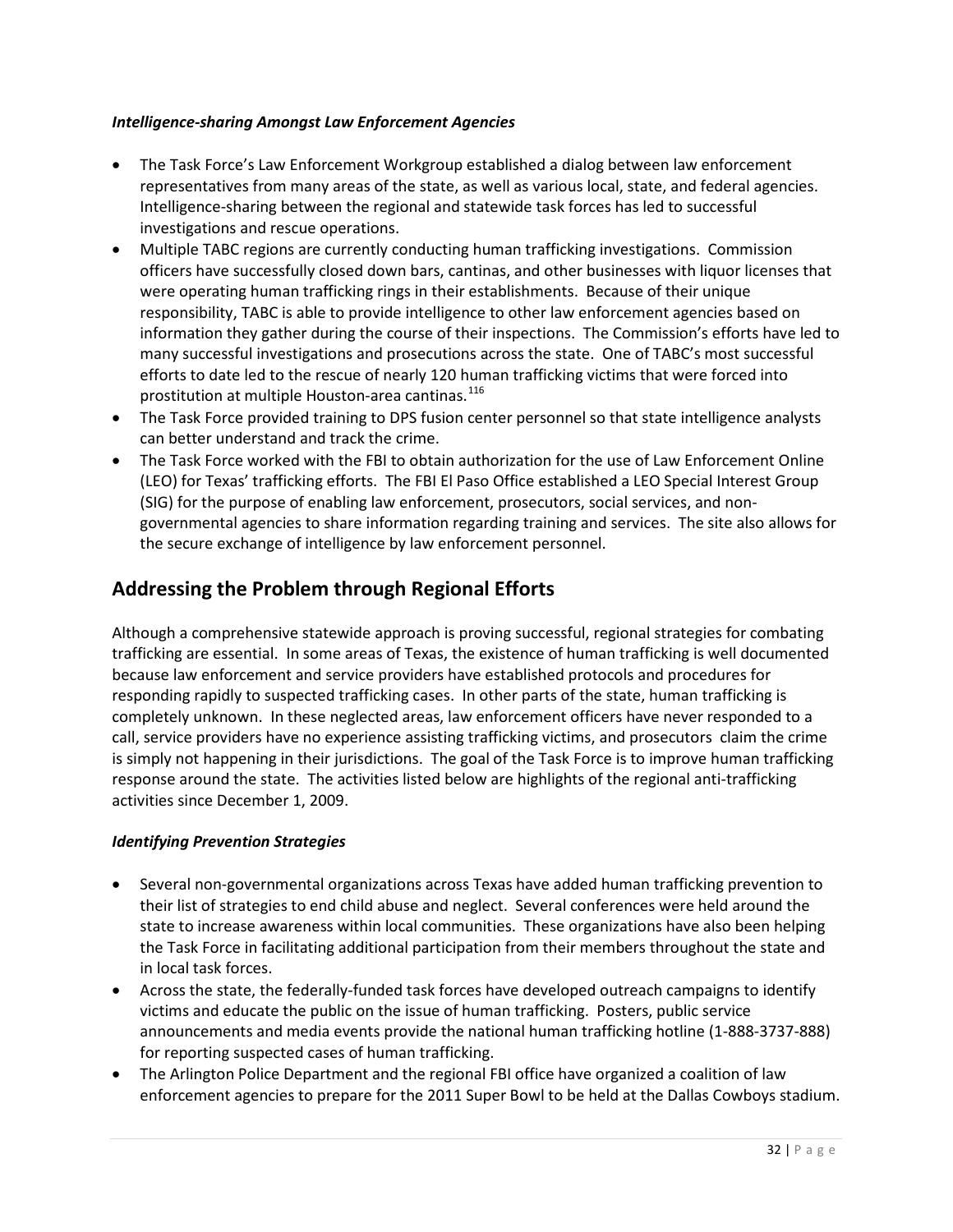#### *Intelligence-sharing Amongst Law Enforcement Agencies*

- The Task Force's Law Enforcement Workgroup established a dialog between law enforcement representatives from many areas of the state, as well as various local, state, and federal agencies. Intelligence-sharing between the regional and statewide task forces has led to successful investigations and rescue operations.
- Multiple TABC regions are currently conducting human trafficking investigations. Commission officers have successfully closed down bars, cantinas, and other businesses with liquor licenses that were operating human trafficking rings in their establishments. Because of their unique responsibility, TABC is able to provide intelligence to other law enforcement agencies based on information they gather during the course of their inspections. The Commission's efforts have led to many successful investigations and prosecutions across the state. One of TABC's most successful efforts to date led to the rescue of nearly 120 human trafficking victims that were forced into prostitution at multiple Houston-area cantinas.<sup>[116](#page-68-15)</sup>
- The Task Force provided training to DPS fusion center personnel so that state intelligence analysts can better understand and track the crime.
- The Task Force worked with the FBI to obtain authorization for the use of Law Enforcement Online (LEO) for Texas' trafficking efforts. The FBI El Paso Office established a LEO Special Interest Group (SIG) for the purpose of enabling law enforcement, prosecutors, social services, and nongovernmental agencies to share information regarding training and services. The site also allows for the secure exchange of intelligence by law enforcement personnel.

# **Addressing the Problem through Regional Efforts**

Although a comprehensive statewide approach is proving successful, regional strategies for combating trafficking are essential. In some areas of Texas, the existence of human trafficking is well documented because law enforcement and service providers have established protocols and procedures for responding rapidly to suspected trafficking cases. In other parts of the state, human trafficking is completely unknown. In these neglected areas, law enforcement officers have never responded to a call, service providers have no experience assisting trafficking victims, and prosecutors claim the crime is simply not happening in their jurisdictions. The goal of the Task Force is to improve human trafficking response around the state. The activities listed below are highlights of the regional anti-trafficking activities since December 1, 2009.

# *Identifying Prevention Strategies*

- Several non-governmental organizations across Texas have added human trafficking prevention to their list of strategies to end child abuse and neglect. Several conferences were held around the state to increase awareness within local communities. These organizations have also been helping the Task Force in facilitating additional participation from their members throughout the state and in local task forces.
- Across the state, the federally-funded task forces have developed outreach campaigns to identify victims and educate the public on the issue of human trafficking. Posters, public service announcements and media events provide the national human trafficking hotline (1-888-3737-888) for reporting suspected cases of human trafficking.
- The Arlington Police Department and the regional FBI office have organized a coalition of law enforcement agencies to prepare for the 2011 Super Bowl to be held at the Dallas Cowboys stadium.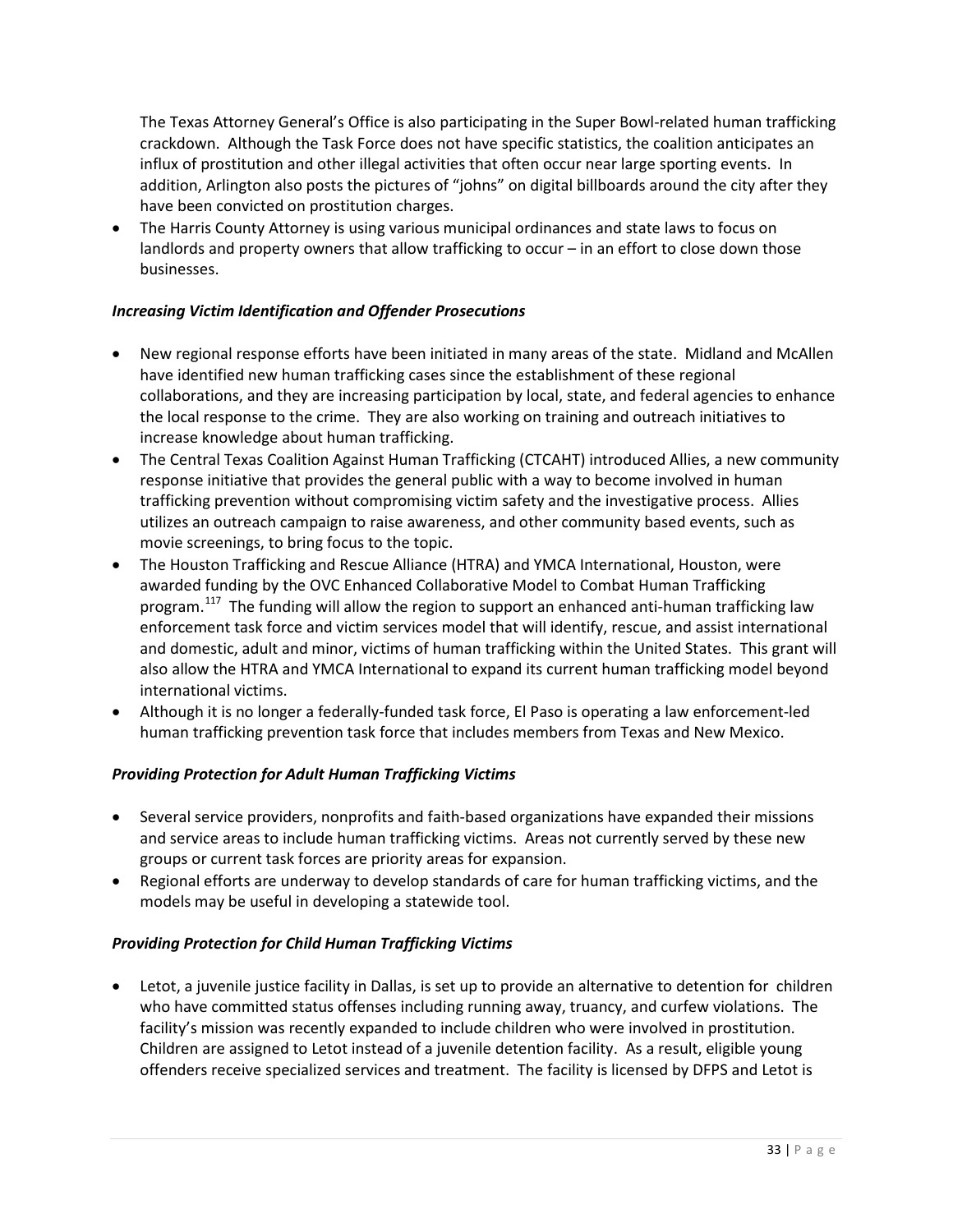The Texas Attorney General's Office is also participating in the Super Bowl-related human trafficking crackdown. Although the Task Force does not have specific statistics, the coalition anticipates an influx of prostitution and other illegal activities that often occur near large sporting events. In addition, Arlington also posts the pictures of "johns" on digital billboards around the city after they have been convicted on prostitution charges.

• The Harris County Attorney is using various municipal ordinances and state laws to focus on landlords and property owners that allow trafficking to occur – in an effort to close down those businesses.

# *Increasing Victim Identification and Offender Prosecutions*

- New regional response efforts have been initiated in many areas of the state. Midland and McAllen have identified new human trafficking cases since the establishment of these regional collaborations, and they are increasing participation by local, state, and federal agencies to enhance the local response to the crime. They are also working on training and outreach initiatives to increase knowledge about human trafficking.
- The Central Texas Coalition Against Human Trafficking (CTCAHT) introduced Allies, a new community response initiative that provides the general public with a way to become involved in human trafficking prevention without compromising victim safety and the investigative process. Allies utilizes an outreach campaign to raise awareness, and other community based events, such as movie screenings, to bring focus to the topic.
- The Houston Trafficking and Rescue Alliance (HTRA) and YMCA International, Houston, were awarded funding by the OVC Enhanced Collaborative Model to Combat Human Trafficking program.<sup>[117](#page-68-16)</sup> The funding will allow the region to support an enhanced anti-human trafficking law enforcement task force and victim services model that will identify, rescue, and assist international and domestic, adult and minor, victims of human trafficking within the United States. This grant will also allow the HTRA and YMCA International to expand its current human trafficking model beyond international victims.
- Although it is no longer a federally-funded task force, El Paso is operating a law enforcement-led human trafficking prevention task force that includes members from Texas and New Mexico.

# *Providing Protection for Adult Human Trafficking Victims*

- Several service providers, nonprofits and faith-based organizations have expanded their missions and service areas to include human trafficking victims. Areas not currently served by these new groups or current task forces are priority areas for expansion.
- Regional efforts are underway to develop standards of care for human trafficking victims, and the models may be useful in developing a statewide tool.

# *Providing Protection for Child Human Trafficking Victims*

• Letot, a juvenile justice facility in Dallas, is set up to provide an alternative to detention for children who have committed status offenses including running away, truancy, and curfew violations. The facility's mission was recently expanded to include children who were involved in prostitution. Children are assigned to Letot instead of a juvenile detention facility. As a result, eligible young offenders receive specialized services and treatment. The facility is licensed by DFPS and Letot is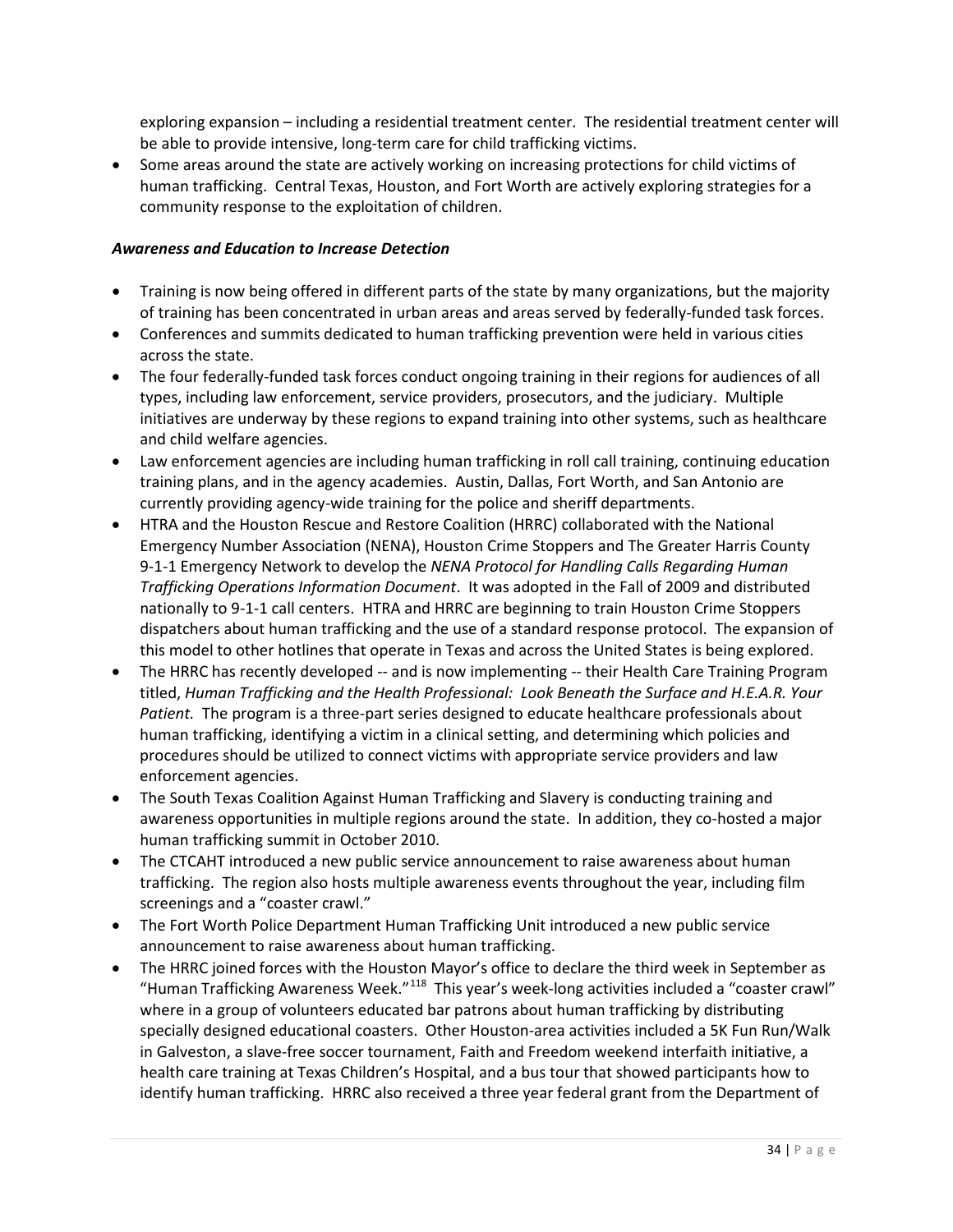exploring expansion – including a residential treatment center. The residential treatment center will be able to provide intensive, long-term care for child trafficking victims.

• Some areas around the state are actively working on increasing protections for child victims of human trafficking. Central Texas, Houston, and Fort Worth are actively exploring strategies for a community response to the exploitation of children.

#### *Awareness and Education to Increase Detection*

- Training is now being offered in different parts of the state by many organizations, but the majority of training has been concentrated in urban areas and areas served by federally-funded task forces.
- Conferences and summits dedicated to human trafficking prevention were held in various cities across the state.
- The four federally-funded task forces conduct ongoing training in their regions for audiences of all types, including law enforcement, service providers, prosecutors, and the judiciary. Multiple initiatives are underway by these regions to expand training into other systems, such as healthcare and child welfare agencies.
- Law enforcement agencies are including human trafficking in roll call training, continuing education training plans, and in the agency academies. Austin, Dallas, Fort Worth, and San Antonio are currently providing agency-wide training for the police and sheriff departments.
- HTRA and the Houston Rescue and Restore Coalition (HRRC) collaborated with the National Emergency Number Association (NENA), Houston Crime Stoppers and The Greater Harris County 9-1-1 Emergency Network to develop the *NENA Protocol for Handling Calls Regarding Human Trafficking Operations Information Document*. It was adopted in the Fall of 2009 and distributed nationally to 9-1-1 call centers. HTRA and HRRC are beginning to train Houston Crime Stoppers dispatchers about human trafficking and the use of a standard response protocol. The expansion of this model to other hotlines that operate in Texas and across the United States is being explored.
- The HRRC has recently developed -- and is now implementing -- their Health Care Training Program titled, *Human Trafficking and the Health Professional: Look Beneath the Surface and H.E.A.R. Your Patient.* The program is a three-part series designed to educate healthcare professionals about human trafficking, identifying a victim in a clinical setting, and determining which policies and procedures should be utilized to connect victims with appropriate service providers and law enforcement agencies.
- The South Texas Coalition Against Human Trafficking and Slavery is conducting training and awareness opportunities in multiple regions around the state. In addition, they co-hosted a major human trafficking summit in October 2010.
- The CTCAHT introduced a new public service announcement to raise awareness about human trafficking. The region also hosts multiple awareness events throughout the year, including film screenings and a "coaster crawl."
- The Fort Worth Police Department Human Trafficking Unit introduced a new public service announcement to raise awareness about human trafficking.
- The HRRC joined forces with the Houston Mayor's office to declare the third week in September as "Human Trafficking Awareness Week."[118](#page-68-17) This year's week-long activities included a "coaster crawl" where in a group of volunteers educated bar patrons about human trafficking by distributing specially designed educational coasters. Other Houston-area activities included a 5K Fun Run/Walk in Galveston, a slave-free soccer tournament, Faith and Freedom weekend interfaith initiative, a health care training at Texas Children's Hospital, and a bus tour that showed participants how to identify human trafficking. HRRC also received a three year federal grant from the Department of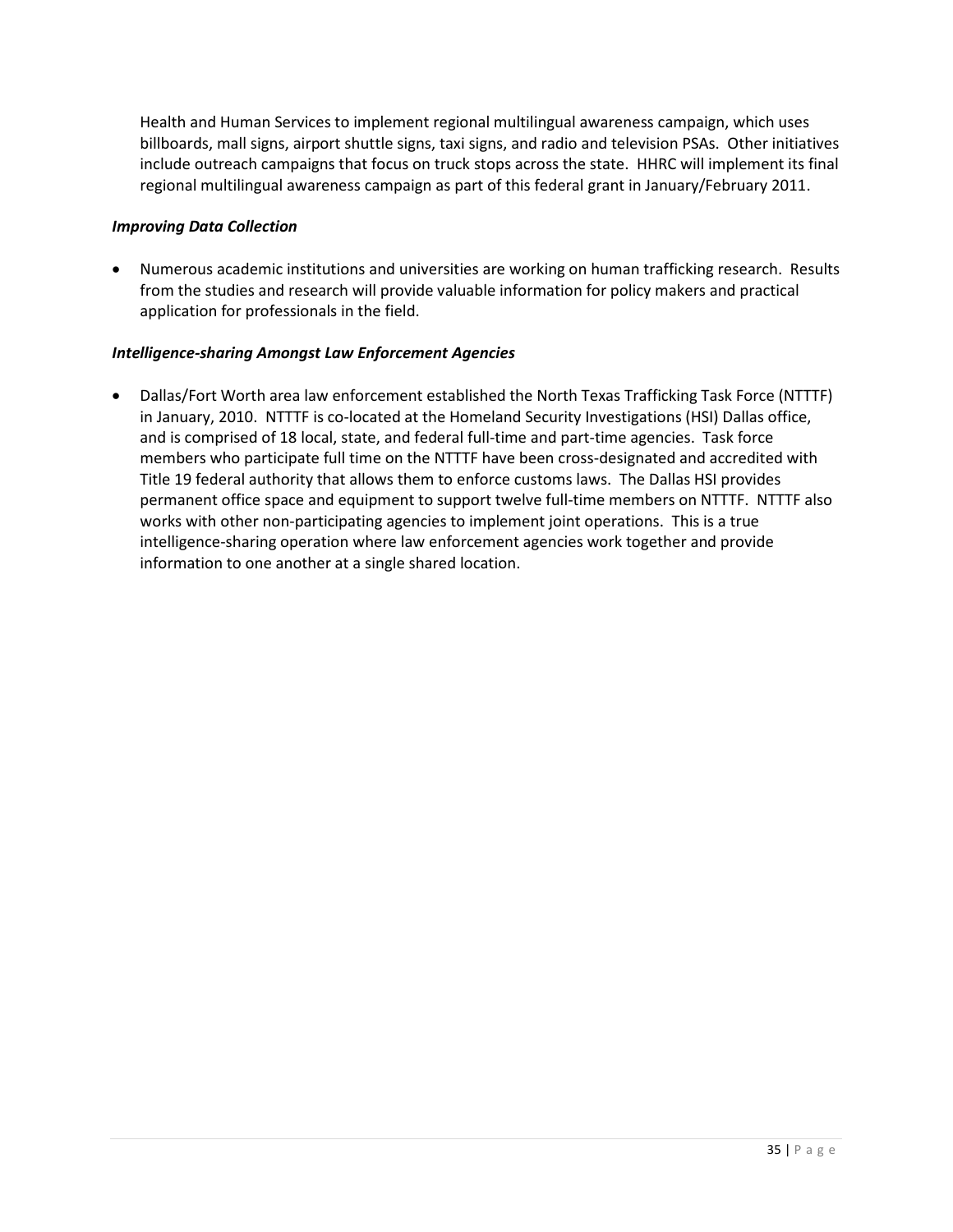Health and Human Services to implement regional multilingual awareness campaign, which uses billboards, mall signs, airport shuttle signs, taxi signs, and radio and television PSAs. Other initiatives include outreach campaigns that focus on truck stops across the state. HHRC will implement its final regional multilingual awareness campaign as part of this federal grant in January/February 2011.

## *Improving Data Collection*

• Numerous academic institutions and universities are working on human trafficking research. Results from the studies and research will provide valuable information for policy makers and practical application for professionals in the field.

## *Intelligence-sharing Amongst Law Enforcement Agencies*

• Dallas/Fort Worth area law enforcement established the North Texas Trafficking Task Force (NTTTF) in January, 2010. NTTTF is co-located at the Homeland Security Investigations (HSI) Dallas office, and is comprised of 18 local, state, and federal full-time and part-time agencies. Task force members who participate full time on the NTTTF have been cross-designated and accredited with Title 19 federal authority that allows them to enforce customs laws. The Dallas HSI provides permanent office space and equipment to support twelve full-time members on NTTTF. NTTTF also works with other non-participating agencies to implement joint operations. This is a true intelligence-sharing operation where law enforcement agencies work together and provide information to one another at a single shared location.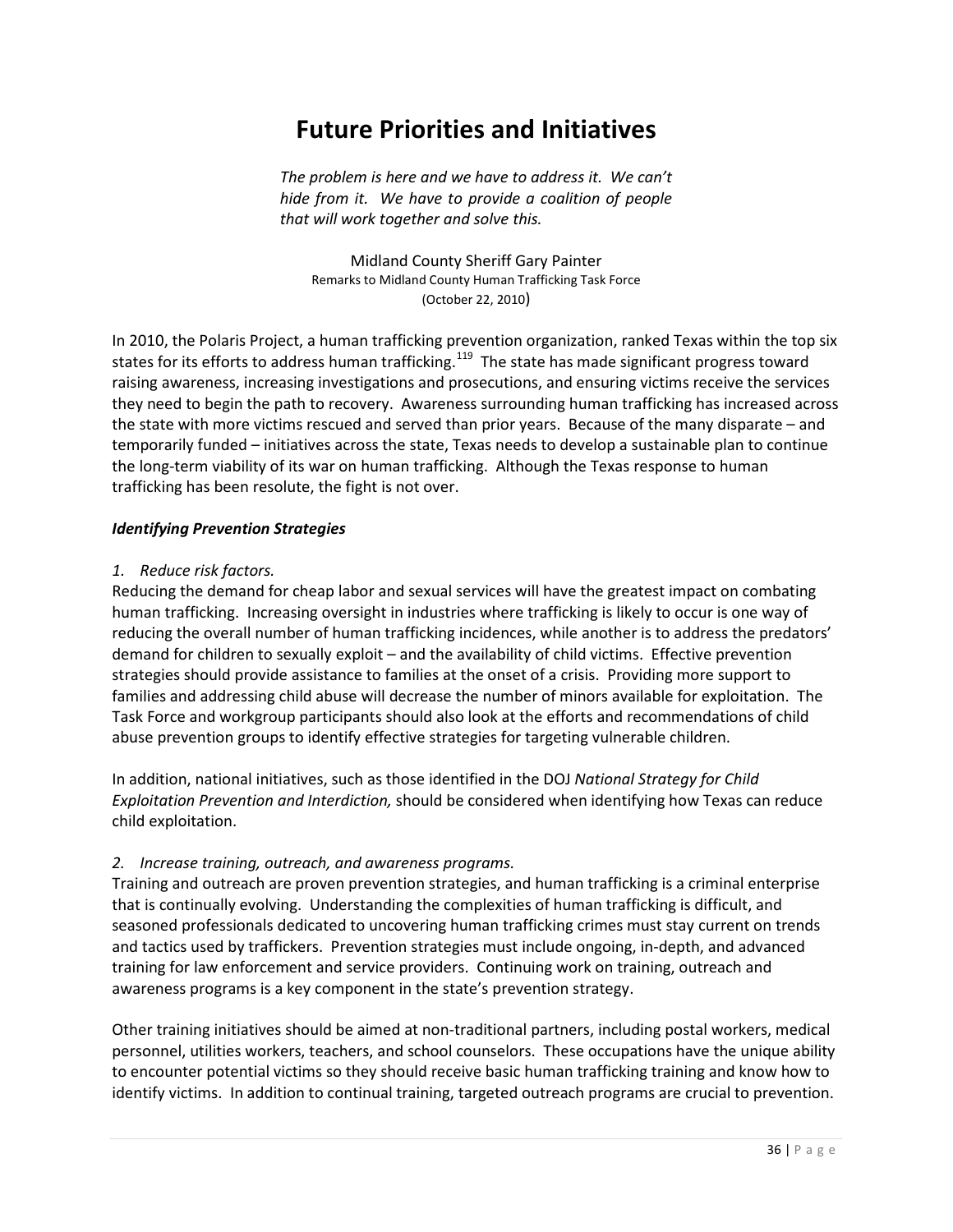# **Future Priorities and Initiatives**

*The problem is here and we have to address it. We can't hide from it. We have to provide a coalition of people that will work together and solve this.*

Midland County Sheriff Gary Painter Remarks to Midland County Human Trafficking Task Force (October 22, 2010)

In 2010, the Polaris Project, a human trafficking prevention organization, ranked Texas within the top six states for its efforts to address human trafficking.<sup>[119](#page-68-0)</sup> The state has made significant progress toward raising awareness, increasing investigations and prosecutions, and ensuring victims receive the services they need to begin the path to recovery. Awareness surrounding human trafficking has increased across the state with more victims rescued and served than prior years. Because of the many disparate – and temporarily funded – initiatives across the state, Texas needs to develop a sustainable plan to continue the long-term viability of its war on human trafficking. Although the Texas response to human trafficking has been resolute, the fight is not over.

#### *Identifying Prevention Strategies*

#### *1. Reduce risk factors.*

Reducing the demand for cheap labor and sexual services will have the greatest impact on combating human trafficking. Increasing oversight in industries where trafficking is likely to occur is one way of reducing the overall number of human trafficking incidences, while another is to address the predators' demand for children to sexually exploit – and the availability of child victims. Effective prevention strategies should provide assistance to families at the onset of a crisis. Providing more support to families and addressing child abuse will decrease the number of minors available for exploitation. The Task Force and workgroup participants should also look at the efforts and recommendations of child abuse prevention groups to identify effective strategies for targeting vulnerable children.

In addition, national initiatives, such as those identified in the DOJ *National Strategy for Child Exploitation Prevention and Interdiction,* should be considered when identifying how Texas can reduce child exploitation.

## *2. Increase training, outreach, and awareness programs.*

Training and outreach are proven prevention strategies, and human trafficking is a criminal enterprise that is continually evolving. Understanding the complexities of human trafficking is difficult, and seasoned professionals dedicated to uncovering human trafficking crimes must stay current on trends and tactics used by traffickers. Prevention strategies must include ongoing, in-depth, and advanced training for law enforcement and service providers. Continuing work on training, outreach and awareness programs is a key component in the state's prevention strategy.

Other training initiatives should be aimed at non-traditional partners, including postal workers, medical personnel, utilities workers, teachers, and school counselors. These occupations have the unique ability to encounter potential victims so they should receive basic human trafficking training and know how to identify victims. In addition to continual training, targeted outreach programs are crucial to prevention.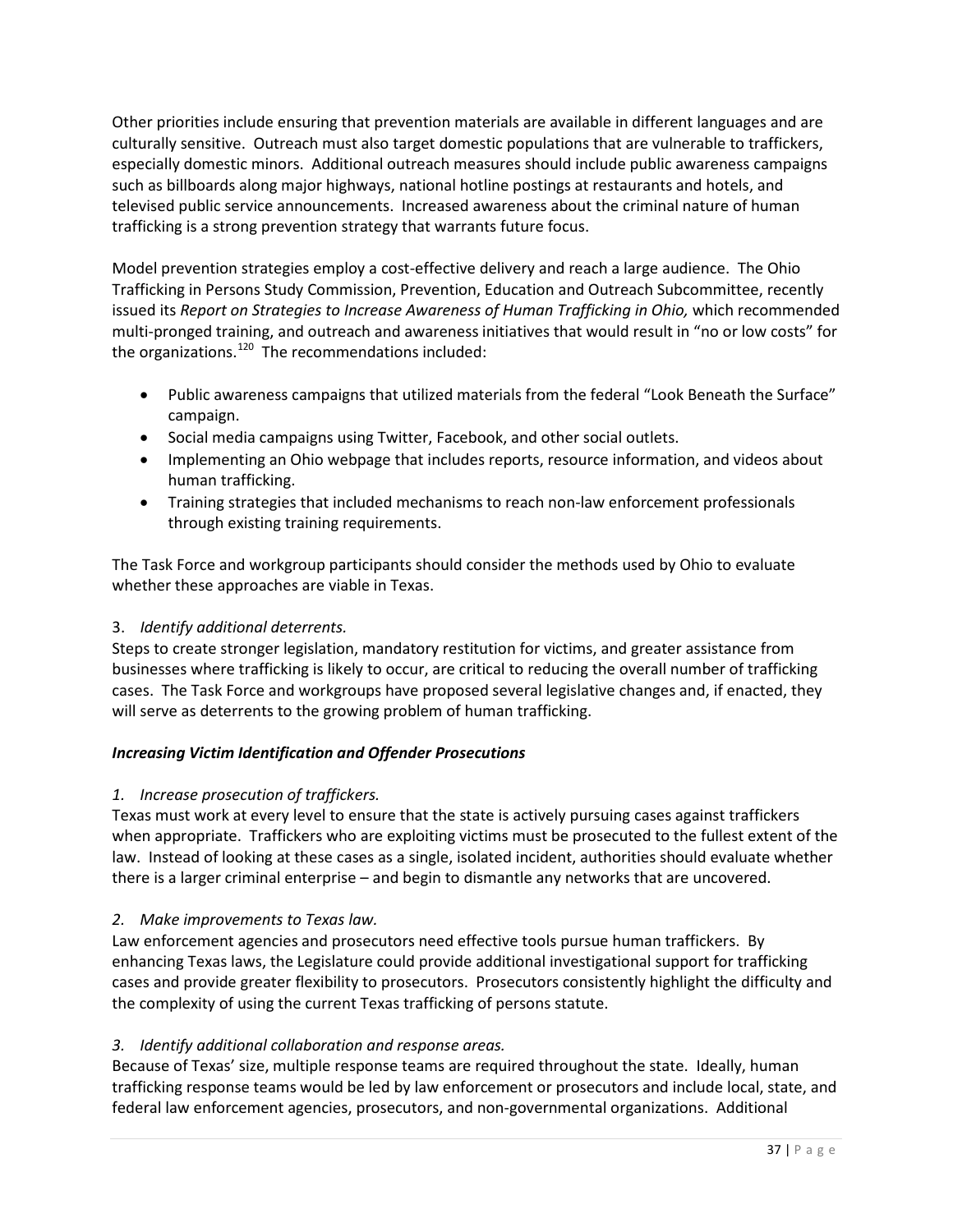Other priorities include ensuring that prevention materials are available in different languages and are culturally sensitive. Outreach must also target domestic populations that are vulnerable to traffickers, especially domestic minors. Additional outreach measures should include public awareness campaigns such as billboards along major highways, national hotline postings at restaurants and hotels, and televised public service announcements. Increased awareness about the criminal nature of human trafficking is a strong prevention strategy that warrants future focus.

Model prevention strategies employ a cost-effective delivery and reach a large audience. The Ohio Trafficking in Persons Study Commission, Prevention, Education and Outreach Subcommittee, recently issued its *Report on Strategies to Increase Awareness of Human Trafficking in Ohio, which recommended* multi-pronged training, and outreach and awareness initiatives that would result in "no or low costs" for the organizations. $120$  The recommendations included:

- Public awareness campaigns that utilized materials from the federal "Look Beneath the Surface" campaign.
- Social media campaigns using Twitter, Facebook, and other social outlets.
- Implementing an Ohio webpage that includes reports, resource information, and videos about human trafficking.
- Training strategies that included mechanisms to reach non-law enforcement professionals through existing training requirements.

The Task Force and workgroup participants should consider the methods used by Ohio to evaluate whether these approaches are viable in Texas.

# 3. *Identify additional deterrents.*

Steps to create stronger legislation, mandatory restitution for victims, and greater assistance from businesses where trafficking is likely to occur, are critical to reducing the overall number of trafficking cases. The Task Force and workgroups have proposed several legislative changes and, if enacted, they will serve as deterrents to the growing problem of human trafficking.

# *Increasing Victim Identification and Offender Prosecutions*

## *1. Increase prosecution of traffickers.*

Texas must work at every level to ensure that the state is actively pursuing cases against traffickers when appropriate. Traffickers who are exploiting victims must be prosecuted to the fullest extent of the law. Instead of looking at these cases as a single, isolated incident, authorities should evaluate whether there is a larger criminal enterprise – and begin to dismantle any networks that are uncovered.

# *2. Make improvements to Texas law.*

Law enforcement agencies and prosecutors need effective tools pursue human traffickers. By enhancing Texas laws, the Legislature could provide additional investigational support for trafficking cases and provide greater flexibility to prosecutors. Prosecutors consistently highlight the difficulty and the complexity of using the current Texas trafficking of persons statute.

## *3. Identify additional collaboration and response areas.*

Because of Texas' size, multiple response teams are required throughout the state. Ideally, human trafficking response teams would be led by law enforcement or prosecutors and include local, state, and federal law enforcement agencies, prosecutors, and non-governmental organizations. Additional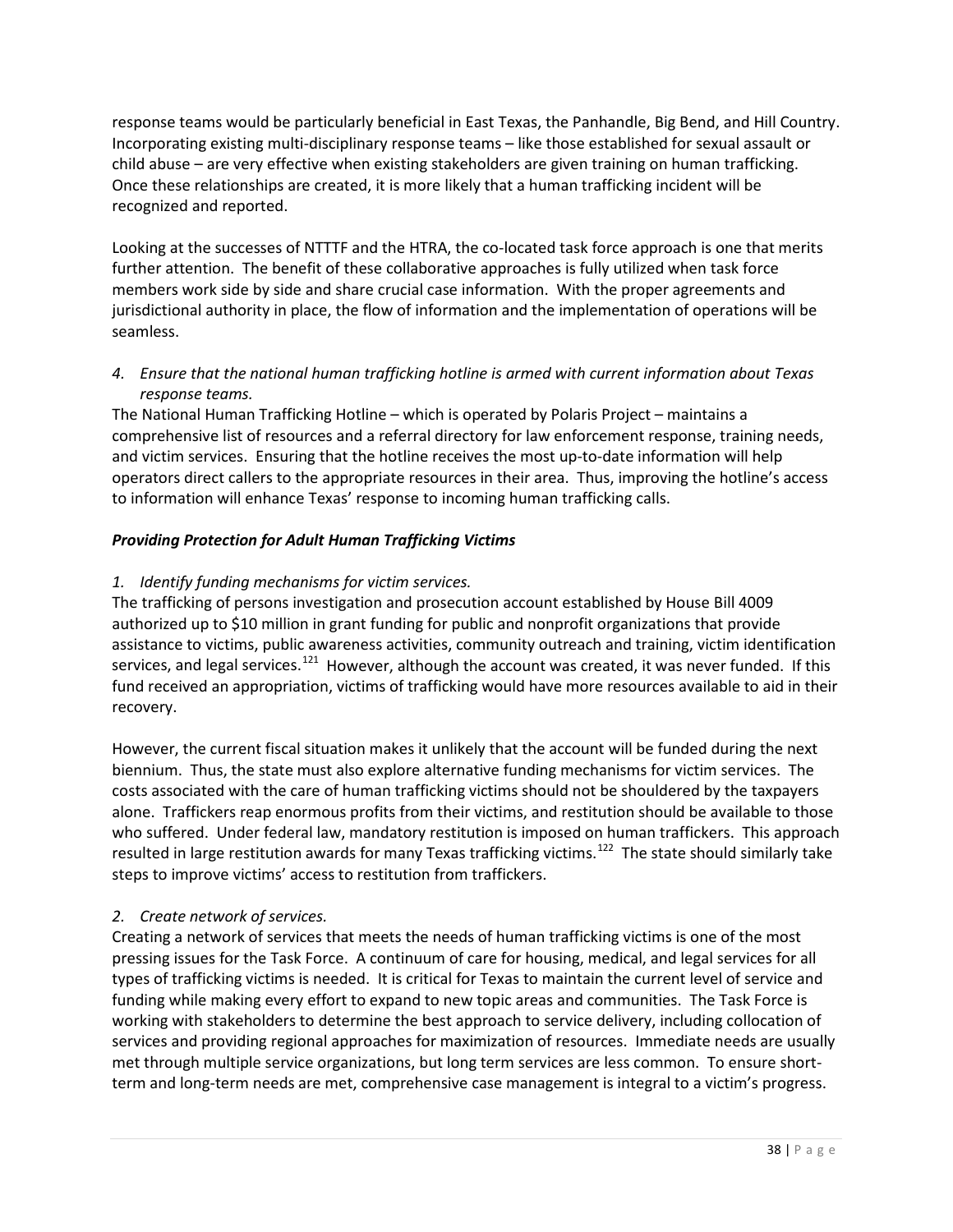response teams would be particularly beneficial in East Texas, the Panhandle, Big Bend, and Hill Country. Incorporating existing multi-disciplinary response teams – like those established for sexual assault or child abuse – are very effective when existing stakeholders are given training on human trafficking. Once these relationships are created, it is more likely that a human trafficking incident will be recognized and reported.

Looking at the successes of NTTTF and the HTRA, the co-located task force approach is one that merits further attention. The benefit of these collaborative approaches is fully utilized when task force members work side by side and share crucial case information. With the proper agreements and jurisdictional authority in place, the flow of information and the implementation of operations will be seamless.

# *4. Ensure that the national human trafficking hotline is armed with current information about Texas response teams.*

The National Human Trafficking Hotline – which is operated by Polaris Project – maintains a comprehensive list of resources and a referral directory for law enforcement response, training needs, and victim services. Ensuring that the hotline receives the most up-to-date information will help operators direct callers to the appropriate resources in their area. Thus, improving the hotline's access to information will enhance Texas' response to incoming human trafficking calls.

# *Providing Protection for Adult Human Trafficking Victims*

# *1. Identify funding mechanisms for victim services.*

The trafficking of persons investigation and prosecution account established by House Bill 4009 authorized up to \$10 million in grant funding for public and nonprofit organizations that provide assistance to victims, public awareness activities, community outreach and training, victim identification services, and legal services.<sup>121</sup> However, although the account was created, it was never funded. If this fund received an appropriation, victims of trafficking would have more resources available to aid in their recovery.

However, the current fiscal situation makes it unlikely that the account will be funded during the next biennium. Thus, the state must also explore alternative funding mechanisms for victim services. The costs associated with the care of human trafficking victims should not be shouldered by the taxpayers alone. Traffickers reap enormous profits from their victims, and restitution should be available to those who suffered. Under federal law, mandatory restitution is imposed on human traffickers. This approach resulted in large restitution awards for many Texas trafficking victims.<sup>[122](#page-68-3)</sup> The state should similarly take steps to improve victims' access to restitution from traffickers.

# *2. Create network of services.*

Creating a network of services that meets the needs of human trafficking victims is one of the most pressing issues for the Task Force. A continuum of care for housing, medical, and legal services for all types of trafficking victims is needed. It is critical for Texas to maintain the current level of service and funding while making every effort to expand to new topic areas and communities. The Task Force is working with stakeholders to determine the best approach to service delivery, including collocation of services and providing regional approaches for maximization of resources. Immediate needs are usually met through multiple service organizations, but long term services are less common. To ensure shortterm and long-term needs are met, comprehensive case management is integral to a victim's progress.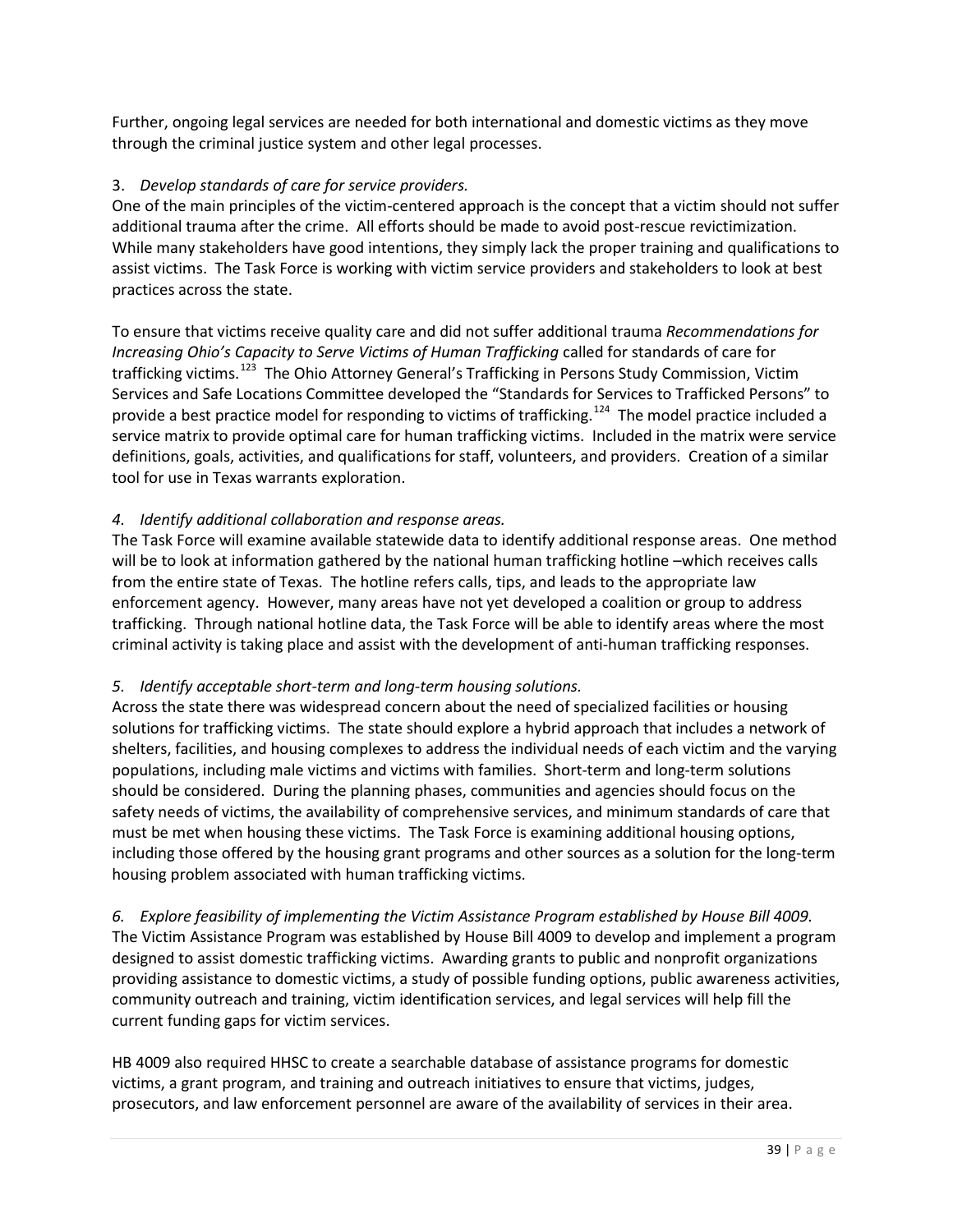Further, ongoing legal services are needed for both international and domestic victims as they move through the criminal justice system and other legal processes.

## 3. *Develop standards of care for service providers.*

One of the main principles of the victim-centered approach is the concept that a victim should not suffer additional trauma after the crime. All efforts should be made to avoid post-rescue revictimization. While many stakeholders have good intentions, they simply lack the proper training and qualifications to assist victims. The Task Force is working with victim service providers and stakeholders to look at best practices across the state.

To ensure that victims receive quality care and did not suffer additional trauma *Recommendations for Increasing Ohio's Capacity to Serve Victims of Human Trafficking* called for standards of care for trafficking victims.<sup>123</sup> The Ohio Attorney General's Trafficking in Persons Study Commission, Victim Services and Safe Locations Committee developed the "Standards for Services to Trafficked Persons" to provide a best practice model for responding to victims of trafficking.<sup>[124](#page-69-1)</sup> The model practice included a service matrix to provide optimal care for human trafficking victims. Included in the matrix were service definitions, goals, activities, and qualifications for staff, volunteers, and providers. Creation of a similar tool for use in Texas warrants exploration.

## *4. Identify additional collaboration and response areas.*

The Task Force will examine available statewide data to identify additional response areas. One method will be to look at information gathered by the national human trafficking hotline –which receives calls from the entire state of Texas. The hotline refers calls, tips, and leads to the appropriate law enforcement agency. However, many areas have not yet developed a coalition or group to address trafficking. Through national hotline data, the Task Force will be able to identify areas where the most criminal activity is taking place and assist with the development of anti-human trafficking responses.

# *5. Identify acceptable short-term and long-term housing solutions.*

Across the state there was widespread concern about the need of specialized facilities or housing solutions for trafficking victims. The state should explore a hybrid approach that includes a network of shelters, facilities, and housing complexes to address the individual needs of each victim and the varying populations, including male victims and victims with families. Short-term and long-term solutions should be considered. During the planning phases, communities and agencies should focus on the safety needs of victims, the availability of comprehensive services, and minimum standards of care that must be met when housing these victims. The Task Force is examining additional housing options, including those offered by the housing grant programs and other sources as a solution for the long-term housing problem associated with human trafficking victims.

*6. Explore feasibility of implementing the Victim Assistance Program established by House Bill 4009.*  The Victim Assistance Program was established by House Bill 4009 to develop and implement a program designed to assist domestic trafficking victims. Awarding grants to public and nonprofit organizations providing assistance to domestic victims, a study of possible funding options, public awareness activities, community outreach and training, victim identification services, and legal services will help fill the current funding gaps for victim services.

HB 4009 also required HHSC to create a searchable database of assistance programs for domestic victims, a grant program, and training and outreach initiatives to ensure that victims, judges, prosecutors, and law enforcement personnel are aware of the availability of services in their area.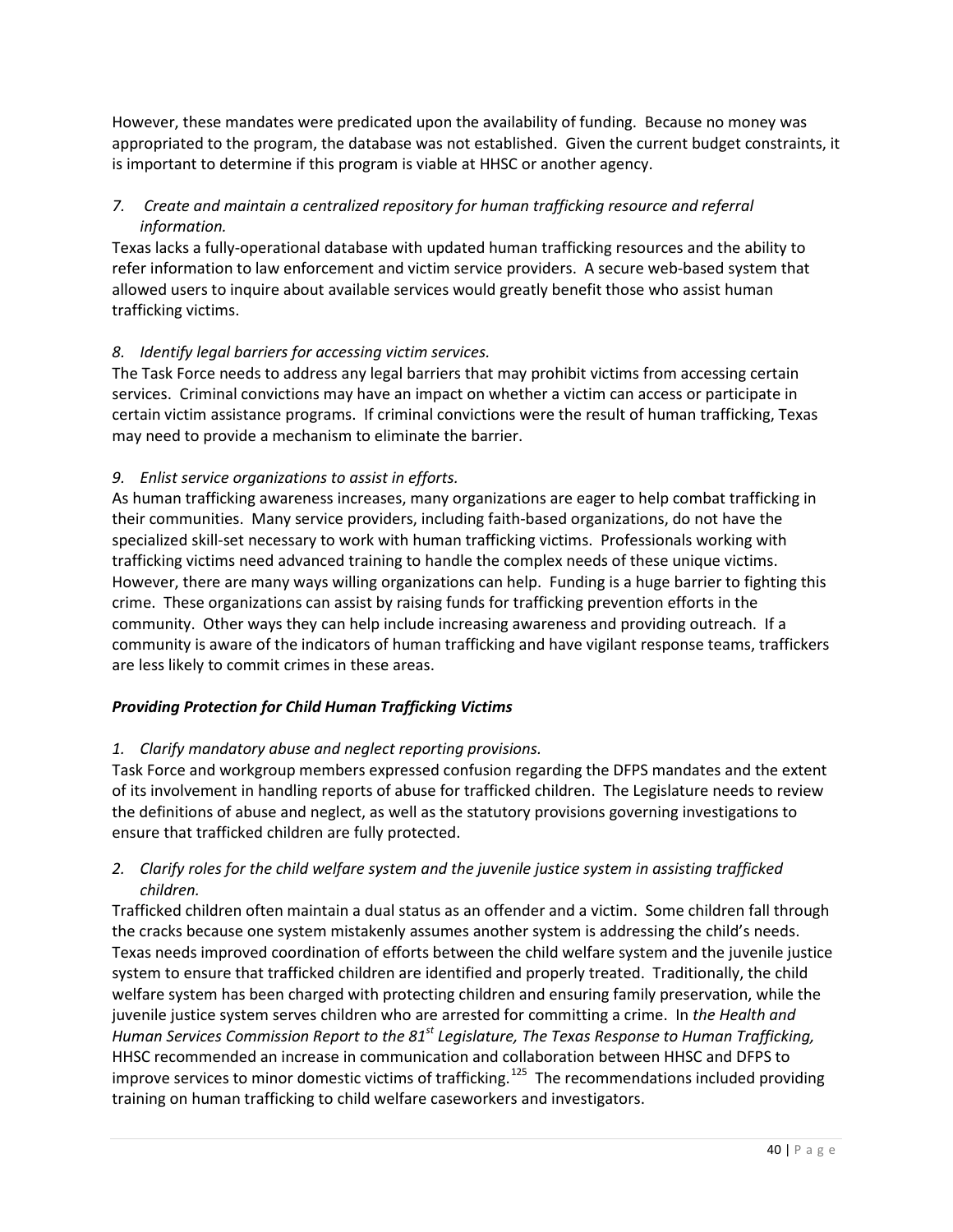However, these mandates were predicated upon the availability of funding. Because no money was appropriated to the program, the database was not established. Given the current budget constraints, it is important to determine if this program is viable at HHSC or another agency.

# *7. Create and maintain a centralized repository for human trafficking resource and referral information.*

Texas lacks a fully-operational database with updated human trafficking resources and the ability to refer information to law enforcement and victim service providers. A secure web-based system that allowed users to inquire about available services would greatly benefit those who assist human trafficking victims.

# *8. Identify legal barriers for accessing victim services.*

The Task Force needs to address any legal barriers that may prohibit victims from accessing certain services. Criminal convictions may have an impact on whether a victim can access or participate in certain victim assistance programs. If criminal convictions were the result of human trafficking, Texas may need to provide a mechanism to eliminate the barrier.

# *9. Enlist service organizations to assist in efforts.*

As human trafficking awareness increases, many organizations are eager to help combat trafficking in their communities. Many service providers, including faith-based organizations, do not have the specialized skill-set necessary to work with human trafficking victims. Professionals working with trafficking victims need advanced training to handle the complex needs of these unique victims. However, there are many ways willing organizations can help. Funding is a huge barrier to fighting this crime. These organizations can assist by raising funds for trafficking prevention efforts in the community. Other ways they can help include increasing awareness and providing outreach. If a community is aware of the indicators of human trafficking and have vigilant response teams, traffickers are less likely to commit crimes in these areas.

# *Providing Protection for Child Human Trafficking Victims*

# *1. Clarify mandatory abuse and neglect reporting provisions.*

Task Force and workgroup members expressed confusion regarding the DFPS mandates and the extent of its involvement in handling reports of abuse for trafficked children. The Legislature needs to review the definitions of abuse and neglect, as well as the statutory provisions governing investigations to ensure that trafficked children are fully protected.

# *2. Clarify roles for the child welfare system and the juvenile justice system in assisting trafficked children.*

Trafficked children often maintain a dual status as an offender and a victim. Some children fall through the cracks because one system mistakenly assumes another system is addressing the child's needs. Texas needs improved coordination of efforts between the child welfare system and the juvenile justice system to ensure that trafficked children are identified and properly treated. Traditionally, the child welfare system has been charged with protecting children and ensuring family preservation, while the juvenile justice system serves children who are arrested for committing a crime. In *the Health and Human Services Commission Report to the 81st Legislature, The Texas Response to Human Trafficking,* HHSC recommended an increase in communication and collaboration between HHSC and DFPS to improve services to minor domestic victims of trafficking.<sup>[125](#page-69-2)</sup> The recommendations included providing training on human trafficking to child welfare caseworkers and investigators.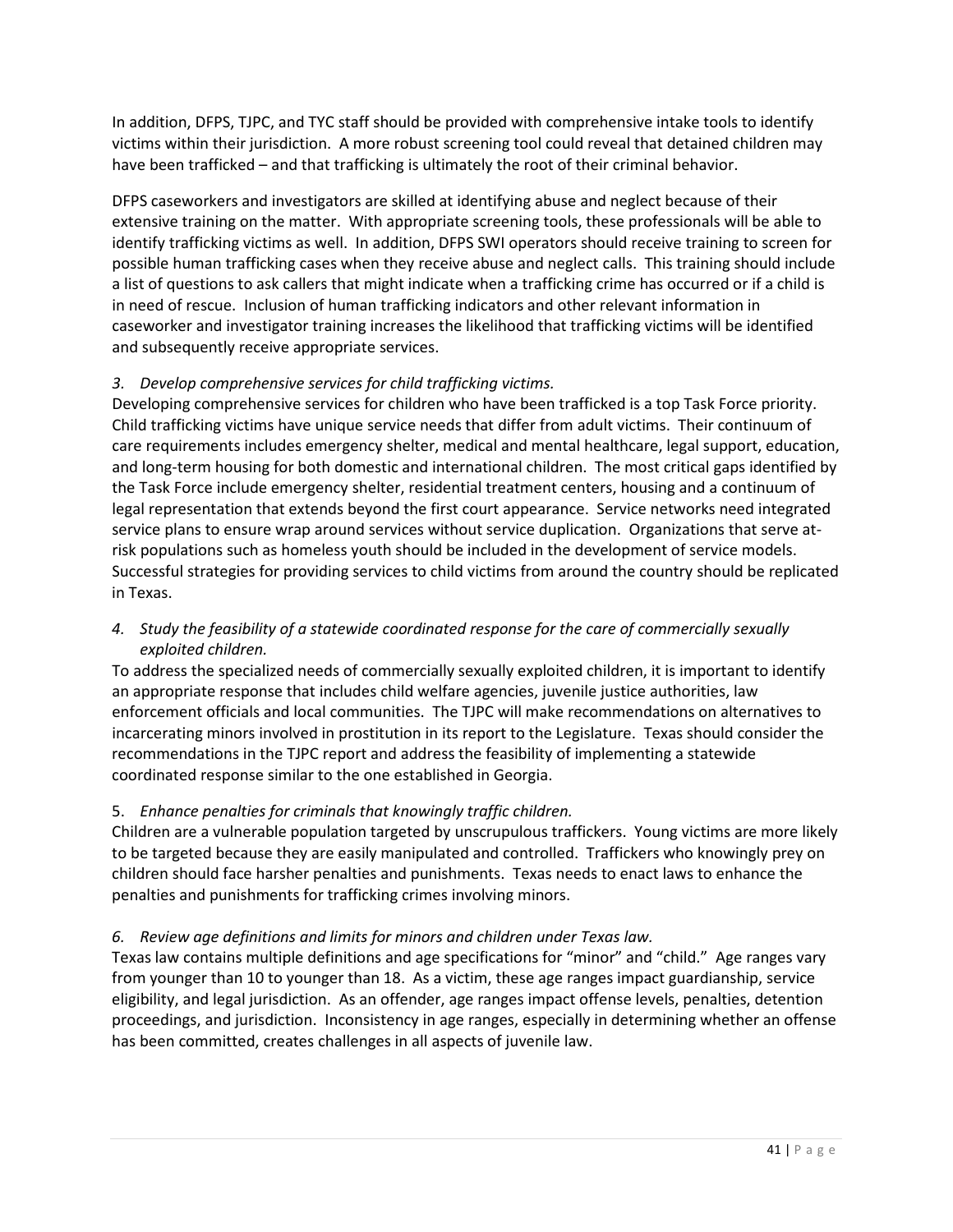In addition, DFPS, TJPC, and TYC staff should be provided with comprehensive intake tools to identify victims within their jurisdiction. A more robust screening tool could reveal that detained children may have been trafficked – and that trafficking is ultimately the root of their criminal behavior.

DFPS caseworkers and investigators are skilled at identifying abuse and neglect because of their extensive training on the matter. With appropriate screening tools, these professionals will be able to identify trafficking victims as well. In addition, DFPS SWI operators should receive training to screen for possible human trafficking cases when they receive abuse and neglect calls. This training should include a list of questions to ask callers that might indicate when a trafficking crime has occurred or if a child is in need of rescue. Inclusion of human trafficking indicators and other relevant information in caseworker and investigator training increases the likelihood that trafficking victims will be identified and subsequently receive appropriate services.

# *3. Develop comprehensive services for child trafficking victims.*

Developing comprehensive services for children who have been trafficked is a top Task Force priority. Child trafficking victims have unique service needs that differ from adult victims. Their continuum of care requirements includes emergency shelter, medical and mental healthcare, legal support, education, and long-term housing for both domestic and international children. The most critical gaps identified by the Task Force include emergency shelter, residential treatment centers, housing and a continuum of legal representation that extends beyond the first court appearance. Service networks need integrated service plans to ensure wrap around services without service duplication. Organizations that serve atrisk populations such as homeless youth should be included in the development of service models. Successful strategies for providing services to child victims from around the country should be replicated in Texas.

# *4. Study the feasibility of a statewide coordinated response for the care of commercially sexually exploited children.*

To address the specialized needs of commercially sexually exploited children, it is important to identify an appropriate response that includes child welfare agencies, juvenile justice authorities, law enforcement officials and local communities. The TJPC will make recommendations on alternatives to incarcerating minors involved in prostitution in its report to the Legislature. Texas should consider the recommendations in the TJPC report and address the feasibility of implementing a statewide coordinated response similar to the one established in Georgia.

# 5. *Enhance penalties for criminals that knowingly traffic children.*

Children are a vulnerable population targeted by unscrupulous traffickers. Young victims are more likely to be targeted because they are easily manipulated and controlled. Traffickers who knowingly prey on children should face harsher penalties and punishments. Texas needs to enact laws to enhance the penalties and punishments for trafficking crimes involving minors.

# *6. Review age definitions and limits for minors and children under Texas law.*

Texas law contains multiple definitions and age specifications for "minor" and "child." Age ranges vary from younger than 10 to younger than 18. As a victim, these age ranges impact guardianship, service eligibility, and legal jurisdiction. As an offender, age ranges impact offense levels, penalties, detention proceedings, and jurisdiction. Inconsistency in age ranges, especially in determining whether an offense has been committed, creates challenges in all aspects of juvenile law.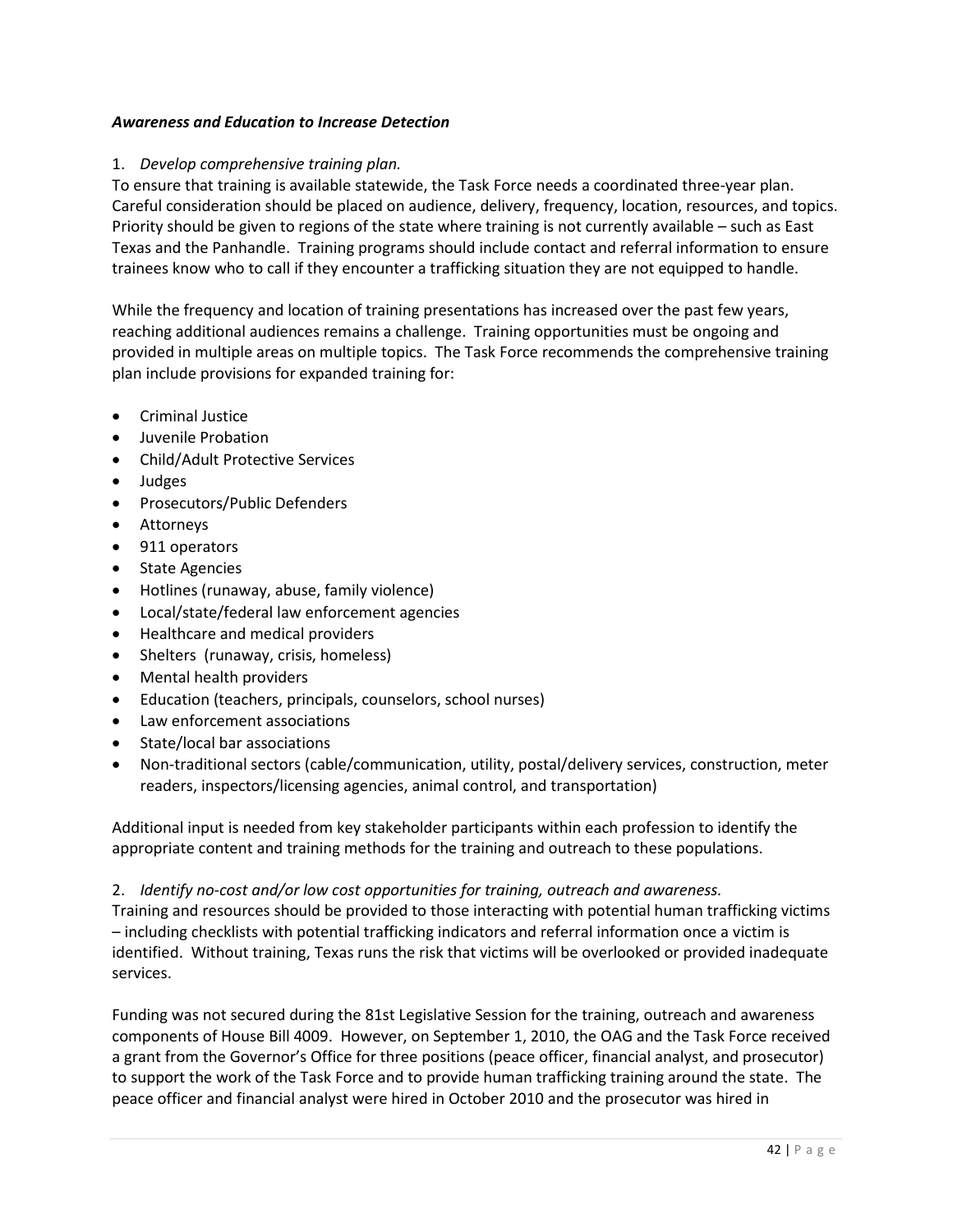## *Awareness and Education to Increase Detection*

## 1. *Develop comprehensive training plan.*

To ensure that training is available statewide, the Task Force needs a coordinated three-year plan. Careful consideration should be placed on audience, delivery, frequency, location, resources, and topics. Priority should be given to regions of the state where training is not currently available – such as East Texas and the Panhandle. Training programs should include contact and referral information to ensure trainees know who to call if they encounter a trafficking situation they are not equipped to handle.

While the frequency and location of training presentations has increased over the past few years, reaching additional audiences remains a challenge. Training opportunities must be ongoing and provided in multiple areas on multiple topics. The Task Force recommends the comprehensive training plan include provisions for expanded training for:

- Criminal Justice
- Juvenile Probation
- Child/Adult Protective Services
- Judges
- Prosecutors/Public Defenders
- Attorneys
- 911 operators
- State Agencies
- Hotlines (runaway, abuse, family violence)
- Local/state/federal law enforcement agencies
- Healthcare and medical providers
- Shelters (runaway, crisis, homeless)
- Mental health providers
- Education (teachers, principals, counselors, school nurses)
- Law enforcement associations
- State/local bar associations
- Non-traditional sectors (cable/communication, utility, postal/delivery services, construction, meter readers, inspectors/licensing agencies, animal control, and transportation)

Additional input is needed from key stakeholder participants within each profession to identify the appropriate content and training methods for the training and outreach to these populations.

2. *Identify no-cost and/or low cost opportunities for training, outreach and awareness.*

Training and resources should be provided to those interacting with potential human trafficking victims – including checklists with potential trafficking indicators and referral information once a victim is identified. Without training, Texas runs the risk that victims will be overlooked or provided inadequate services.

Funding was not secured during the 81st Legislative Session for the training, outreach and awareness components of House Bill 4009. However, on September 1, 2010, the OAG and the Task Force received a grant from the Governor's Office for three positions (peace officer, financial analyst, and prosecutor) to support the work of the Task Force and to provide human trafficking training around the state. The peace officer and financial analyst were hired in October 2010 and the prosecutor was hired in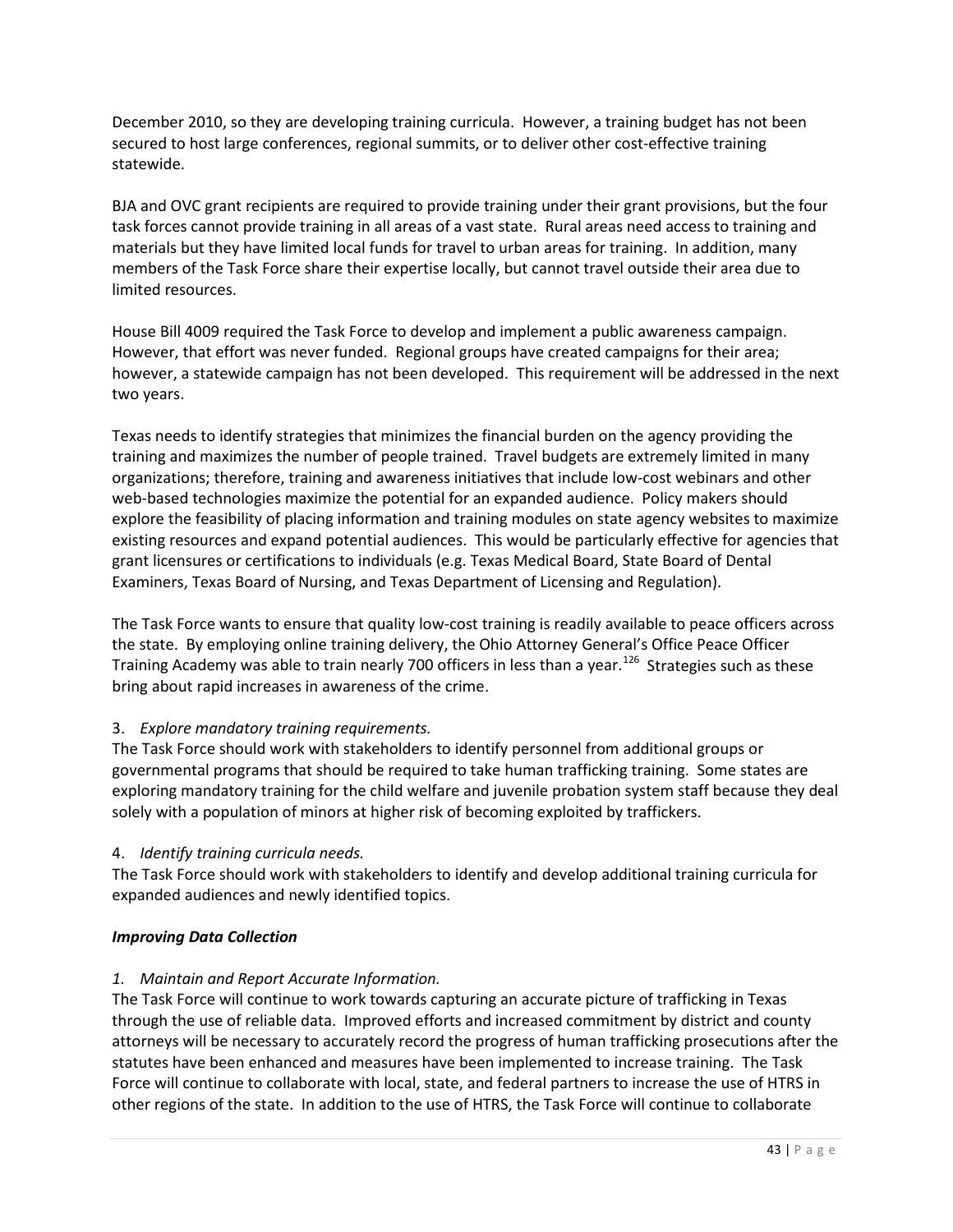December 2010, so they are developing training curricula. However, a training budget has not been secured to host large conferences, regional summits, or to deliver other cost-effective training statewide.

BJA and OVC grant recipients are required to provide training under their grant provisions, but the four task forces cannot provide training in all areas of a vast state. Rural areas need access to training and materials but they have limited local funds for travel to urban areas for training. In addition, many members of the Task Force share their expertise locally, but cannot travel outside their area due to limited resources.

House Bill 4009 required the Task Force to develop and implement a public awareness campaign. However, that effort was never funded. Regional groups have created campaigns for their area; however, a statewide campaign has not been developed. This requirement will be addressed in the next two years.

Texas needs to identify strategies that minimizes the financial burden on the agency providing the training and maximizes the number of people trained. Travel budgets are extremely limited in many organizations; therefore, training and awareness initiatives that include low-cost webinars and other web-based technologies maximize the potential for an expanded audience. Policy makers should explore the feasibility of placing information and training modules on state agency websites to maximize existing resources and expand potential audiences. This would be particularly effective for agencies that grant licensures or certifications to individuals (e.g. Texas Medical Board, State Board of Dental Examiners, Texas Board of Nursing, and Texas Department of Licensing and Regulation).

The Task Force wants to ensure that quality low-cost training is readily available to peace officers across the state. By employing online training delivery, the Ohio Attorney General's Office Peace Officer Training Academy was able to train nearly 700 officers in less than a year.<sup>[126](#page-69-3)</sup> Strategies such as these bring about rapid increases in awareness of the crime.

# 3. *Explore mandatory training requirements.*

The Task Force should work with stakeholders to identify personnel from additional groups or governmental programs that should be required to take human trafficking training. Some states are exploring mandatory training for the child welfare and juvenile probation system staff because they deal solely with a population of minors at higher risk of becoming exploited by traffickers.

# 4. *Identify training curricula needs.*

The Task Force should work with stakeholders to identify and develop additional training curricula for expanded audiences and newly identified topics.

# *Improving Data Collection*

# *1. Maintain and Report Accurate Information.*

The Task Force will continue to work towards capturing an accurate picture of trafficking in Texas through the use of reliable data. Improved efforts and increased commitment by district and county attorneys will be necessary to accurately record the progress of human trafficking prosecutions after the statutes have been enhanced and measures have been implemented to increase training. The Task Force will continue to collaborate with local, state, and federal partners to increase the use of HTRS in other regions of the state. In addition to the use of HTRS, the Task Force will continue to collaborate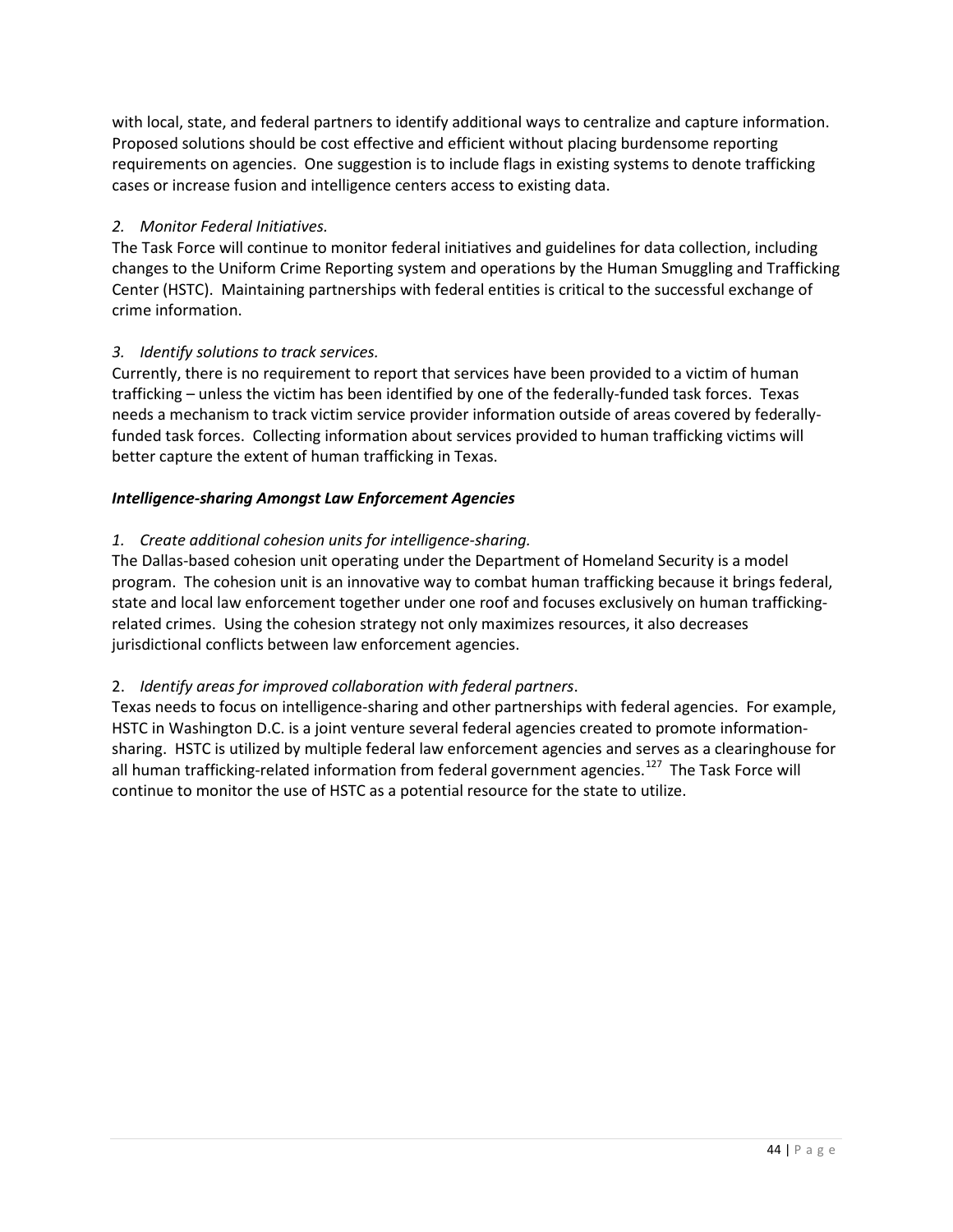with local, state, and federal partners to identify additional ways to centralize and capture information. Proposed solutions should be cost effective and efficient without placing burdensome reporting requirements on agencies. One suggestion is to include flags in existing systems to denote trafficking cases or increase fusion and intelligence centers access to existing data.

# *2. Monitor Federal Initiatives.*

The Task Force will continue to monitor federal initiatives and guidelines for data collection, including changes to the Uniform Crime Reporting system and operations by the Human Smuggling and Trafficking Center (HSTC). Maintaining partnerships with federal entities is critical to the successful exchange of crime information.

# *3. Identify solutions to track services.*

Currently, there is no requirement to report that services have been provided to a victim of human trafficking – unless the victim has been identified by one of the federally-funded task forces. Texas needs a mechanism to track victim service provider information outside of areas covered by federallyfunded task forces. Collecting information about services provided to human trafficking victims will better capture the extent of human trafficking in Texas.

# *Intelligence-sharing Amongst Law Enforcement Agencies*

# *1. Create additional cohesion units for intelligence-sharing.*

The Dallas-based cohesion unit operating under the Department of Homeland Security is a model program. The cohesion unit is an innovative way to combat human trafficking because it brings federal, state and local law enforcement together under one roof and focuses exclusively on human traffickingrelated crimes. Using the cohesion strategy not only maximizes resources, it also decreases jurisdictional conflicts between law enforcement agencies.

# 2. *Identify areas for improved collaboration with federal partners*.

Texas needs to focus on intelligence-sharing and other partnerships with federal agencies. For example, HSTC in Washington D.C. is a joint venture several federal agencies created to promote informationsharing. HSTC is utilized by multiple federal law enforcement agencies and serves as a clearinghouse for all human trafficking-related information from federal government agencies.<sup>127</sup> The Task Force will continue to monitor the use of HSTC as a potential resource for the state to utilize.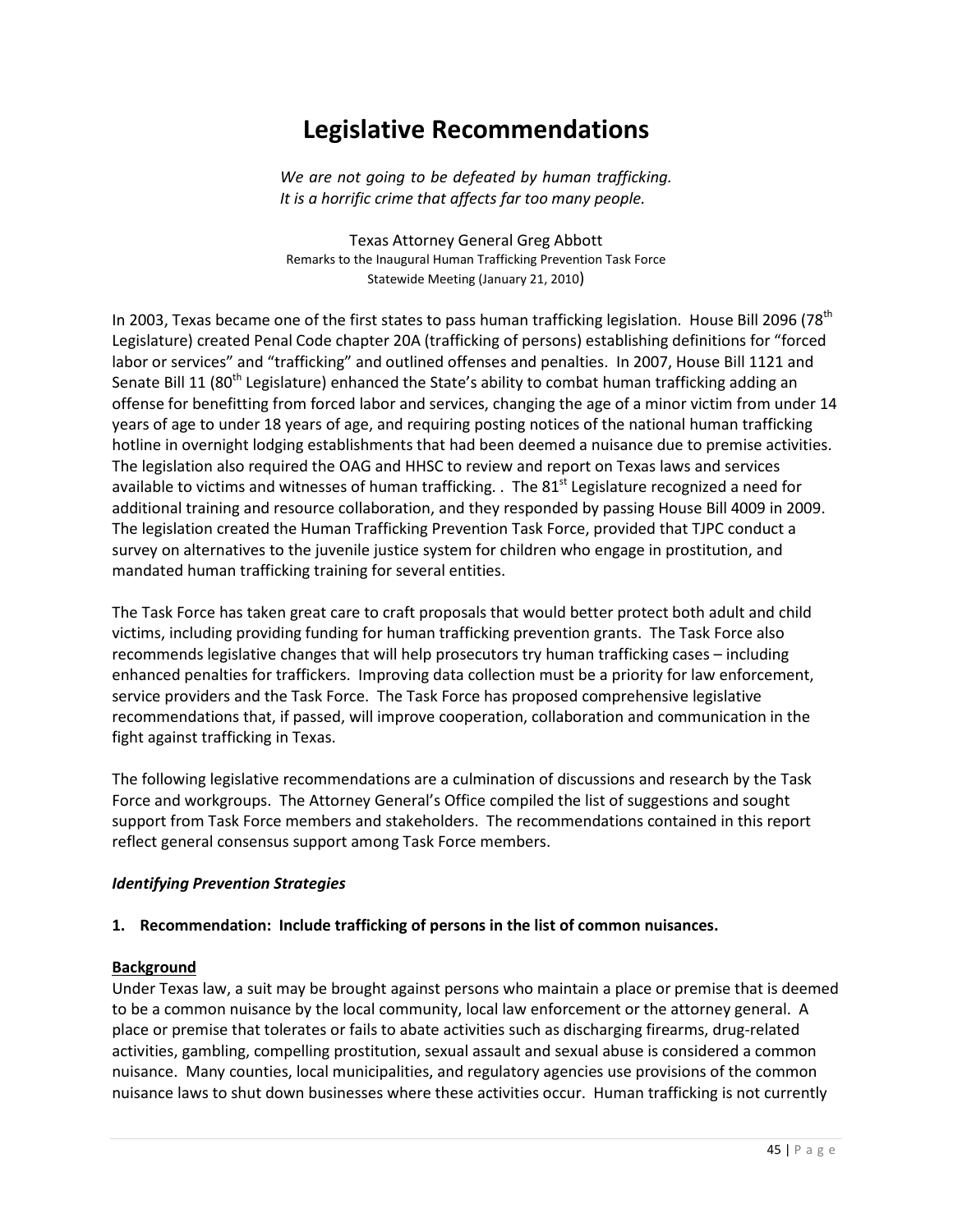# **Legislative Recommendations**

*We are not going to be defeated by human trafficking. It is a horrific crime that affects far too many people.*

Texas Attorney General Greg Abbott Remarks to the Inaugural Human Trafficking Prevention Task Force Statewide Meeting (January 21, 2010)

In 2003, Texas became one of the first states to pass human trafficking legislation. House Bill 2096 (78<sup>th</sup>) Legislature) created Penal Code chapter 20A (trafficking of persons) establishing definitions for "forced labor or services" and "trafficking" and outlined offenses and penalties. In 2007, House Bill 1121 and Senate Bill 11 (80<sup>th</sup> Legislature) enhanced the State's ability to combat human trafficking adding an offense for benefitting from forced labor and services, changing the age of a minor victim from under 14 years of age to under 18 years of age, and requiring posting notices of the national human trafficking hotline in overnight lodging establishments that had been deemed a nuisance due to premise activities. The legislation also required the OAG and HHSC to review and report on Texas laws and services available to victims and witnesses of human trafficking. . The  $81<sup>st</sup>$  Legislature recognized a need for additional training and resource collaboration, and they responded by passing House Bill 4009 in 2009. The legislation created the Human Trafficking Prevention Task Force, provided that TJPC conduct a survey on alternatives to the juvenile justice system for children who engage in prostitution, and mandated human trafficking training for several entities.

The Task Force has taken great care to craft proposals that would better protect both adult and child victims, including providing funding for human trafficking prevention grants. The Task Force also recommends legislative changes that will help prosecutors try human trafficking cases – including enhanced penalties for traffickers. Improving data collection must be a priority for law enforcement, service providers and the Task Force. The Task Force has proposed comprehensive legislative recommendations that, if passed, will improve cooperation, collaboration and communication in the fight against trafficking in Texas.

The following legislative recommendations are a culmination of discussions and research by the Task Force and workgroups. The Attorney General's Office compiled the list of suggestions and sought support from Task Force members and stakeholders. The recommendations contained in this report reflect general consensus support among Task Force members.

#### *Identifying Prevention Strategies*

## **1. Recommendation: Include trafficking of persons in the list of common nuisances.**

#### **Background**

Under Texas law, a suit may be brought against persons who maintain a place or premise that is deemed to be a common nuisance by the local community, local law enforcement or the attorney general. A place or premise that tolerates or fails to abate activities such as discharging firearms, drug-related activities, gambling, compelling prostitution, sexual assault and sexual abuse is considered a common nuisance. Many counties, local municipalities, and regulatory agencies use provisions of the common nuisance laws to shut down businesses where these activities occur. Human trafficking is not currently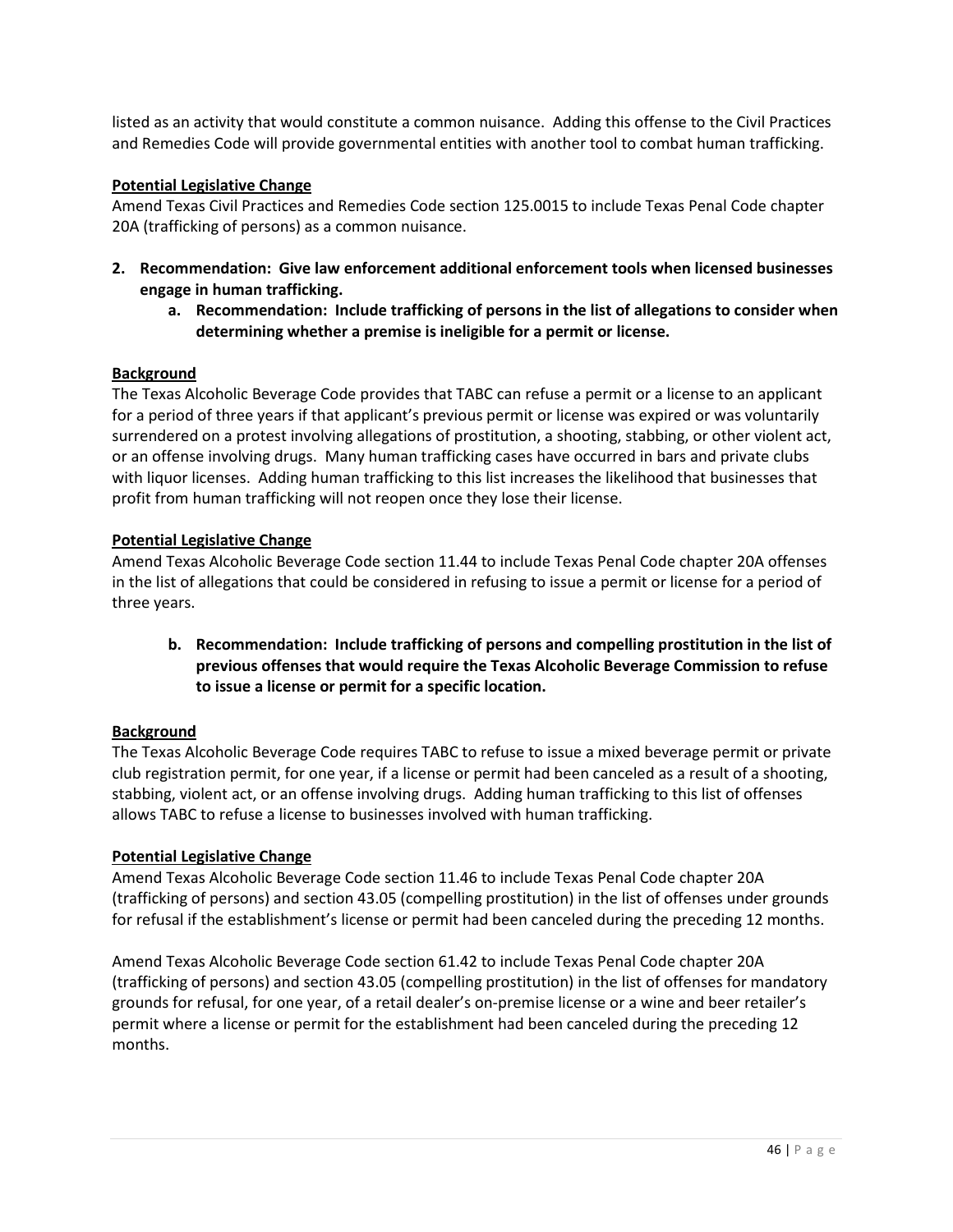listed as an activity that would constitute a common nuisance. Adding this offense to the Civil Practices and Remedies Code will provide governmental entities with another tool to combat human trafficking.

## **Potential Legislative Change**

Amend Texas Civil Practices and Remedies Code section 125.0015 to include Texas Penal Code chapter 20A (trafficking of persons) as a common nuisance.

- **2. Recommendation: Give law enforcement additional enforcement tools when licensed businesses engage in human trafficking.**
	- **a. Recommendation: Include trafficking of persons in the list of allegations to consider when determining whether a premise is ineligible for a permit or license.**

## **Background**

The Texas Alcoholic Beverage Code provides that TABC can refuse a permit or a license to an applicant for a period of three years if that applicant's previous permit or license was expired or was voluntarily surrendered on a protest involving allegations of prostitution, a shooting, stabbing, or other violent act, or an offense involving drugs. Many human trafficking cases have occurred in bars and private clubs with liquor licenses. Adding human trafficking to this list increases the likelihood that businesses that profit from human trafficking will not reopen once they lose their license.

## **Potential Legislative Change**

Amend Texas Alcoholic Beverage Code section 11.44 to include Texas Penal Code chapter 20A offenses in the list of allegations that could be considered in refusing to issue a permit or license for a period of three years.

**b. Recommendation: Include trafficking of persons and compelling prostitution in the list of previous offenses that would require the Texas Alcoholic Beverage Commission to refuse to issue a license or permit for a specific location.** 

## **Background**

The Texas Alcoholic Beverage Code requires TABC to refuse to issue a mixed beverage permit or private club registration permit, for one year, if a license or permit had been canceled as a result of a shooting, stabbing, violent act, or an offense involving drugs. Adding human trafficking to this list of offenses allows TABC to refuse a license to businesses involved with human trafficking.

## **Potential Legislative Change**

Amend Texas Alcoholic Beverage Code section 11.46 to include Texas Penal Code chapter 20A (trafficking of persons) and section 43.05 (compelling prostitution) in the list of offenses under grounds for refusal if the establishment's license or permit had been canceled during the preceding 12 months.

Amend Texas Alcoholic Beverage Code section 61.42 to include Texas Penal Code chapter 20A (trafficking of persons) and section 43.05 (compelling prostitution) in the list of offenses for mandatory grounds for refusal, for one year, of a retail dealer's on-premise license or a wine and beer retailer's permit where a license or permit for the establishment had been canceled during the preceding 12 months.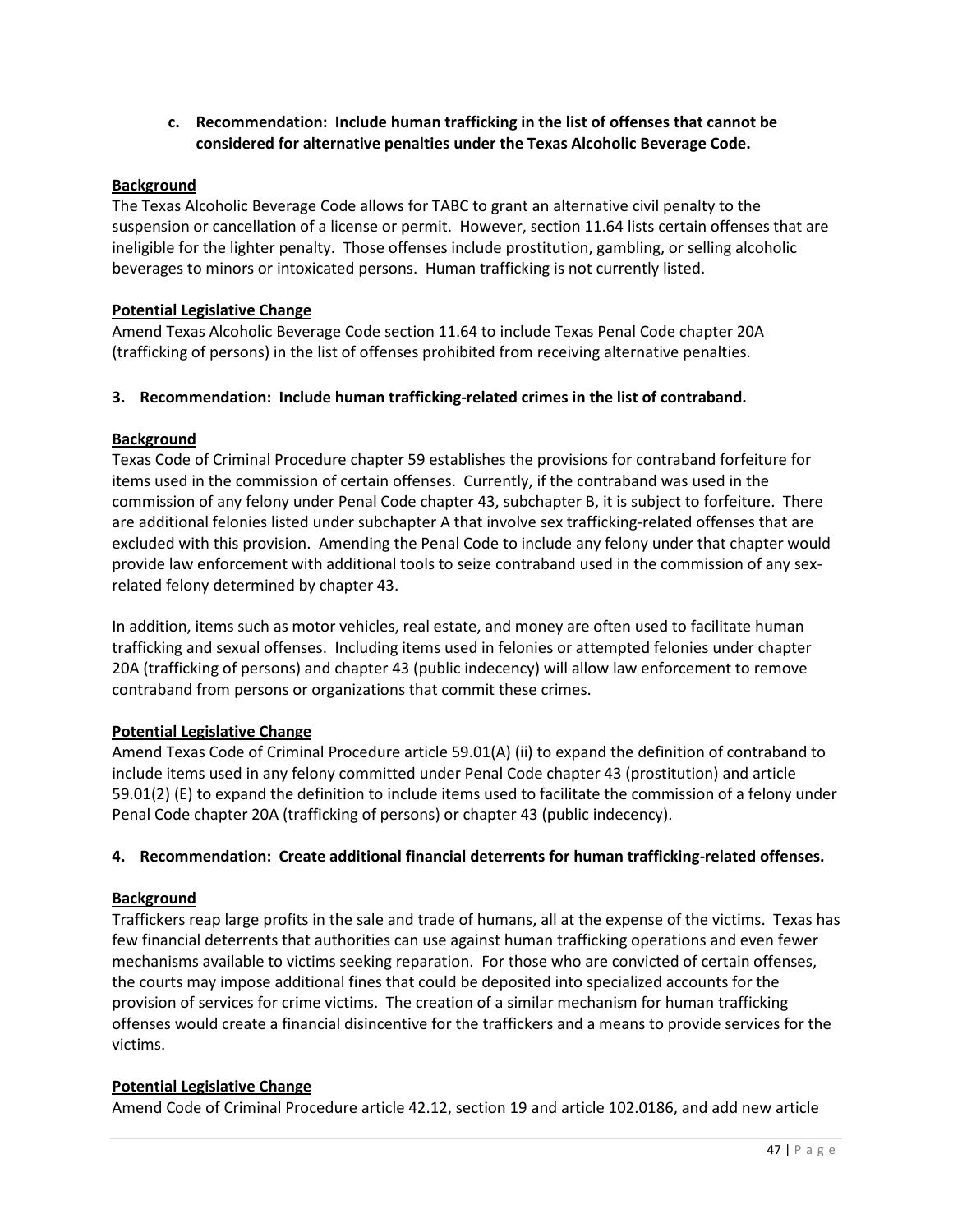**c. Recommendation: Include human trafficking in the list of offenses that cannot be considered for alternative penalties under the Texas Alcoholic Beverage Code.** 

#### **Background**

The Texas Alcoholic Beverage Code allows for TABC to grant an alternative civil penalty to the suspension or cancellation of a license or permit. However, section 11.64 lists certain offenses that are ineligible for the lighter penalty. Those offenses include prostitution, gambling, or selling alcoholic beverages to minors or intoxicated persons. Human trafficking is not currently listed.

#### **Potential Legislative Change**

Amend Texas Alcoholic Beverage Code section 11.64 to include Texas Penal Code chapter 20A (trafficking of persons) in the list of offenses prohibited from receiving alternative penalties.

## **3. Recommendation: Include human trafficking-related crimes in the list of contraband.**

#### **Background**

Texas Code of Criminal Procedure chapter 59 establishes the provisions for contraband forfeiture for items used in the commission of certain offenses. Currently, if the contraband was used in the commission of any felony under Penal Code chapter 43, subchapter B, it is subject to forfeiture. There are additional felonies listed under subchapter A that involve sex trafficking-related offenses that are excluded with this provision. Amending the Penal Code to include any felony under that chapter would provide law enforcement with additional tools to seize contraband used in the commission of any sexrelated felony determined by chapter 43.

In addition, items such as motor vehicles, real estate, and money are often used to facilitate human trafficking and sexual offenses. Including items used in felonies or attempted felonies under chapter 20A (trafficking of persons) and chapter 43 (public indecency) will allow law enforcement to remove contraband from persons or organizations that commit these crimes.

## **Potential Legislative Change**

Amend Texas Code of Criminal Procedure article 59.01(A) (ii) to expand the definition of contraband to include items used in any felony committed under Penal Code chapter 43 (prostitution) and article 59.01(2) (E) to expand the definition to include items used to facilitate the commission of a felony under Penal Code chapter 20A (trafficking of persons) or chapter 43 (public indecency).

#### **4. Recommendation: Create additional financial deterrents for human trafficking-related offenses.**

## **Background**

Traffickers reap large profits in the sale and trade of humans, all at the expense of the victims. Texas has few financial deterrents that authorities can use against human trafficking operations and even fewer mechanisms available to victims seeking reparation. For those who are convicted of certain offenses, the courts may impose additional fines that could be deposited into specialized accounts for the provision of services for crime victims. The creation of a similar mechanism for human trafficking offenses would create a financial disincentive for the traffickers and a means to provide services for the victims.

#### **Potential Legislative Change**

Amend Code of Criminal Procedure article 42.12, section 19 and article 102.0186, and add new article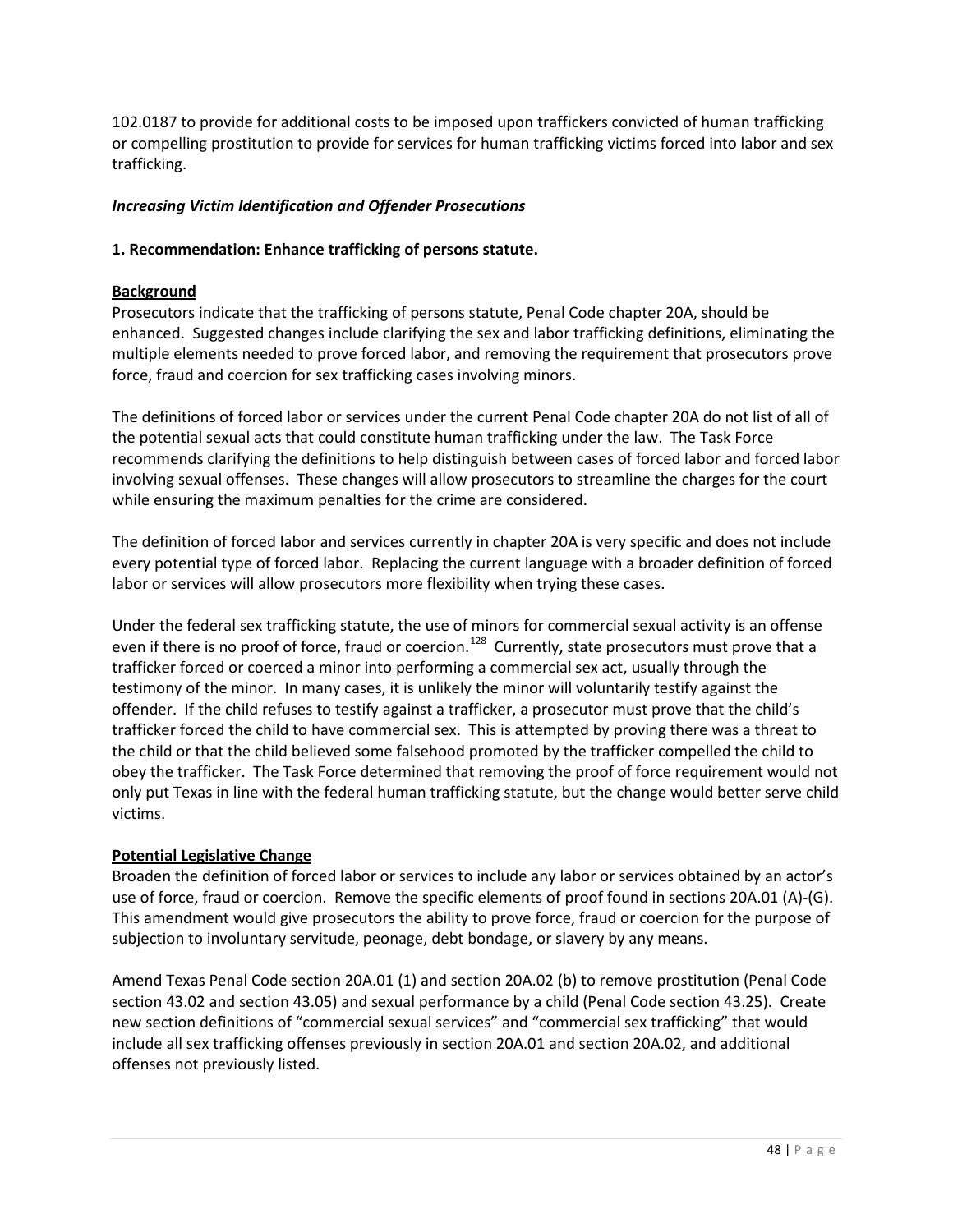102.0187 to provide for additional costs to be imposed upon traffickers convicted of human trafficking or compelling prostitution to provide for services for human trafficking victims forced into labor and sex trafficking.

# *Increasing Victim Identification and Offender Prosecutions*

## **1. Recommendation: Enhance trafficking of persons statute.**

## **Background**

Prosecutors indicate that the trafficking of persons statute, Penal Code chapter 20A, should be enhanced. Suggested changes include clarifying the sex and labor trafficking definitions, eliminating the multiple elements needed to prove forced labor, and removing the requirement that prosecutors prove force, fraud and coercion for sex trafficking cases involving minors.

The definitions of forced labor or services under the current Penal Code chapter 20A do not list of all of the potential sexual acts that could constitute human trafficking under the law. The Task Force recommends clarifying the definitions to help distinguish between cases of forced labor and forced labor involving sexual offenses. These changes will allow prosecutors to streamline the charges for the court while ensuring the maximum penalties for the crime are considered.

The definition of forced labor and services currently in chapter 20A is very specific and does not include every potential type of forced labor. Replacing the current language with a broader definition of forced labor or services will allow prosecutors more flexibility when trying these cases.

Under the federal sex trafficking statute, the use of minors for commercial sexual activity is an offense even if there is no proof of force, fraud or coercion.<sup>128</sup> Currently, state prosecutors must prove that a trafficker forced or coerced a minor into performing a commercial sex act, usually through the testimony of the minor. In many cases, it is unlikely the minor will voluntarily testify against the offender. If the child refuses to testify against a trafficker, a prosecutor must prove that the child's trafficker forced the child to have commercial sex. This is attempted by proving there was a threat to the child or that the child believed some falsehood promoted by the trafficker compelled the child to obey the trafficker. The Task Force determined that removing the proof of force requirement would not only put Texas in line with the federal human trafficking statute, but the change would better serve child victims.

## **Potential Legislative Change**

Broaden the definition of forced labor or services to include any labor or services obtained by an actor's use of force, fraud or coercion. Remove the specific elements of proof found in sections 20A.01 (A)-(G). This amendment would give prosecutors the ability to prove force, fraud or coercion for the purpose of subjection to involuntary servitude, peonage, debt bondage, or slavery by any means.

Amend Texas Penal Code section 20A.01 (1) and section 20A.02 (b) to remove prostitution (Penal Code section 43.02 and section 43.05) and sexual performance by a child (Penal Code section 43.25). Create new section definitions of "commercial sexual services" and "commercial sex trafficking" that would include all sex trafficking offenses previously in section 20A.01 and section 20A.02, and additional offenses not previously listed.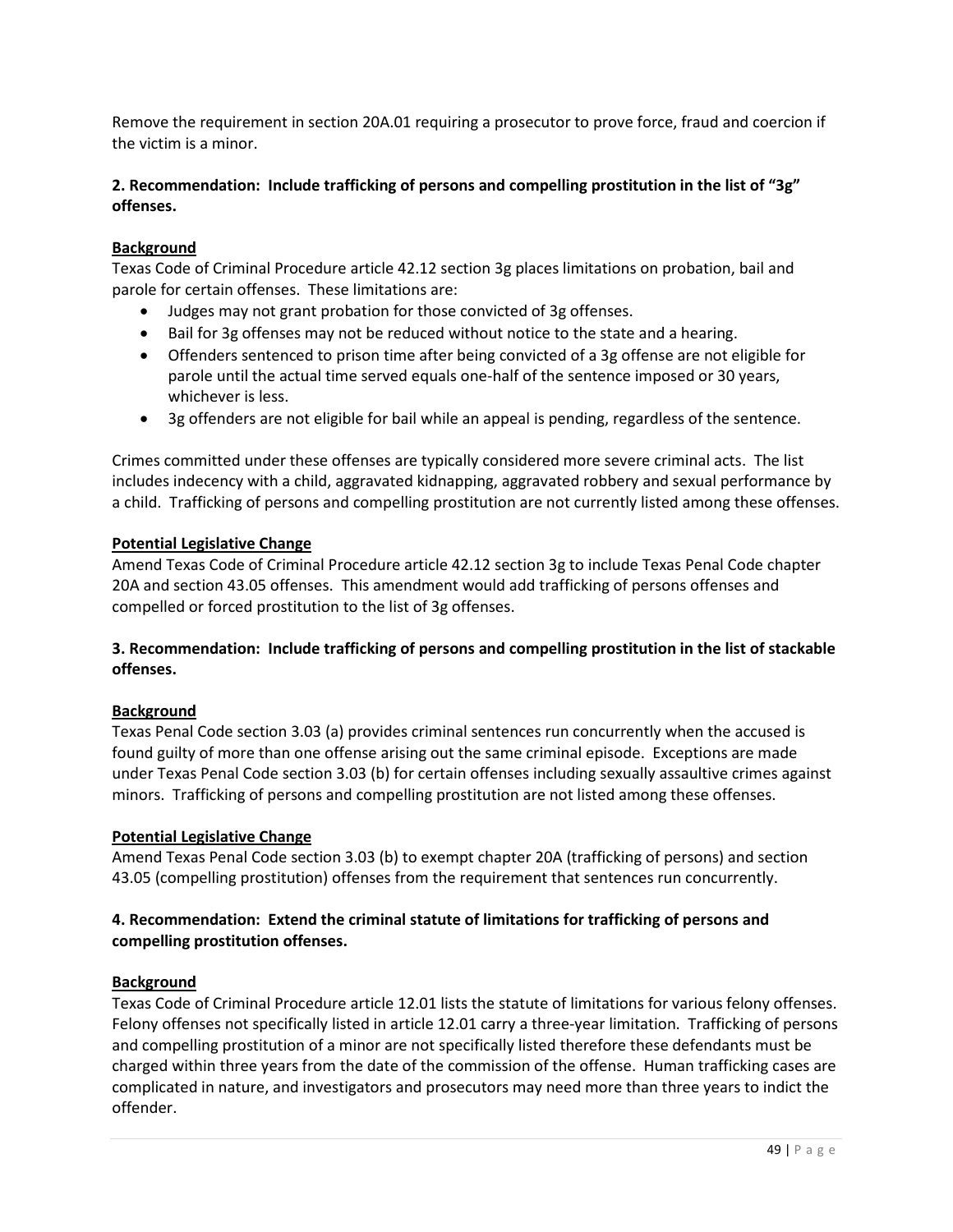Remove the requirement in section 20A.01 requiring a prosecutor to prove force, fraud and coercion if the victim is a minor.

## **2. Recommendation: Include trafficking of persons and compelling prostitution in the list of "3g" offenses.**

## **Background**

Texas Code of Criminal Procedure article 42.12 section 3g places limitations on probation, bail and parole for certain offenses. These limitations are:

- Judges may not grant probation for those convicted of 3g offenses.
- Bail for 3g offenses may not be reduced without notice to the state and a hearing.
- Offenders sentenced to prison time after being convicted of a 3g offense are not eligible for parole until the actual time served equals one-half of the sentence imposed or 30 years, whichever is less.
- 3g offenders are not eligible for bail while an appeal is pending, regardless of the sentence.

Crimes committed under these offenses are typically considered more severe criminal acts. The list includes indecency with a child, aggravated kidnapping, aggravated robbery and sexual performance by a child. Trafficking of persons and compelling prostitution are not currently listed among these offenses.

## **Potential Legislative Change**

Amend Texas Code of Criminal Procedure article 42.12 section 3g to include Texas Penal Code chapter 20A and section 43.05 offenses. This amendment would add trafficking of persons offenses and compelled or forced prostitution to the list of 3g offenses.

## **3. Recommendation: Include trafficking of persons and compelling prostitution in the list of stackable offenses.**

## **Background**

Texas Penal Code section 3.03 (a) provides criminal sentences run concurrently when the accused is found guilty of more than one offense arising out the same criminal episode. Exceptions are made under Texas Penal Code section 3.03 (b) for certain offenses including sexually assaultive crimes against minors. Trafficking of persons and compelling prostitution are not listed among these offenses.

#### **Potential Legislative Change**

Amend Texas Penal Code section 3.03 (b) to exempt chapter 20A (trafficking of persons) and section 43.05 (compelling prostitution) offenses from the requirement that sentences run concurrently.

## **4. Recommendation: Extend the criminal statute of limitations for trafficking of persons and compelling prostitution offenses.**

#### **Background**

Texas Code of Criminal Procedure article 12.01 lists the statute of limitations for various felony offenses. Felony offenses not specifically listed in article 12.01 carry a three-year limitation. Trafficking of persons and compelling prostitution of a minor are not specifically listed therefore these defendants must be charged within three years from the date of the commission of the offense. Human trafficking cases are complicated in nature, and investigators and prosecutors may need more than three years to indict the offender.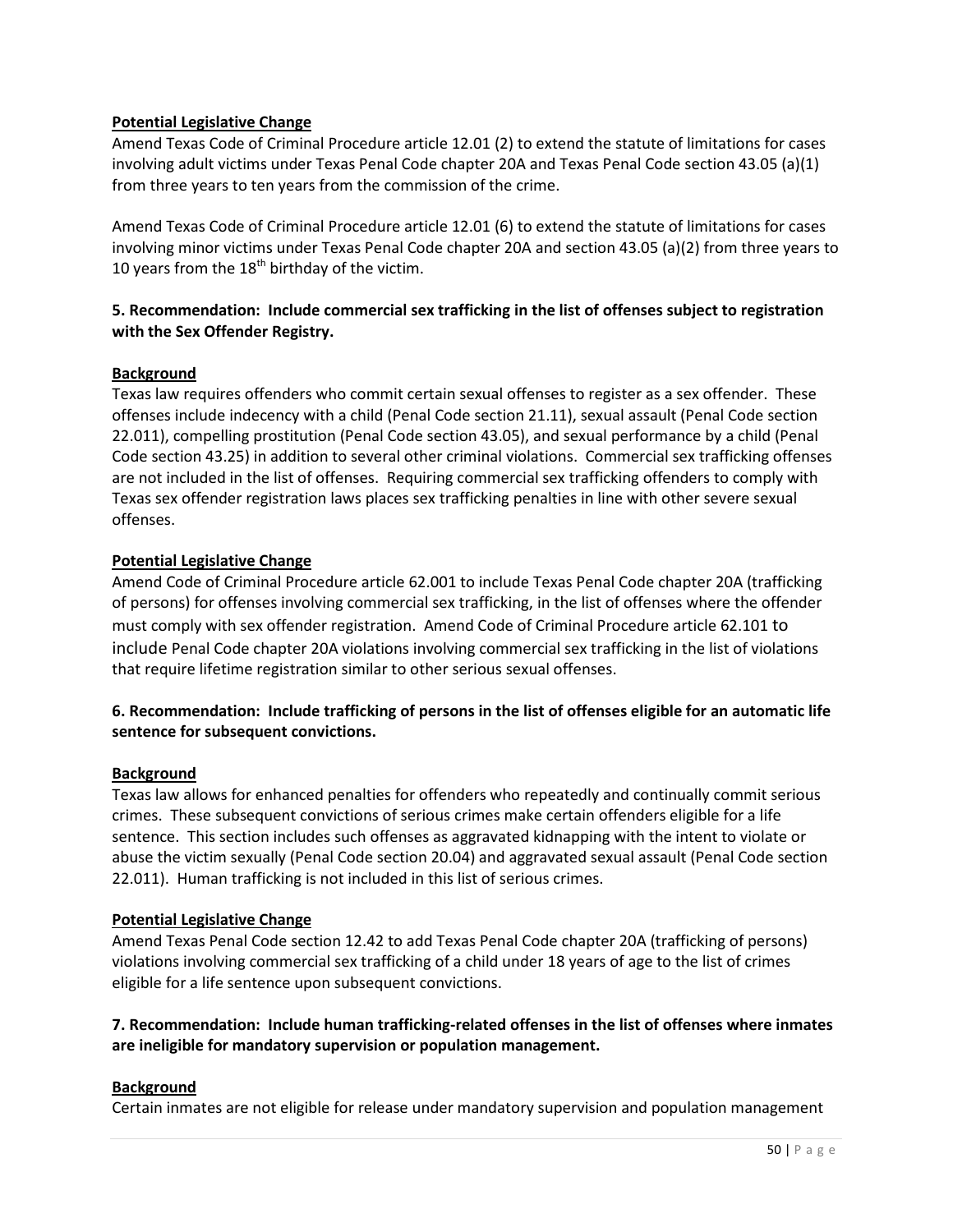## **Potential Legislative Change**

Amend Texas Code of Criminal Procedure article 12.01 (2) to extend the statute of limitations for cases involving adult victims under Texas Penal Code chapter 20A and Texas Penal Code section 43.05 (a)(1) from three years to ten years from the commission of the crime.

Amend Texas Code of Criminal Procedure article 12.01 (6) to extend the statute of limitations for cases involving minor victims under Texas Penal Code chapter 20A and section 43.05 (a)(2) from three years to 10 years from the  $18<sup>th</sup>$  birthday of the victim.

## **5. Recommendation: Include commercial sex trafficking in the list of offenses subject to registration with the Sex Offender Registry.**

## **Background**

Texas law requires offenders who commit certain sexual offenses to register as a sex offender. These offenses include indecency with a child (Penal Code section 21.11), sexual assault (Penal Code section 22.011), compelling prostitution (Penal Code section 43.05), and sexual performance by a child (Penal Code section 43.25) in addition to several other criminal violations. Commercial sex trafficking offenses are not included in the list of offenses. Requiring commercial sex trafficking offenders to comply with Texas sex offender registration laws places sex trafficking penalties in line with other severe sexual offenses.

## **Potential Legislative Change**

Amend Code of Criminal Procedure article 62.001 to include Texas Penal Code chapter 20A (trafficking of persons) for offenses involving commercial sex trafficking, in the list of offenses where the offender must comply with sex offender registration. Amend Code of Criminal Procedure article 62.101 to include Penal Code chapter 20A violations involving commercial sex trafficking in the list of violations that require lifetime registration similar to other serious sexual offenses.

# **6. Recommendation: Include trafficking of persons in the list of offenses eligible for an automatic life sentence for subsequent convictions.**

## **Background**

Texas law allows for enhanced penalties for offenders who repeatedly and continually commit serious crimes. These subsequent convictions of serious crimes make certain offenders eligible for a life sentence. This section includes such offenses as aggravated kidnapping with the intent to violate or abuse the victim sexually (Penal Code section 20.04) and aggravated sexual assault (Penal Code section 22.011). Human trafficking is not included in this list of serious crimes.

## **Potential Legislative Change**

Amend Texas Penal Code section 12.42 to add Texas Penal Code chapter 20A (trafficking of persons) violations involving commercial sex trafficking of a child under 18 years of age to the list of crimes eligible for a life sentence upon subsequent convictions.

## **7. Recommendation: Include human trafficking-related offenses in the list of offenses where inmates are ineligible for mandatory supervision or population management.**

## **Background**

Certain inmates are not eligible for release under mandatory supervision and population management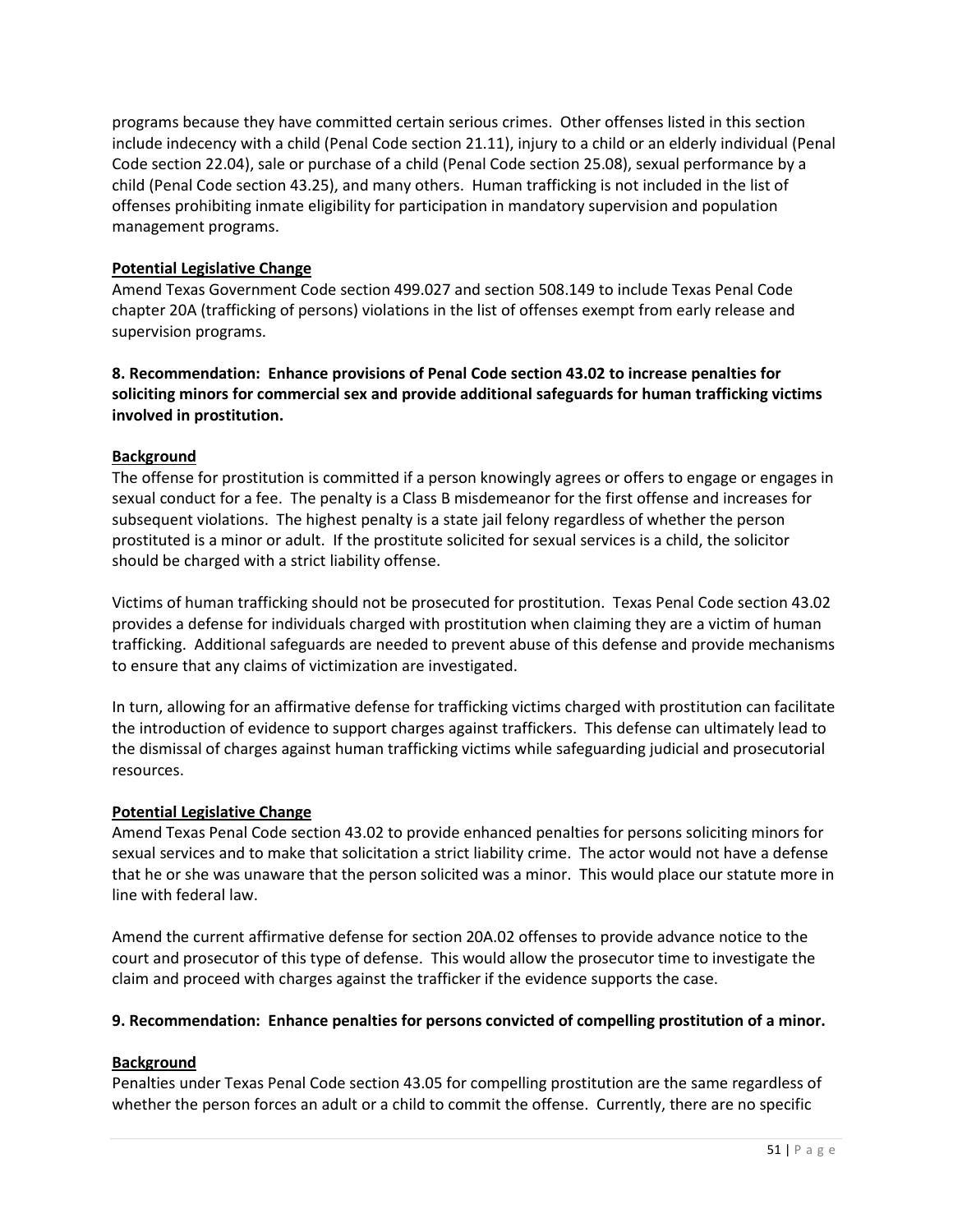programs because they have committed certain serious crimes. Other offenses listed in this section include indecency with a child (Penal Code section 21.11), injury to a child or an elderly individual (Penal Code section 22.04), sale or purchase of a child (Penal Code section 25.08), sexual performance by a child (Penal Code section 43.25), and many others. Human trafficking is not included in the list of offenses prohibiting inmate eligibility for participation in mandatory supervision and population management programs.

## **Potential Legislative Change**

Amend Texas Government Code section 499.027 and section 508.149 to include Texas Penal Code chapter 20A (trafficking of persons) violations in the list of offenses exempt from early release and supervision programs.

**8. Recommendation: Enhance provisions of Penal Code section 43.02 to increase penalties for soliciting minors for commercial sex and provide additional safeguards for human trafficking victims involved in prostitution.** 

## **Background**

The offense for prostitution is committed if a person knowingly agrees or offers to engage or engages in sexual conduct for a fee. The penalty is a Class B misdemeanor for the first offense and increases for subsequent violations. The highest penalty is a state jail felony regardless of whether the person prostituted is a minor or adult. If the prostitute solicited for sexual services is a child, the solicitor should be charged with a strict liability offense.

Victims of human trafficking should not be prosecuted for prostitution. Texas Penal Code section 43.02 provides a defense for individuals charged with prostitution when claiming they are a victim of human trafficking. Additional safeguards are needed to prevent abuse of this defense and provide mechanisms to ensure that any claims of victimization are investigated.

In turn, allowing for an affirmative defense for trafficking victims charged with prostitution can facilitate the introduction of evidence to support charges against traffickers. This defense can ultimately lead to the dismissal of charges against human trafficking victims while safeguarding judicial and prosecutorial resources.

## **Potential Legislative Change**

Amend Texas Penal Code section 43.02 to provide enhanced penalties for persons soliciting minors for sexual services and to make that solicitation a strict liability crime. The actor would not have a defense that he or she was unaware that the person solicited was a minor. This would place our statute more in line with federal law.

Amend the current affirmative defense for section 20A.02 offenses to provide advance notice to the court and prosecutor of this type of defense. This would allow the prosecutor time to investigate the claim and proceed with charges against the trafficker if the evidence supports the case.

## **9. Recommendation: Enhance penalties for persons convicted of compelling prostitution of a minor.**

## **Background**

Penalties under Texas Penal Code section 43.05 for compelling prostitution are the same regardless of whether the person forces an adult or a child to commit the offense. Currently, there are no specific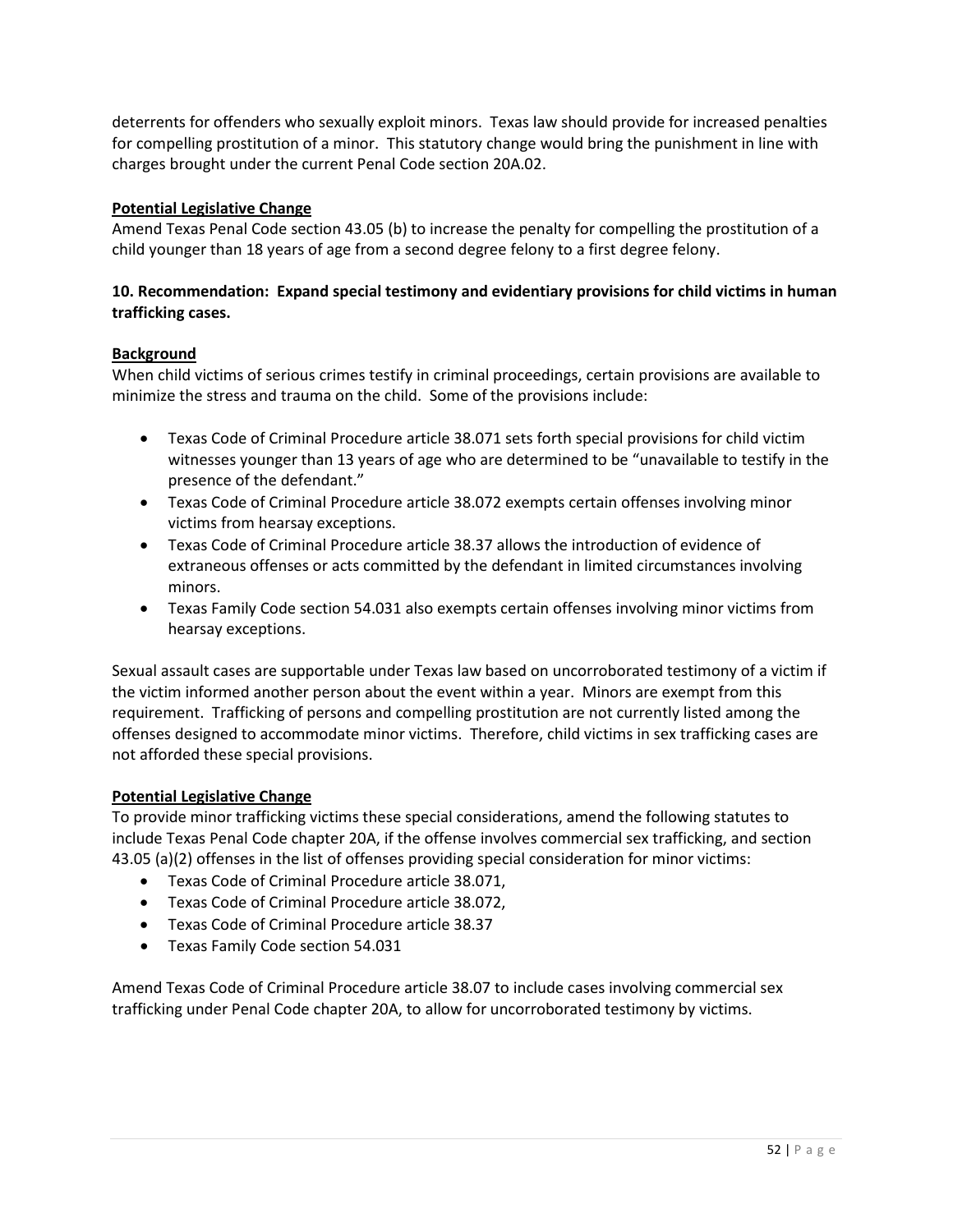deterrents for offenders who sexually exploit minors. Texas law should provide for increased penalties for compelling prostitution of a minor. This statutory change would bring the punishment in line with charges brought under the current Penal Code section 20A.02.

## **Potential Legislative Change**

Amend Texas Penal Code section 43.05 (b) to increase the penalty for compelling the prostitution of a child younger than 18 years of age from a second degree felony to a first degree felony.

## **10. Recommendation: Expand special testimony and evidentiary provisions for child victims in human trafficking cases.**

## **Background**

When child victims of serious crimes testify in criminal proceedings, certain provisions are available to minimize the stress and trauma on the child. Some of the provisions include:

- Texas Code of Criminal Procedure article 38.071 sets forth special provisions for child victim witnesses younger than 13 years of age who are determined to be "unavailable to testify in the presence of the defendant."
- Texas Code of Criminal Procedure article 38.072 exempts certain offenses involving minor victims from hearsay exceptions.
- Texas Code of Criminal Procedure article 38.37 allows the introduction of evidence of extraneous offenses or acts committed by the defendant in limited circumstances involving minors.
- Texas Family Code section 54.031 also exempts certain offenses involving minor victims from hearsay exceptions.

Sexual assault cases are supportable under Texas law based on uncorroborated testimony of a victim if the victim informed another person about the event within a year. Minors are exempt from this requirement. Trafficking of persons and compelling prostitution are not currently listed among the offenses designed to accommodate minor victims. Therefore, child victims in sex trafficking cases are not afforded these special provisions.

## **Potential Legislative Change**

To provide minor trafficking victims these special considerations, amend the following statutes to include Texas Penal Code chapter 20A, if the offense involves commercial sex trafficking, and section 43.05 (a)(2) offenses in the list of offenses providing special consideration for minor victims:

- Texas Code of Criminal Procedure article 38.071,
- Texas Code of Criminal Procedure article 38.072,
- Texas Code of Criminal Procedure article 38.37
- Texas Family Code section 54.031

Amend Texas Code of Criminal Procedure article 38.07 to include cases involving commercial sex trafficking under Penal Code chapter 20A, to allow for uncorroborated testimony by victims.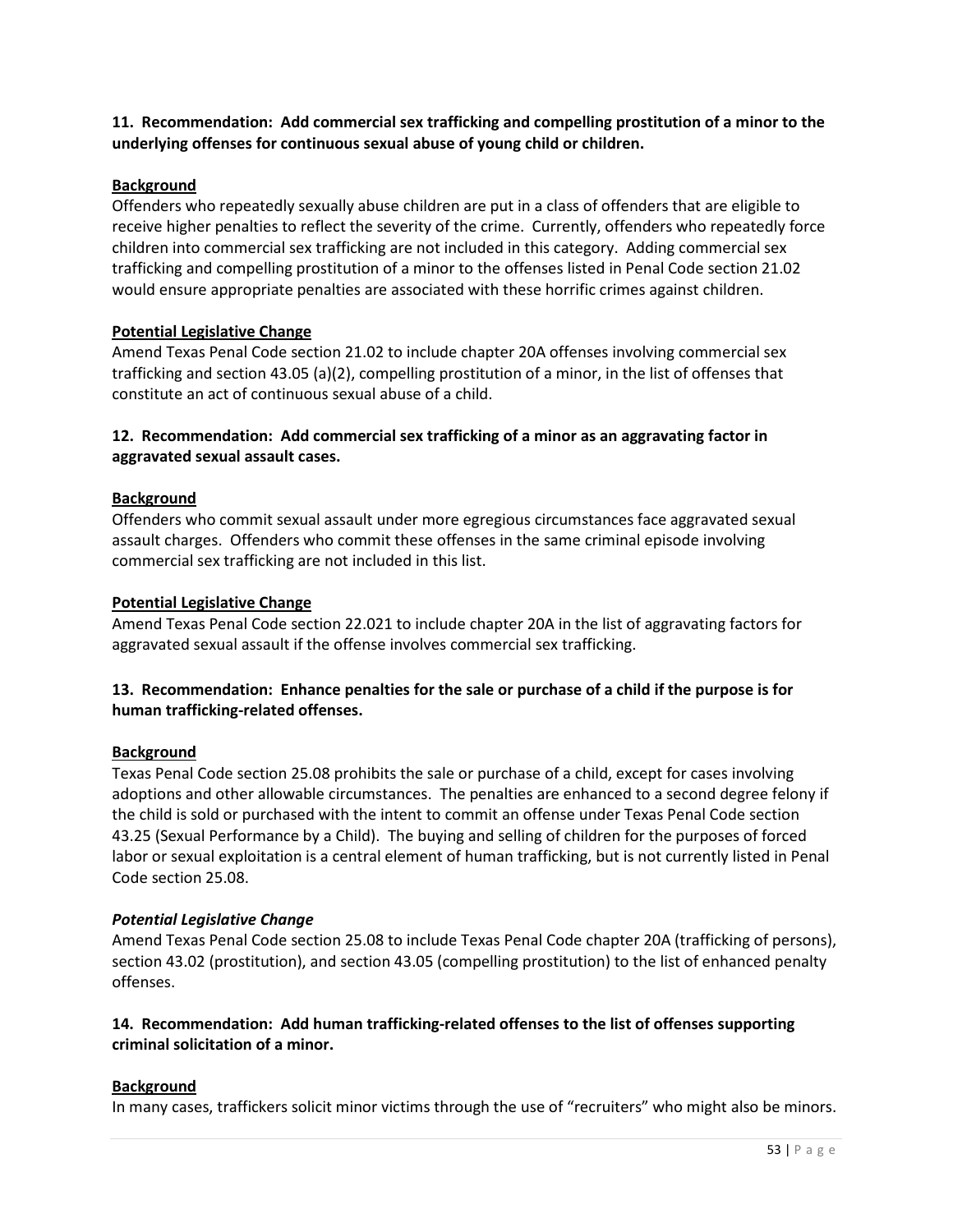**11. Recommendation: Add commercial sex trafficking and compelling prostitution of a minor to the underlying offenses for continuous sexual abuse of young child or children.** 

#### **Background**

Offenders who repeatedly sexually abuse children are put in a class of offenders that are eligible to receive higher penalties to reflect the severity of the crime. Currently, offenders who repeatedly force children into commercial sex trafficking are not included in this category. Adding commercial sex trafficking and compelling prostitution of a minor to the offenses listed in Penal Code section 21.02 would ensure appropriate penalties are associated with these horrific crimes against children.

#### **Potential Legislative Change**

Amend Texas Penal Code section 21.02 to include chapter 20A offenses involving commercial sex trafficking and section 43.05 (a)(2), compelling prostitution of a minor, in the list of offenses that constitute an act of continuous sexual abuse of a child.

## **12. Recommendation: Add commercial sex trafficking of a minor as an aggravating factor in aggravated sexual assault cases.**

#### **Background**

Offenders who commit sexual assault under more egregious circumstances face aggravated sexual assault charges. Offenders who commit these offenses in the same criminal episode involving commercial sex trafficking are not included in this list.

#### **Potential Legislative Change**

Amend Texas Penal Code section 22.021 to include chapter 20A in the list of aggravating factors for aggravated sexual assault if the offense involves commercial sex trafficking.

## **13. Recommendation: Enhance penalties for the sale or purchase of a child if the purpose is for human trafficking-related offenses.**

#### **Background**

Texas Penal Code section 25.08 prohibits the sale or purchase of a child, except for cases involving adoptions and other allowable circumstances. The penalties are enhanced to a second degree felony if the child is sold or purchased with the intent to commit an offense under Texas Penal Code section 43.25 (Sexual Performance by a Child). The buying and selling of children for the purposes of forced labor or sexual exploitation is a central element of human trafficking, but is not currently listed in Penal Code section 25.08.

#### *Potential Legislative Change*

Amend Texas Penal Code section 25.08 to include Texas Penal Code chapter 20A (trafficking of persons), section 43.02 (prostitution), and section 43.05 (compelling prostitution) to the list of enhanced penalty offenses.

## **14. Recommendation: Add human trafficking-related offenses to the list of offenses supporting criminal solicitation of a minor.**

## **Background**

In many cases, traffickers solicit minor victims through the use of "recruiters" who might also be minors.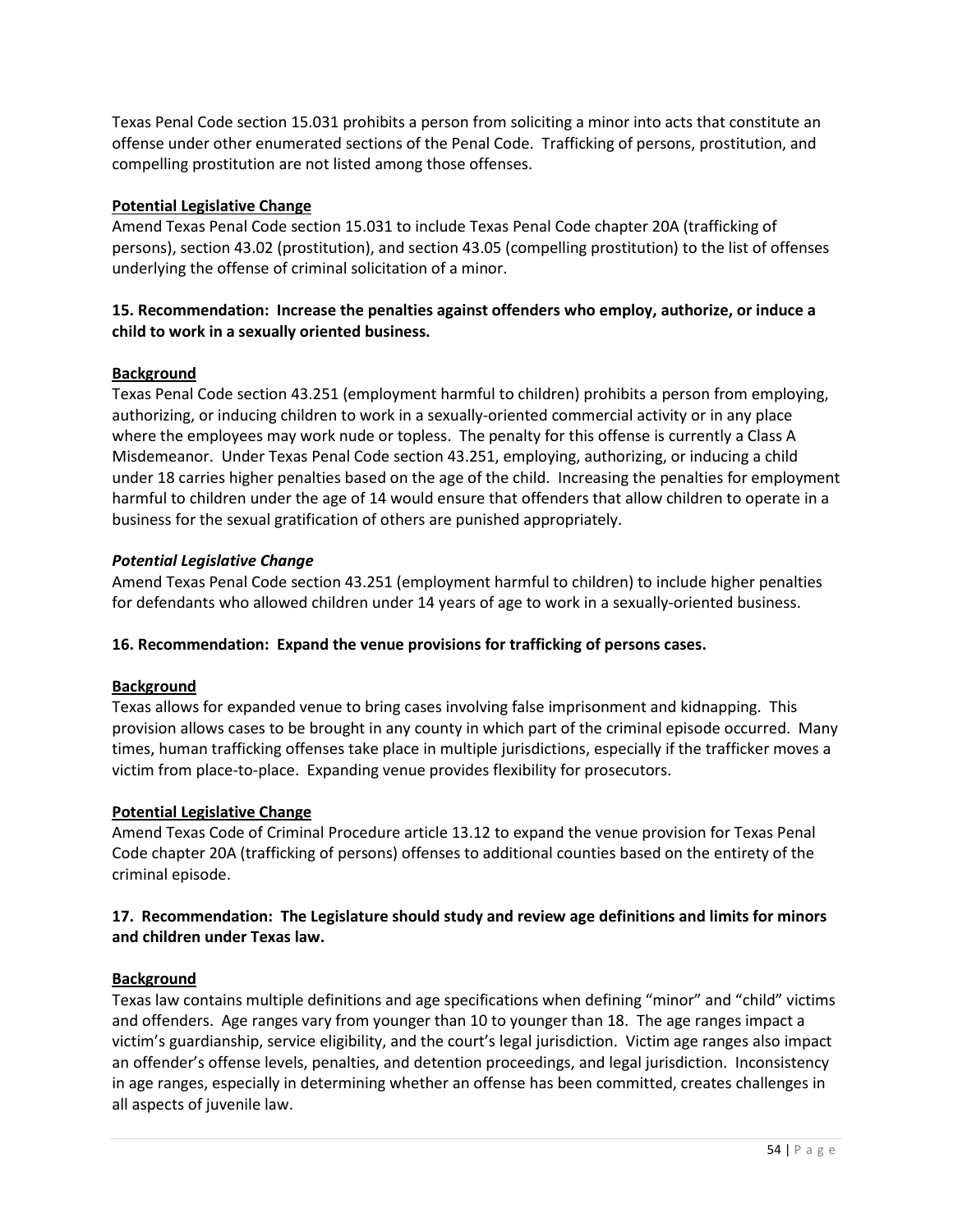Texas Penal Code section 15.031 prohibits a person from soliciting a minor into acts that constitute an offense under other enumerated sections of the Penal Code. Trafficking of persons, prostitution, and compelling prostitution are not listed among those offenses.

## **Potential Legislative Change**

Amend Texas Penal Code section 15.031 to include Texas Penal Code chapter 20A (trafficking of persons), section 43.02 (prostitution), and section 43.05 (compelling prostitution) to the list of offenses underlying the offense of criminal solicitation of a minor.

# **15. Recommendation: Increase the penalties against offenders who employ, authorize, or induce a child to work in a sexually oriented business.**

## **Background**

Texas Penal Code section 43.251 (employment harmful to children) prohibits a person from employing, authorizing, or inducing children to work in a sexually-oriented commercial activity or in any place where the employees may work nude or topless. The penalty for this offense is currently a Class A Misdemeanor. Under Texas Penal Code section 43.251, employing, authorizing, or inducing a child under 18 carries higher penalties based on the age of the child. Increasing the penalties for employment harmful to children under the age of 14 would ensure that offenders that allow children to operate in a business for the sexual gratification of others are punished appropriately.

## *Potential Legislative Change*

Amend Texas Penal Code section 43.251 (employment harmful to children) to include higher penalties for defendants who allowed children under 14 years of age to work in a sexually-oriented business.

## **16. Recommendation: Expand the venue provisions for trafficking of persons cases.**

## **Background**

Texas allows for expanded venue to bring cases involving false imprisonment and kidnapping. This provision allows cases to be brought in any county in which part of the criminal episode occurred. Many times, human trafficking offenses take place in multiple jurisdictions, especially if the trafficker moves a victim from place-to-place. Expanding venue provides flexibility for prosecutors.

## **Potential Legislative Change**

Amend Texas Code of Criminal Procedure article 13.12 to expand the venue provision for Texas Penal Code chapter 20A (trafficking of persons) offenses to additional counties based on the entirety of the criminal episode.

## **17. Recommendation: The Legislature should study and review age definitions and limits for minors and children under Texas law.**

# **Background**

Texas law contains multiple definitions and age specifications when defining "minor" and "child" victims and offenders. Age ranges vary from younger than 10 to younger than 18. The age ranges impact a victim's guardianship, service eligibility, and the court's legal jurisdiction. Victim age ranges also impact an offender's offense levels, penalties, and detention proceedings, and legal jurisdiction. Inconsistency in age ranges, especially in determining whether an offense has been committed, creates challenges in all aspects of juvenile law.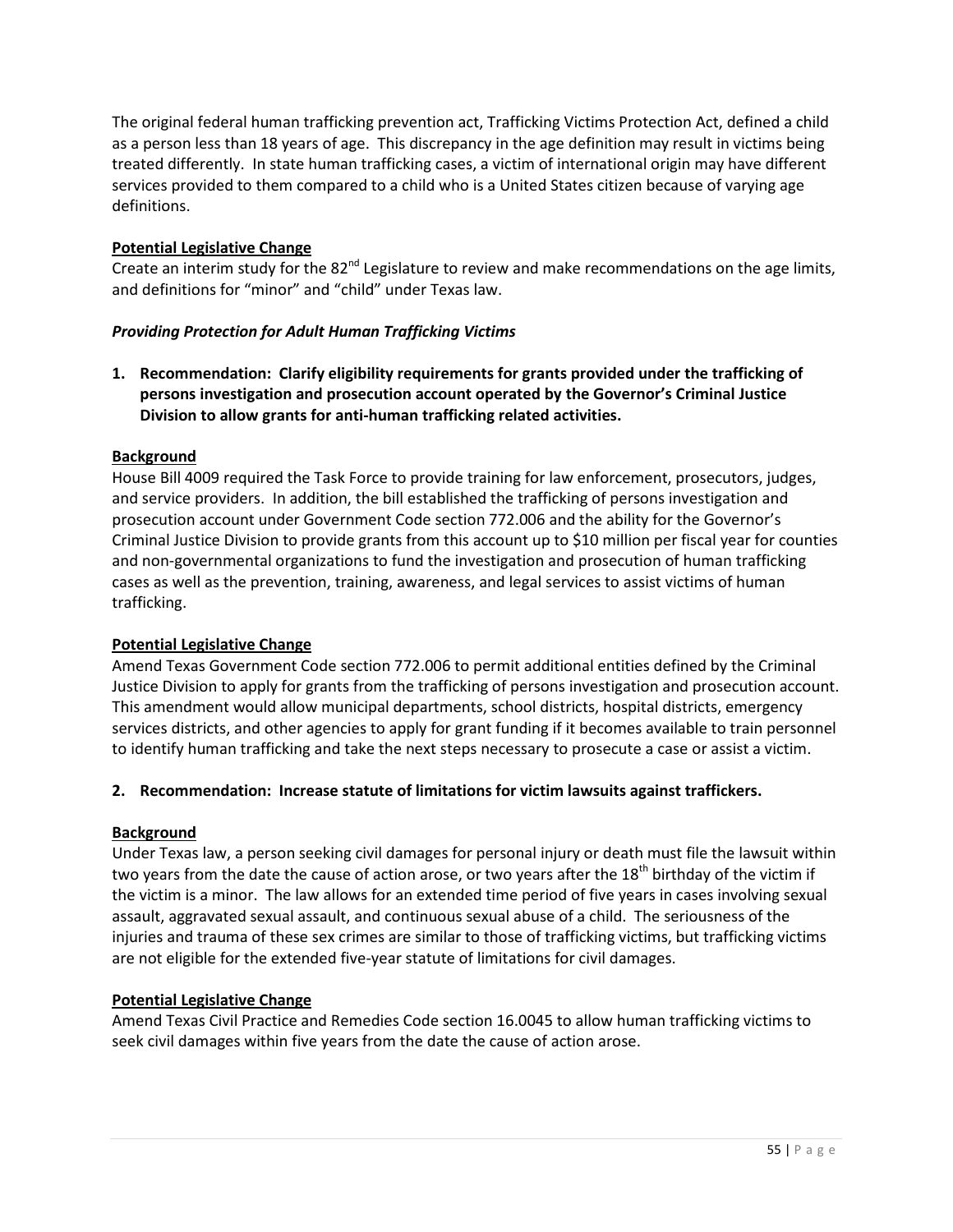The original federal human trafficking prevention act, Trafficking Victims Protection Act, defined a child as a person less than 18 years of age. This discrepancy in the age definition may result in victims being treated differently. In state human trafficking cases, a victim of international origin may have different services provided to them compared to a child who is a United States citizen because of varying age definitions.

## **Potential Legislative Change**

Create an interim study for the  $82^{nd}$  Legislature to review and make recommendations on the age limits, and definitions for "minor" and "child" under Texas law.

## *Providing Protection for Adult Human Trafficking Victims*

**1. Recommendation: Clarify eligibility requirements for grants provided under the trafficking of persons investigation and prosecution account operated by the Governor's Criminal Justice Division to allow grants for anti-human trafficking related activities.** 

## **Background**

House Bill 4009 required the Task Force to provide training for law enforcement, prosecutors, judges, and service providers. In addition, the bill established the trafficking of persons investigation and prosecution account under Government Code section 772.006 and the ability for the Governor's Criminal Justice Division to provide grants from this account up to \$10 million per fiscal year for counties and non-governmental organizations to fund the investigation and prosecution of human trafficking cases as well as the prevention, training, awareness, and legal services to assist victims of human trafficking.

## **Potential Legislative Change**

Amend Texas Government Code section 772.006 to permit additional entities defined by the Criminal Justice Division to apply for grants from the trafficking of persons investigation and prosecution account. This amendment would allow municipal departments, school districts, hospital districts, emergency services districts, and other agencies to apply for grant funding if it becomes available to train personnel to identify human trafficking and take the next steps necessary to prosecute a case or assist a victim.

## **2. Recommendation: Increase statute of limitations for victim lawsuits against traffickers.**

## **Background**

Under Texas law, a person seeking civil damages for personal injury or death must file the lawsuit within two years from the date the cause of action arose, or two years after the 18<sup>th</sup> birthday of the victim if the victim is a minor. The law allows for an extended time period of five years in cases involving sexual assault, aggravated sexual assault, and continuous sexual abuse of a child. The seriousness of the injuries and trauma of these sex crimes are similar to those of trafficking victims, but trafficking victims are not eligible for the extended five-year statute of limitations for civil damages.

## **Potential Legislative Change**

Amend Texas Civil Practice and Remedies Code section 16.0045 to allow human trafficking victims to seek civil damages within five years from the date the cause of action arose.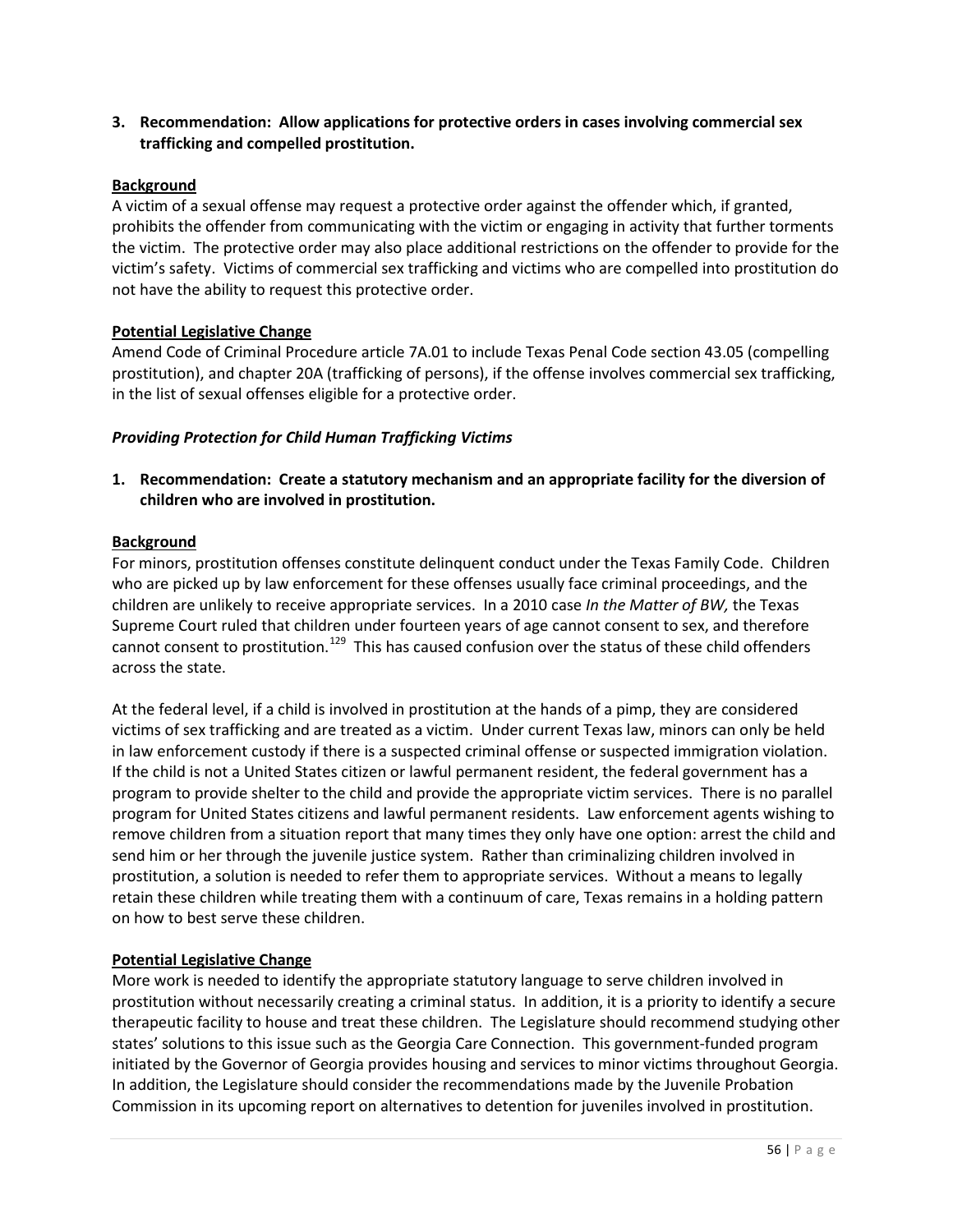**3. Recommendation: Allow applications for protective orders in cases involving commercial sex trafficking and compelled prostitution.**

#### **Background**

A victim of a sexual offense may request a protective order against the offender which, if granted, prohibits the offender from communicating with the victim or engaging in activity that further torments the victim. The protective order may also place additional restrictions on the offender to provide for the victim's safety. Victims of commercial sex trafficking and victims who are compelled into prostitution do not have the ability to request this protective order.

#### **Potential Legislative Change**

Amend Code of Criminal Procedure article 7A.01 to include Texas Penal Code section 43.05 (compelling prostitution), and chapter 20A (trafficking of persons), if the offense involves commercial sex trafficking, in the list of sexual offenses eligible for a protective order.

#### *Providing Protection for Child Human Trafficking Victims*

**1. Recommendation: Create a statutory mechanism and an appropriate facility for the diversion of children who are involved in prostitution.** 

#### **Background**

For minors, prostitution offenses constitute delinquent conduct under the Texas Family Code. Children who are picked up by law enforcement for these offenses usually face criminal proceedings, and the children are unlikely to receive appropriate services. In a 2010 case *In the Matter of BW,* the Texas Supreme Court ruled that children under fourteen years of age cannot consent to sex, and therefore cannot consent to prostitution.<sup>[129](#page-69-6)</sup> This has caused confusion over the status of these child offenders across the state.

At the federal level, if a child is involved in prostitution at the hands of a pimp, they are considered victims of sex trafficking and are treated as a victim. Under current Texas law, minors can only be held in law enforcement custody if there is a suspected criminal offense or suspected immigration violation. If the child is not a United States citizen or lawful permanent resident, the federal government has a program to provide shelter to the child and provide the appropriate victim services. There is no parallel program for United States citizens and lawful permanent residents. Law enforcement agents wishing to remove children from a situation report that many times they only have one option: arrest the child and send him or her through the juvenile justice system. Rather than criminalizing children involved in prostitution, a solution is needed to refer them to appropriate services. Without a means to legally retain these children while treating them with a continuum of care, Texas remains in a holding pattern on how to best serve these children.

#### **Potential Legislative Change**

More work is needed to identify the appropriate statutory language to serve children involved in prostitution without necessarily creating a criminal status. In addition, it is a priority to identify a secure therapeutic facility to house and treat these children. The Legislature should recommend studying other states' solutions to this issue such as the Georgia Care Connection. This government-funded program initiated by the Governor of Georgia provides housing and services to minor victims throughout Georgia. In addition, the Legislature should consider the recommendations made by the Juvenile Probation Commission in its upcoming report on alternatives to detention for juveniles involved in prostitution.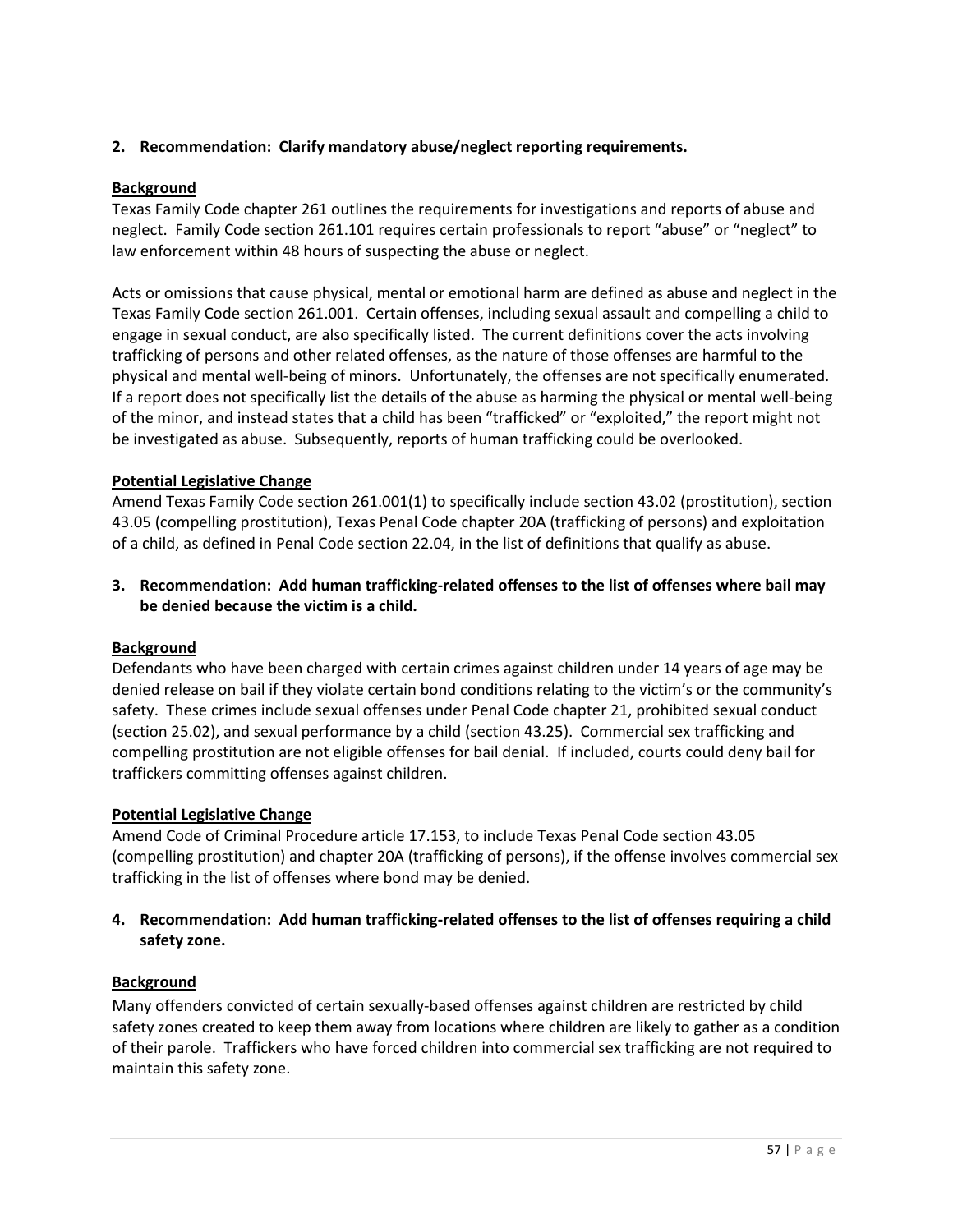# **2. Recommendation: Clarify mandatory abuse/neglect reporting requirements.**

## **Background**

Texas Family Code chapter 261 outlines the requirements for investigations and reports of abuse and neglect. Family Code section 261.101 requires certain professionals to report "abuse" or "neglect" to law enforcement within 48 hours of suspecting the abuse or neglect.

Acts or omissions that cause physical, mental or emotional harm are defined as abuse and neglect in the Texas Family Code section 261.001. Certain offenses, including sexual assault and compelling a child to engage in sexual conduct, are also specifically listed. The current definitions cover the acts involving trafficking of persons and other related offenses, as the nature of those offenses are harmful to the physical and mental well-being of minors. Unfortunately, the offenses are not specifically enumerated. If a report does not specifically list the details of the abuse as harming the physical or mental well-being of the minor, and instead states that a child has been "trafficked" or "exploited," the report might not be investigated as abuse. Subsequently, reports of human trafficking could be overlooked.

## **Potential Legislative Change**

Amend Texas Family Code section 261.001(1) to specifically include section 43.02 (prostitution), section 43.05 (compelling prostitution), Texas Penal Code chapter 20A (trafficking of persons) and exploitation of a child, as defined in Penal Code section 22.04, in the list of definitions that qualify as abuse.

# **3. Recommendation: Add human trafficking-related offenses to the list of offenses where bail may be denied because the victim is a child.**

## **Background**

Defendants who have been charged with certain crimes against children under 14 years of age may be denied release on bail if they violate certain bond conditions relating to the victim's or the community's safety. These crimes include sexual offenses under Penal Code chapter 21, prohibited sexual conduct (section 25.02), and sexual performance by a child (section 43.25). Commercial sex trafficking and compelling prostitution are not eligible offenses for bail denial. If included, courts could deny bail for traffickers committing offenses against children.

## **Potential Legislative Change**

Amend Code of Criminal Procedure article 17.153, to include Texas Penal Code section 43.05 (compelling prostitution) and chapter 20A (trafficking of persons), if the offense involves commercial sex trafficking in the list of offenses where bond may be denied.

# **4. Recommendation: Add human trafficking-related offenses to the list of offenses requiring a child safety zone.**

## **Background**

Many offenders convicted of certain sexually-based offenses against children are restricted by child safety zones created to keep them away from locations where children are likely to gather as a condition of their parole. Traffickers who have forced children into commercial sex trafficking are not required to maintain this safety zone.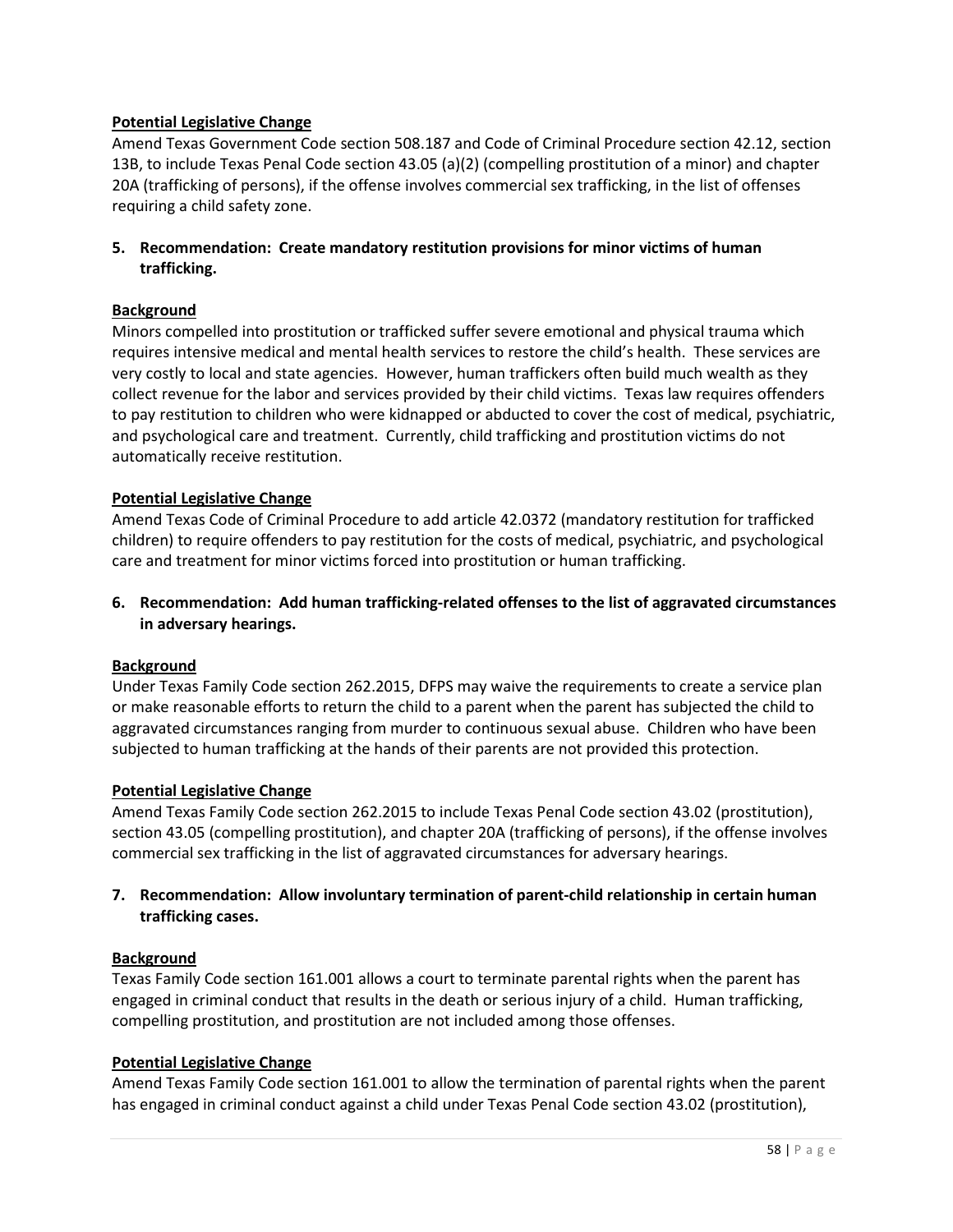## **Potential Legislative Change**

Amend Texas Government Code section 508.187 and Code of Criminal Procedure section 42.12, section 13B, to include Texas Penal Code section 43.05 (a)(2) (compelling prostitution of a minor) and chapter 20A (trafficking of persons), if the offense involves commercial sex trafficking, in the list of offenses requiring a child safety zone.

## **5. Recommendation: Create mandatory restitution provisions for minor victims of human trafficking.**

## **Background**

Minors compelled into prostitution or trafficked suffer severe emotional and physical trauma which requires intensive medical and mental health services to restore the child's health. These services are very costly to local and state agencies. However, human traffickers often build much wealth as they collect revenue for the labor and services provided by their child victims. Texas law requires offenders to pay restitution to children who were kidnapped or abducted to cover the cost of medical, psychiatric, and psychological care and treatment. Currently, child trafficking and prostitution victims do not automatically receive restitution.

## **Potential Legislative Change**

Amend Texas Code of Criminal Procedure to add article 42.0372 (mandatory restitution for trafficked children) to require offenders to pay restitution for the costs of medical, psychiatric, and psychological care and treatment for minor victims forced into prostitution or human trafficking.

## **6. Recommendation: Add human trafficking-related offenses to the list of aggravated circumstances in adversary hearings.**

## **Background**

Under Texas Family Code section 262.2015, DFPS may waive the requirements to create a service plan or make reasonable efforts to return the child to a parent when the parent has subjected the child to aggravated circumstances ranging from murder to continuous sexual abuse. Children who have been subjected to human trafficking at the hands of their parents are not provided this protection.

## **Potential Legislative Change**

Amend Texas Family Code section 262.2015 to include Texas Penal Code section 43.02 (prostitution), section 43.05 (compelling prostitution), and chapter 20A (trafficking of persons), if the offense involves commercial sex trafficking in the list of aggravated circumstances for adversary hearings.

## **7. Recommendation: Allow involuntary termination of parent-child relationship in certain human trafficking cases.**

## **Background**

Texas Family Code section 161.001 allows a court to terminate parental rights when the parent has engaged in criminal conduct that results in the death or serious injury of a child. Human trafficking, compelling prostitution, and prostitution are not included among those offenses.

#### **Potential Legislative Change**

Amend Texas Family Code section 161.001 to allow the termination of parental rights when the parent has engaged in criminal conduct against a child under Texas Penal Code section 43.02 (prostitution),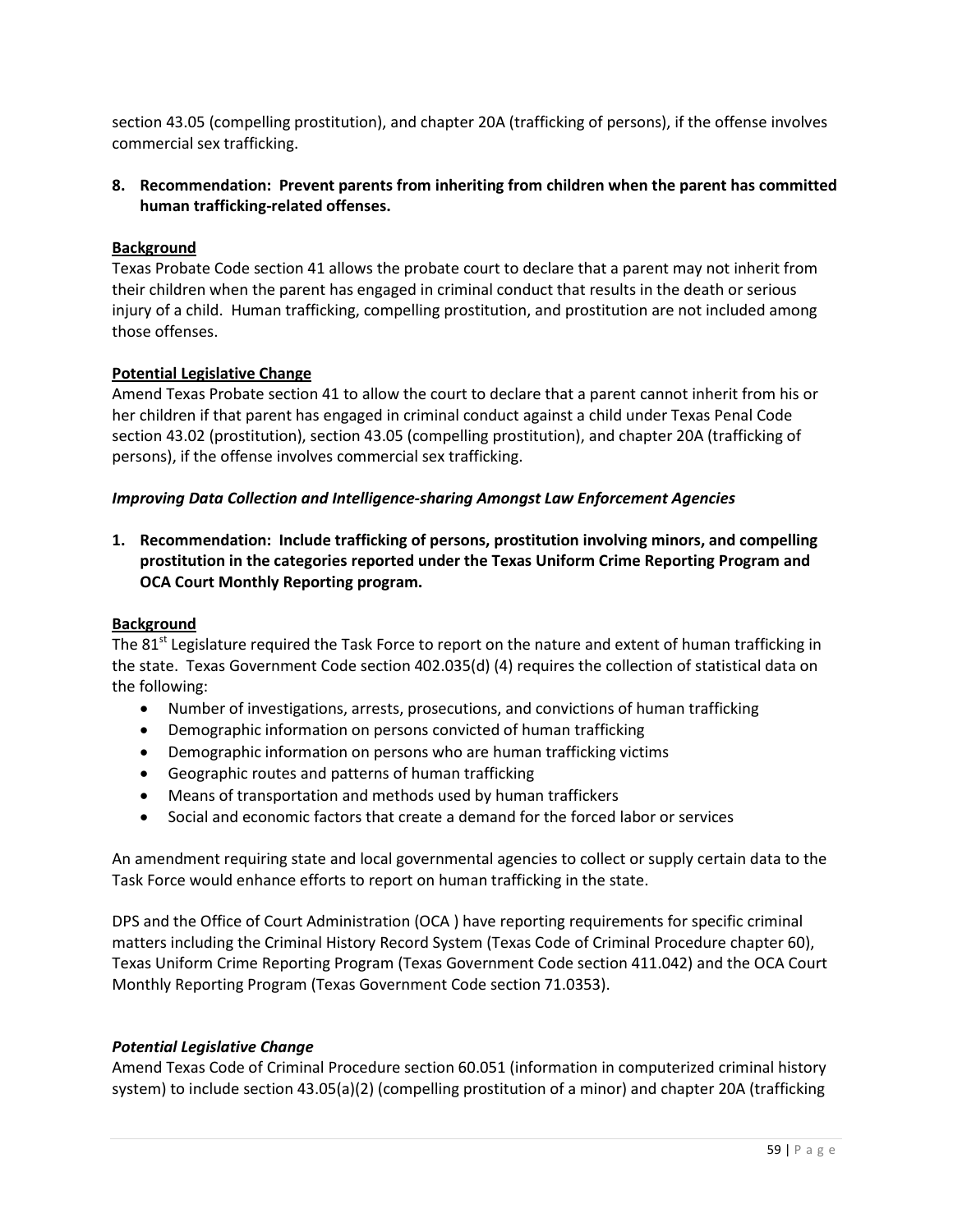section 43.05 (compelling prostitution), and chapter 20A (trafficking of persons), if the offense involves commercial sex trafficking.

## **8. Recommendation: Prevent parents from inheriting from children when the parent has committed human trafficking-related offenses.**

## **Background**

Texas Probate Code section 41 allows the probate court to declare that a parent may not inherit from their children when the parent has engaged in criminal conduct that results in the death or serious injury of a child. Human trafficking, compelling prostitution, and prostitution are not included among those offenses.

## **Potential Legislative Change**

Amend Texas Probate section 41 to allow the court to declare that a parent cannot inherit from his or her children if that parent has engaged in criminal conduct against a child under Texas Penal Code section 43.02 (prostitution), section 43.05 (compelling prostitution), and chapter 20A (trafficking of persons), if the offense involves commercial sex trafficking.

## *Improving Data Collection and Intelligence-sharing Amongst Law Enforcement Agencies*

**1. Recommendation: Include trafficking of persons, prostitution involving minors, and compelling prostitution in the categories reported under the Texas Uniform Crime Reporting Program and OCA Court Monthly Reporting program.** 

## **Background**

The 81<sup>st</sup> Legislature required the Task Force to report on the nature and extent of human trafficking in the state. Texas Government Code section 402.035(d) (4) requires the collection of statistical data on the following:

- Number of investigations, arrests, prosecutions, and convictions of human trafficking
- Demographic information on persons convicted of human trafficking
- Demographic information on persons who are human trafficking victims
- Geographic routes and patterns of human trafficking
- Means of transportation and methods used by human traffickers
- Social and economic factors that create a demand for the forced labor or services

An amendment requiring state and local governmental agencies to collect or supply certain data to the Task Force would enhance efforts to report on human trafficking in the state.

DPS and the Office of Court Administration (OCA ) have reporting requirements for specific criminal matters including the Criminal History Record System (Texas Code of Criminal Procedure chapter 60), Texas Uniform Crime Reporting Program (Texas Government Code section 411.042) and the OCA Court Monthly Reporting Program (Texas Government Code section 71.0353).

## *Potential Legislative Change*

Amend Texas Code of Criminal Procedure section 60.051 (information in computerized criminal history system) to include section 43.05(a)(2) (compelling prostitution of a minor) and chapter 20A (trafficking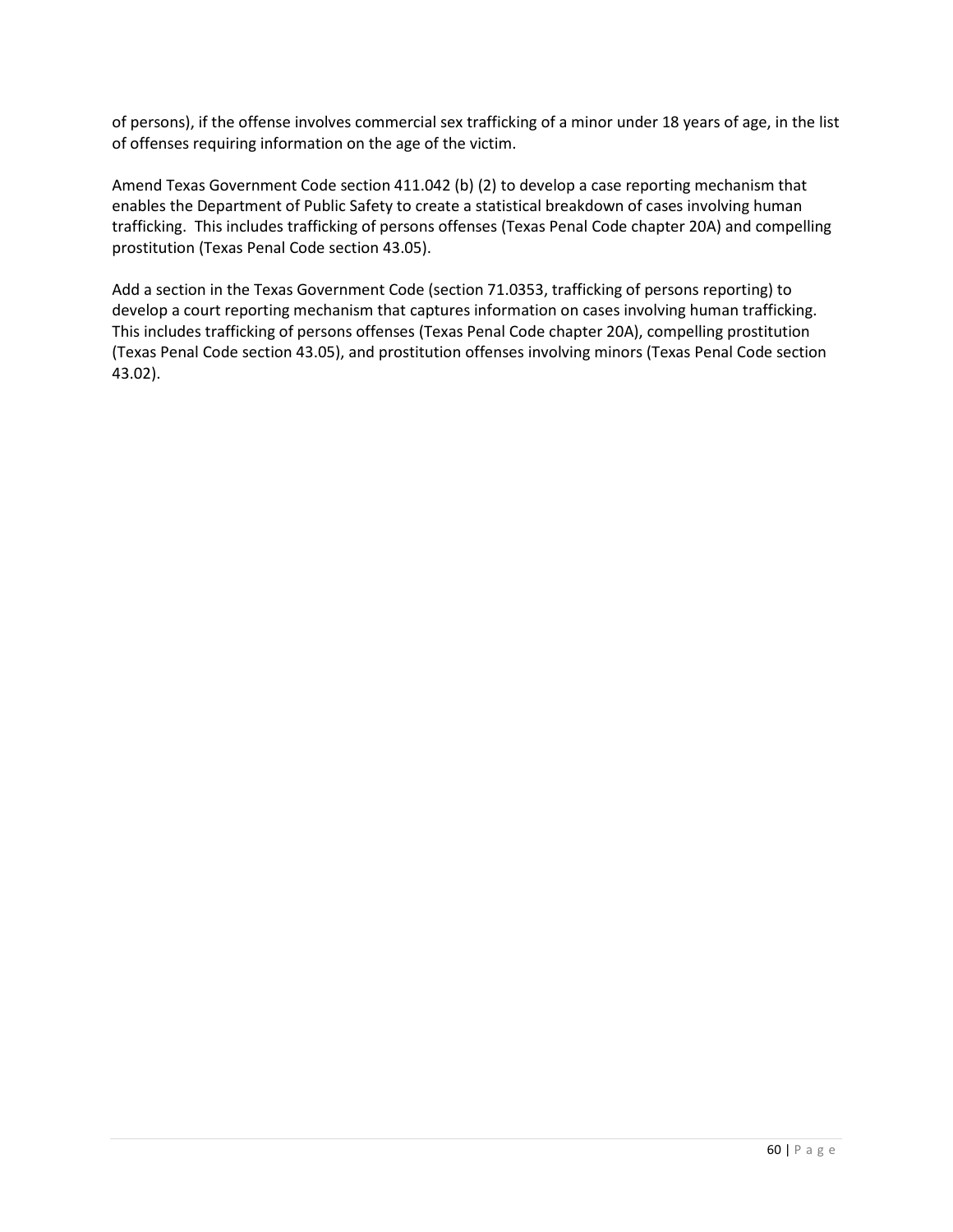of persons), if the offense involves commercial sex trafficking of a minor under 18 years of age, in the list of offenses requiring information on the age of the victim.

Amend Texas Government Code section 411.042 (b) (2) to develop a case reporting mechanism that enables the Department of Public Safety to create a statistical breakdown of cases involving human trafficking. This includes trafficking of persons offenses (Texas Penal Code chapter 20A) and compelling prostitution (Texas Penal Code section 43.05).

Add a section in the Texas Government Code (section 71.0353, trafficking of persons reporting) to develop a court reporting mechanism that captures information on cases involving human trafficking. This includes trafficking of persons offenses (Texas Penal Code chapter 20A), compelling prostitution (Texas Penal Code section 43.05), and prostitution offenses involving minors (Texas Penal Code section 43.02).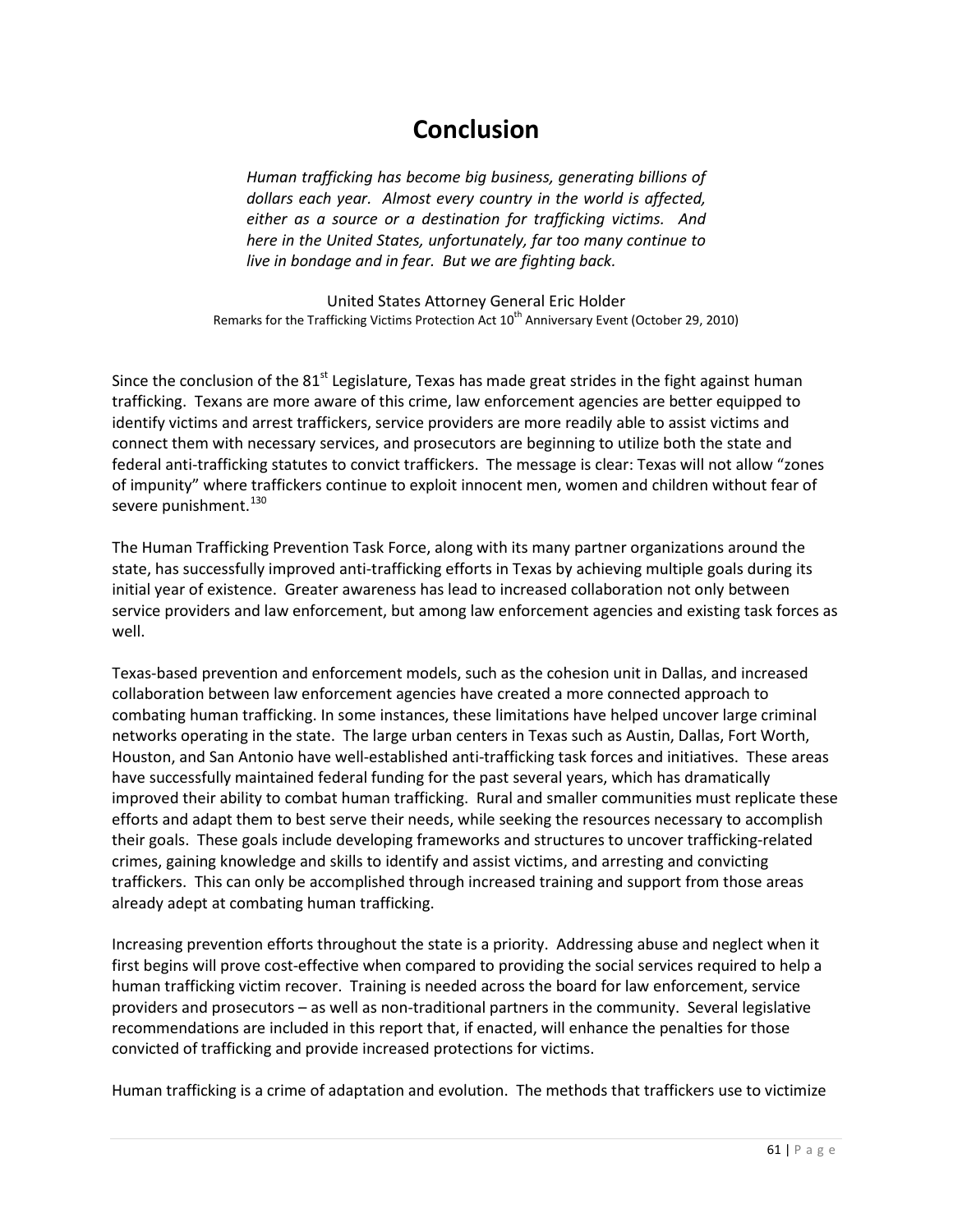# **Conclusion**

*Human trafficking has become big business, generating billions of dollars each year. Almost every country in the world is affected, either as a source or a destination for trafficking victims. And here in the United States, unfortunately, far too many continue to live in bondage and in fear. But we are fighting back.*

United States Attorney General Eric Holder Remarks for the Trafficking Victims Protection Act 10<sup>th</sup> Anniversary Event (October 29, 2010)

Since the conclusion of the 81<sup>st</sup> Legislature, Texas has made great strides in the fight against human trafficking. Texans are more aware of this crime, law enforcement agencies are better equipped to identify victims and arrest traffickers, service providers are more readily able to assist victims and connect them with necessary services, and prosecutors are beginning to utilize both the state and federal anti-trafficking statutes to convict traffickers. The message is clear: Texas will not allow "zones of impunity" where traffickers continue to exploit innocent men, women and children without fear of severe punishment.<sup>[130](#page-69-7)</sup>

The Human Trafficking Prevention Task Force, along with its many partner organizations around the state, has successfully improved anti-trafficking efforts in Texas by achieving multiple goals during its initial year of existence. Greater awareness has lead to increased collaboration not only between service providers and law enforcement, but among law enforcement agencies and existing task forces as well.

Texas-based prevention and enforcement models, such as the cohesion unit in Dallas, and increased collaboration between law enforcement agencies have created a more connected approach to combating human trafficking. In some instances, these limitations have helped uncover large criminal networks operating in the state. The large urban centers in Texas such as Austin, Dallas, Fort Worth, Houston, and San Antonio have well-established anti-trafficking task forces and initiatives. These areas have successfully maintained federal funding for the past several years, which has dramatically improved their ability to combat human trafficking. Rural and smaller communities must replicate these efforts and adapt them to best serve their needs, while seeking the resources necessary to accomplish their goals. These goals include developing frameworks and structures to uncover trafficking-related crimes, gaining knowledge and skills to identify and assist victims, and arresting and convicting traffickers. This can only be accomplished through increased training and support from those areas already adept at combating human trafficking.

Increasing prevention efforts throughout the state is a priority. Addressing abuse and neglect when it first begins will prove cost-effective when compared to providing the social services required to help a human trafficking victim recover. Training is needed across the board for law enforcement, service providers and prosecutors – as well as non-traditional partners in the community. Several legislative recommendations are included in this report that, if enacted, will enhance the penalties for those convicted of trafficking and provide increased protections for victims.

Human trafficking is a crime of adaptation and evolution. The methods that traffickers use to victimize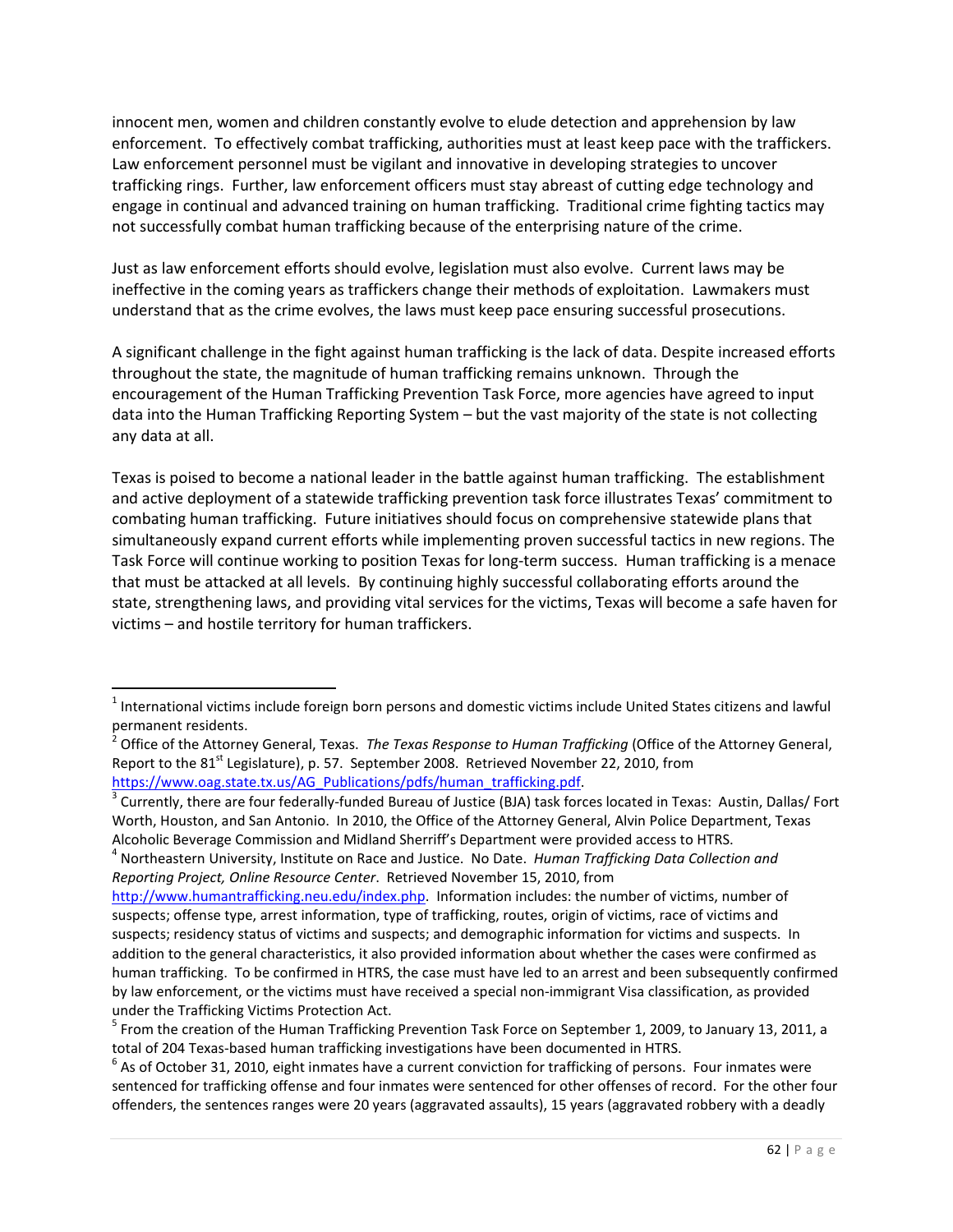innocent men, women and children constantly evolve to elude detection and apprehension by law enforcement. To effectively combat trafficking, authorities must at least keep pace with the traffickers. Law enforcement personnel must be vigilant and innovative in developing strategies to uncover trafficking rings. Further, law enforcement officers must stay abreast of cutting edge technology and engage in continual and advanced training on human trafficking. Traditional crime fighting tactics may not successfully combat human trafficking because of the enterprising nature of the crime.

Just as law enforcement efforts should evolve, legislation must also evolve. Current laws may be ineffective in the coming years as traffickers change their methods of exploitation. Lawmakers must understand that as the crime evolves, the laws must keep pace ensuring successful prosecutions.

A significant challenge in the fight against human trafficking is the lack of data. Despite increased efforts throughout the state, the magnitude of human trafficking remains unknown. Through the encouragement of the Human Trafficking Prevention Task Force, more agencies have agreed to input data into the Human Trafficking Reporting System – but the vast majority of the state is not collecting any data at all.

Texas is poised to become a national leader in the battle against human trafficking. The establishment and active deployment of a statewide trafficking prevention task force illustrates Texas' commitment to combating human trafficking. Future initiatives should focus on comprehensive statewide plans that simultaneously expand current efforts while implementing proven successful tactics in new regions. The Task Force will continue working to position Texas for long-term success. Human trafficking is a menace that must be attacked at all levels. By continuing highly successful collaborating efforts around the state, strengthening laws, and providing vital services for the victims, Texas will become a safe haven for victims – and hostile territory for human traffickers.

 $1$  International victims include foreign born persons and domestic victims include United States citizens and lawful permanent residents.

<sup>2</sup> Office of the Attorney General, Texas. *The Texas Response to Human Trafficking* (Office of the Attorney General, Report to the 81<sup>st</sup> Legislature), p. 57. September 2008. Retrieved November 22, 2010, from https://www.oag.state.tx.us/AG\_Publications/pdfs/human\_trafficking.pdf

<sup>3</sup> Currently, there are four federally-funded Bureau of Justice (BJA) task forces located in Texas: Austin, Dallas/ Fort Worth, Houston, and San Antonio. In 2010, the Office of the Attorney General, Alvin Police Department, Texas

Alcoholic Beverage Commission and Midland Sherriff's Department were provided access to HTRS.<br><sup>4</sup> Northeastern University, Institute on Race and Justice. No Date. *Human Trafficking Data Collection and Reporting Project, Online Resource Center*. Retrieved November 15, 2010, from

[http://www.humantrafficking.neu.edu/index.php.](http://www.humantrafficking.neu.edu/index.php) Information includes: the number of victims, number of suspects; offense type, arrest information, type of trafficking, routes, origin of victims, race of victims and suspects; residency status of victims and suspects; and demographic information for victims and suspects. In addition to the general characteristics, it also provided information about whether the cases were confirmed as human trafficking. To be confirmed in HTRS, the case must have led to an arrest and been subsequently confirmed by law enforcement, or the victims must have received a special non-immigrant Visa classification, as provided under the Trafficking Victims Protection Act.

<sup>&</sup>lt;sup>5</sup> From the creation of the Human Trafficking Prevention Task Force on September 1, 2009, to January 13, 2011, a total of 204 Texas-based human trafficking investigations have been documented in HTRS.<br><sup>6</sup> As of October 31, 2010, eight inmates have a current conviction for trafficking of persons. Four inmates were

sentenced for trafficking offense and four inmates were sentenced for other offenses of record. For the other four offenders, the sentences ranges were 20 years (aggravated assaults), 15 years (aggravated robbery with a deadly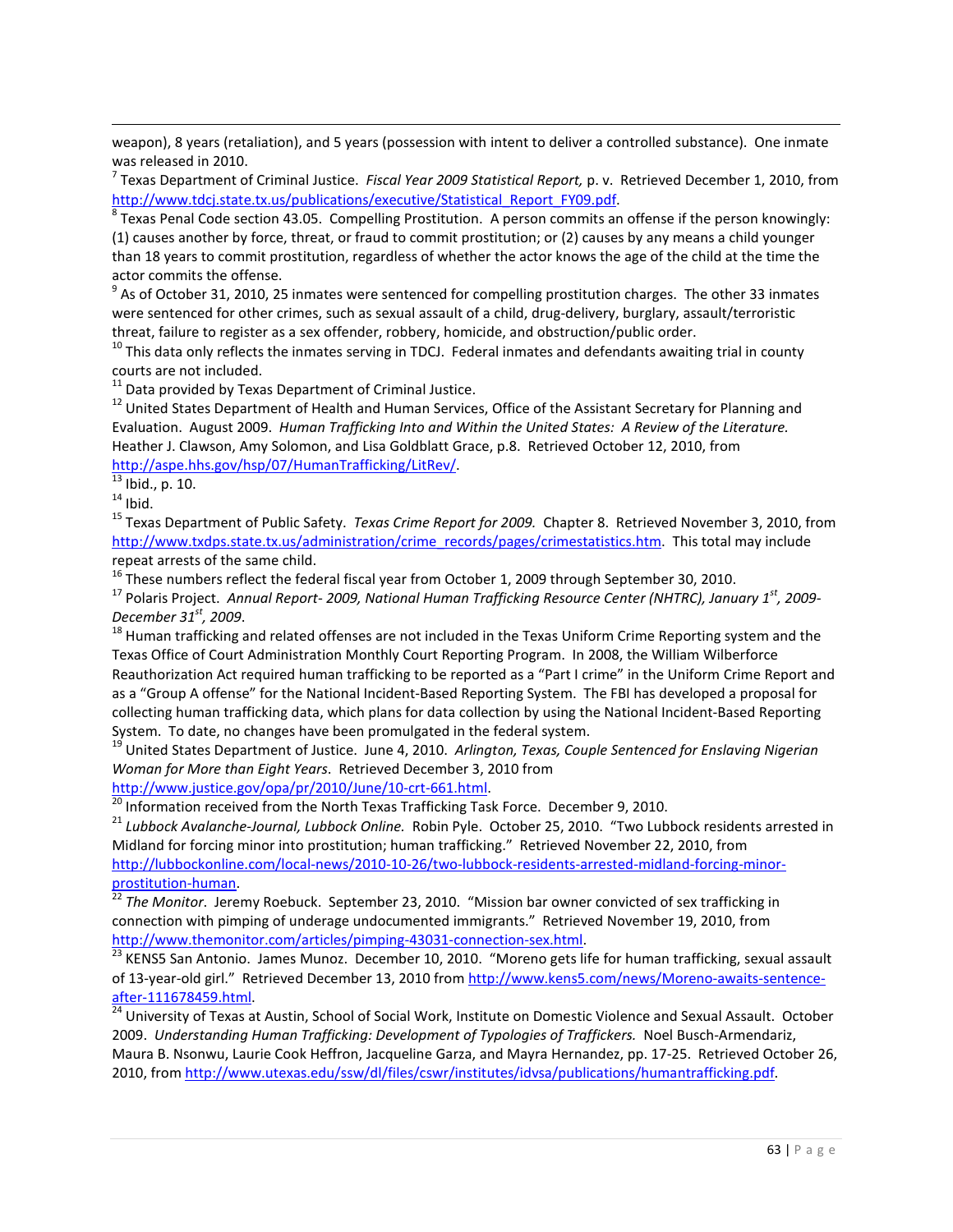weapon), 8 years (retaliation), and 5 years (possession with intent to deliver a controlled substance). One inmate was released in 2010.

<sup>7</sup> Texas Department of Criminal Justice. *Fiscal Year 2009 Statistical Report,* p. v. Retrieved December 1, 2010, from [http://www.tdcj.state.tx.us/publications/executive/Statistical\\_Report\\_FY09.pdf.](http://www.tdcj.state.tx.us/publications/executive/Statistical_Report_FY09.pdf)

<sup>8</sup> Texas Penal Code section 43.05. Compelling Prostitution. A person commits an offense if the person knowingly: (1) causes another by force, threat, or fraud to commit prostitution; or (2) causes by any means a child younger than 18 years to commit prostitution, regardless of whether the actor knows the age of the child at the time the actor commits the offense.<br><sup>9</sup> As of October 31, 2010, 25 inmates were sentenced for compelling prostitution charges. The other 33 inmates

were sentenced for other crimes, such as sexual assault of a child, drug-delivery, burglary, assault/terroristic threat, failure to register as a sex offender, robbery, homicide, and obstruction/public order.

 $10$  This data only reflects the inmates serving in TDCJ. Federal inmates and defendants awaiting trial in county courts are not included.

 $11$  Data provided by Texas Department of Criminal Justice.

<sup>12</sup> United States Department of Health and Human Services, Office of the Assistant Secretary for Planning and Evaluation. August 2009. *Human Trafficking Into and Within the United States: A Review of the Literature.*  Heather J. Clawson, Amy Solomon, and Lisa Goldblatt Grace, p.8. Retrieved October 12, 2010, from [http://aspe.hhs.gov/hsp/07/HumanTrafficking/LitRev/.](http://aspe.hhs.gov/hsp/07/HumanTrafficking/LitRev/)

 $\frac{13}{14}$  Ibid., p. 10.<br><sup>14</sup> Ibid.

 $\overline{\phantom{0}}$ 

<sup>15</sup> Texas Department of Public Safety. *Texas Crime Report for 2009.* Chapter 8. Retrieved November 3, 2010, from [http://www.txdps.state.tx.us/administration/crime\\_records/pages/crimestatistics.htm.](http://www.txdps.state.tx.us/administration/crime_records/pages/crimestatistics.htm) This total may include repeat arrests of the same child.

 $16$  These numbers reflect the federal fiscal year from October 1, 2009 through September 30, 2010.

<sup>17</sup> Polaris Project. *Annual Report- 2009, National Human Trafficking Resource Center (NHTRC), January 1st, 2009- December 31<sup>st</sup>, 2009*.<br><sup>18</sup> Human trafficking and related offenses are not included in the Texas Uniform Crime Reporting system and the

Texas Office of Court Administration Monthly Court Reporting Program. In 2008, the William Wilberforce Reauthorization Act required human trafficking to be reported as a "Part I crime" in the Uniform Crime Report and as a "Group A offense" for the National Incident-Based Reporting System. The FBI has developed a proposal for collecting human trafficking data, which plans for data collection by using the National Incident-Based Reporting System. To date, no changes have been promulgated in the federal system.

<sup>19</sup> United States Department of Justice. June 4, 2010. *Arlington, Texas, Couple Sentenced for Enslaving Nigerian Woman for More than Eight Years*. Retrieved December 3, 2010 from

[http://www.justice.gov/opa/pr/2010/June/10-crt-661.html.](http://www.justice.gov/opa/pr/2010/June/10-crt-661.html)<br><sup>20</sup> Information assessed from the NULLET TO 11.1 T

Information received from the North Texas Trafficking Task Force. December 9, 2010.

<sup>21</sup> *Lubbock Avalanche-Journal, Lubbock Online.* Robin Pyle. October 25, 2010. "Two Lubbock residents arrested in Midland for forcing minor into prostitution; human trafficking." Retrieved November 22, 2010, from [http://lubbockonline.com/local-news/2010-10-26/two-lubbock-residents-arrested-midland-forcing-minor-](http://lubbockonline.com/local-news/2010-10-26/two-lubbock-residents-arrested-midland-forcing-minor-prostitution-human)

[prostitution-human.](http://lubbockonline.com/local-news/2010-10-26/two-lubbock-residents-arrested-midland-forcing-minor-prostitution-human) [22](http://lubbockonline.com/local-news/2010-10-26/two-lubbock-residents-arrested-midland-forcing-minor-prostitution-human) *The Monitor*. Jeremy Roebuck. September 23, 2010. "Mission bar owner convicted of sex trafficking in connection with pimping of underage undocumented immigrants." Retrieved November 19, 2010, from [http://www.themonitor.com/articles/pimping-43031-connection-sex.html.](http://www.themonitor.com/articles/pimping-43031-connection-sex.html)

<sup>23</sup> KENS5 San Antonio. James Munoz. December 10, 2010. "Moreno gets life for human trafficking, sexual assault of 13-year-old girl." Retrieved December 13, 2010 from [http://www.kens5.com/news/Moreno-awaits-sentence](http://www.kens5.com/news/Moreno-awaits-sentence-after-111678459.html)[after-111678459.html.](http://www.kens5.com/news/Moreno-awaits-sentence-after-111678459.html)

<sup>24</sup> University of Texas at Austin, School of Social Work, Institute on Domestic Violence and Sexual Assault. October 2009. *Understanding Human Trafficking: Development of Typologies of Traffickers.* Noel Busch-Armendariz, Maura B. Nsonwu, Laurie Cook Heffron, Jacqueline Garza, and Mayra Hernandez, pp. 17-25. Retrieved October 26, 2010, from [http://www.utexas.edu/ssw/dl/files/cswr/institutes/idvsa/publications/humantrafficking.pdf.](http://www.utexas.edu/ssw/dl/files/cswr/institutes/idvsa/publications/humantrafficking.pdf)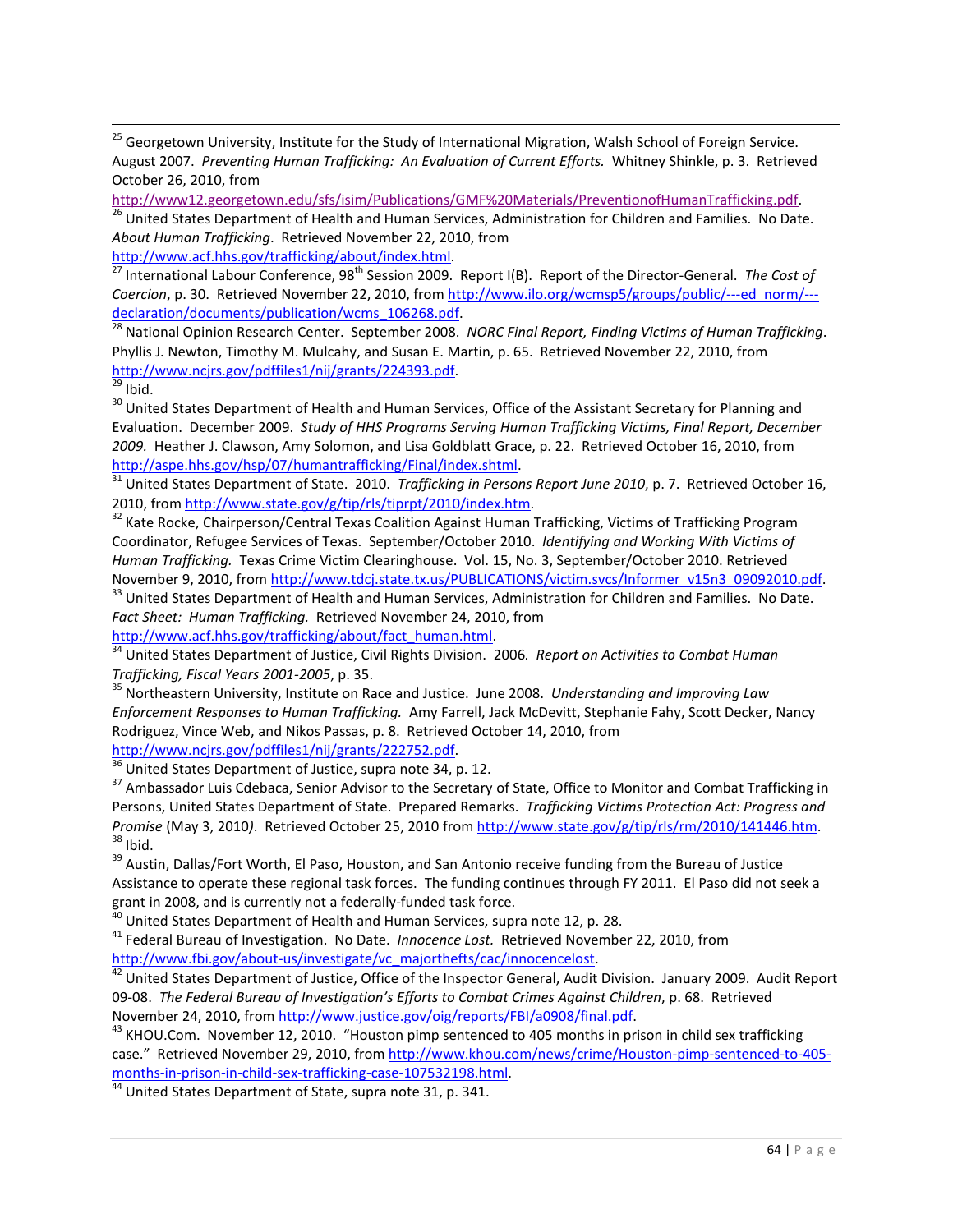<sup>25</sup> Georgetown University, Institute for the Study of International Migration, Walsh School of Foreign Service. August 2007. *Preventing Human Trafficking: An Evaluation of Current Efforts.* Whitney Shinkle, p. 3. Retrieved October 26, 2010, from

*About Human Trafficking*. Retrieved November 22, 2010, from

[http://www.acf.hhs.gov/trafficking/about/index.html.](http://www.acf.hhs.gov/trafficking/about/index.html)

<sup>27</sup> International Labour Conference, 98<sup>th</sup> Session 2009. Report I(B). Report of the Director-General. *The Cost of Coercion*, p. 30. Retrieved November 22, 2010, from [http://www.ilo.org/wcmsp5/groups/public/---ed\\_norm/--](http://www.ilo.org/wcmsp5/groups/public/---ed_norm/---declaration/documents/publication/wcms_106268.pdf) declaration/documents/publication/wcms\_106268.pdf.<br><sup>28</sup> National Opinion Research Center. September 2008. *NORC Final Report, Finding Victims of Human Trafficking.* 

Phyllis J. Newton, Timothy M. Mulcahy, and Susan E. Martin, p. 65. Retrieved November 22, 2010, from [http://www.ncjrs.gov/pdffiles1/nij/grants/224393.pdf.](http://www.ncjrs.gov/pdffiles1/nij/grants/224393.pdf)

<sup>30</sup> United States Department of Health and Human Services, Office of the Assistant Secretary for Planning and Evaluation. December 2009. *Study of HHS Programs Serving Human Trafficking Victims, Final Report, December 2009.* Heather J. Clawson, Amy Solomon, and Lisa Goldblatt Grace, p. 22. Retrieved October 16, 2010, from [http://aspe.hhs.gov/hsp/07/humantrafficking/Final/index.shtml.](http://aspe.hhs.gov/hsp/07/humantrafficking/Final/index.shtml)

<sup>31</sup> United States Department of State. 2010. *Trafficking in Persons Report June 2010*, p. 7. Retrieved October 16, 2010, from [http://www.state.gov/g/tip/rls/tiprpt/2010/index.htm.](http://www.state.gov/g/tip/rls/tiprpt/2010/index.htm)

<sup>32</sup> Kate Rocke, Chairperson/Central Texas Coalition Against Human Trafficking, Victims of Trafficking Program Coordinator, Refugee Services of Texas. September/October 2010. *Identifying and Working With Victims of Human Trafficking.* Texas Crime Victim Clearinghouse. Vol. 15, No. 3, September/October 2010. Retrieved November 9, 2010, from [http://www.tdcj.state.tx.us/PUBLICATIONS/victim.svcs/Informer\\_v15n3\\_09092010.pdf.](http://www.tdcj.state.tx.us/PUBLICATIONS/victim.svcs/Informer_v15n3_09092010.pdf)

<sup>33</sup> United States Department of Health and Human Services, Administration for Children and Families. No Date. *Fact Sheet: Human Trafficking.* Retrieved November 24, 2010, from

[http://www.acf.hhs.gov/trafficking/about/fact\\_human.html.](http://www.acf.hhs.gov/trafficking/about/fact_human.html)

<sup>34</sup> United States Department of Justice, Civil Rights Division. 2006*. Report on Activities to Combat Human Trafficking, Fiscal Years 2001-2005*, p. 35.<br><sup>35</sup> Northeastern University, Institute on Race and Justice. June 2008. *Understanding and Improving Law* 

*Enforcement Responses to Human Trafficking.* Amy Farrell, Jack McDevitt, Stephanie Fahy, Scott Decker, Nancy Rodriguez, Vince Web, and Nikos Passas, p. 8. Retrieved October 14, 2010, from [http://www.ncjrs.gov/pdffiles1/nij/grants/222752.pdf.](http://www.ncjrs.gov/pdffiles1/nij/grants/222752.pdf)

 $36$  United States Department of Justice, supra note 34, p. 12.

<sup>37</sup> Ambassador Luis Cdebaca, Senior Advisor to the Secretary of State, Office to Monitor and Combat Trafficking in Persons, United States Department of State. Prepared Remarks. *Trafficking Victims Protection Act: Progress and Promise* (May 3, 2010). Retrieved October 25, 2010 fro[m http://www.state.gov/g/tip/rls/rm/2010/141446.htm.](http://www.state.gov/g/tip/rls/rm/2010/141446.htm) 38 Ibid.

<sup>39</sup> Austin, Dallas/Fort Worth, El Paso, Houston, and San Antonio receive funding from the Bureau of Justice Assistance to operate these regional task forces. The funding continues through FY 2011. El Paso did not seek a grant in 2008, and is currently not a federally-funded task force.

<sup>40</sup> United States Department of Health and Human Services, supra note 12, p. 28.<br><sup>41</sup> Federal Bureau of Investigation. No Date. *Innocence Lost*. Retrieved November 22, 2010, from [http://www.fbi.gov/about-us/investigate/vc\\_majorthefts/cac/innocencelost.](http://www.fbi.gov/about-us/investigate/vc_majorthefts/cac/innocencelost)

42 United States Department of Justice, Office of the Inspector General, Audit Division. January 2009. Audit Report 09-08. *The Federal Bureau of Investigation's Efforts to Combat Crimes Against Children*, p. 68. Retrieved November 24, 2010, from [http://www.justice.gov/oig/reports/FBI/a0908/final.pdf.](http://www.justice.gov/oig/reports/FBI/a0908/final.pdf)

<sup>43</sup> KHOU.Com. November 12, 2010. "Houston pimp sentenced to 405 months in prison in child sex trafficking case." Retrieved November 29, 2010, from [http://www.khou.com/news/crime/Houston-pimp-sentenced-to-405](http://www.khou.com/news/crime/Houston-pimp-sentenced-to-405-months-in-prison-in-child-sex-trafficking-case-107532198.html) [months-in-prison-in-child-sex-trafficking-case-107532198.html.](http://www.khou.com/news/crime/Houston-pimp-sentenced-to-405-months-in-prison-in-child-sex-trafficking-case-107532198.html)

 $\frac{44}{44}$  United States Department of State, supra note 31, p. 341.

[http://www12.georgetown.edu/sfs/isim/Publications/GMF%20Materials/PreventionofHumanTrafficking.pdf.](http://www12.georgetown.edu/sfs/isim/Publications/GMF%20Materials/PreventionofHumanTrafficking.pdf)<br><sup>[26](http://www12.georgetown.edu/sfs/isim/Publications/GMF%20Materials/PreventionofHumanTrafficking.pdf)</sup> United States Department of Health and Human Services, Administration for Children and Families. No Date.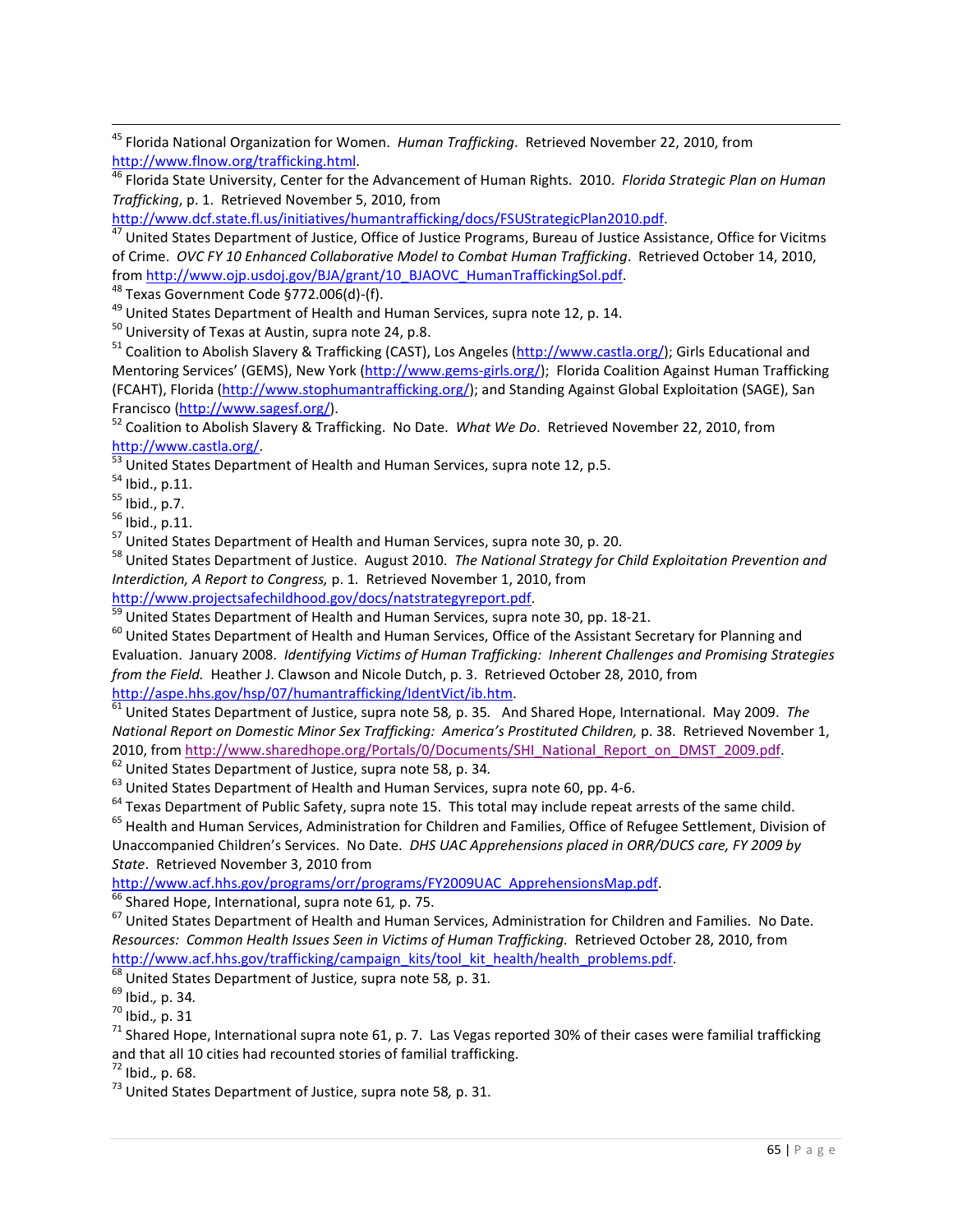45 Florida National Organization for Women. *Human Trafficking*. Retrieved November 22, 2010, from [http://www.flnow.org/trafficking.html.](http://www.flnow.org/trafficking.html)

<sup>46</sup> Florida State University, Center for the Advancement of Human Rights. 2010. *Florida Strategic Plan on Human Trafficking*, p. 1. Retrieved November 5, 2010, from

[http://www.dcf.state.fl.us/initiatives/humantrafficking/docs/FSUStrategicPlan2010.pdf.](http://www.dcf.state.fl.us/initiatives/humantrafficking/docs/FSUStrategicPlan2010.pdf)

<sup>47</sup> United States Department of Justice, Office of Justice Programs, Bureau of Justice Assistance, Office for Vicitms of Crime. *OVC FY 10 Enhanced Collaborative Model to Combat Human Trafficking*. Retrieved October 14, 2010, from [http://www.ojp.usdoj.gov/BJA/grant/10\\_BJAOVC\\_HumanTraffickingSol.pdf.](http://www.ojp.usdoj.gov/BJA/grant/10_BJAOVC_HumanTraffickingSol.pdf)

<sup>48</sup> Texas Government Code §772.006(d)-(f).<br><sup>49</sup> United States Department of Health and Human Services, supra note 12, p. 14.

<sup>50</sup> University of Texas at Austin, supra note 24, p.8.<br><sup>51</sup> Coalition to Abolish Slavery & Trafficking (CAST), Los Angeles [\(http://www.castla.org/\)](http://www.castla.org/); Girls Educational and Mentoring Services' (GEMS), New York [\(http://www.gems-girls.org/\)](http://www.gems-girls.org/); Florida Coalition Against Human Trafficking (FCAHT), Florida [\(http://www.stophumantrafficking.org/\)](http://www.stophumantrafficking.org/); and Standing Against Global Exploitation (SAGE), San Francisco [\(http://www.sagesf.org/\)](http://www.sagesf.org/).<br><sup>52</sup> Coalition to Abolish Slavery & Trafficking. No Date. *What We Do*. Retrieved November 22, 2010, from

[http://www.castla.org/.](http://www.castla.org/)<br>
<sup>53</sup> United States Department of Health and Human Services, supra note 12, p.5.

<sup>54</sup> Ibid., p.11.<br><sup>55</sup> Ibid., p.7.<br><sup>55</sup> Ibid., p.11.<br><sup>57</sup> United States Department of Health and Human Services, supra note 30, p. 20.<br><sup>58</sup> United States Department of Justice. August 2010. *The National Strategy for Child Interdiction, A Report to Congress,* p. 1*.* Retrieved November 1, 2010, from

[http://www.projectsafechildhood.gov/docs/natstrategyreport.pdf.](http://www.projectsafechildhood.gov/docs/natstrategyreport.pdf)<br><sup>59</sup> United States Department of Health and Human Services, supra note 30, pp. 18-21.

 $60$  United States Department of Health and Human Services, Office of the Assistant Secretary for Planning and Evaluation. January 2008. *Identifying Victims of Human Trafficking: Inherent Challenges and Promising Strategies from the Field.* Heather J. Clawson and Nicole Dutch, p. 3. Retrieved October 28, 2010, from

[http://aspe.hhs.gov/hsp/07/humantrafficking/IdentVict/ib.htm.](http://aspe.hhs.gov/hsp/07/humantrafficking/IdentVict/ib.htm) [61](http://aspe.hhs.gov/hsp/07/humantrafficking/IdentVict/ib.htm) United States Department of Justice, supra note 58*,* p. 35*.* And Shared Hope, International. May 2009. *The National Report on Domestic Minor Sex Trafficking: America's Prostituted Children,* p. 38. Retrieved November 1, 2010, from [http://www.sharedhope.org/Portals/0/Documents/SHI\\_National\\_Report\\_on\\_DMST\\_2009.pdf.](http://www.sharedhope.org/Portals/0/Documents/SHI_National_Report_on_DMST_2009.pdf) 62 United States Department of Justice, supra note 58, p. 34*.*

 $63$  United States Department of Health and Human Services, supra note 60, pp. 4-6.

<sup>64</sup> Texas Department of Public Safety, supra note 15. This total may include repeat arrests of the same child.

<sup>65</sup> Health and Human Services, Administration for Children and Families, Office of Refugee Settlement, Division of Unaccompanied Children's Services. No Date. *DHS UAC Apprehensions placed in ORR/DUCS care, FY 2009 by*  State. Retrieved November 3, 2010 from<br>http://www.acf.hhs.gov/programs/orr/programs/FY2009UAC ApprehensionsMap.pdf.

 $\frac{66}{66}$  $\frac{66}{66}$  $\frac{66}{66}$  Shared Hope, International, supra note 61, p. 75.<br><sup>67</sup> United States Department of Health and Human Services, Administration for Children and Families. No Date. *Resources: Common Health Issues Seen in Victims of Human Trafficking.* Retrieved October 28, 2010, from [http://www.acf.hhs.gov/trafficking/campaign\\_kits/tool\\_kit\\_health/health\\_problems.pdf.](http://www.acf.hhs.gov/trafficking/campaign_kits/tool_kit_health/health_problems.pdf)

<sup>68</sup> United States Department of Justice, supra note 58*,* p. 31*.* 

<sup>69</sup> Ibid.*,* p. 34*.* 

<sup>70</sup> Ibid.*,* p. 31

 $71$  Shared Hope, International supra note 61, p. 7. Las Vegas reported 30% of their cases were familial trafficking and that all 10 cities had recounted stories of familial trafficking.<br> $^{72}$  lbid.. p. 68.

<sup>72</sup> Ibid.*,* p. 68. 73 United States Department of Justice, supra note 58*,* p. 31.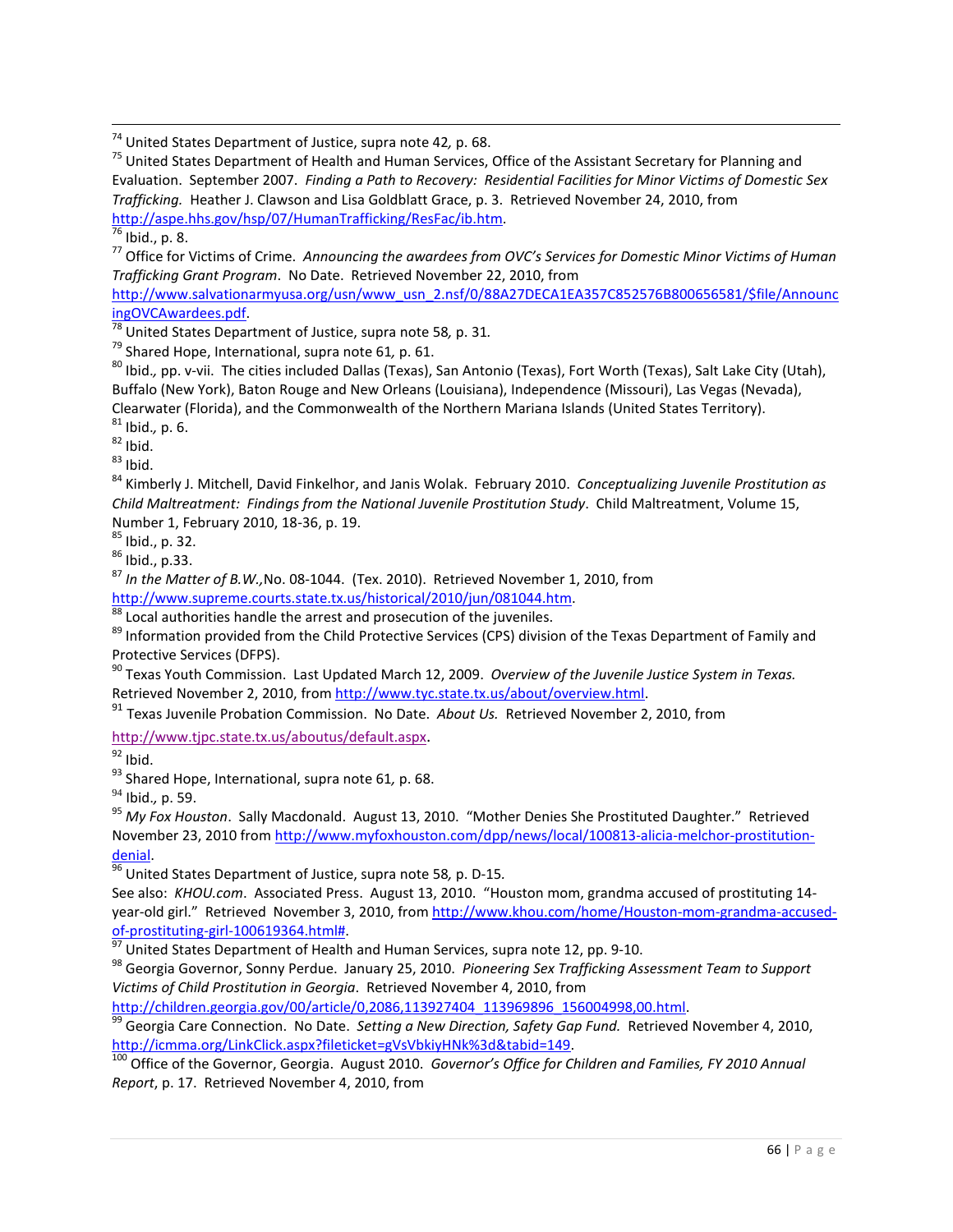<sup>74</sup> United States Department of Justice, supra note 42, p. 68.<br><sup>75</sup> United States Department of Health and Human Services, Office of the Assistant Secretary for Planning and Evaluation. September 2007. *Finding a Path to Recovery: Residential Facilities for Minor Victims of Domestic Sex Trafficking.* Heather J. Clawson and Lisa Goldblatt Grace, p. 3. Retrieved November 24, 2010, from [http://aspe.hhs.gov/hsp/07/HumanTrafficking/ResFac/ib.htm.](http://aspe.hhs.gov/hsp/07/HumanTrafficking/ResFac/ib.htm)

<sup>76</sup> Ibid., p. 8.<br><sup>77</sup> Office for Victims of Crime. *Announcing the awardees from OVC's Services for Domestic Minor Victims of Human Trafficking Grant Program*. No Date. Retrieved November 22, 2010, from

[http://www.salvationarmyusa.org/usn/www\\_usn\\_2.nsf/0/88A27DECA1EA357C852576B800656581/\\$file/Announc](http://www.salvationarmyusa.org/usn/www_usn_2.nsf/0/88A27DECA1EA357C852576B800656581/$file/AnnouncingOVCAwardees.pdf) [ingOVCAwardees.pdf.](http://www.salvationarmyusa.org/usn/www_usn_2.nsf/0/88A27DECA1EA357C852576B800656581/$file/AnnouncingOVCAwardees.pdf)

<sup>78</sup> United States Department of Justice, supra note 58*,* p. 31*.* 

<sup>79</sup> Shared Hope, International, supra note 61, p. 61.<br><sup>80</sup> Ibid., pp. v-vii. The cities included Dallas (Texas), San Antonio (Texas), Fort Worth (Texas), Salt Lake City (Utah), Buffalo (New York), Baton Rouge and New Orleans (Louisiana), Independence (Missouri), Las Vegas (Nevada), Clearwater (Florida), and the Commonwealth of the Northern Mariana Islands (United States Territory).<br><sup>81</sup> Ibid., p. 6.

82 Ibid., p. 6.<br><sup>82</sup> Ibid.<br><sup>84</sup> Kimberly J. Mitchell, David Finkelhor, and Janis Wolak. February 2010. *Conceptualizing Juvenile Prostitution as Child Maltreatment: Findings from the National Juvenile Prostitution Study*. Child Maltreatment, Volume 15, Number 1, February 2010, 18-36, p. 19.<br><sup>85</sup> Ibid., p. 32.<br><sup>86</sup> Ibid., p.33.

<sup>87</sup> *In the Matter of B.W.,*No. 08-1044. (Tex. 2010). Retrieved November 1, 2010, from [http://www.supreme.courts.state.tx.us/historical/2010/jun/081044.htm.](http://www.supreme.courts.state.tx.us/historical/2010/jun/081044.htm)

 $\overline{\phantom{a}^{88}}$  Local authorities handle the arrest and prosecution of the juveniles.

<sup>89</sup> Information provided from the Child Protective Services (CPS) division of the Texas Department of Family and Protective Services (DFPS).

<sup>90</sup> Texas Youth Commission. Last Updated March 12, 2009. *Overview of the Juvenile Justice System in Texas.* Retrieved November 2, 2010, fro[m http://www.tyc.state.tx.us/about/overview.html.](http://www.tyc.state.tx.us/about/overview.html)

<sup>91</sup> Texas Juvenile Probation Commission. No Date. *About Us.* Retrieved November 2, 2010, from

[http://www.tjpc.state.tx.us/aboutus/default.aspx.](http://www.tjpc.state.tx.us/aboutus/default.aspx)

 $92$  Ibid.

<sup>93</sup> Shared Hope, International, supra note 61, p. 68.<br><sup>94</sup> Ibid., p. 59.

<sup>95</sup> My Fox Houston. Sally Macdonald. August 13, 2010. "Mother Denies She Prostituted Daughter." Retrieved November 23, 2010 fro[m http://www.myfoxhouston.com/dpp/news/local/100813-alicia-melchor-prostitution-](http://www.myfoxhouston.com/dpp/news/local/100813-alicia-melchor-prostitution-denial)

[denial.](http://www.myfoxhouston.com/dpp/news/local/100813-alicia-melchor-prostitution-denial)<br><sup>[96](http://www.myfoxhouston.com/dpp/news/local/100813-alicia-melchor-prostitution-denial)</sup> United States Department of Justice, supra note 58, p. D-15.

See also: *KHOU.com*. Associated Press. August 13, 2010. "Houston mom, grandma accused of prostituting 14 year-old girl." Retrieved November 3, 2010, from [http://www.khou.com/home/Houston-mom-grandma-accused](http://www.khou.com/home/Houston-mom-grandma-accused-of-prostituting-girl-100619364.html)[of-prostituting-girl-100619364.html#.](http://www.khou.com/home/Houston-mom-grandma-accused-of-prostituting-girl-100619364.html)<br><sup>[97](http://www.khou.com/home/Houston-mom-grandma-accused-of-prostituting-girl-100619364.html)</sup> United States Department of Health and Human Services, supra note 12, pp. 9-10.<br><sup>98</sup> Georgia Governor, Sonny Perdue. January 25, 2010. *Pioneering Sex Trafficking Assessment Team* 

*Victims of Child Prostitution in Georgia*. Retrieved November 4, 2010, from

<sup>[99](http://children.georgia.gov/00/article/0,2086,113927404_113969896_156004998,00.html)</sup> Georgia Care Connection. No Date. Setting a New Direction, Safety Gap Fund. Retrieved November 4, 2010, [http://icmma.org/LinkClick.aspx?fileticket=gVsVbkiyHNk%3d&tabid=149.](http://icmma.org/LinkClick.aspx?fileticket=gVsVbkiyHNk%3d&tabid=149)

<sup>100</sup> Office of the Governor, Georgia. August 2010. *Governor's Office for Children and Families, FY 2010 Annual Report*, p. 17. Retrieved November 4, 2010, from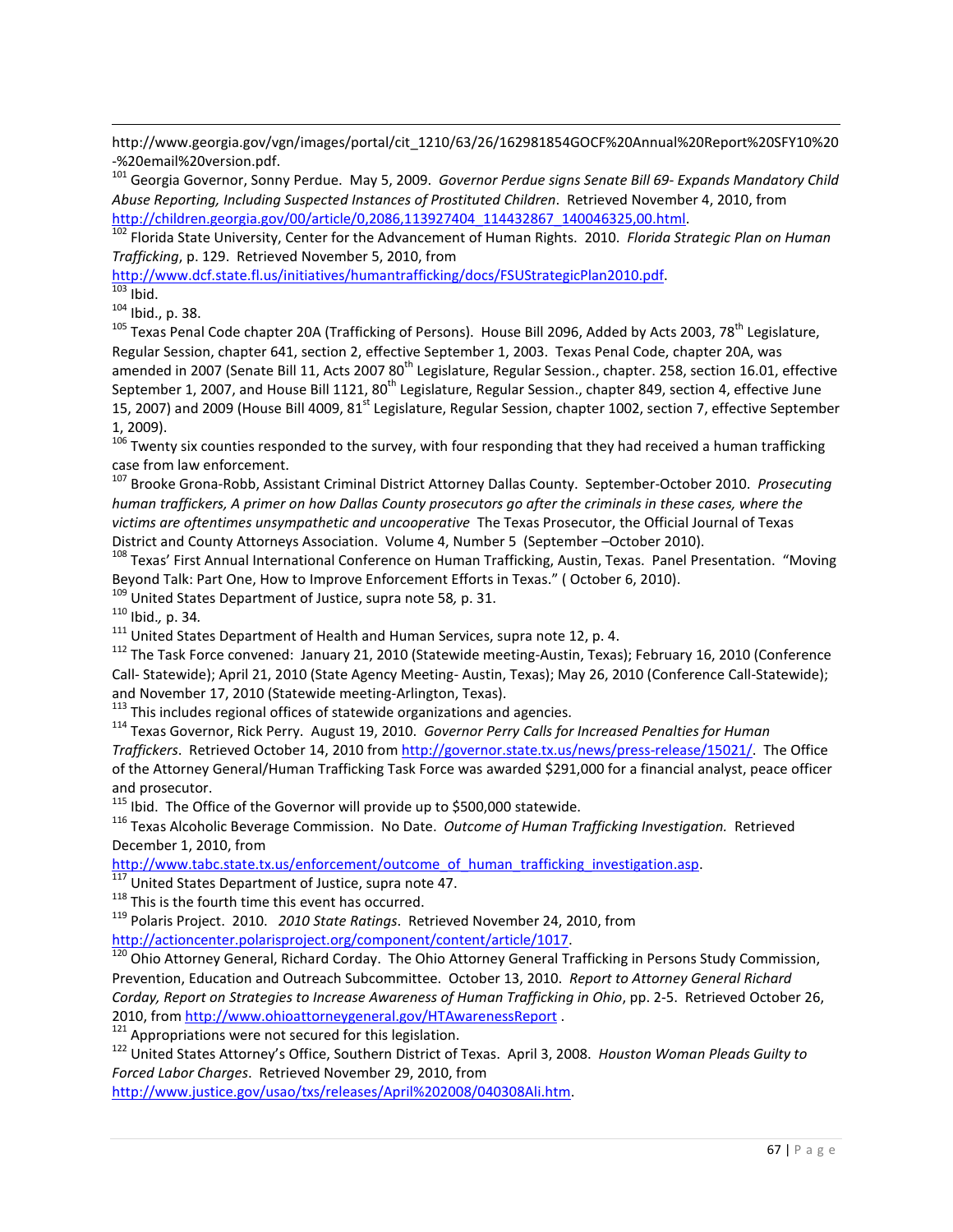http://www.georgia.gov/vgn/images/portal/cit\_1210/63/26/162981854GOCF%20Annual%20Report%20SFY10%20 -%20email%20version.pdf.

<sup>101</sup> Georgia Governor, Sonny Perdue. May 5, 2009. *Governor Perdue signs Senate Bill 69- Expands Mandatory Child Abuse Reporting, Including Suspected Instances of Prostituted Children*. Retrieved November 4, 2010, from [http://children.georgia.gov/00/article/0,2086,113927404\\_114432867\\_140046325,00.html.](http://children.georgia.gov/00/article/0,2086,113927404_114432867_140046325,00.html)

<sup>102</sup> Florida State University, Center for the Advancement of Human Rights. 2010. *Florida Strategic Plan on Human Trafficking*, p. 129. Retrieved November 5, 2010, from

[http://www.dcf.state.fl.us/initiatives/humantrafficking/docs/FSUStrategicPlan2010.pdf.](http://www.dcf.state.fl.us/initiatives/humantrafficking/docs/FSUStrategicPlan2010.pdf)

 $\overline{\phantom{0}}$ 

 $\frac{103}{103}$  Ibid.<br> $104$  Ibid., p. 38.

<sup>105</sup> Texas Penal Code chapter 20A (Trafficking of Persons). House Bill 2096, Added by Acts 2003, 78<sup>th</sup> Legislature, Regular Session, chapter 641, section 2, effective September 1, 2003. Texas Penal Code, chapter 20A, was amended in 2007 (Senate Bill 11, Acts 2007 80<sup>th</sup> Legislature, Regular Session., chapter. 258, section 16.01, effective September 1, 2007, and House Bill 1121, 80<sup>th</sup> Legislature, Regular Session., chapter 849, section 4, effective June 15, 2007) and 2009 (House Bill 4009, 81<sup>st</sup> Legislature, Regular Session, chapter 1002, section 7, effective September 1, 2009).

 $106$  Twenty six counties responded to the survey, with four responding that they had received a human trafficking case from law enforcement.

<sup>107</sup> Brooke Grona-Robb, Assistant Criminal District Attorney Dallas County. September-October 2010. *Prosecuting human traffickers, A primer on how Dallas County prosecutors go after the criminals in these cases, where the victims are oftentimes unsympathetic and uncooperative* The Texas Prosecutor, the Official Journal of Texas District and County Attorneys Association. Volume 4, Number 5 (September –October 2010).<br><sup>108</sup> Texas' First Annual International Conference on Human Trafficking, Austin, Texas. Panel Presentation. "Moving

Beyond Talk: Part One, How to Improve Enforcement Efforts in Texas." ( October 6, 2010).

<sup>109</sup> United States Department of Justice, supra note 58*,* p. 31.

<sup>110</sup> Ibid., p. 34.<br><sup>111</sup> United States Department of Health and Human Services, supra note 12, p. 4.

 $112$  The Task Force convened: January 21, 2010 (Statewide meeting-Austin, Texas); February 16, 2010 (Conference Call- Statewide); April 21, 2010 (State Agency Meeting- Austin, Texas); May 26, 2010 (Conference Call-Statewide); and November 17, 2010 (Statewide meeting-Arlington, Texas).<br><sup>113</sup> This includes regional offices of statewide organizations and agencies.

<sup>114</sup> Texas Governor, Rick Perry. August 19, 2010. *Governor Perry Calls for Increased Penalties for Human Traffickers*. Retrieved October 14, 2010 from [http://governor.state.tx.us/news/press-release/15021/.](http://governor.state.tx.us/news/press-release/15021/) The Office of the Attorney General/Human Trafficking Task Force was awarded \$291,000 for a financial analyst, peace officer

and prosecutor.<br><sup>115</sup> Ibid. The Office of the Governor will provide up to \$500,000 statewide.

<sup>116</sup> Texas Alcoholic Beverage Commission. No Date. *Outcome of Human Trafficking Investigation*. Retrieved December 1, 2010, from

[http://www.tabc.state.tx.us/enforcement/outcome\\_of\\_human\\_trafficking\\_investigation.asp. 117](http://www.tabc.state.tx.us/enforcement/outcome_of_human_trafficking_investigation.asp) United States Department of Justice, supra note 47.<br>
<sup>118</sup> This is the fourth time this event has occurred.

<span id="page-68-0"></span><sup>119</sup> Polaris Project. 2010. *2010 State Ratings*. Retrieved November 24, 2010, from

[http://actioncenter.polarisproject.org/component/content/article/1017.](http://actioncenter.polarisproject.org/component/content/article/1017)

<span id="page-68-1"></span><sup>120</sup> Ohio Attorney General, Richard Corday. The Ohio Attorney General Trafficking in Persons Study Commission, Prevention, Education and Outreach Subcommittee. October 13, 2010. *Report to Attorney General Richard Corday, Report on Strategies to Increase Awareness of Human Trafficking in Ohio*, pp. 2-5. Retrieved October 26, 2010, from<http://www.ohioattorneygeneral.gov/HTAwarenessReport>.

<span id="page-68-2"></span> $121$  Appropriations were not secured for this legislation.

<span id="page-68-3"></span><sup>122</sup> United States Attorney's Office, Southern District of Texas. April 3, 2008. *Houston Woman Pleads Guilty to Forced Labor Charges*. Retrieved November 29, 2010, from

[http://www.justice.gov/usao/txs/releases/April%202008/040308Ali.htm.](http://www.justice.gov/usao/txs/releases/April%202008/040308Ali.htm)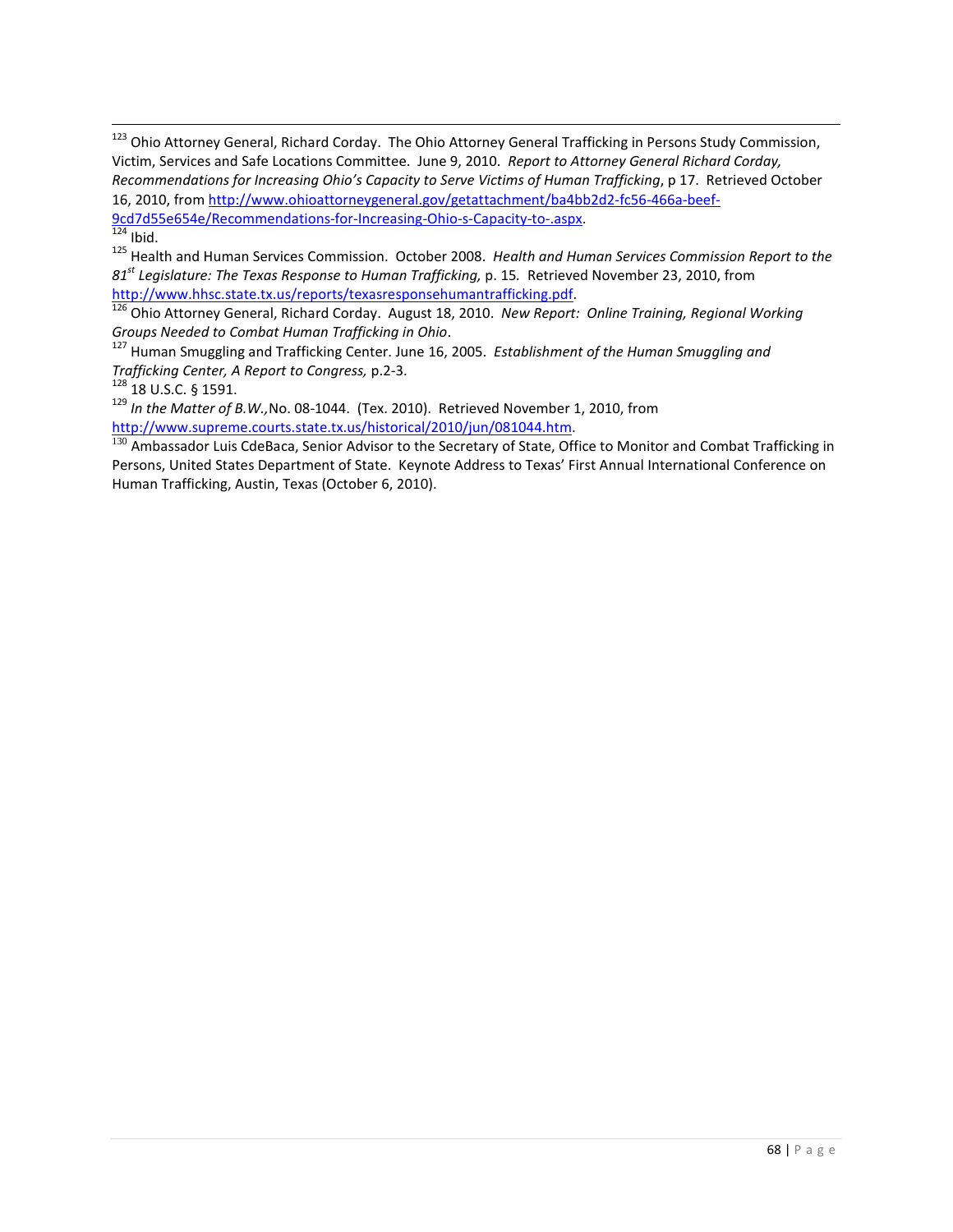<span id="page-69-1"></span> $\frac{324}{124}$  Ibid.

<span id="page-69-2"></span><sup>125</sup> Health and Human Services Commission. October 2008. *Health and Human Services Commission Report to the 81st Legislature: The Texas Response to Human Trafficking,* p. 15*.* Retrieved November 23, 2010, from [http://www.hhsc.state.tx.us/reports/texasresponsehumantrafficking.pdf.](http://www.hhsc.state.tx.us/reports/texasresponsehumantrafficking.pdf)

<span id="page-69-3"></span><sup>126</sup> Ohio Attorney General, Richard Corday. August 18, 2010. *New Report: Online Training, Regional Working Groups Needed to Combat Human Trafficking in Ohio*. 127 Human Smuggling and Trafficking Center. June 16, 2005. *Establishment of the Human Smuggling and* 

<span id="page-69-4"></span>*Trafficking Center, A Report to Congress,* p.2-3. 128 18 U.S.C. § 1591.

<span id="page-69-6"></span><span id="page-69-5"></span><sup>129</sup> *In the Matter of B.W.,*No. 08-1044. (Tex. 2010). Retrieved November 1, 2010, from [http://www.supreme.courts.state.tx.us/historical/2010/jun/081044.htm.](http://www.supreme.courts.state.tx.us/historical/2010/jun/081044.htm)

<span id="page-69-7"></span><sup>130</sup> Ambassador Luis CdeBaca, Senior Advisor to the Secretary of State, Office to Monitor and Combat Trafficking in Persons, United States Department of State. Keynote Address to Texas' First Annual International Conference on Human Trafficking, Austin, Texas (October 6, 2010).

<span id="page-69-0"></span><sup>&</sup>lt;sup>123</sup> Ohio Attorney General, Richard Corday. The Ohio Attorney General Trafficking in Persons Study Commission, Victim, Services and Safe Locations Committee. June 9, 2010. *Report to Attorney General Richard Corday, Recommendations for Increasing Ohio's Capacity to Serve Victims of Human Trafficking*, p 17. Retrieved October 16, 2010, from [http://www.ohioattorneygeneral.gov/getattachment/ba4bb2d2-fc56-466a-beef-](http://www.ohioattorneygeneral.gov/getattachment/ba4bb2d2-fc56-466a-beef-9cd7d55e654e/Recommendations-for-Increasing-Ohio-s-Capacity-to-.aspx)[9cd7d55e654e/Recommendations-for-Increasing-Ohio-s-Capacity-to-.aspx.](http://www.ohioattorneygeneral.gov/getattachment/ba4bb2d2-fc56-466a-beef-9cd7d55e654e/Recommendations-for-Increasing-Ohio-s-Capacity-to-.aspx)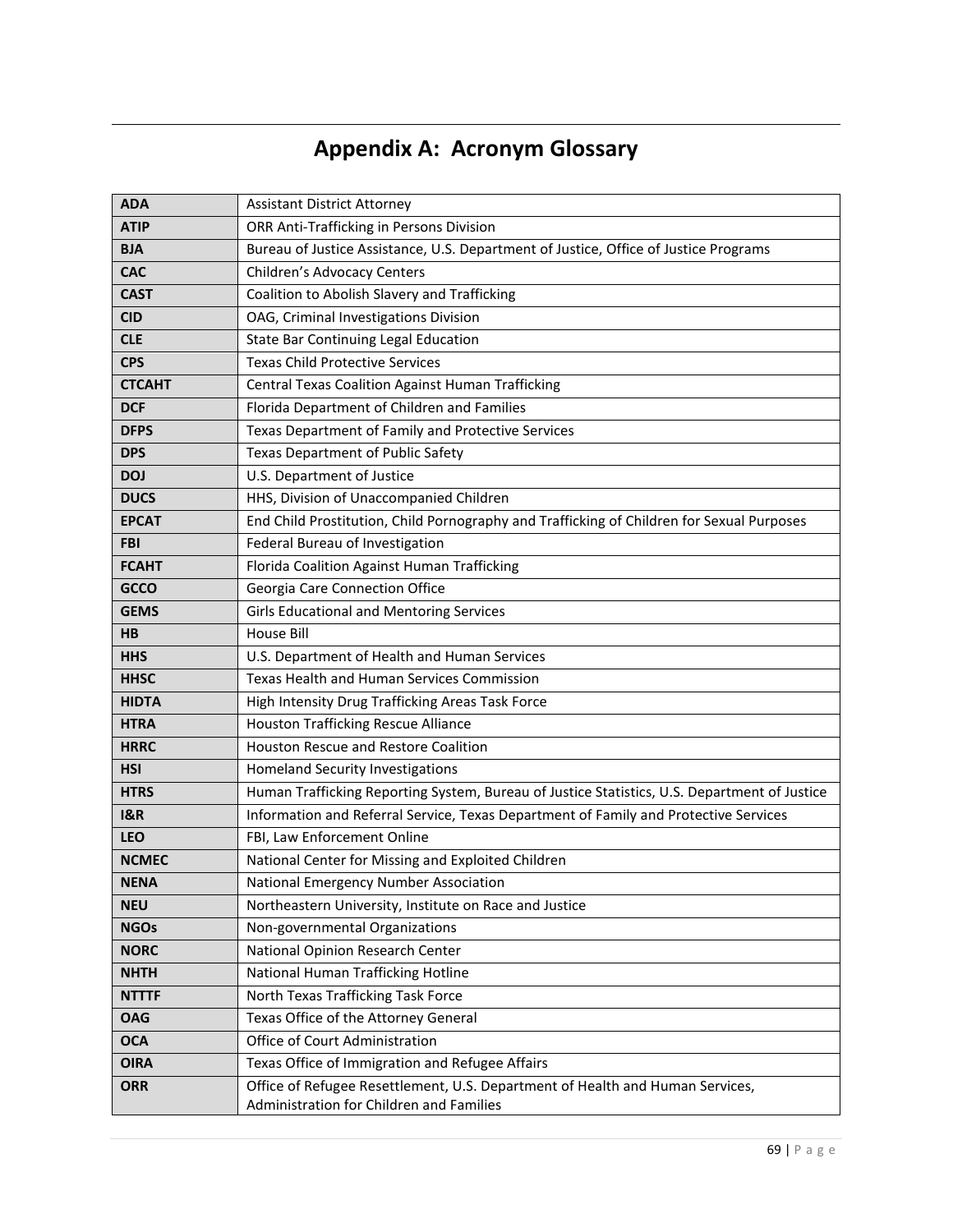# **Appendix A: Acronym Glossary**

 $\overline{\phantom{0}}$ 

| <b>ADA</b>     | <b>Assistant District Attorney</b>                                                                                        |
|----------------|---------------------------------------------------------------------------------------------------------------------------|
| <b>ATIP</b>    | ORR Anti-Trafficking in Persons Division                                                                                  |
| <b>BJA</b>     | Bureau of Justice Assistance, U.S. Department of Justice, Office of Justice Programs                                      |
| <b>CAC</b>     | Children's Advocacy Centers                                                                                               |
| <b>CAST</b>    | Coalition to Abolish Slavery and Trafficking                                                                              |
| <b>CID</b>     | OAG, Criminal Investigations Division                                                                                     |
| <b>CLE</b>     | State Bar Continuing Legal Education                                                                                      |
| <b>CPS</b>     | <b>Texas Child Protective Services</b>                                                                                    |
| <b>CTCAHT</b>  | <b>Central Texas Coalition Against Human Trafficking</b>                                                                  |
| <b>DCF</b>     | Florida Department of Children and Families                                                                               |
| <b>DFPS</b>    | Texas Department of Family and Protective Services                                                                        |
| <b>DPS</b>     | <b>Texas Department of Public Safety</b>                                                                                  |
| <b>DOJ</b>     | U.S. Department of Justice                                                                                                |
| <b>DUCS</b>    | HHS, Division of Unaccompanied Children                                                                                   |
| <b>EPCAT</b>   | End Child Prostitution, Child Pornography and Trafficking of Children for Sexual Purposes                                 |
| <b>FBI</b>     | Federal Bureau of Investigation                                                                                           |
| <b>FCAHT</b>   | Florida Coalition Against Human Trafficking                                                                               |
| <b>GCCO</b>    | Georgia Care Connection Office                                                                                            |
| <b>GEMS</b>    | <b>Girls Educational and Mentoring Services</b>                                                                           |
| HВ             | <b>House Bill</b>                                                                                                         |
| <b>HHS</b>     | U.S. Department of Health and Human Services                                                                              |
| <b>HHSC</b>    | Texas Health and Human Services Commission                                                                                |
| <b>HIDTA</b>   | High Intensity Drug Trafficking Areas Task Force                                                                          |
| <b>HTRA</b>    | <b>Houston Trafficking Rescue Alliance</b>                                                                                |
| <b>HRRC</b>    | Houston Rescue and Restore Coalition                                                                                      |
| <b>HSI</b>     | Homeland Security Investigations                                                                                          |
| <b>HTRS</b>    | Human Trafficking Reporting System, Bureau of Justice Statistics, U.S. Department of Justice                              |
| <b>I&amp;R</b> | Information and Referral Service, Texas Department of Family and Protective Services                                      |
| <b>LEO</b>     | FBI, Law Enforcement Online                                                                                               |
| <b>NCMEC</b>   | National Center for Missing and Exploited Children                                                                        |
| <b>NENA</b>    | National Emergency Number Association                                                                                     |
| <b>NEU</b>     | Northeastern University, Institute on Race and Justice                                                                    |
| <b>NGOs</b>    | Non-governmental Organizations                                                                                            |
| <b>NORC</b>    | National Opinion Research Center                                                                                          |
| <b>NHTH</b>    | National Human Trafficking Hotline                                                                                        |
| <b>NTTTF</b>   | North Texas Trafficking Task Force                                                                                        |
| <b>OAG</b>     | Texas Office of the Attorney General                                                                                      |
| <b>OCA</b>     | Office of Court Administration                                                                                            |
| <b>OIRA</b>    | Texas Office of Immigration and Refugee Affairs                                                                           |
| <b>ORR</b>     | Office of Refugee Resettlement, U.S. Department of Health and Human Services,<br>Administration for Children and Families |